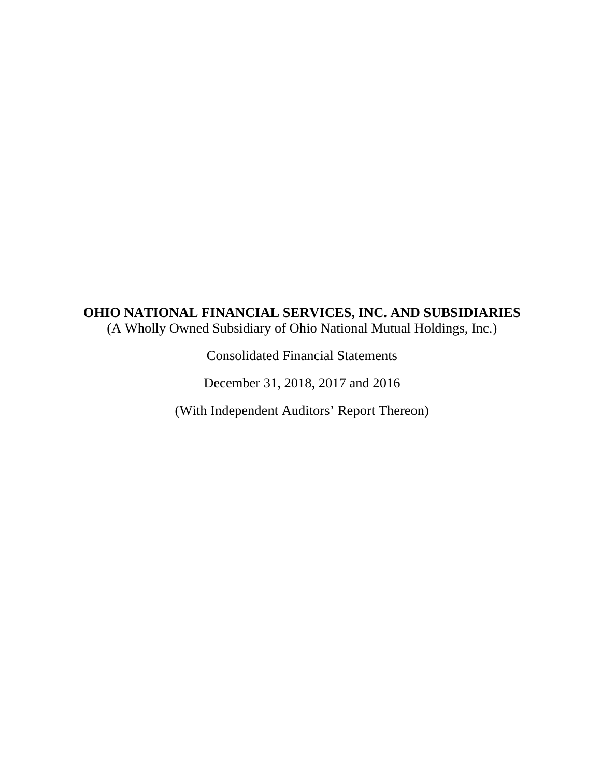# **OHIO NATIONAL FINANCIAL SERVICES, INC. AND SUBSIDIARIES**  (A Wholly Owned Subsidiary of Ohio National Mutual Holdings, Inc.)

Consolidated Financial Statements

December 31, 2018, 2017 and 2016

(With Independent Auditors' Report Thereon)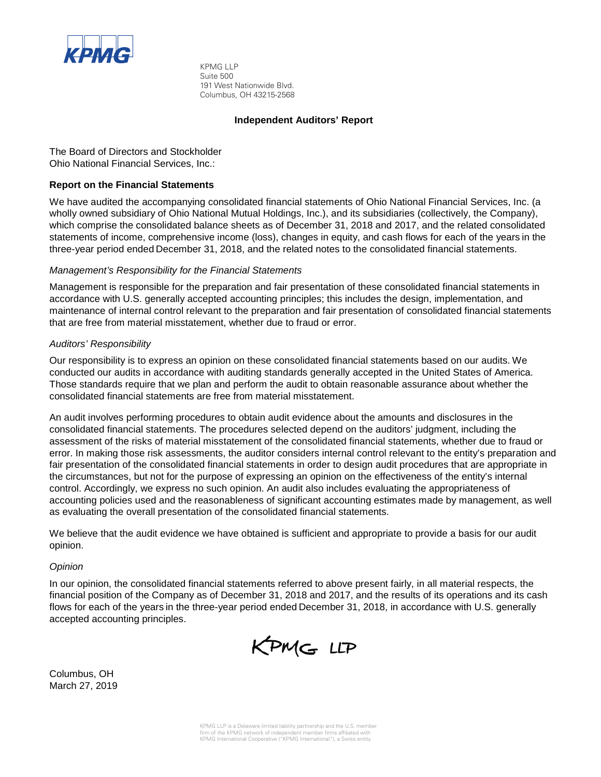

KPMG LLP Suite 500 191 West Nationwide Blvd. Columbus, OH 43215-2568

#### **Independent Auditors' Report**

The Board of Directors and Stockholder Ohio National Financial Services, Inc.:

### **Report on the Financial Statements**

We have audited the accompanying consolidated financial statements of Ohio National Financial Services, Inc. (a wholly owned subsidiary of Ohio National Mutual Holdings, Inc.), and its subsidiaries (collectively, the Company), which comprise the consolidated balance sheets as of December 31, 2018 and 2017, and the related consolidated statements of income, comprehensive income (loss), changes in equity, and cash flows for each of the years in the three-year period ended December 31, 2018, and the related notes to the consolidated financial statements.

#### *Management's Responsibility for the Financial Statements*

Management is responsible for the preparation and fair presentation of these consolidated financial statements in accordance with U.S. generally accepted accounting principles; this includes the design, implementation, and maintenance of internal control relevant to the preparation and fair presentation of consolidated financial statements that are free from material misstatement, whether due to fraud or error.

#### *Auditors' Responsibility*

Our responsibility is to express an opinion on these consolidated financial statements based on our audits. We conducted our audits in accordance with auditing standards generally accepted in the United States of America. Those standards require that we plan and perform the audit to obtain reasonable assurance about whether the consolidated financial statements are free from material misstatement.

An audit involves performing procedures to obtain audit evidence about the amounts and disclosures in the consolidated financial statements. The procedures selected depend on the auditors' judgment, including the assessment of the risks of material misstatement of the consolidated financial statements, whether due to fraud or error. In making those risk assessments, the auditor considers internal control relevant to the entity's preparation and fair presentation of the consolidated financial statements in order to design audit procedures that are appropriate in the circumstances, but not for the purpose of expressing an opinion on the effectiveness of the entity's internal control. Accordingly, we express no such opinion. An audit also includes evaluating the appropriateness of accounting policies used and the reasonableness of significant accounting estimates made by management, as well as evaluating the overall presentation of the consolidated financial statements.

We believe that the audit evidence we have obtained is sufficient and appropriate to provide a basis for our audit opinion.

#### *Opinion*

In our opinion, the consolidated financial statements referred to above present fairly, in all material respects, the financial position of the Company as of December 31, 2018 and 2017, and the results of its operations and its cash flows for each of the years in the three-year period ended December 31, 2018, in accordance with U.S. generally accepted accounting principles.



Columbus, OH March 27, 2019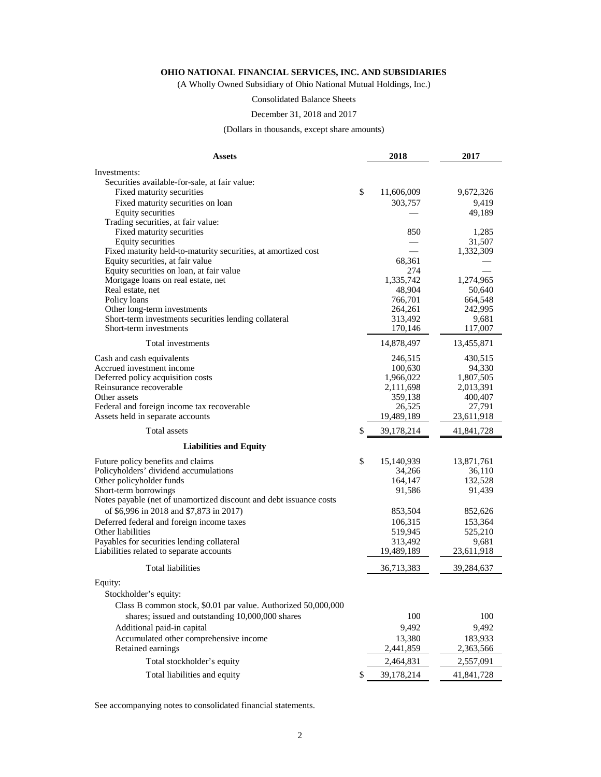(A Wholly Owned Subsidiary of Ohio National Mutual Holdings, Inc.)

Consolidated Balance Sheets

## December 31, 2018 and 2017

(Dollars in thousands, except share amounts)

| <b>Assets</b>                                                                | 2018             | 2017       |  |
|------------------------------------------------------------------------------|------------------|------------|--|
| Investments:                                                                 |                  |            |  |
| Securities available-for-sale, at fair value:                                |                  |            |  |
| Fixed maturity securities                                                    | \$<br>11,606,009 | 9,672,326  |  |
| Fixed maturity securities on loan                                            | 303,757          | 9,419      |  |
| <b>Equity securities</b>                                                     |                  | 49,189     |  |
| Trading securities, at fair value:                                           |                  |            |  |
| Fixed maturity securities                                                    | 850              | 1,285      |  |
| Equity securities                                                            |                  | 31,507     |  |
| Fixed maturity held-to-maturity securities, at amortized cost                |                  | 1,332,309  |  |
| Equity securities, at fair value<br>Equity securities on loan, at fair value | 68,361<br>274    |            |  |
| Mortgage loans on real estate, net                                           | 1,335,742        | 1,274,965  |  |
| Real estate, net                                                             | 48,904           | 50,640     |  |
| Policy loans                                                                 | 766,701          | 664,548    |  |
| Other long-term investments                                                  | 264,261          | 242,995    |  |
| Short-term investments securities lending collateral                         | 313,492          | 9,681      |  |
| Short-term investments                                                       | 170,146          | 117,007    |  |
| Total investments                                                            | 14,878,497       | 13,455,871 |  |
| Cash and cash equivalents                                                    | 246,515          | 430,515    |  |
| Accrued investment income                                                    | 100,630          | 94,330     |  |
| Deferred policy acquisition costs                                            | 1,966,022        | 1,807,505  |  |
| Reinsurance recoverable                                                      | 2,111,698        | 2,013,391  |  |
| Other assets                                                                 | 359,138          | 400,407    |  |
| Federal and foreign income tax recoverable                                   | 26,525           | 27,791     |  |
| Assets held in separate accounts                                             | 19,489,189       | 23,611,918 |  |
| Total assets                                                                 | \$<br>39,178,214 | 41,841,728 |  |
| <b>Liabilities and Equity</b>                                                |                  |            |  |
| Future policy benefits and claims                                            | \$<br>15,140,939 | 13,871,761 |  |
| Policyholders' dividend accumulations                                        | 34,266           | 36,110     |  |
| Other policyholder funds                                                     | 164,147          | 132,528    |  |
| Short-term borrowings                                                        | 91,586           | 91,439     |  |
| Notes payable (net of unamortized discount and debt issuance costs           |                  |            |  |
| of \$6,996 in 2018 and \$7,873 in 2017)                                      | 853,504          | 852,626    |  |
| Deferred federal and foreign income taxes                                    | 106,315          | 153,364    |  |
| Other liabilities                                                            | 519,945          | 525,210    |  |
| Payables for securities lending collateral                                   | 313,492          | 9,681      |  |
| Liabilities related to separate accounts                                     | 19,489,189       | 23,611,918 |  |
| <b>Total liabilities</b>                                                     | 36,713,383       | 39,284,637 |  |
| Equity:                                                                      |                  |            |  |
| Stockholder's equity:                                                        |                  |            |  |
| Class B common stock, \$0.01 par value. Authorized 50,000,000                |                  |            |  |
| shares; issued and outstanding 10,000,000 shares                             | 100              | 100        |  |
| Additional paid-in capital                                                   | 9,492            | 9,492      |  |
| Accumulated other comprehensive income                                       | 13,380           | 183,933    |  |
| Retained earnings                                                            | 2,441,859        | 2,363,566  |  |
| Total stockholder's equity                                                   | 2,464,831        | 2,557,091  |  |
| Total liabilities and equity                                                 | \$<br>39,178,214 | 41,841,728 |  |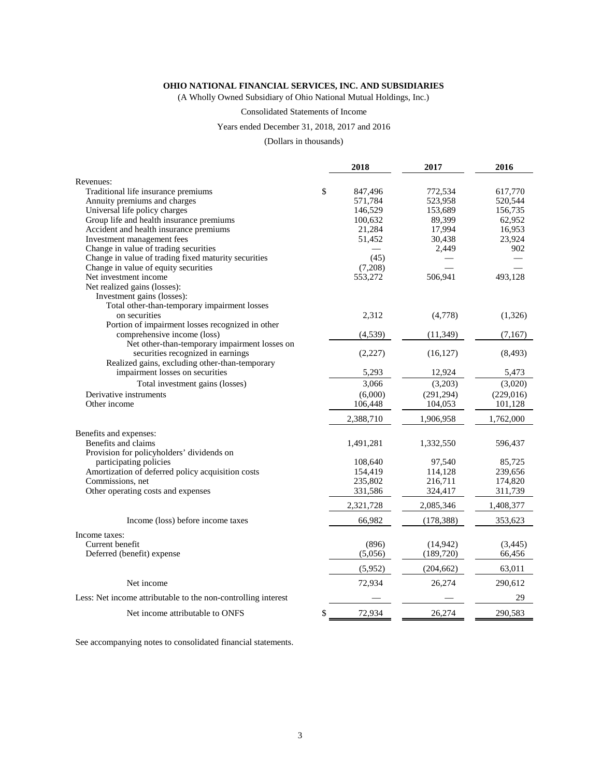(A Wholly Owned Subsidiary of Ohio National Mutual Holdings, Inc.)

#### Consolidated Statements of Income

#### Years ended December 31, 2018, 2017 and 2016

(Dollars in thousands)

|                                                               | 2018          | 2017       | 2016      |
|---------------------------------------------------------------|---------------|------------|-----------|
| Revenues:                                                     |               |            |           |
| Traditional life insurance premiums                           | \$<br>847,496 | 772,534    | 617,770   |
| Annuity premiums and charges                                  | 571,784       | 523,958    | 520,544   |
| Universal life policy charges                                 | 146,529       | 153,689    | 156,735   |
| Group life and health insurance premiums                      | 100,632       | 89,399     | 62,952    |
| Accident and health insurance premiums                        | 21,284        | 17,994     | 16,953    |
| Investment management fees                                    | 51,452        | 30,438     | 23,924    |
| Change in value of trading securities                         |               | 2,449      | 902       |
| Change in value of trading fixed maturity securities          | (45)          |            |           |
| Change in value of equity securities                          | (7,208)       |            |           |
| Net investment income                                         | 553,272       | 506,941    | 493,128   |
| Net realized gains (losses):                                  |               |            |           |
| Investment gains (losses):                                    |               |            |           |
| Total other-than-temporary impairment losses                  |               |            |           |
| on securities                                                 | 2,312         | (4,778)    | (1,326)   |
| Portion of impairment losses recognized in other              |               |            |           |
| comprehensive income (loss)                                   | (4,539)       | (11, 349)  | (7, 167)  |
| Net other-than-temporary impairment losses on                 |               |            |           |
| securities recognized in earnings                             | (2,227)       | (16, 127)  | (8, 493)  |
| Realized gains, excluding other-than-temporary                |               |            |           |
| impairment losses on securities                               | 5,293         | 12,924     | 5,473     |
| Total investment gains (losses)                               | 3,066         | (3,203)    | (3,020)   |
| Derivative instruments                                        | (6,000)       | (291, 294) | (229,016) |
| Other income                                                  | 106,448       | 104,053    | 101,128   |
|                                                               | 2,388,710     | 1,906,958  | 1,762,000 |
| Benefits and expenses:                                        |               |            |           |
| Benefits and claims                                           | 1,491,281     | 1,332,550  | 596,437   |
| Provision for policyholders' dividends on                     |               |            |           |
| participating policies                                        | 108,640       | 97,540     | 85,725    |
| Amortization of deferred policy acquisition costs             | 154,419       | 114,128    | 239,656   |
| Commissions, net                                              | 235,802       | 216,711    | 174,820   |
| Other operating costs and expenses                            | 331,586       | 324,417    | 311,739   |
|                                                               | 2,321,728     | 2,085,346  | 1,408,377 |
| Income (loss) before income taxes                             | 66,982        | (178, 388) | 353,623   |
| Income taxes:                                                 |               |            |           |
| Current benefit                                               | (896)         | (14, 942)  | (3, 445)  |
| Deferred (benefit) expense                                    | (5,056)       | (189, 720) | 66,456    |
|                                                               | (5,952)       | (204, 662) | 63,011    |
| Net income                                                    | 72,934        | 26,274     | 290,612   |
| Less: Net income attributable to the non-controlling interest |               |            | 29        |
| Net income attributable to ONFS                               | \$<br>72,934  | 26,274     | 290,583   |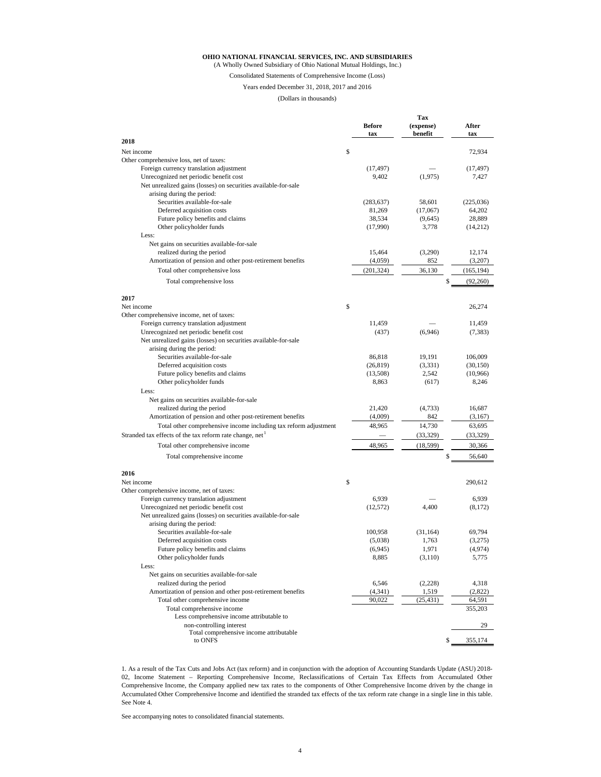(A Wholly Owned Subsidiary of Ohio National Mutual Holdings, Inc.)

Consolidated Statements of Comprehensive Income (Loss)

Years ended December 31, 2018, 2017 and 2016

#### (Dollars in thousands)

|                                                                  | <b>Before</b> | Tax<br>(expense) | After      |
|------------------------------------------------------------------|---------------|------------------|------------|
| 2018                                                             | tax           | benefit          | tax        |
|                                                                  |               |                  |            |
| Net income<br>Other comprehensive loss, net of taxes:            | \$            |                  | 72,934     |
| Foreign currency translation adjustment                          | (17, 497)     |                  | (17, 497)  |
| Unrecognized net periodic benefit cost                           | 9,402         | (1,975)          | 7,427      |
| Net unrealized gains (losses) on securities available-for-sale   |               |                  |            |
| arising during the period:                                       |               |                  |            |
| Securities available-for-sale                                    | (283, 637)    | 58,601           | (225,036)  |
| Deferred acquisition costs                                       | 81,269        | (17,067)         | 64,202     |
| Future policy benefits and claims                                | 38,534        | (9,645)          | 28,889     |
| Other policyholder funds                                         | (17,990)      | 3,778            | (14,212)   |
| Less:                                                            |               |                  |            |
| Net gains on securities available-for-sale                       |               |                  |            |
| realized during the period                                       | 15,464        | (3,290)          | 12,174     |
| Amortization of pension and other post-retirement benefits       | (4,059)       | 852              | (3,207)    |
| Total other comprehensive loss                                   | (201, 324)    | 36,130           | (165, 194) |
| Total comprehensive loss                                         |               | \$               | (92,260)   |
|                                                                  |               |                  |            |
| 2017                                                             |               |                  |            |
| Net income                                                       | \$            |                  | 26,274     |
| Other comprehensive income, net of taxes:                        |               |                  |            |
| Foreign currency translation adjustment                          | 11,459        |                  | 11.459     |
| Unrecognized net periodic benefit cost                           | (437)         | (6,946)          | (7, 383)   |
| Net unrealized gains (losses) on securities available-for-sale   |               |                  |            |
| arising during the period:                                       |               |                  |            |
| Securities available-for-sale                                    | 86,818        | 19,191           | 106,009    |
| Deferred acquisition costs                                       | (26, 819)     | (3, 331)         | (30, 150)  |
| Future policy benefits and claims                                | (13,508)      | 2,542            | (10,966)   |
| Other policyholder funds                                         | 8,863         | (617)            | 8,246      |
| Less:                                                            |               |                  |            |
| Net gains on securities available-for-sale                       |               |                  |            |
| realized during the period                                       | 21,420        | (4,733)          | 16,687     |
| Amortization of pension and other post-retirement benefits       | (4,009)       | 842              | (3,167)    |
| Total other comprehensive income including tax reform adjustment | 48,965        | 14,730           | 63,695     |
| Stranded tax effects of the tax reform rate change, net          |               | (33, 329)        | (33, 329)  |
| Total other comprehensive income                                 | 48,965        | (18, 599)        | 30,366     |
| Total comprehensive income                                       |               | \$               | 56,640     |
| 2016                                                             |               |                  |            |
| Net income                                                       | \$            |                  | 290,612    |
| Other comprehensive income, net of taxes:                        |               |                  |            |
| Foreign currency translation adjustment                          | 6,939         |                  | 6,939      |
| Unrecognized net periodic benefit cost                           | (12,572)      | 4,400            | (8,172)    |
| Net unrealized gains (losses) on securities available-for-sale   |               |                  |            |
| arising during the period:                                       |               |                  |            |
| Securities available-for-sale                                    | 100,958       | (31, 164)        | 69.794     |
| Deferred acquisition costs                                       | (5,038)       | 1,763            | (3,275)    |
| Future policy benefits and claims                                | (6,945)       | 1,971            | (4,974)    |
| Other policyholder funds                                         | 8,885         | (3,110)          | 5,775      |
| Less:                                                            |               |                  |            |
| Net gains on securities available-for-sale                       |               |                  |            |
| realized during the period                                       | 6,546         | (2,228)          | 4,318      |
| Amortization of pension and other post-retirement benefits       | (4,341)       | 1,519            | (2,822)    |
| Total other comprehensive income                                 | 90,022        | (25, 431)        | 64,591     |
| Total comprehensive income                                       |               |                  | 355,203    |
| Less comprehensive income attributable to                        |               |                  |            |
| non-controlling interest                                         |               |                  | 29         |
| Total comprehensive income attributable                          |               |                  |            |
| to ONFS                                                          |               | \$               | 355,174    |

1. As a result of the Tax Cuts and Jobs Act (tax reform) and in conjunction with the adoption of Accounting Standards Update (ASU) 2018- 02, Income Statement – Reporting Comprehensive Income, Reclassifications of Certain Tax Effects from Accumulated Other Comprehensive Income, the Company applied new tax rates to the components of Other Comprehensive Income driven by the change in Accumulated Other Comprehensive Income and identified the stranded tax effects of the tax reform rate change in a single line in this table. See Note 4.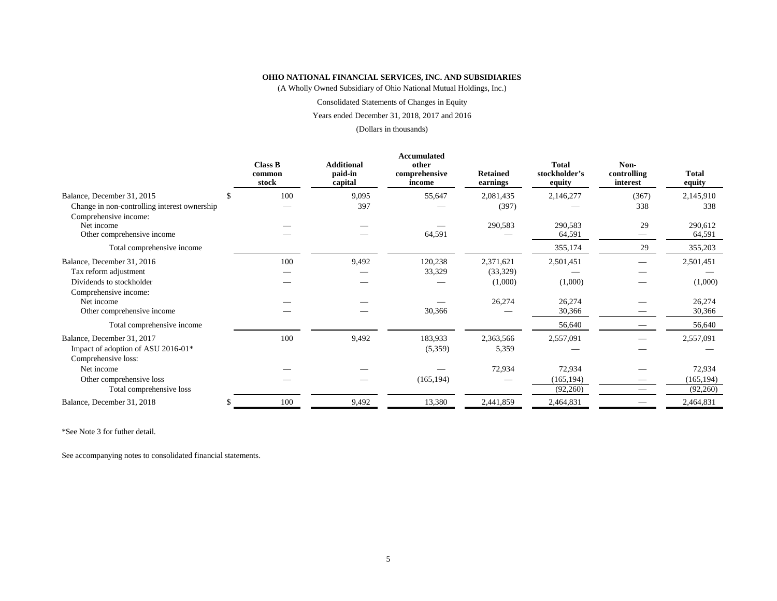(A Wholly Owned Subsidiary of Ohio National Mutual Holdings, Inc.)

Consolidated Statements of Changes in Equity

Years ended December 31, 2018, 2017 and 2016

(Dollars in thousands)

|                                                                   | <b>Class B</b>  | <b>Additional</b>  | Accumulated<br>other    |                             | <b>Total</b>            | Non-                    |                        |
|-------------------------------------------------------------------|-----------------|--------------------|-------------------------|-----------------------------|-------------------------|-------------------------|------------------------|
|                                                                   | common<br>stock | paid-in<br>capital | comprehensive<br>income | <b>Retained</b><br>earnings | stockholder's<br>equity | controlling<br>interest | <b>Total</b><br>equity |
| Balance, December 31, 2015                                        | 100             | 9,095              | 55,647                  | 2,081,435                   | 2,146,277               | (367)                   | 2,145,910              |
| Change in non-controlling interest ownership                      |                 | 397                |                         | (397)                       |                         | 338                     | 338                    |
| Comprehensive income:<br>Net income<br>Other comprehensive income |                 |                    | 64,591                  | 290,583                     | 290,583<br>64,591       | 29                      | 290,612<br>64,591      |
| Total comprehensive income                                        |                 |                    |                         |                             | 355,174                 | 29                      | 355,203                |
| Balance, December 31, 2016                                        | 100             | 9,492              | 120,238                 | 2,371,621                   | 2,501,451               |                         | 2,501,451              |
| Tax reform adjustment                                             |                 |                    | 33,329                  | (33,329)                    |                         |                         |                        |
| Dividends to stockholder                                          |                 |                    |                         | (1,000)                     | (1,000)                 |                         | (1,000)                |
| Comprehensive income:                                             |                 |                    |                         |                             |                         |                         |                        |
| Net income                                                        |                 |                    |                         | 26,274                      | 26,274                  |                         | 26,274                 |
| Other comprehensive income                                        |                 |                    | 30,366                  |                             | 30,366                  |                         | 30,366                 |
| Total comprehensive income                                        |                 |                    |                         |                             | 56,640                  |                         | 56,640                 |
| Balance, December 31, 2017                                        | 100             | 9,492              | 183,933                 | 2,363,566                   | 2,557,091               |                         | 2,557,091              |
| Impact of adoption of ASU 2016-01*                                |                 |                    | (5,359)                 | 5,359                       |                         |                         |                        |
| Comprehensive loss:                                               |                 |                    |                         |                             |                         |                         |                        |
| Net income                                                        |                 |                    |                         | 72,934                      | 72,934                  |                         | 72,934                 |
| Other comprehensive loss                                          |                 |                    | (165, 194)              |                             | (165, 194)              |                         | (165, 194)             |
| Total comprehensive loss                                          |                 |                    |                         |                             | (92,260)                |                         | (92,260)               |
| Balance, December 31, 2018                                        | 100             | 9,492              | 13,380                  | 2,441,859                   | 2,464,831               |                         | 2,464,831              |

\*See Note 3 for futher detail.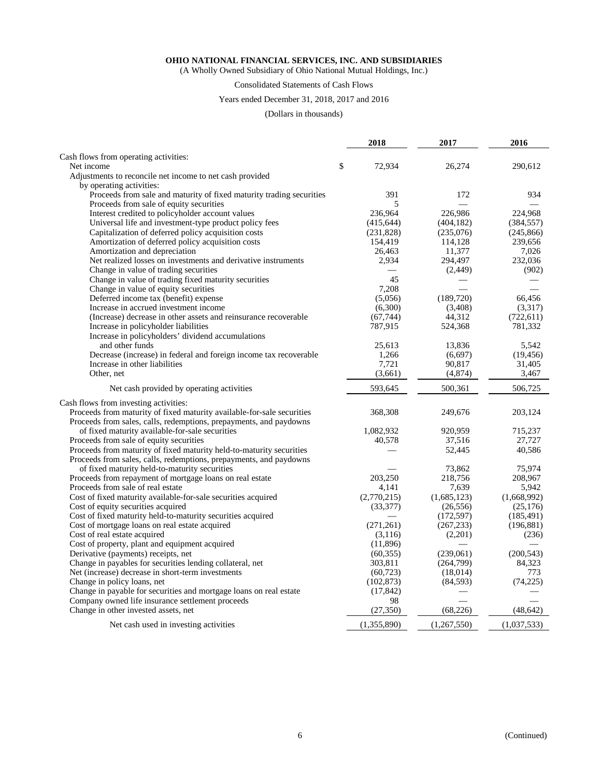(A Wholly Owned Subsidiary of Ohio National Mutual Holdings, Inc.)

## Consolidated Statements of Cash Flows

#### Years ended December 31, 2018, 2017 and 2016

(Dollars in thousands)

|                                                                        | 2018         | 2017        | 2016        |
|------------------------------------------------------------------------|--------------|-------------|-------------|
| Cash flows from operating activities:                                  |              |             |             |
| Net income                                                             | \$<br>72,934 | 26,274      | 290.612     |
| Adjustments to reconcile net income to net cash provided               |              |             |             |
| by operating activities:                                               |              |             |             |
| Proceeds from sale and maturity of fixed maturity trading securities   | 391          | 172         | 934         |
| Proceeds from sale of equity securities                                | 5            |             |             |
| Interest credited to policyholder account values                       | 236,964      | 226,986     | 224,968     |
| Universal life and investment-type product policy fees                 | (415, 644)   | (404, 182)  | (384, 557)  |
| Capitalization of deferred policy acquisition costs                    | (231, 828)   | (235,076)   | (245, 866)  |
| Amortization of deferred policy acquisition costs                      | 154,419      | 114,128     | 239,656     |
| Amortization and depreciation                                          | 26,463       | 11,377      | 7,026       |
| Net realized losses on investments and derivative instruments          | 2,934        | 294,497     | 232,036     |
| Change in value of trading securities                                  |              | (2,449)     | (902)       |
| Change in value of trading fixed maturity securities                   | 45           |             |             |
| Change in value of equity securities                                   | 7,208        |             |             |
| Deferred income tax (benefit) expense                                  | (5,056)      | (189, 720)  | 66,456      |
| Increase in accrued investment income                                  | (6,300)      | (3,408)     | (3,317)     |
| (Increase) decrease in other assets and reinsurance recoverable        | (67, 744)    | 44,312      | (722, 611)  |
| Increase in policyholder liabilities                                   | 787,915      | 524,368     | 781,332     |
| Increase in policyholders' dividend accumulations                      |              |             |             |
| and other funds                                                        | 25,613       | 13,836      | 5,542       |
| Decrease (increase) in federal and foreign income tax recoverable      | 1,266        | (6,697)     | (19, 456)   |
| Increase in other liabilities                                          | 7,721        | 90,817      | 31,405      |
| Other, net                                                             | (3,661)      | (4,874)     | 3,467       |
|                                                                        | 593,645      |             |             |
| Net cash provided by operating activities                              |              | 500,361     | 506,725     |
| Cash flows from investing activities:                                  |              |             |             |
| Proceeds from maturity of fixed maturity available-for-sale securities | 368,308      | 249,676     | 203,124     |
| Proceeds from sales, calls, redemptions, prepayments, and paydowns     |              |             |             |
| of fixed maturity available-for-sale securities                        | 1,082,932    | 920,959     | 715,237     |
| Proceeds from sale of equity securities                                | 40,578       | 37,516      | 27,727      |
| Proceeds from maturity of fixed maturity held-to-maturity securities   |              | 52,445      | 40,586      |
| Proceeds from sales, calls, redemptions, prepayments, and paydowns     |              |             |             |
| of fixed maturity held-to-maturity securities                          |              | 73,862      | 75,974      |
| Proceeds from repayment of mortgage loans on real estate               | 203,250      | 218,756     | 208,967     |
| Proceeds from sale of real estate                                      | 4,141        | 7,639       | 5,942       |
| Cost of fixed maturity available-for-sale securities acquired          | (2,770,215)  | (1,685,123) | (1,668,992) |
| Cost of equity securities acquired                                     | (33, 377)    | (26, 556)   | (25, 176)   |
| Cost of fixed maturity held-to-maturity securities acquired            |              | (172, 597)  | (185, 491)  |
| Cost of mortgage loans on real estate acquired                         | (271, 261)   | (267, 233)  | (196, 881)  |
| Cost of real estate acquired                                           | (3,116)      | (2,201)     | (236)       |
| Cost of property, plant and equipment acquired                         | (11,896)     |             |             |
| Derivative (payments) receipts, net                                    | (60, 355)    | (239,061)   | (200, 543)  |
| Change in payables for securities lending collateral, net              | 303,811      | (264,799)   | 84,323      |
| Net (increase) decrease in short-term investments                      | (60, 723)    | (18,014)    | 773         |
| Change in policy loans, net                                            | (102, 873)   | (84, 593)   | (74, 225)   |
| Change in payable for securities and mortgage loans on real estate     | (17, 842)    |             |             |
| Company owned life insurance settlement proceeds                       | 98           |             |             |
| Change in other invested assets, net                                   | (27, 350)    | (68, 226)   | (48, 642)   |
| Net cash used in investing activities                                  | (1,355,890)  | (1,267,550) | (1,037,533) |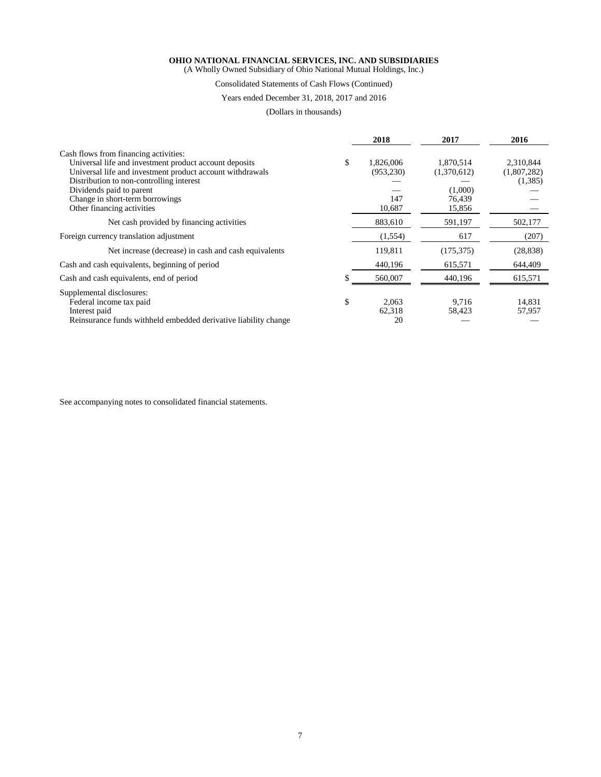(A Wholly Owned Subsidiary of Ohio National Mutual Holdings, Inc.)

Consolidated Statements of Cash Flows (Continued)

#### Years ended December 31, 2018, 2017 and 2016

(Dollars in thousands)

|                                                                 | 2018            | 2017        | 2016        |
|-----------------------------------------------------------------|-----------------|-------------|-------------|
| Cash flows from financing activities:                           |                 |             |             |
| Universal life and investment product account deposits          | \$<br>1,826,006 | 1,870,514   | 2,310,844   |
| Universal life and investment product account withdrawals       | (953, 230)      | (1,370,612) | (1,807,282) |
| Distribution to non-controlling interest                        |                 |             | (1,385)     |
| Dividends paid to parent                                        |                 | (1,000)     |             |
| Change in short-term borrowings                                 | 147             | 76.439      |             |
| Other financing activities                                      | 10,687          | 15,856      |             |
| Net cash provided by financing activities                       | 883,610         | 591,197     | 502,177     |
| Foreign currency translation adjustment                         | (1, 554)        | 617         | (207)       |
| Net increase (decrease) in cash and cash equivalents            | 119,811         | (175, 375)  | (28, 838)   |
| Cash and cash equivalents, beginning of period                  | 440,196         | 615,571     | 644,409     |
| Cash and cash equivalents, end of period                        | 560,007         | 440,196     | 615,571     |
| Supplemental disclosures:                                       |                 |             |             |
| Federal income tax paid                                         | \$<br>2,063     | 9.716       | 14,831      |
| Interest paid                                                   | 62,318          | 58,423      | 57,957      |
| Reinsurance funds withheld embedded derivative liability change | 20              |             |             |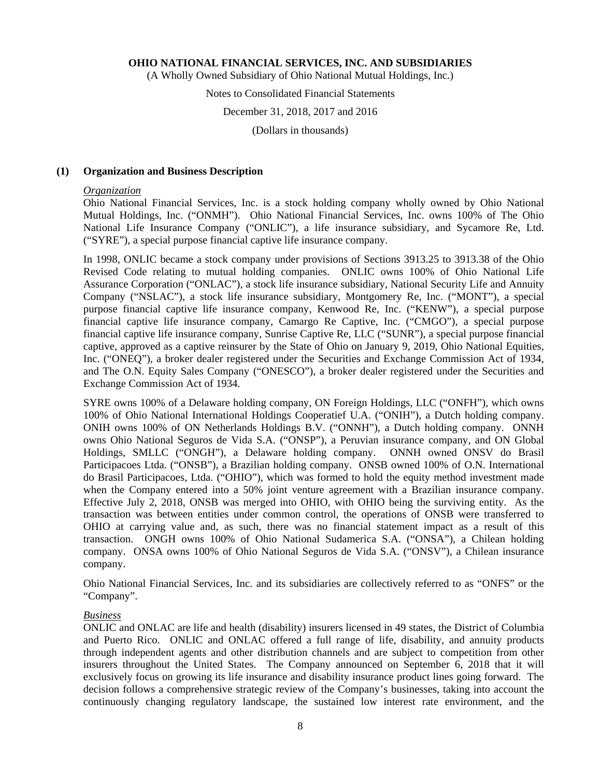(A Wholly Owned Subsidiary of Ohio National Mutual Holdings, Inc.)

## Notes to Consolidated Financial Statements

#### December 31, 2018, 2017 and 2016

(Dollars in thousands)

#### **(1) Organization and Business Description**

#### *Organization*

Ohio National Financial Services, Inc. is a stock holding company wholly owned by Ohio National Mutual Holdings, Inc. ("ONMH"). Ohio National Financial Services, Inc. owns 100% of The Ohio National Life Insurance Company ("ONLIC"), a life insurance subsidiary, and Sycamore Re, Ltd. ("SYRE"), a special purpose financial captive life insurance company.

In 1998, ONLIC became a stock company under provisions of Sections 3913.25 to 3913.38 of the Ohio Revised Code relating to mutual holding companies. ONLIC owns 100% of Ohio National Life Assurance Corporation ("ONLAC"), a stock life insurance subsidiary, National Security Life and Annuity Company ("NSLAC"), a stock life insurance subsidiary, Montgomery Re, Inc. ("MONT"), a special purpose financial captive life insurance company, Kenwood Re, Inc. ("KENW"), a special purpose financial captive life insurance company, Camargo Re Captive, Inc. ("CMGO"), a special purpose financial captive life insurance company, Sunrise Captive Re, LLC ("SUNR"), a special purpose financial captive, approved as a captive reinsurer by the State of Ohio on January 9, 2019, Ohio National Equities, Inc. ("ONEQ"), a broker dealer registered under the Securities and Exchange Commission Act of 1934, and The O.N. Equity Sales Company ("ONESCO"), a broker dealer registered under the Securities and Exchange Commission Act of 1934.

SYRE owns 100% of a Delaware holding company, ON Foreign Holdings, LLC ("ONFH"), which owns 100% of Ohio National International Holdings Cooperatief U.A. ("ONIH"), a Dutch holding company. ONIH owns 100% of ON Netherlands Holdings B.V. ("ONNH"), a Dutch holding company. ONNH owns Ohio National Seguros de Vida S.A. ("ONSP"), a Peruvian insurance company, and ON Global Holdings, SMLLC ("ONGH"), a Delaware holding company. ONNH owned ONSV do Brasil Participacoes Ltda. ("ONSB"), a Brazilian holding company. ONSB owned 100% of O.N. International do Brasil Participacoes, Ltda. ("OHIO"), which was formed to hold the equity method investment made when the Company entered into a 50% joint venture agreement with a Brazilian insurance company. Effective July 2, 2018, ONSB was merged into OHIO, with OHIO being the surviving entity. As the transaction was between entities under common control, the operations of ONSB were transferred to OHIO at carrying value and, as such, there was no financial statement impact as a result of this transaction. ONGH owns 100% of Ohio National Sudamerica S.A. ("ONSA"), a Chilean holding company. ONSA owns 100% of Ohio National Seguros de Vida S.A. ("ONSV"), a Chilean insurance company.

Ohio National Financial Services, Inc. and its subsidiaries are collectively referred to as "ONFS" or the "Company".

#### *Business*

ONLIC and ONLAC are life and health (disability) insurers licensed in 49 states, the District of Columbia and Puerto Rico. ONLIC and ONLAC offered a full range of life, disability, and annuity products through independent agents and other distribution channels and are subject to competition from other insurers throughout the United States. The Company announced on September 6, 2018 that it will exclusively focus on growing its life insurance and disability insurance product lines going forward. The decision follows a comprehensive strategic review of the Company's businesses, taking into account the continuously changing regulatory landscape, the sustained low interest rate environment, and the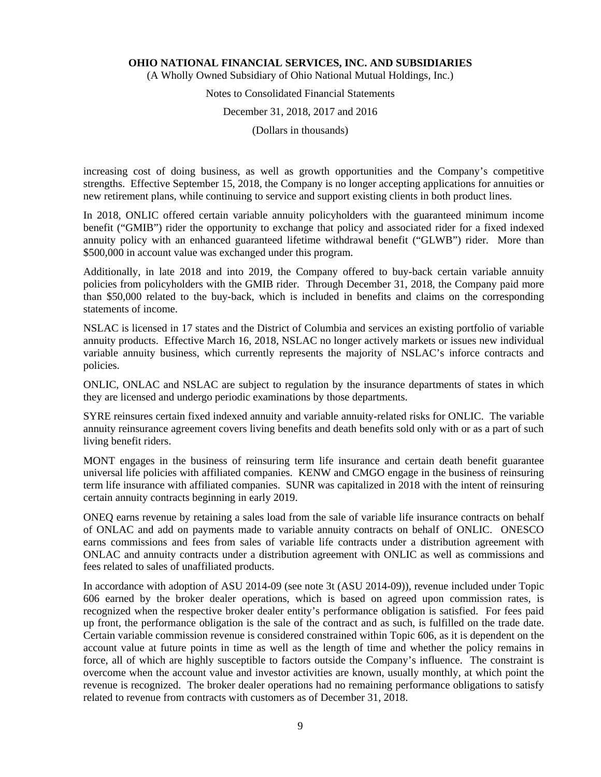(A Wholly Owned Subsidiary of Ohio National Mutual Holdings, Inc.)

## Notes to Consolidated Financial Statements

#### December 31, 2018, 2017 and 2016

(Dollars in thousands)

increasing cost of doing business, as well as growth opportunities and the Company's competitive strengths. Effective September 15, 2018, the Company is no longer accepting applications for annuities or new retirement plans, while continuing to service and support existing clients in both product lines.

In 2018, ONLIC offered certain variable annuity policyholders with the guaranteed minimum income benefit ("GMIB") rider the opportunity to exchange that policy and associated rider for a fixed indexed annuity policy with an enhanced guaranteed lifetime withdrawal benefit ("GLWB") rider. More than \$500,000 in account value was exchanged under this program.

Additionally, in late 2018 and into 2019, the Company offered to buy-back certain variable annuity policies from policyholders with the GMIB rider. Through December 31, 2018, the Company paid more than \$50,000 related to the buy-back, which is included in benefits and claims on the corresponding statements of income.

NSLAC is licensed in 17 states and the District of Columbia and services an existing portfolio of variable annuity products. Effective March 16, 2018, NSLAC no longer actively markets or issues new individual variable annuity business, which currently represents the majority of NSLAC's inforce contracts and policies.

ONLIC, ONLAC and NSLAC are subject to regulation by the insurance departments of states in which they are licensed and undergo periodic examinations by those departments.

SYRE reinsures certain fixed indexed annuity and variable annuity-related risks for ONLIC. The variable annuity reinsurance agreement covers living benefits and death benefits sold only with or as a part of such living benefit riders.

MONT engages in the business of reinsuring term life insurance and certain death benefit guarantee universal life policies with affiliated companies. KENW and CMGO engage in the business of reinsuring term life insurance with affiliated companies. SUNR was capitalized in 2018 with the intent of reinsuring certain annuity contracts beginning in early 2019.

ONEQ earns revenue by retaining a sales load from the sale of variable life insurance contracts on behalf of ONLAC and add on payments made to variable annuity contracts on behalf of ONLIC. ONESCO earns commissions and fees from sales of variable life contracts under a distribution agreement with ONLAC and annuity contracts under a distribution agreement with ONLIC as well as commissions and fees related to sales of unaffiliated products.

In accordance with adoption of ASU 2014-09 (see note 3t (ASU 2014-09)), revenue included under Topic 606 earned by the broker dealer operations, which is based on agreed upon commission rates, is recognized when the respective broker dealer entity's performance obligation is satisfied. For fees paid up front, the performance obligation is the sale of the contract and as such, is fulfilled on the trade date. Certain variable commission revenue is considered constrained within Topic 606, as it is dependent on the account value at future points in time as well as the length of time and whether the policy remains in force, all of which are highly susceptible to factors outside the Company's influence. The constraint is overcome when the account value and investor activities are known, usually monthly, at which point the revenue is recognized. The broker dealer operations had no remaining performance obligations to satisfy related to revenue from contracts with customers as of December 31, 2018.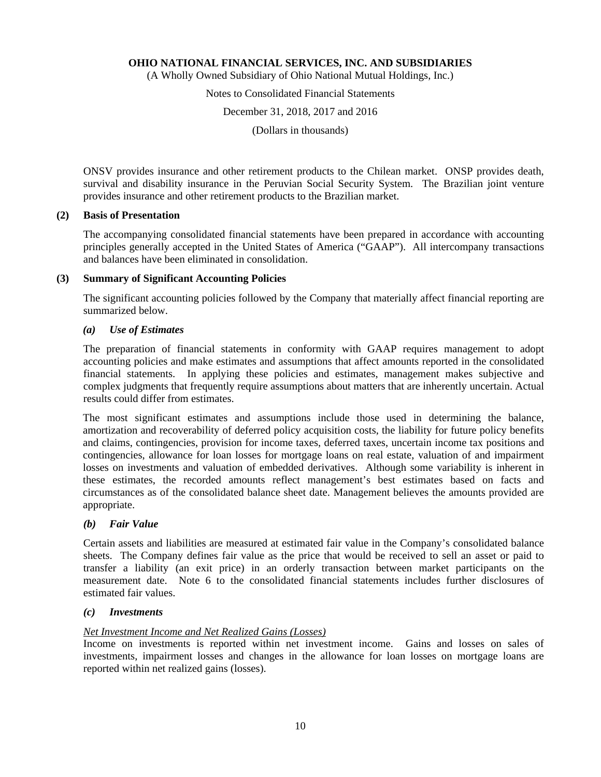(A Wholly Owned Subsidiary of Ohio National Mutual Holdings, Inc.)

## Notes to Consolidated Financial Statements

December 31, 2018, 2017 and 2016

(Dollars in thousands)

ONSV provides insurance and other retirement products to the Chilean market. ONSP provides death, survival and disability insurance in the Peruvian Social Security System. The Brazilian joint venture provides insurance and other retirement products to the Brazilian market.

## **(2) Basis of Presentation**

The accompanying consolidated financial statements have been prepared in accordance with accounting principles generally accepted in the United States of America ("GAAP"). All intercompany transactions and balances have been eliminated in consolidation.

#### **(3) Summary of Significant Accounting Policies**

The significant accounting policies followed by the Company that materially affect financial reporting are summarized below.

## *(a) Use of Estimates*

The preparation of financial statements in conformity with GAAP requires management to adopt accounting policies and make estimates and assumptions that affect amounts reported in the consolidated financial statements. In applying these policies and estimates, management makes subjective and complex judgments that frequently require assumptions about matters that are inherently uncertain. Actual results could differ from estimates.

The most significant estimates and assumptions include those used in determining the balance, amortization and recoverability of deferred policy acquisition costs, the liability for future policy benefits and claims, contingencies, provision for income taxes, deferred taxes, uncertain income tax positions and contingencies, allowance for loan losses for mortgage loans on real estate, valuation of and impairment losses on investments and valuation of embedded derivatives. Although some variability is inherent in these estimates, the recorded amounts reflect management's best estimates based on facts and circumstances as of the consolidated balance sheet date. Management believes the amounts provided are appropriate.

## *(b) Fair Value*

Certain assets and liabilities are measured at estimated fair value in the Company's consolidated balance sheets. The Company defines fair value as the price that would be received to sell an asset or paid to transfer a liability (an exit price) in an orderly transaction between market participants on the measurement date. Note 6 to the consolidated financial statements includes further disclosures of estimated fair values.

#### *(c) Investments*

## *Net Investment Income and Net Realized Gains (Losses)*

Income on investments is reported within net investment income. Gains and losses on sales of investments, impairment losses and changes in the allowance for loan losses on mortgage loans are reported within net realized gains (losses).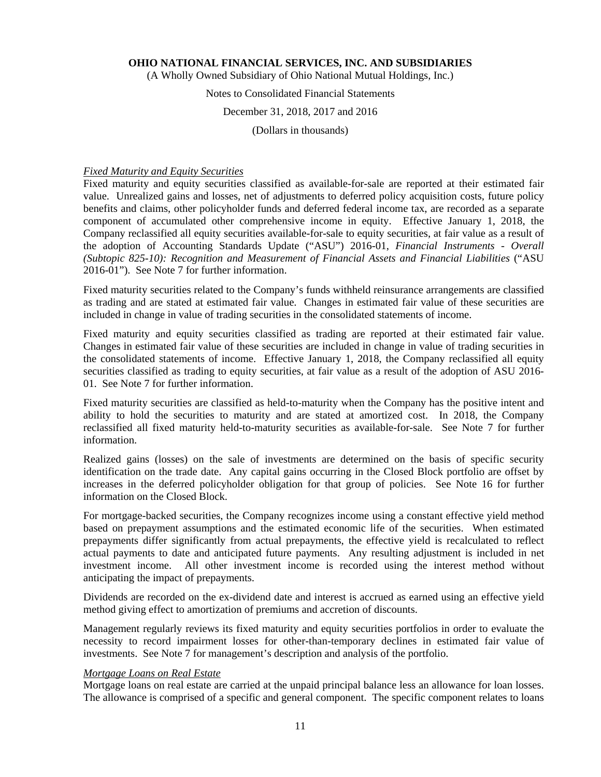(A Wholly Owned Subsidiary of Ohio National Mutual Holdings, Inc.)

## Notes to Consolidated Financial Statements

## December 31, 2018, 2017 and 2016

(Dollars in thousands)

## *Fixed Maturity and Equity Securities*

Fixed maturity and equity securities classified as available-for-sale are reported at their estimated fair value. Unrealized gains and losses, net of adjustments to deferred policy acquisition costs, future policy benefits and claims, other policyholder funds and deferred federal income tax, are recorded as a separate component of accumulated other comprehensive income in equity. Effective January 1, 2018, the Company reclassified all equity securities available-for-sale to equity securities, at fair value as a result of the adoption of Accounting Standards Update ("ASU") 2016-01, *Financial Instruments - Overall (Subtopic 825-10): Recognition and Measurement of Financial Assets and Financial Liabilities* ("ASU 2016-01"). See Note 7 for further information.

Fixed maturity securities related to the Company's funds withheld reinsurance arrangements are classified as trading and are stated at estimated fair value. Changes in estimated fair value of these securities are included in change in value of trading securities in the consolidated statements of income.

Fixed maturity and equity securities classified as trading are reported at their estimated fair value. Changes in estimated fair value of these securities are included in change in value of trading securities in the consolidated statements of income. Effective January 1, 2018, the Company reclassified all equity securities classified as trading to equity securities, at fair value as a result of the adoption of ASU 2016- 01. See Note 7 for further information.

Fixed maturity securities are classified as held-to-maturity when the Company has the positive intent and ability to hold the securities to maturity and are stated at amortized cost. In 2018, the Company reclassified all fixed maturity held-to-maturity securities as available-for-sale. See Note 7 for further information.

Realized gains (losses) on the sale of investments are determined on the basis of specific security identification on the trade date. Any capital gains occurring in the Closed Block portfolio are offset by increases in the deferred policyholder obligation for that group of policies. See Note 16 for further information on the Closed Block.

For mortgage-backed securities, the Company recognizes income using a constant effective yield method based on prepayment assumptions and the estimated economic life of the securities. When estimated prepayments differ significantly from actual prepayments, the effective yield is recalculated to reflect actual payments to date and anticipated future payments. Any resulting adjustment is included in net investment income. All other investment income is recorded using the interest method without anticipating the impact of prepayments.

Dividends are recorded on the ex-dividend date and interest is accrued as earned using an effective yield method giving effect to amortization of premiums and accretion of discounts.

Management regularly reviews its fixed maturity and equity securities portfolios in order to evaluate the necessity to record impairment losses for other-than-temporary declines in estimated fair value of investments. See Note 7 for management's description and analysis of the portfolio.

#### *Mortgage Loans on Real Estate*

Mortgage loans on real estate are carried at the unpaid principal balance less an allowance for loan losses. The allowance is comprised of a specific and general component. The specific component relates to loans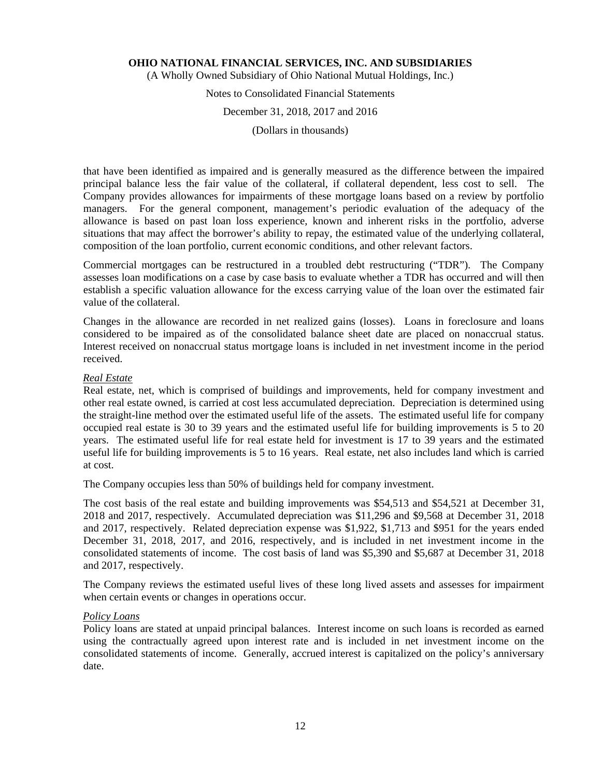(A Wholly Owned Subsidiary of Ohio National Mutual Holdings, Inc.)

## Notes to Consolidated Financial Statements

#### December 31, 2018, 2017 and 2016

(Dollars in thousands)

that have been identified as impaired and is generally measured as the difference between the impaired principal balance less the fair value of the collateral, if collateral dependent, less cost to sell. The Company provides allowances for impairments of these mortgage loans based on a review by portfolio managers. For the general component, management's periodic evaluation of the adequacy of the allowance is based on past loan loss experience, known and inherent risks in the portfolio, adverse situations that may affect the borrower's ability to repay, the estimated value of the underlying collateral, composition of the loan portfolio, current economic conditions, and other relevant factors.

Commercial mortgages can be restructured in a troubled debt restructuring ("TDR"). The Company assesses loan modifications on a case by case basis to evaluate whether a TDR has occurred and will then establish a specific valuation allowance for the excess carrying value of the loan over the estimated fair value of the collateral.

Changes in the allowance are recorded in net realized gains (losses). Loans in foreclosure and loans considered to be impaired as of the consolidated balance sheet date are placed on nonaccrual status. Interest received on nonaccrual status mortgage loans is included in net investment income in the period received.

#### *Real Estate*

Real estate, net, which is comprised of buildings and improvements, held for company investment and other real estate owned, is carried at cost less accumulated depreciation. Depreciation is determined using the straight-line method over the estimated useful life of the assets. The estimated useful life for company occupied real estate is 30 to 39 years and the estimated useful life for building improvements is 5 to 20 years. The estimated useful life for real estate held for investment is 17 to 39 years and the estimated useful life for building improvements is 5 to 16 years. Real estate, net also includes land which is carried at cost.

The Company occupies less than 50% of buildings held for company investment.

The cost basis of the real estate and building improvements was \$54,513 and \$54,521 at December 31, 2018 and 2017, respectively. Accumulated depreciation was \$11,296 and \$9,568 at December 31, 2018 and 2017, respectively. Related depreciation expense was \$1,922, \$1,713 and \$951 for the years ended December 31, 2018, 2017, and 2016, respectively, and is included in net investment income in the consolidated statements of income. The cost basis of land was \$5,390 and \$5,687 at December 31, 2018 and 2017, respectively.

The Company reviews the estimated useful lives of these long lived assets and assesses for impairment when certain events or changes in operations occur.

#### *Policy Loans*

Policy loans are stated at unpaid principal balances. Interest income on such loans is recorded as earned using the contractually agreed upon interest rate and is included in net investment income on the consolidated statements of income. Generally, accrued interest is capitalized on the policy's anniversary date.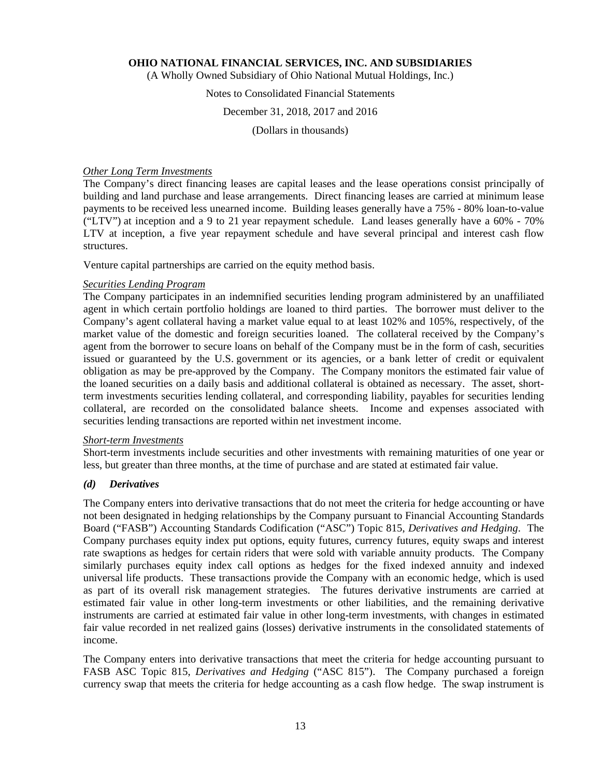(A Wholly Owned Subsidiary of Ohio National Mutual Holdings, Inc.)

## Notes to Consolidated Financial Statements

### December 31, 2018, 2017 and 2016

(Dollars in thousands)

### *Other Long Term Investments*

The Company's direct financing leases are capital leases and the lease operations consist principally of building and land purchase and lease arrangements. Direct financing leases are carried at minimum lease payments to be received less unearned income. Building leases generally have a 75% - 80% loan-to-value ("LTV") at inception and a 9 to 21 year repayment schedule. Land leases generally have a 60% - 70% LTV at inception, a five year repayment schedule and have several principal and interest cash flow structures.

Venture capital partnerships are carried on the equity method basis.

## *Securities Lending Program*

The Company participates in an indemnified securities lending program administered by an unaffiliated agent in which certain portfolio holdings are loaned to third parties. The borrower must deliver to the Company's agent collateral having a market value equal to at least 102% and 105%, respectively, of the market value of the domestic and foreign securities loaned. The collateral received by the Company's agent from the borrower to secure loans on behalf of the Company must be in the form of cash, securities issued or guaranteed by the U.S. government or its agencies, or a bank letter of credit or equivalent obligation as may be pre-approved by the Company. The Company monitors the estimated fair value of the loaned securities on a daily basis and additional collateral is obtained as necessary. The asset, shortterm investments securities lending collateral, and corresponding liability, payables for securities lending collateral, are recorded on the consolidated balance sheets. Income and expenses associated with securities lending transactions are reported within net investment income.

#### *Short-term Investments*

Short-term investments include securities and other investments with remaining maturities of one year or less, but greater than three months, at the time of purchase and are stated at estimated fair value.

#### *(d) Derivatives*

The Company enters into derivative transactions that do not meet the criteria for hedge accounting or have not been designated in hedging relationships by the Company pursuant to Financial Accounting Standards Board ("FASB") Accounting Standards Codification ("ASC") Topic 815, *Derivatives and Hedging*. The Company purchases equity index put options, equity futures, currency futures, equity swaps and interest rate swaptions as hedges for certain riders that were sold with variable annuity products. The Company similarly purchases equity index call options as hedges for the fixed indexed annuity and indexed universal life products. These transactions provide the Company with an economic hedge, which is used as part of its overall risk management strategies. The futures derivative instruments are carried at estimated fair value in other long-term investments or other liabilities, and the remaining derivative instruments are carried at estimated fair value in other long-term investments, with changes in estimated fair value recorded in net realized gains (losses) derivative instruments in the consolidated statements of income.

The Company enters into derivative transactions that meet the criteria for hedge accounting pursuant to FASB ASC Topic 815, *Derivatives and Hedging* ("ASC 815"). The Company purchased a foreign currency swap that meets the criteria for hedge accounting as a cash flow hedge. The swap instrument is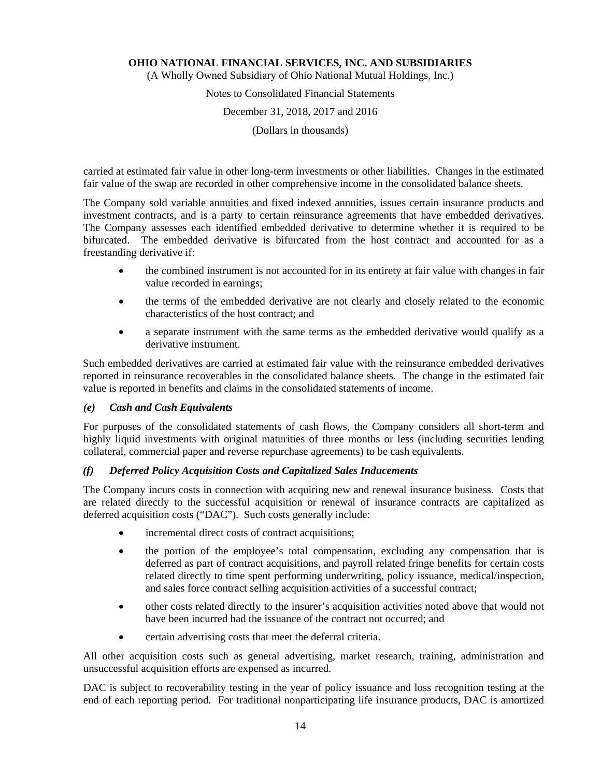(A Wholly Owned Subsidiary of Ohio National Mutual Holdings, Inc.)

# Notes to Consolidated Financial Statements December 31, 2018, 2017 and 2016

(Dollars in thousands)

carried at estimated fair value in other long-term investments or other liabilities. Changes in the estimated fair value of the swap are recorded in other comprehensive income in the consolidated balance sheets.

The Company sold variable annuities and fixed indexed annuities, issues certain insurance products and investment contracts, and is a party to certain reinsurance agreements that have embedded derivatives. The Company assesses each identified embedded derivative to determine whether it is required to be bifurcated. The embedded derivative is bifurcated from the host contract and accounted for as a freestanding derivative if:

- the combined instrument is not accounted for in its entirety at fair value with changes in fair value recorded in earnings;
- the terms of the embedded derivative are not clearly and closely related to the economic characteristics of the host contract; and
- a separate instrument with the same terms as the embedded derivative would qualify as a derivative instrument.

Such embedded derivatives are carried at estimated fair value with the reinsurance embedded derivatives reported in reinsurance recoverables in the consolidated balance sheets. The change in the estimated fair value is reported in benefits and claims in the consolidated statements of income.

## *(e) Cash and Cash Equivalents*

For purposes of the consolidated statements of cash flows, the Company considers all short-term and highly liquid investments with original maturities of three months or less (including securities lending collateral, commercial paper and reverse repurchase agreements) to be cash equivalents.

## *(f) Deferred Policy Acquisition Costs and Capitalized Sales Inducements*

The Company incurs costs in connection with acquiring new and renewal insurance business. Costs that are related directly to the successful acquisition or renewal of insurance contracts are capitalized as deferred acquisition costs ("DAC"). Such costs generally include:

- incremental direct costs of contract acquisitions;
- the portion of the employee's total compensation, excluding any compensation that is deferred as part of contract acquisitions, and payroll related fringe benefits for certain costs related directly to time spent performing underwriting, policy issuance, medical/inspection, and sales force contract selling acquisition activities of a successful contract;
- other costs related directly to the insurer's acquisition activities noted above that would not have been incurred had the issuance of the contract not occurred; and
- certain advertising costs that meet the deferral criteria.

All other acquisition costs such as general advertising, market research, training, administration and unsuccessful acquisition efforts are expensed as incurred.

DAC is subject to recoverability testing in the year of policy issuance and loss recognition testing at the end of each reporting period. For traditional nonparticipating life insurance products, DAC is amortized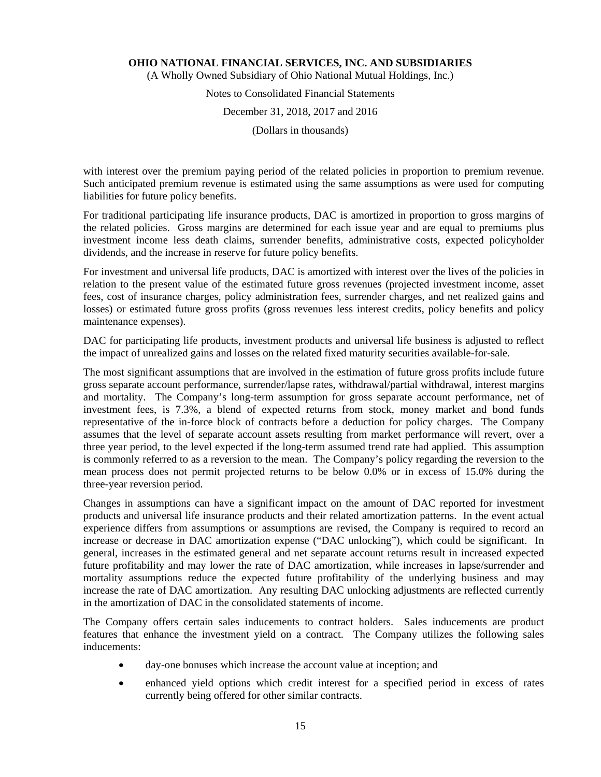(A Wholly Owned Subsidiary of Ohio National Mutual Holdings, Inc.)

## Notes to Consolidated Financial Statements

### December 31, 2018, 2017 and 2016

(Dollars in thousands)

with interest over the premium paying period of the related policies in proportion to premium revenue. Such anticipated premium revenue is estimated using the same assumptions as were used for computing liabilities for future policy benefits.

For traditional participating life insurance products, DAC is amortized in proportion to gross margins of the related policies. Gross margins are determined for each issue year and are equal to premiums plus investment income less death claims, surrender benefits, administrative costs, expected policyholder dividends, and the increase in reserve for future policy benefits.

For investment and universal life products, DAC is amortized with interest over the lives of the policies in relation to the present value of the estimated future gross revenues (projected investment income, asset fees, cost of insurance charges, policy administration fees, surrender charges, and net realized gains and losses) or estimated future gross profits (gross revenues less interest credits, policy benefits and policy maintenance expenses).

DAC for participating life products, investment products and universal life business is adjusted to reflect the impact of unrealized gains and losses on the related fixed maturity securities available-for-sale.

The most significant assumptions that are involved in the estimation of future gross profits include future gross separate account performance, surrender/lapse rates, withdrawal/partial withdrawal, interest margins and mortality. The Company's long-term assumption for gross separate account performance, net of investment fees, is 7.3%, a blend of expected returns from stock, money market and bond funds representative of the in-force block of contracts before a deduction for policy charges. The Company assumes that the level of separate account assets resulting from market performance will revert, over a three year period, to the level expected if the long-term assumed trend rate had applied. This assumption is commonly referred to as a reversion to the mean. The Company's policy regarding the reversion to the mean process does not permit projected returns to be below 0.0% or in excess of 15.0% during the three-year reversion period.

Changes in assumptions can have a significant impact on the amount of DAC reported for investment products and universal life insurance products and their related amortization patterns. In the event actual experience differs from assumptions or assumptions are revised, the Company is required to record an increase or decrease in DAC amortization expense ("DAC unlocking"), which could be significant. In general, increases in the estimated general and net separate account returns result in increased expected future profitability and may lower the rate of DAC amortization, while increases in lapse/surrender and mortality assumptions reduce the expected future profitability of the underlying business and may increase the rate of DAC amortization. Any resulting DAC unlocking adjustments are reflected currently in the amortization of DAC in the consolidated statements of income.

The Company offers certain sales inducements to contract holders. Sales inducements are product features that enhance the investment yield on a contract. The Company utilizes the following sales inducements:

- day-one bonuses which increase the account value at inception; and
- enhanced yield options which credit interest for a specified period in excess of rates currently being offered for other similar contracts.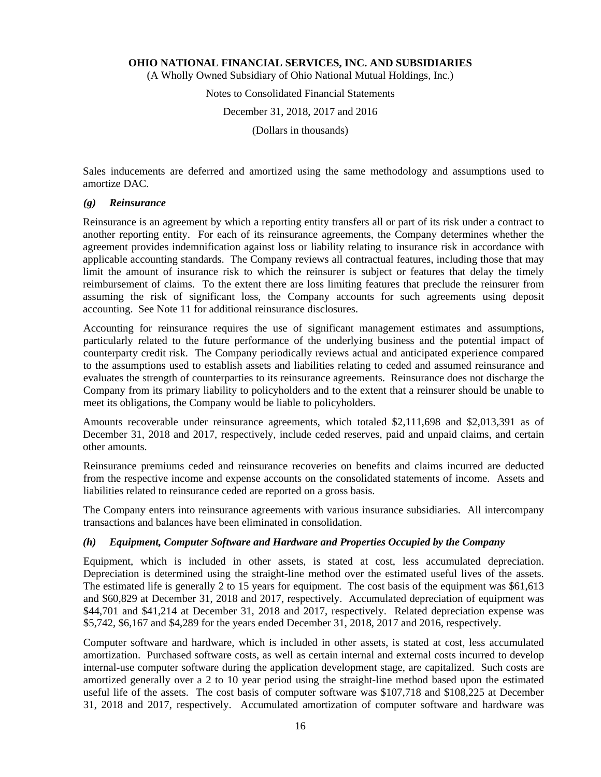(A Wholly Owned Subsidiary of Ohio National Mutual Holdings, Inc.)

## Notes to Consolidated Financial Statements

December 31, 2018, 2017 and 2016

(Dollars in thousands)

Sales inducements are deferred and amortized using the same methodology and assumptions used to amortize DAC.

#### *(g) Reinsurance*

Reinsurance is an agreement by which a reporting entity transfers all or part of its risk under a contract to another reporting entity. For each of its reinsurance agreements, the Company determines whether the agreement provides indemnification against loss or liability relating to insurance risk in accordance with applicable accounting standards. The Company reviews all contractual features, including those that may limit the amount of insurance risk to which the reinsurer is subject or features that delay the timely reimbursement of claims. To the extent there are loss limiting features that preclude the reinsurer from assuming the risk of significant loss, the Company accounts for such agreements using deposit accounting. See Note 11 for additional reinsurance disclosures.

Accounting for reinsurance requires the use of significant management estimates and assumptions, particularly related to the future performance of the underlying business and the potential impact of counterparty credit risk. The Company periodically reviews actual and anticipated experience compared to the assumptions used to establish assets and liabilities relating to ceded and assumed reinsurance and evaluates the strength of counterparties to its reinsurance agreements. Reinsurance does not discharge the Company from its primary liability to policyholders and to the extent that a reinsurer should be unable to meet its obligations, the Company would be liable to policyholders.

Amounts recoverable under reinsurance agreements, which totaled \$2,111,698 and \$2,013,391 as of December 31, 2018 and 2017, respectively, include ceded reserves, paid and unpaid claims, and certain other amounts.

Reinsurance premiums ceded and reinsurance recoveries on benefits and claims incurred are deducted from the respective income and expense accounts on the consolidated statements of income. Assets and liabilities related to reinsurance ceded are reported on a gross basis.

The Company enters into reinsurance agreements with various insurance subsidiaries. All intercompany transactions and balances have been eliminated in consolidation.

#### *(h) Equipment, Computer Software and Hardware and Properties Occupied by the Company*

Equipment, which is included in other assets, is stated at cost, less accumulated depreciation. Depreciation is determined using the straight-line method over the estimated useful lives of the assets. The estimated life is generally 2 to 15 years for equipment. The cost basis of the equipment was \$61,613 and \$60,829 at December 31, 2018 and 2017, respectively. Accumulated depreciation of equipment was \$44,701 and \$41,214 at December 31, 2018 and 2017, respectively. Related depreciation expense was \$5,742, \$6,167 and \$4,289 for the years ended December 31, 2018, 2017 and 2016, respectively.

Computer software and hardware, which is included in other assets, is stated at cost, less accumulated amortization. Purchased software costs, as well as certain internal and external costs incurred to develop internal-use computer software during the application development stage, are capitalized. Such costs are amortized generally over a 2 to 10 year period using the straight-line method based upon the estimated useful life of the assets. The cost basis of computer software was \$107,718 and \$108,225 at December 31, 2018 and 2017, respectively. Accumulated amortization of computer software and hardware was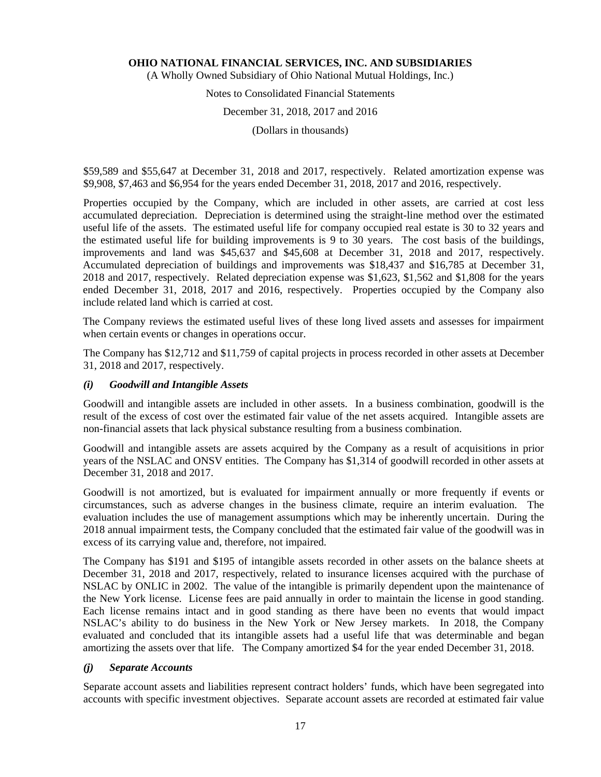(A Wholly Owned Subsidiary of Ohio National Mutual Holdings, Inc.)

# Notes to Consolidated Financial Statements

## December 31, 2018, 2017 and 2016

(Dollars in thousands)

\$59,589 and \$55,647 at December 31, 2018 and 2017, respectively. Related amortization expense was \$9,908, \$7,463 and \$6,954 for the years ended December 31, 2018, 2017 and 2016, respectively.

Properties occupied by the Company, which are included in other assets, are carried at cost less accumulated depreciation. Depreciation is determined using the straight-line method over the estimated useful life of the assets. The estimated useful life for company occupied real estate is 30 to 32 years and the estimated useful life for building improvements is 9 to 30 years. The cost basis of the buildings, improvements and land was \$45,637 and \$45,608 at December 31, 2018 and 2017, respectively. Accumulated depreciation of buildings and improvements was \$18,437 and \$16,785 at December 31, 2018 and 2017, respectively. Related depreciation expense was \$1,623, \$1,562 and \$1,808 for the years ended December 31, 2018, 2017 and 2016, respectively. Properties occupied by the Company also include related land which is carried at cost.

The Company reviews the estimated useful lives of these long lived assets and assesses for impairment when certain events or changes in operations occur.

The Company has \$12,712 and \$11,759 of capital projects in process recorded in other assets at December 31, 2018 and 2017, respectively.

## *(i) Goodwill and Intangible Assets*

Goodwill and intangible assets are included in other assets. In a business combination, goodwill is the result of the excess of cost over the estimated fair value of the net assets acquired. Intangible assets are non-financial assets that lack physical substance resulting from a business combination.

Goodwill and intangible assets are assets acquired by the Company as a result of acquisitions in prior years of the NSLAC and ONSV entities. The Company has \$1,314 of goodwill recorded in other assets at December 31, 2018 and 2017.

Goodwill is not amortized, but is evaluated for impairment annually or more frequently if events or circumstances, such as adverse changes in the business climate, require an interim evaluation. The evaluation includes the use of management assumptions which may be inherently uncertain. During the 2018 annual impairment tests, the Company concluded that the estimated fair value of the goodwill was in excess of its carrying value and, therefore, not impaired.

The Company has \$191 and \$195 of intangible assets recorded in other assets on the balance sheets at December 31, 2018 and 2017, respectively, related to insurance licenses acquired with the purchase of NSLAC by ONLIC in 2002. The value of the intangible is primarily dependent upon the maintenance of the New York license. License fees are paid annually in order to maintain the license in good standing. Each license remains intact and in good standing as there have been no events that would impact NSLAC's ability to do business in the New York or New Jersey markets. In 2018, the Company evaluated and concluded that its intangible assets had a useful life that was determinable and began amortizing the assets over that life. The Company amortized \$4 for the year ended December 31, 2018.

#### *(j) Separate Accounts*

Separate account assets and liabilities represent contract holders' funds, which have been segregated into accounts with specific investment objectives. Separate account assets are recorded at estimated fair value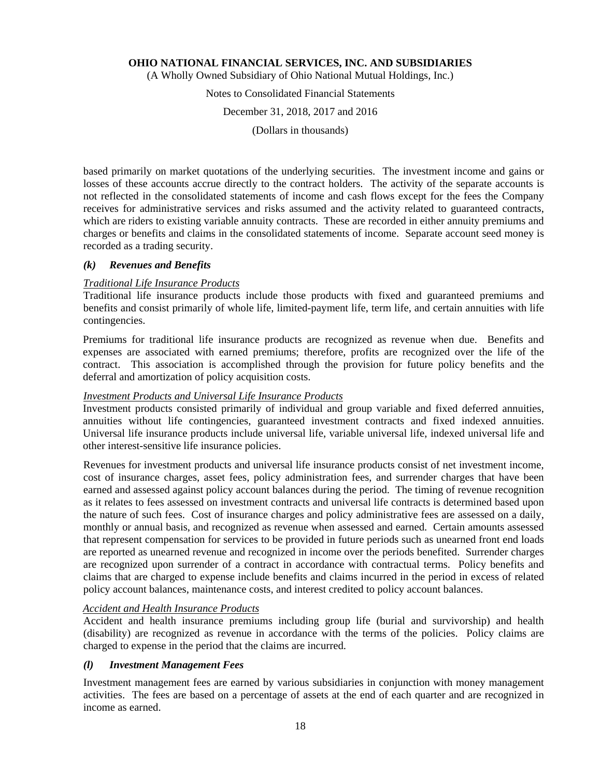(A Wholly Owned Subsidiary of Ohio National Mutual Holdings, Inc.)

Notes to Consolidated Financial Statements

December 31, 2018, 2017 and 2016

(Dollars in thousands)

based primarily on market quotations of the underlying securities. The investment income and gains or losses of these accounts accrue directly to the contract holders. The activity of the separate accounts is not reflected in the consolidated statements of income and cash flows except for the fees the Company receives for administrative services and risks assumed and the activity related to guaranteed contracts, which are riders to existing variable annuity contracts. These are recorded in either annuity premiums and charges or benefits and claims in the consolidated statements of income. Separate account seed money is recorded as a trading security.

#### *(k) Revenues and Benefits*

## *Traditional Life Insurance Products*

Traditional life insurance products include those products with fixed and guaranteed premiums and benefits and consist primarily of whole life, limited-payment life, term life, and certain annuities with life contingencies.

Premiums for traditional life insurance products are recognized as revenue when due. Benefits and expenses are associated with earned premiums; therefore, profits are recognized over the life of the contract. This association is accomplished through the provision for future policy benefits and the deferral and amortization of policy acquisition costs.

#### *Investment Products and Universal Life Insurance Products*

Investment products consisted primarily of individual and group variable and fixed deferred annuities, annuities without life contingencies, guaranteed investment contracts and fixed indexed annuities. Universal life insurance products include universal life, variable universal life, indexed universal life and other interest-sensitive life insurance policies.

Revenues for investment products and universal life insurance products consist of net investment income, cost of insurance charges, asset fees, policy administration fees, and surrender charges that have been earned and assessed against policy account balances during the period. The timing of revenue recognition as it relates to fees assessed on investment contracts and universal life contracts is determined based upon the nature of such fees. Cost of insurance charges and policy administrative fees are assessed on a daily, monthly or annual basis, and recognized as revenue when assessed and earned. Certain amounts assessed that represent compensation for services to be provided in future periods such as unearned front end loads are reported as unearned revenue and recognized in income over the periods benefited. Surrender charges are recognized upon surrender of a contract in accordance with contractual terms. Policy benefits and claims that are charged to expense include benefits and claims incurred in the period in excess of related policy account balances, maintenance costs, and interest credited to policy account balances.

#### *Accident and Health Insurance Products*

Accident and health insurance premiums including group life (burial and survivorship) and health (disability) are recognized as revenue in accordance with the terms of the policies. Policy claims are charged to expense in the period that the claims are incurred.

#### *(l) Investment Management Fees*

Investment management fees are earned by various subsidiaries in conjunction with money management activities. The fees are based on a percentage of assets at the end of each quarter and are recognized in income as earned.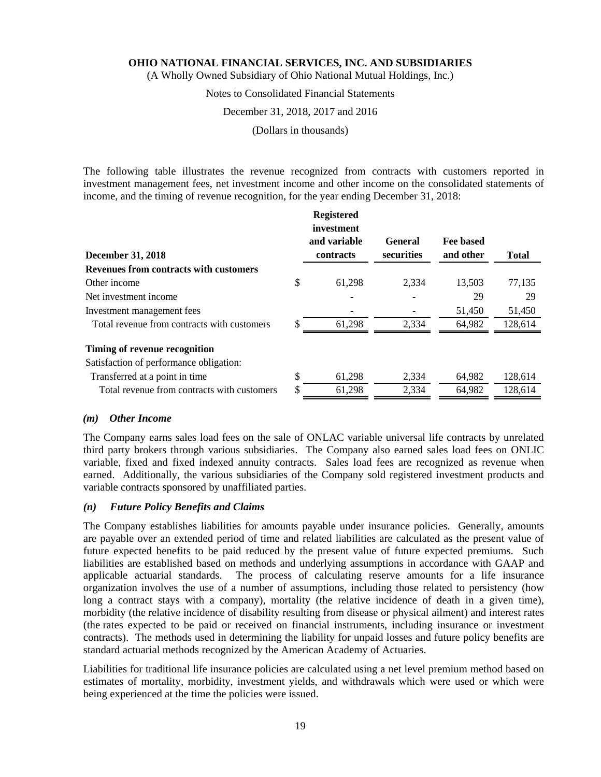(A Wholly Owned Subsidiary of Ohio National Mutual Holdings, Inc.)

## Notes to Consolidated Financial Statements

#### December 31, 2018, 2017 and 2016

(Dollars in thousands)

The following table illustrates the revenue recognized from contracts with customers reported in investment management fees, net investment income and other income on the consolidated statements of income, and the timing of revenue recognition, for the year ending December 31, 2018:

| <b>December 31, 2018</b>                    |     | <b>Registered</b><br>investment<br>and variable<br>contracts | <b>General</b><br>securities | Fee based<br>and other | <b>Total</b> |
|---------------------------------------------|-----|--------------------------------------------------------------|------------------------------|------------------------|--------------|
| Revenues from contracts with customers      |     |                                                              |                              |                        |              |
| Other income                                | \$  | 61,298                                                       | 2,334                        | 13,503                 | 77,135       |
| Net investment income                       |     |                                                              |                              | 29                     | 29           |
| Investment management fees                  |     |                                                              |                              | 51,450                 | 51,450       |
| Total revenue from contracts with customers | \$. | 61,298                                                       | 2,334                        | 64,982                 | 128,614      |
| Timing of revenue recognition               |     |                                                              |                              |                        |              |
| Satisfaction of performance obligation:     |     |                                                              |                              |                        |              |
| Transferred at a point in time              | S   | 61,298                                                       | 2,334                        | 64,982                 | 128,614      |
| Total revenue from contracts with customers | \$  | 61,298                                                       | 2,334                        | 64,982                 | 128,614      |

#### *(m) Other Income*

The Company earns sales load fees on the sale of ONLAC variable universal life contracts by unrelated third party brokers through various subsidiaries. The Company also earned sales load fees on ONLIC variable, fixed and fixed indexed annuity contracts. Sales load fees are recognized as revenue when earned. Additionally, the various subsidiaries of the Company sold registered investment products and variable contracts sponsored by unaffiliated parties.

#### *(n) Future Policy Benefits and Claims*

The Company establishes liabilities for amounts payable under insurance policies. Generally, amounts are payable over an extended period of time and related liabilities are calculated as the present value of future expected benefits to be paid reduced by the present value of future expected premiums. Such liabilities are established based on methods and underlying assumptions in accordance with GAAP and applicable actuarial standards. The process of calculating reserve amounts for a life insurance organization involves the use of a number of assumptions, including those related to persistency (how long a contract stays with a company), mortality (the relative incidence of death in a given time), morbidity (the relative incidence of disability resulting from disease or physical ailment) and interest rates (the rates expected to be paid or received on financial instruments, including insurance or investment contracts). The methods used in determining the liability for unpaid losses and future policy benefits are standard actuarial methods recognized by the American Academy of Actuaries.

Liabilities for traditional life insurance policies are calculated using a net level premium method based on estimates of mortality, morbidity, investment yields, and withdrawals which were used or which were being experienced at the time the policies were issued.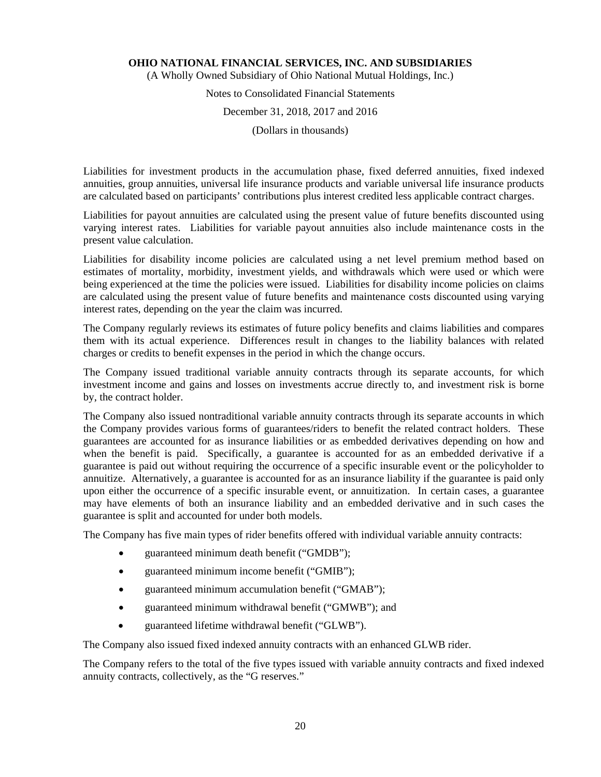(A Wholly Owned Subsidiary of Ohio National Mutual Holdings, Inc.)

## Notes to Consolidated Financial Statements

## December 31, 2018, 2017 and 2016

(Dollars in thousands)

Liabilities for investment products in the accumulation phase, fixed deferred annuities, fixed indexed annuities, group annuities, universal life insurance products and variable universal life insurance products are calculated based on participants' contributions plus interest credited less applicable contract charges.

Liabilities for payout annuities are calculated using the present value of future benefits discounted using varying interest rates. Liabilities for variable payout annuities also include maintenance costs in the present value calculation.

Liabilities for disability income policies are calculated using a net level premium method based on estimates of mortality, morbidity, investment yields, and withdrawals which were used or which were being experienced at the time the policies were issued. Liabilities for disability income policies on claims are calculated using the present value of future benefits and maintenance costs discounted using varying interest rates, depending on the year the claim was incurred.

The Company regularly reviews its estimates of future policy benefits and claims liabilities and compares them with its actual experience. Differences result in changes to the liability balances with related charges or credits to benefit expenses in the period in which the change occurs.

The Company issued traditional variable annuity contracts through its separate accounts, for which investment income and gains and losses on investments accrue directly to, and investment risk is borne by, the contract holder.

The Company also issued nontraditional variable annuity contracts through its separate accounts in which the Company provides various forms of guarantees/riders to benefit the related contract holders. These guarantees are accounted for as insurance liabilities or as embedded derivatives depending on how and when the benefit is paid. Specifically, a guarantee is accounted for as an embedded derivative if a guarantee is paid out without requiring the occurrence of a specific insurable event or the policyholder to annuitize. Alternatively, a guarantee is accounted for as an insurance liability if the guarantee is paid only upon either the occurrence of a specific insurable event, or annuitization. In certain cases, a guarantee may have elements of both an insurance liability and an embedded derivative and in such cases the guarantee is split and accounted for under both models.

The Company has five main types of rider benefits offered with individual variable annuity contracts:

- guaranteed minimum death benefit ("GMDB");
- guaranteed minimum income benefit ("GMIB");
- guaranteed minimum accumulation benefit ("GMAB");
- guaranteed minimum withdrawal benefit ("GMWB"); and
- guaranteed lifetime withdrawal benefit ("GLWB").

The Company also issued fixed indexed annuity contracts with an enhanced GLWB rider.

The Company refers to the total of the five types issued with variable annuity contracts and fixed indexed annuity contracts, collectively, as the "G reserves."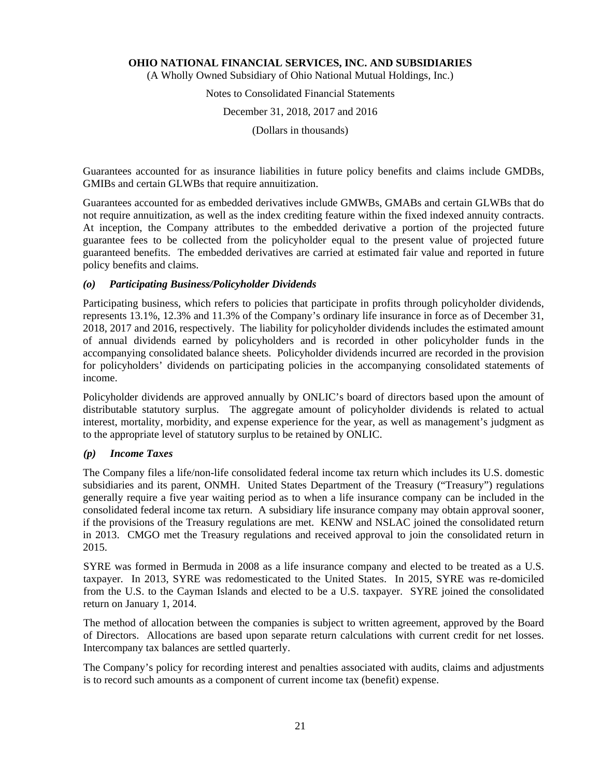(A Wholly Owned Subsidiary of Ohio National Mutual Holdings, Inc.)

Notes to Consolidated Financial Statements December 31, 2018, 2017 and 2016 (Dollars in thousands)

Guarantees accounted for as insurance liabilities in future policy benefits and claims include GMDBs, GMIBs and certain GLWBs that require annuitization.

Guarantees accounted for as embedded derivatives include GMWBs, GMABs and certain GLWBs that do not require annuitization, as well as the index crediting feature within the fixed indexed annuity contracts. At inception, the Company attributes to the embedded derivative a portion of the projected future guarantee fees to be collected from the policyholder equal to the present value of projected future guaranteed benefits. The embedded derivatives are carried at estimated fair value and reported in future policy benefits and claims.

## *(o) Participating Business/Policyholder Dividends*

Participating business, which refers to policies that participate in profits through policyholder dividends, represents 13.1%, 12.3% and 11.3% of the Company's ordinary life insurance in force as of December 31, 2018, 2017 and 2016, respectively. The liability for policyholder dividends includes the estimated amount of annual dividends earned by policyholders and is recorded in other policyholder funds in the accompanying consolidated balance sheets. Policyholder dividends incurred are recorded in the provision for policyholders' dividends on participating policies in the accompanying consolidated statements of income.

Policyholder dividends are approved annually by ONLIC's board of directors based upon the amount of distributable statutory surplus. The aggregate amount of policyholder dividends is related to actual interest, mortality, morbidity, and expense experience for the year, as well as management's judgment as to the appropriate level of statutory surplus to be retained by ONLIC.

## *(p) Income Taxes*

The Company files a life/non-life consolidated federal income tax return which includes its U.S. domestic subsidiaries and its parent, ONMH. United States Department of the Treasury ("Treasury") regulations generally require a five year waiting period as to when a life insurance company can be included in the consolidated federal income tax return. A subsidiary life insurance company may obtain approval sooner, if the provisions of the Treasury regulations are met. KENW and NSLAC joined the consolidated return in 2013. CMGO met the Treasury regulations and received approval to join the consolidated return in 2015.

SYRE was formed in Bermuda in 2008 as a life insurance company and elected to be treated as a U.S. taxpayer. In 2013, SYRE was redomesticated to the United States. In 2015, SYRE was re-domiciled from the U.S. to the Cayman Islands and elected to be a U.S. taxpayer. SYRE joined the consolidated return on January 1, 2014.

The method of allocation between the companies is subject to written agreement, approved by the Board of Directors. Allocations are based upon separate return calculations with current credit for net losses. Intercompany tax balances are settled quarterly.

The Company's policy for recording interest and penalties associated with audits, claims and adjustments is to record such amounts as a component of current income tax (benefit) expense.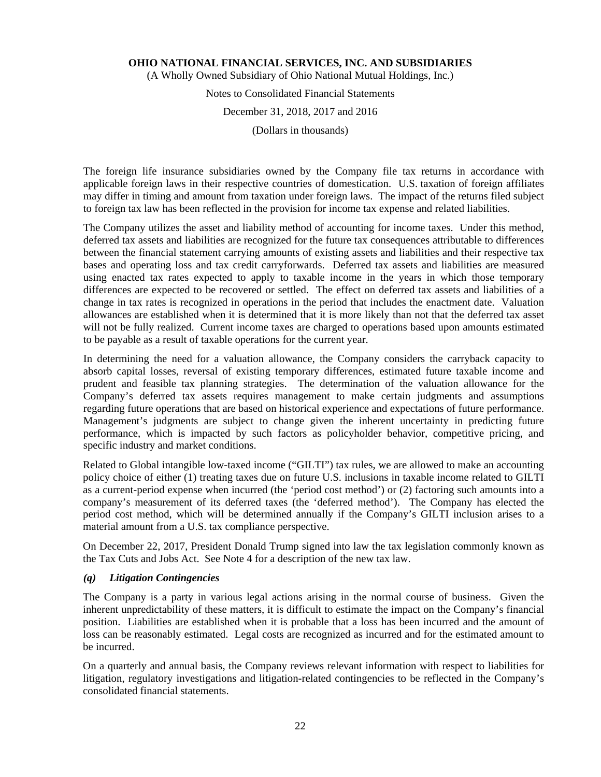(A Wholly Owned Subsidiary of Ohio National Mutual Holdings, Inc.)

# Notes to Consolidated Financial Statements

## December 31, 2018, 2017 and 2016

(Dollars in thousands)

The foreign life insurance subsidiaries owned by the Company file tax returns in accordance with applicable foreign laws in their respective countries of domestication. U.S. taxation of foreign affiliates may differ in timing and amount from taxation under foreign laws. The impact of the returns filed subject to foreign tax law has been reflected in the provision for income tax expense and related liabilities.

The Company utilizes the asset and liability method of accounting for income taxes. Under this method, deferred tax assets and liabilities are recognized for the future tax consequences attributable to differences between the financial statement carrying amounts of existing assets and liabilities and their respective tax bases and operating loss and tax credit carryforwards. Deferred tax assets and liabilities are measured using enacted tax rates expected to apply to taxable income in the years in which those temporary differences are expected to be recovered or settled. The effect on deferred tax assets and liabilities of a change in tax rates is recognized in operations in the period that includes the enactment date. Valuation allowances are established when it is determined that it is more likely than not that the deferred tax asset will not be fully realized. Current income taxes are charged to operations based upon amounts estimated to be payable as a result of taxable operations for the current year.

In determining the need for a valuation allowance, the Company considers the carryback capacity to absorb capital losses, reversal of existing temporary differences, estimated future taxable income and prudent and feasible tax planning strategies. The determination of the valuation allowance for the Company's deferred tax assets requires management to make certain judgments and assumptions regarding future operations that are based on historical experience and expectations of future performance. Management's judgments are subject to change given the inherent uncertainty in predicting future performance, which is impacted by such factors as policyholder behavior, competitive pricing, and specific industry and market conditions.

Related to Global intangible low-taxed income ("GILTI") tax rules, we are allowed to make an accounting policy choice of either (1) treating taxes due on future U.S. inclusions in taxable income related to GILTI as a current-period expense when incurred (the 'period cost method') or (2) factoring such amounts into a company's measurement of its deferred taxes (the 'deferred method'). The Company has elected the period cost method, which will be determined annually if the Company's GILTI inclusion arises to a material amount from a U.S. tax compliance perspective.

On December 22, 2017, President Donald Trump signed into law the tax legislation commonly known as the Tax Cuts and Jobs Act. See Note 4 for a description of the new tax law.

#### *(q) Litigation Contingencies*

The Company is a party in various legal actions arising in the normal course of business. Given the inherent unpredictability of these matters, it is difficult to estimate the impact on the Company's financial position. Liabilities are established when it is probable that a loss has been incurred and the amount of loss can be reasonably estimated. Legal costs are recognized as incurred and for the estimated amount to be incurred.

On a quarterly and annual basis, the Company reviews relevant information with respect to liabilities for litigation, regulatory investigations and litigation-related contingencies to be reflected in the Company's consolidated financial statements.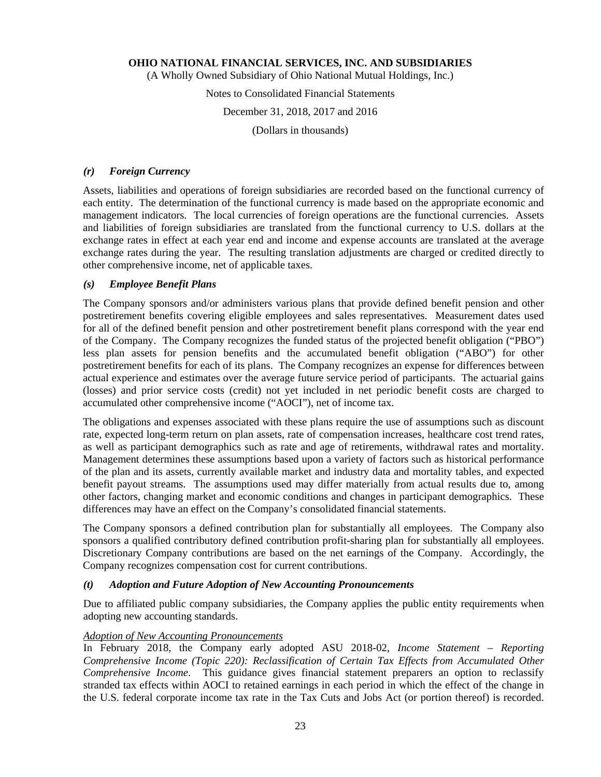(A Wholly Owned Subsidiary of Ohio National Mutual Holdings, Inc.)

## Notes to Consolidated Financial Statements

#### December 31, 2018, 2017 and 2016

(Dollars in thousands)

#### *(r) Foreign Currency*

Assets, liabilities and operations of foreign subsidiaries are recorded based on the functional currency of each entity. The determination of the functional currency is made based on the appropriate economic and management indicators. The local currencies of foreign operations are the functional currencies. Assets and liabilities of foreign subsidiaries are translated from the functional currency to U.S. dollars at the exchange rates in effect at each year end and income and expense accounts are translated at the average exchange rates during the year. The resulting translation adjustments are charged or credited directly to other comprehensive income, net of applicable taxes.

## *(s) Employee Benefit Plans*

The Company sponsors and/or administers various plans that provide defined benefit pension and other postretirement benefits covering eligible employees and sales representatives. Measurement dates used for all of the defined benefit pension and other postretirement benefit plans correspond with the year end of the Company. The Company recognizes the funded status of the projected benefit obligation ("PBO") less plan assets for pension benefits and the accumulated benefit obligation ("ABO") for other postretirement benefits for each of its plans. The Company recognizes an expense for differences between actual experience and estimates over the average future service period of participants. The actuarial gains (losses) and prior service costs (credit) not yet included in net periodic benefit costs are charged to accumulated other comprehensive income ("AOCI"), net of income tax.

The obligations and expenses associated with these plans require the use of assumptions such as discount rate, expected long-term return on plan assets, rate of compensation increases, healthcare cost trend rates, as well as participant demographics such as rate and age of retirements, withdrawal rates and mortality. Management determines these assumptions based upon a variety of factors such as historical performance of the plan and its assets, currently available market and industry data and mortality tables, and expected benefit payout streams. The assumptions used may differ materially from actual results due to, among other factors, changing market and economic conditions and changes in participant demographics. These differences may have an effect on the Company's consolidated financial statements.

The Company sponsors a defined contribution plan for substantially all employees. The Company also sponsors a qualified contributory defined contribution profit-sharing plan for substantially all employees. Discretionary Company contributions are based on the net earnings of the Company. Accordingly, the Company recognizes compensation cost for current contributions.

#### *(t) Adoption and Future Adoption of New Accounting Pronouncements*

Due to affiliated public company subsidiaries, the Company applies the public entity requirements when adopting new accounting standards.

#### *Adoption of New Accounting Pronouncements*

In February 2018, the Company early adopted ASU 2018-02, *Income Statement – Reporting Comprehensive Income (Topic 220): Reclassification of Certain Tax Effects from Accumulated Other Comprehensive Income*. This guidance gives financial statement preparers an option to reclassify stranded tax effects within AOCI to retained earnings in each period in which the effect of the change in the U.S. federal corporate income tax rate in the Tax Cuts and Jobs Act (or portion thereof) is recorded.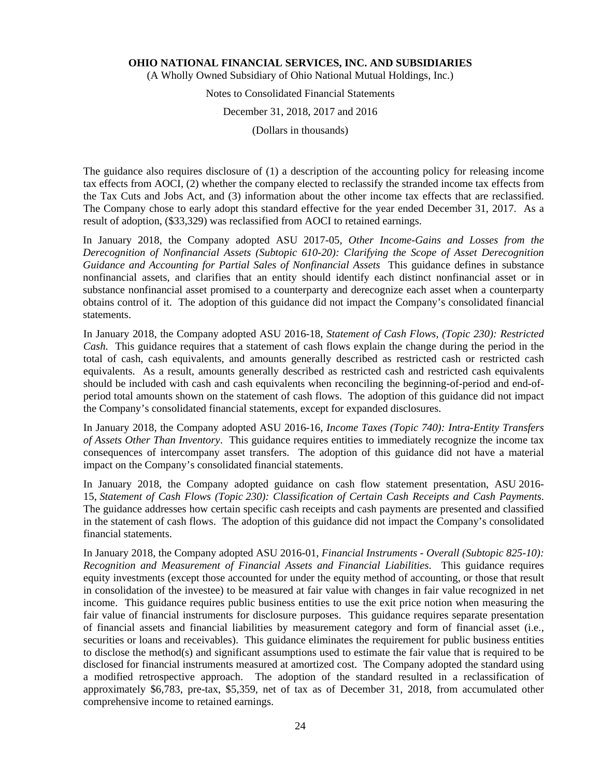(A Wholly Owned Subsidiary of Ohio National Mutual Holdings, Inc.)

## Notes to Consolidated Financial Statements

#### December 31, 2018, 2017 and 2016

(Dollars in thousands)

The guidance also requires disclosure of (1) a description of the accounting policy for releasing income tax effects from AOCI, (2) whether the company elected to reclassify the stranded income tax effects from the Tax Cuts and Jobs Act, and (3) information about the other income tax effects that are reclassified. The Company chose to early adopt this standard effective for the year ended December 31, 2017. As a result of adoption, (\$33,329) was reclassified from AOCI to retained earnings.

In January 2018, the Company adopted ASU 2017-05, *Other Income-Gains and Losses from the Derecognition of Nonfinancial Assets (Subtopic 610-20): Clarifying the Scope of Asset Derecognition Guidance and Accounting for Partial Sales of Nonfinancial Assets* This guidance defines in substance nonfinancial assets, and clarifies that an entity should identify each distinct nonfinancial asset or in substance nonfinancial asset promised to a counterparty and derecognize each asset when a counterparty obtains control of it. The adoption of this guidance did not impact the Company's consolidated financial statements.

In January 2018, the Company adopted ASU 2016-18, *Statement of Cash Flows, (Topic 230): Restricted Cash*. This guidance requires that a statement of cash flows explain the change during the period in the total of cash, cash equivalents, and amounts generally described as restricted cash or restricted cash equivalents. As a result, amounts generally described as restricted cash and restricted cash equivalents should be included with cash and cash equivalents when reconciling the beginning-of-period and end-ofperiod total amounts shown on the statement of cash flows. The adoption of this guidance did not impact the Company's consolidated financial statements, except for expanded disclosures.

In January 2018, the Company adopted ASU 2016-16, *Income Taxes (Topic 740): Intra-Entity Transfers of Assets Other Than Inventory*. This guidance requires entities to immediately recognize the income tax consequences of intercompany asset transfers. The adoption of this guidance did not have a material impact on the Company's consolidated financial statements.

In January 2018, the Company adopted guidance on cash flow statement presentation, ASU 2016- 15, *Statement of Cash Flows (Topic 230): Classification of Certain Cash Receipts and Cash Payments*. The guidance addresses how certain specific cash receipts and cash payments are presented and classified in the statement of cash flows. The adoption of this guidance did not impact the Company's consolidated financial statements.

In January 2018, the Company adopted ASU 2016-01, *Financial Instruments - Overall (Subtopic 825-10): Recognition and Measurement of Financial Assets and Financial Liabilities*. This guidance requires equity investments (except those accounted for under the equity method of accounting, or those that result in consolidation of the investee) to be measured at fair value with changes in fair value recognized in net income. This guidance requires public business entities to use the exit price notion when measuring the fair value of financial instruments for disclosure purposes. This guidance requires separate presentation of financial assets and financial liabilities by measurement category and form of financial asset (i.e., securities or loans and receivables). This guidance eliminates the requirement for public business entities to disclose the method(s) and significant assumptions used to estimate the fair value that is required to be disclosed for financial instruments measured at amortized cost. The Company adopted the standard using a modified retrospective approach. The adoption of the standard resulted in a reclassification of approximately \$6,783, pre-tax, \$5,359, net of tax as of December 31, 2018, from accumulated other comprehensive income to retained earnings.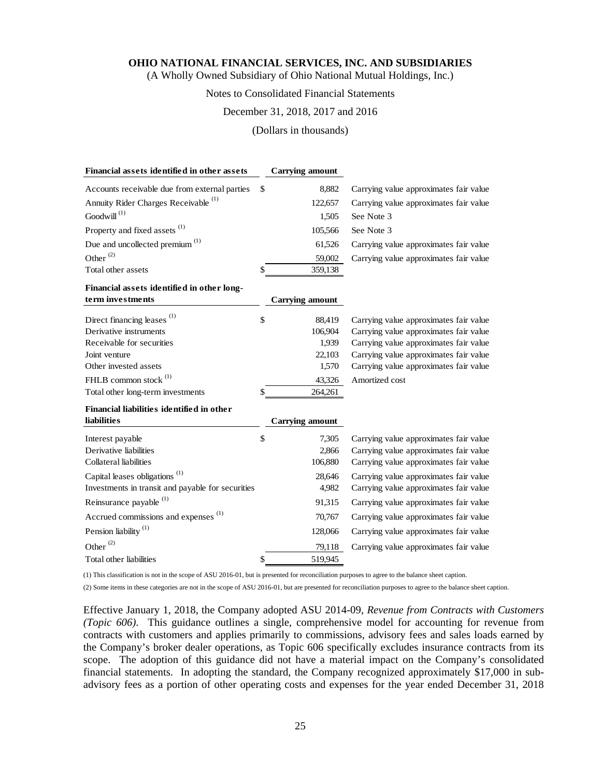(A Wholly Owned Subsidiary of Ohio National Mutual Holdings, Inc.)

## Notes to Consolidated Financial Statements

#### December 31, 2018, 2017 and 2016

(Dollars in thousands)

| \$<br>Accounts receivable due from external parties<br>8,882<br>Carrying value approximates fair value<br>Annuity Rider Charges Receivable <sup>(1)</sup><br>Carrying value approximates fair value<br>122,657<br>Goodwill $^{(1)}$<br>1,505<br>See Note 3<br>Property and fixed assets <sup>(1)</sup><br>105,566<br>See Note 3<br>Due and uncollected premium <sup>(1)</sup><br>61,526<br>Carrying value approximates fair value<br>Other <sup>(2)</sup><br>Carrying value approximates fair value<br>59,002<br>Total other assets<br>\$<br>359,138<br>Financial assets identified in other long-<br>term investments<br><b>Carrying amount</b><br>(1)<br>Direct financing leases<br>\$<br>88,419<br>Carrying value approximates fair value<br>Derivative instruments<br>Carrying value approximates fair value<br>106,904<br>Receivable for securities<br>1.939<br>Carrying value approximates fair value<br>22,103<br>Carrying value approximates fair value<br>Joint venture<br>Carrying value approximates fair value<br>Other invested assets<br>1,570<br>FHLB common stock $^{(1)}$<br>43,326<br>Amortized cost<br>Total other long-term investments<br>\$<br>264,261<br>Financial liabilities identified in other<br><b>liabilities</b><br><b>Carrying amount</b><br>\$<br>7,305<br>Carrying value approximates fair value<br>Interest payable<br>Derivative liabilities<br>Carrying value approximates fair value<br>2,866<br>Collateral liabilities<br>Carrying value approximates fair value<br>106,880<br>Capital leases obligations <sup>(1)</sup><br>28.646<br>Carrying value approximates fair value<br>Investments in transit and payable for securities<br>4,982<br>Carrying value approximates fair value<br>Reinsurance payable <sup>(1)</sup><br>91,315<br>Carrying value approximates fair value<br>Accrued commissions and expenses <sup>(1)</sup><br>70,767<br>Carrying value approximates fair value<br>Pension liability <sup>(1)</sup><br>128,066<br>Carrying value approximates fair value<br>Other $^{(2)}$<br>79,118<br>Carrying value approximates fair value<br>Total other liabilities<br>\$<br>519,945 | Financial assets identified in other assets | <b>Carrying amount</b> |  |
|-----------------------------------------------------------------------------------------------------------------------------------------------------------------------------------------------------------------------------------------------------------------------------------------------------------------------------------------------------------------------------------------------------------------------------------------------------------------------------------------------------------------------------------------------------------------------------------------------------------------------------------------------------------------------------------------------------------------------------------------------------------------------------------------------------------------------------------------------------------------------------------------------------------------------------------------------------------------------------------------------------------------------------------------------------------------------------------------------------------------------------------------------------------------------------------------------------------------------------------------------------------------------------------------------------------------------------------------------------------------------------------------------------------------------------------------------------------------------------------------------------------------------------------------------------------------------------------------------------------------------------------------------------------------------------------------------------------------------------------------------------------------------------------------------------------------------------------------------------------------------------------------------------------------------------------------------------------------------------------------------------------------------------------------------------------------------------------------------------------------------------------------|---------------------------------------------|------------------------|--|
|                                                                                                                                                                                                                                                                                                                                                                                                                                                                                                                                                                                                                                                                                                                                                                                                                                                                                                                                                                                                                                                                                                                                                                                                                                                                                                                                                                                                                                                                                                                                                                                                                                                                                                                                                                                                                                                                                                                                                                                                                                                                                                                                         |                                             |                        |  |
|                                                                                                                                                                                                                                                                                                                                                                                                                                                                                                                                                                                                                                                                                                                                                                                                                                                                                                                                                                                                                                                                                                                                                                                                                                                                                                                                                                                                                                                                                                                                                                                                                                                                                                                                                                                                                                                                                                                                                                                                                                                                                                                                         |                                             |                        |  |
|                                                                                                                                                                                                                                                                                                                                                                                                                                                                                                                                                                                                                                                                                                                                                                                                                                                                                                                                                                                                                                                                                                                                                                                                                                                                                                                                                                                                                                                                                                                                                                                                                                                                                                                                                                                                                                                                                                                                                                                                                                                                                                                                         |                                             |                        |  |
|                                                                                                                                                                                                                                                                                                                                                                                                                                                                                                                                                                                                                                                                                                                                                                                                                                                                                                                                                                                                                                                                                                                                                                                                                                                                                                                                                                                                                                                                                                                                                                                                                                                                                                                                                                                                                                                                                                                                                                                                                                                                                                                                         |                                             |                        |  |
|                                                                                                                                                                                                                                                                                                                                                                                                                                                                                                                                                                                                                                                                                                                                                                                                                                                                                                                                                                                                                                                                                                                                                                                                                                                                                                                                                                                                                                                                                                                                                                                                                                                                                                                                                                                                                                                                                                                                                                                                                                                                                                                                         |                                             |                        |  |
|                                                                                                                                                                                                                                                                                                                                                                                                                                                                                                                                                                                                                                                                                                                                                                                                                                                                                                                                                                                                                                                                                                                                                                                                                                                                                                                                                                                                                                                                                                                                                                                                                                                                                                                                                                                                                                                                                                                                                                                                                                                                                                                                         |                                             |                        |  |
|                                                                                                                                                                                                                                                                                                                                                                                                                                                                                                                                                                                                                                                                                                                                                                                                                                                                                                                                                                                                                                                                                                                                                                                                                                                                                                                                                                                                                                                                                                                                                                                                                                                                                                                                                                                                                                                                                                                                                                                                                                                                                                                                         |                                             |                        |  |
|                                                                                                                                                                                                                                                                                                                                                                                                                                                                                                                                                                                                                                                                                                                                                                                                                                                                                                                                                                                                                                                                                                                                                                                                                                                                                                                                                                                                                                                                                                                                                                                                                                                                                                                                                                                                                                                                                                                                                                                                                                                                                                                                         |                                             |                        |  |
|                                                                                                                                                                                                                                                                                                                                                                                                                                                                                                                                                                                                                                                                                                                                                                                                                                                                                                                                                                                                                                                                                                                                                                                                                                                                                                                                                                                                                                                                                                                                                                                                                                                                                                                                                                                                                                                                                                                                                                                                                                                                                                                                         |                                             |                        |  |
|                                                                                                                                                                                                                                                                                                                                                                                                                                                                                                                                                                                                                                                                                                                                                                                                                                                                                                                                                                                                                                                                                                                                                                                                                                                                                                                                                                                                                                                                                                                                                                                                                                                                                                                                                                                                                                                                                                                                                                                                                                                                                                                                         |                                             |                        |  |
|                                                                                                                                                                                                                                                                                                                                                                                                                                                                                                                                                                                                                                                                                                                                                                                                                                                                                                                                                                                                                                                                                                                                                                                                                                                                                                                                                                                                                                                                                                                                                                                                                                                                                                                                                                                                                                                                                                                                                                                                                                                                                                                                         |                                             |                        |  |
|                                                                                                                                                                                                                                                                                                                                                                                                                                                                                                                                                                                                                                                                                                                                                                                                                                                                                                                                                                                                                                                                                                                                                                                                                                                                                                                                                                                                                                                                                                                                                                                                                                                                                                                                                                                                                                                                                                                                                                                                                                                                                                                                         |                                             |                        |  |
|                                                                                                                                                                                                                                                                                                                                                                                                                                                                                                                                                                                                                                                                                                                                                                                                                                                                                                                                                                                                                                                                                                                                                                                                                                                                                                                                                                                                                                                                                                                                                                                                                                                                                                                                                                                                                                                                                                                                                                                                                                                                                                                                         |                                             |                        |  |
|                                                                                                                                                                                                                                                                                                                                                                                                                                                                                                                                                                                                                                                                                                                                                                                                                                                                                                                                                                                                                                                                                                                                                                                                                                                                                                                                                                                                                                                                                                                                                                                                                                                                                                                                                                                                                                                                                                                                                                                                                                                                                                                                         |                                             |                        |  |
|                                                                                                                                                                                                                                                                                                                                                                                                                                                                                                                                                                                                                                                                                                                                                                                                                                                                                                                                                                                                                                                                                                                                                                                                                                                                                                                                                                                                                                                                                                                                                                                                                                                                                                                                                                                                                                                                                                                                                                                                                                                                                                                                         |                                             |                        |  |
|                                                                                                                                                                                                                                                                                                                                                                                                                                                                                                                                                                                                                                                                                                                                                                                                                                                                                                                                                                                                                                                                                                                                                                                                                                                                                                                                                                                                                                                                                                                                                                                                                                                                                                                                                                                                                                                                                                                                                                                                                                                                                                                                         |                                             |                        |  |
|                                                                                                                                                                                                                                                                                                                                                                                                                                                                                                                                                                                                                                                                                                                                                                                                                                                                                                                                                                                                                                                                                                                                                                                                                                                                                                                                                                                                                                                                                                                                                                                                                                                                                                                                                                                                                                                                                                                                                                                                                                                                                                                                         |                                             |                        |  |
|                                                                                                                                                                                                                                                                                                                                                                                                                                                                                                                                                                                                                                                                                                                                                                                                                                                                                                                                                                                                                                                                                                                                                                                                                                                                                                                                                                                                                                                                                                                                                                                                                                                                                                                                                                                                                                                                                                                                                                                                                                                                                                                                         |                                             |                        |  |
|                                                                                                                                                                                                                                                                                                                                                                                                                                                                                                                                                                                                                                                                                                                                                                                                                                                                                                                                                                                                                                                                                                                                                                                                                                                                                                                                                                                                                                                                                                                                                                                                                                                                                                                                                                                                                                                                                                                                                                                                                                                                                                                                         |                                             |                        |  |
|                                                                                                                                                                                                                                                                                                                                                                                                                                                                                                                                                                                                                                                                                                                                                                                                                                                                                                                                                                                                                                                                                                                                                                                                                                                                                                                                                                                                                                                                                                                                                                                                                                                                                                                                                                                                                                                                                                                                                                                                                                                                                                                                         |                                             |                        |  |
|                                                                                                                                                                                                                                                                                                                                                                                                                                                                                                                                                                                                                                                                                                                                                                                                                                                                                                                                                                                                                                                                                                                                                                                                                                                                                                                                                                                                                                                                                                                                                                                                                                                                                                                                                                                                                                                                                                                                                                                                                                                                                                                                         |                                             |                        |  |
|                                                                                                                                                                                                                                                                                                                                                                                                                                                                                                                                                                                                                                                                                                                                                                                                                                                                                                                                                                                                                                                                                                                                                                                                                                                                                                                                                                                                                                                                                                                                                                                                                                                                                                                                                                                                                                                                                                                                                                                                                                                                                                                                         |                                             |                        |  |
|                                                                                                                                                                                                                                                                                                                                                                                                                                                                                                                                                                                                                                                                                                                                                                                                                                                                                                                                                                                                                                                                                                                                                                                                                                                                                                                                                                                                                                                                                                                                                                                                                                                                                                                                                                                                                                                                                                                                                                                                                                                                                                                                         |                                             |                        |  |
|                                                                                                                                                                                                                                                                                                                                                                                                                                                                                                                                                                                                                                                                                                                                                                                                                                                                                                                                                                                                                                                                                                                                                                                                                                                                                                                                                                                                                                                                                                                                                                                                                                                                                                                                                                                                                                                                                                                                                                                                                                                                                                                                         |                                             |                        |  |
|                                                                                                                                                                                                                                                                                                                                                                                                                                                                                                                                                                                                                                                                                                                                                                                                                                                                                                                                                                                                                                                                                                                                                                                                                                                                                                                                                                                                                                                                                                                                                                                                                                                                                                                                                                                                                                                                                                                                                                                                                                                                                                                                         |                                             |                        |  |
|                                                                                                                                                                                                                                                                                                                                                                                                                                                                                                                                                                                                                                                                                                                                                                                                                                                                                                                                                                                                                                                                                                                                                                                                                                                                                                                                                                                                                                                                                                                                                                                                                                                                                                                                                                                                                                                                                                                                                                                                                                                                                                                                         |                                             |                        |  |
|                                                                                                                                                                                                                                                                                                                                                                                                                                                                                                                                                                                                                                                                                                                                                                                                                                                                                                                                                                                                                                                                                                                                                                                                                                                                                                                                                                                                                                                                                                                                                                                                                                                                                                                                                                                                                                                                                                                                                                                                                                                                                                                                         |                                             |                        |  |
|                                                                                                                                                                                                                                                                                                                                                                                                                                                                                                                                                                                                                                                                                                                                                                                                                                                                                                                                                                                                                                                                                                                                                                                                                                                                                                                                                                                                                                                                                                                                                                                                                                                                                                                                                                                                                                                                                                                                                                                                                                                                                                                                         |                                             |                        |  |

(1) This classification is not in the scope of ASU 2016-01, but is presented for reconciliation purposes to agree to the balance sheet caption.

(2) Some items in these categories are not in the scope of ASU 2016-01, but are presented for reconciliation purposes to agree to the balance sheet caption.

Effective January 1, 2018, the Company adopted ASU 2014-09, *Revenue from Contracts with Customers (Topic 606)*. This guidance outlines a single, comprehensive model for accounting for revenue from contracts with customers and applies primarily to commissions, advisory fees and sales loads earned by the Company's broker dealer operations, as Topic 606 specifically excludes insurance contracts from its scope. The adoption of this guidance did not have a material impact on the Company's consolidated financial statements. In adopting the standard, the Company recognized approximately \$17,000 in subadvisory fees as a portion of other operating costs and expenses for the year ended December 31, 2018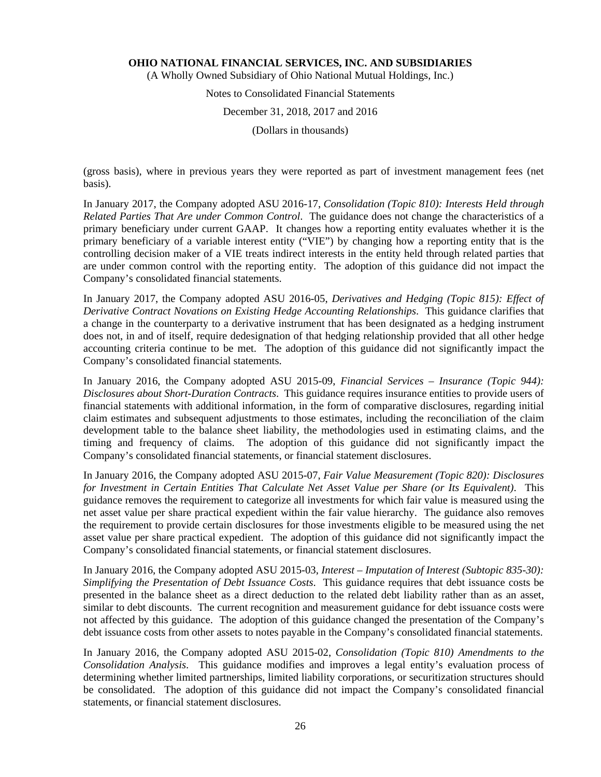(A Wholly Owned Subsidiary of Ohio National Mutual Holdings, Inc.)

# Notes to Consolidated Financial Statements

## December 31, 2018, 2017 and 2016

(Dollars in thousands)

(gross basis), where in previous years they were reported as part of investment management fees (net basis).

In January 2017, the Company adopted ASU 2016-17, *Consolidation (Topic 810): Interests Held through Related Parties That Are under Common Control*. The guidance does not change the characteristics of a primary beneficiary under current GAAP. It changes how a reporting entity evaluates whether it is the primary beneficiary of a variable interest entity ("VIE") by changing how a reporting entity that is the controlling decision maker of a VIE treats indirect interests in the entity held through related parties that are under common control with the reporting entity. The adoption of this guidance did not impact the Company's consolidated financial statements.

In January 2017, the Company adopted ASU 2016-05, *Derivatives and Hedging (Topic 815): Effect of Derivative Contract Novations on Existing Hedge Accounting Relationships*. This guidance clarifies that a change in the counterparty to a derivative instrument that has been designated as a hedging instrument does not, in and of itself, require dedesignation of that hedging relationship provided that all other hedge accounting criteria continue to be met. The adoption of this guidance did not significantly impact the Company's consolidated financial statements.

In January 2016, the Company adopted ASU 2015-09, *Financial Services – Insurance (Topic 944): Disclosures about Short-Duration Contracts*. This guidance requires insurance entities to provide users of financial statements with additional information, in the form of comparative disclosures, regarding initial claim estimates and subsequent adjustments to those estimates, including the reconciliation of the claim development table to the balance sheet liability, the methodologies used in estimating claims, and the timing and frequency of claims. The adoption of this guidance did not significantly impact the Company's consolidated financial statements, or financial statement disclosures.

In January 2016, the Company adopted ASU 2015-07, *Fair Value Measurement (Topic 820): Disclosures for Investment in Certain Entities That Calculate Net Asset Value per Share (or Its Equivalent)*. This guidance removes the requirement to categorize all investments for which fair value is measured using the net asset value per share practical expedient within the fair value hierarchy. The guidance also removes the requirement to provide certain disclosures for those investments eligible to be measured using the net asset value per share practical expedient. The adoption of this guidance did not significantly impact the Company's consolidated financial statements, or financial statement disclosures.

In January 2016, the Company adopted ASU 2015-03, *Interest – Imputation of Interest (Subtopic 835-30): Simplifying the Presentation of Debt Issuance Costs*. This guidance requires that debt issuance costs be presented in the balance sheet as a direct deduction to the related debt liability rather than as an asset, similar to debt discounts. The current recognition and measurement guidance for debt issuance costs were not affected by this guidance. The adoption of this guidance changed the presentation of the Company's debt issuance costs from other assets to notes payable in the Company's consolidated financial statements.

In January 2016, the Company adopted ASU 2015-02, *Consolidation (Topic 810) Amendments to the Consolidation Analysis*. This guidance modifies and improves a legal entity's evaluation process of determining whether limited partnerships, limited liability corporations, or securitization structures should be consolidated. The adoption of this guidance did not impact the Company's consolidated financial statements, or financial statement disclosures.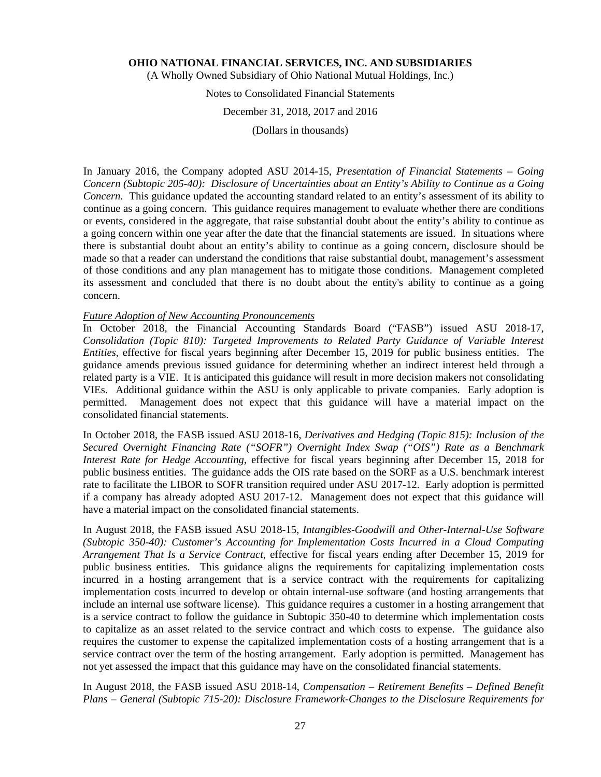(A Wholly Owned Subsidiary of Ohio National Mutual Holdings, Inc.)

## Notes to Consolidated Financial Statements

#### December 31, 2018, 2017 and 2016

(Dollars in thousands)

In January 2016, the Company adopted ASU 2014-15, *Presentation of Financial Statements – Going Concern (Subtopic 205-40): Disclosure of Uncertainties about an Entity's Ability to Continue as a Going Concern.* This guidance updated the accounting standard related to an entity's assessment of its ability to continue as a going concern. This guidance requires management to evaluate whether there are conditions or events, considered in the aggregate, that raise substantial doubt about the entity's ability to continue as a going concern within one year after the date that the financial statements are issued. In situations where there is substantial doubt about an entity's ability to continue as a going concern, disclosure should be made so that a reader can understand the conditions that raise substantial doubt, management's assessment of those conditions and any plan management has to mitigate those conditions. Management completed its assessment and concluded that there is no doubt about the entity's ability to continue as a going concern.

#### *Future Adoption of New Accounting Pronouncements*

In October 2018, the Financial Accounting Standards Board ("FASB") issued ASU 2018-17, *Consolidation (Topic 810): Targeted Improvements to Related Party Guidance of Variable Interest Entities*, effective for fiscal years beginning after December 15, 2019 for public business entities. The guidance amends previous issued guidance for determining whether an indirect interest held through a related party is a VIE. It is anticipated this guidance will result in more decision makers not consolidating VIEs. Additional guidance within the ASU is only applicable to private companies. Early adoption is permitted. Management does not expect that this guidance will have a material impact on the consolidated financial statements.

In October 2018, the FASB issued ASU 2018-16, *Derivatives and Hedging (Topic 815): Inclusion of the Secured Overnight Financing Rate ("SOFR") Overnight Index Swap ("OIS") Rate as a Benchmark Interest Rate for Hedge Accounting*, effective for fiscal years beginning after December 15, 2018 for public business entities. The guidance adds the OIS rate based on the SORF as a U.S. benchmark interest rate to facilitate the LIBOR to SOFR transition required under ASU 2017-12. Early adoption is permitted if a company has already adopted ASU 2017-12. Management does not expect that this guidance will have a material impact on the consolidated financial statements.

In August 2018, the FASB issued ASU 2018-15, *Intangibles-Goodwill and Other-Internal-Use Software (Subtopic 350-40): Customer's Accounting for Implementation Costs Incurred in a Cloud Computing Arrangement That Is a Service Contract,* effective for fiscal years ending after December 15, 2019 for public business entities. This guidance aligns the requirements for capitalizing implementation costs incurred in a hosting arrangement that is a service contract with the requirements for capitalizing implementation costs incurred to develop or obtain internal-use software (and hosting arrangements that include an internal use software license). This guidance requires a customer in a hosting arrangement that is a service contract to follow the guidance in Subtopic 350-40 to determine which implementation costs to capitalize as an asset related to the service contract and which costs to expense. The guidance also requires the customer to expense the capitalized implementation costs of a hosting arrangement that is a service contract over the term of the hosting arrangement. Early adoption is permitted. Management has not yet assessed the impact that this guidance may have on the consolidated financial statements.

In August 2018, the FASB issued ASU 2018-14, *Compensation – Retirement Benefits – Defined Benefit Plans – General (Subtopic 715-20): Disclosure Framework-Changes to the Disclosure Requirements for*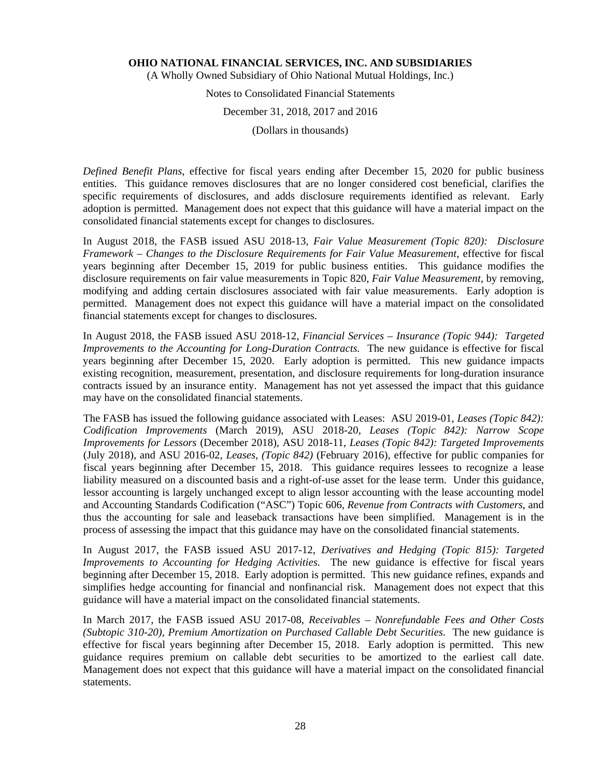(A Wholly Owned Subsidiary of Ohio National Mutual Holdings, Inc.)

Notes to Consolidated Financial Statements

December 31, 2018, 2017 and 2016

(Dollars in thousands)

*Defined Benefit Plans*, effective for fiscal years ending after December 15, 2020 for public business entities. This guidance removes disclosures that are no longer considered cost beneficial, clarifies the specific requirements of disclosures, and adds disclosure requirements identified as relevant. Early adoption is permitted. Management does not expect that this guidance will have a material impact on the consolidated financial statements except for changes to disclosures.

In August 2018, the FASB issued ASU 2018-13, *Fair Value Measurement (Topic 820): Disclosure Framework – Changes to the Disclosure Requirements for Fair Value Measurement*, effective for fiscal years beginning after December 15, 2019 for public business entities. This guidance modifies the disclosure requirements on fair value measurements in Topic 820, *Fair Value Measurement*, by removing, modifying and adding certain disclosures associated with fair value measurements. Early adoption is permitted. Management does not expect this guidance will have a material impact on the consolidated financial statements except for changes to disclosures.

In August 2018, the FASB issued ASU 2018-12, *Financial Services – Insurance (Topic 944): Targeted Improvements to the Accounting for Long-Duration Contracts.* The new guidance is effective for fiscal years beginning after December 15, 2020. Early adoption is permitted. This new guidance impacts existing recognition, measurement, presentation, and disclosure requirements for long-duration insurance contracts issued by an insurance entity. Management has not yet assessed the impact that this guidance may have on the consolidated financial statements.

The FASB has issued the following guidance associated with Leases: ASU 2019-01, *Leases (Topic 842): Codification Improvements* (March 2019), ASU 2018-20, *Leases (Topic 842): Narrow Scope Improvements for Lessors* (December 2018)*,* ASU 2018-11, *Leases (Topic 842): Targeted Improvements* (July 2018), and ASU 2016-02, *Leases, (Topic 842)* (February 2016), effective for public companies for fiscal years beginning after December 15, 2018. This guidance requires lessees to recognize a lease liability measured on a discounted basis and a right-of-use asset for the lease term. Under this guidance, lessor accounting is largely unchanged except to align lessor accounting with the lease accounting model and Accounting Standards Codification ("ASC") Topic 606, *Revenue from Contracts with Customers*, and thus the accounting for sale and leaseback transactions have been simplified. Management is in the process of assessing the impact that this guidance may have on the consolidated financial statements.

In August 2017, the FASB issued ASU 2017-12, *Derivatives and Hedging (Topic 815): Targeted Improvements to Accounting for Hedging Activities*. The new guidance is effective for fiscal years beginning after December 15, 2018. Early adoption is permitted. This new guidance refines, expands and simplifies hedge accounting for financial and nonfinancial risk. Management does not expect that this guidance will have a material impact on the consolidated financial statements.

In March 2017, the FASB issued ASU 2017-08, *Receivables – Nonrefundable Fees and Other Costs (Subtopic 310-20), Premium Amortization on Purchased Callable Debt Securities*. The new guidance is effective for fiscal years beginning after December 15, 2018. Early adoption is permitted. This new guidance requires premium on callable debt securities to be amortized to the earliest call date. Management does not expect that this guidance will have a material impact on the consolidated financial statements.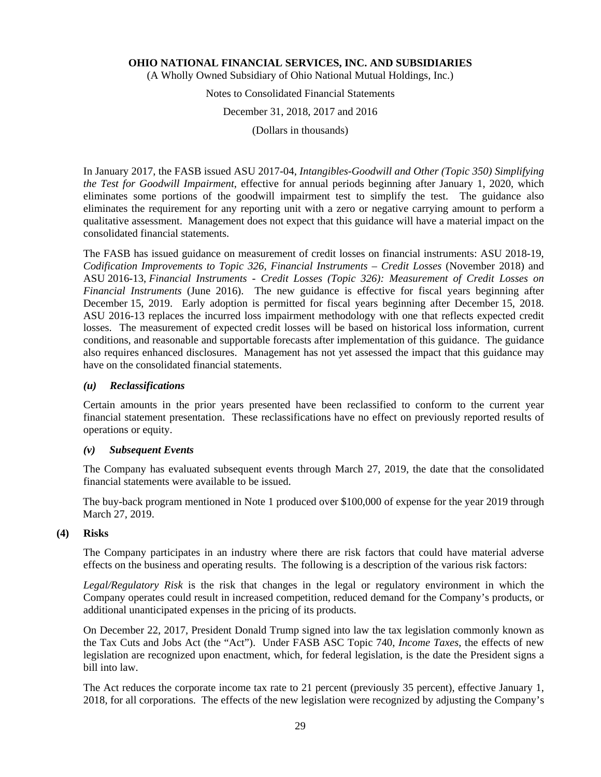(A Wholly Owned Subsidiary of Ohio National Mutual Holdings, Inc.)

Notes to Consolidated Financial Statements

December 31, 2018, 2017 and 2016

(Dollars in thousands)

In January 2017, the FASB issued ASU 2017-04, *Intangibles-Goodwill and Other (Topic 350) Simplifying the Test for Goodwill Impairment*, effective for annual periods beginning after January 1, 2020, which eliminates some portions of the goodwill impairment test to simplify the test. The guidance also eliminates the requirement for any reporting unit with a zero or negative carrying amount to perform a qualitative assessment. Management does not expect that this guidance will have a material impact on the consolidated financial statements.

The FASB has issued guidance on measurement of credit losses on financial instruments: ASU 2018-19, *Codification Improvements to Topic 326, Financial Instruments – Credit Losses* (November 2018) and ASU 2016-13, *Financial Instruments - Credit Losses (Topic 326): Measurement of Credit Losses on Financial Instruments* (June 2016). The new guidance is effective for fiscal years beginning after December 15, 2019. Early adoption is permitted for fiscal years beginning after December 15, 2018. ASU 2016-13 replaces the incurred loss impairment methodology with one that reflects expected credit losses. The measurement of expected credit losses will be based on historical loss information, current conditions, and reasonable and supportable forecasts after implementation of this guidance. The guidance also requires enhanced disclosures. Management has not yet assessed the impact that this guidance may have on the consolidated financial statements.

### *(u) Reclassifications*

Certain amounts in the prior years presented have been reclassified to conform to the current year financial statement presentation. These reclassifications have no effect on previously reported results of operations or equity.

#### *(v) Subsequent Events*

The Company has evaluated subsequent events through March 27, 2019, the date that the consolidated financial statements were available to be issued.

The buy-back program mentioned in Note 1 produced over \$100,000 of expense for the year 2019 through March 27, 2019.

#### **(4) Risks**

The Company participates in an industry where there are risk factors that could have material adverse effects on the business and operating results. The following is a description of the various risk factors:

*Legal/Regulatory Risk* is the risk that changes in the legal or regulatory environment in which the Company operates could result in increased competition, reduced demand for the Company's products, or additional unanticipated expenses in the pricing of its products.

On December 22, 2017, President Donald Trump signed into law the tax legislation commonly known as the Tax Cuts and Jobs Act (the "Act"). Under FASB ASC Topic 740, *Income Taxes*, the effects of new legislation are recognized upon enactment, which, for federal legislation, is the date the President signs a bill into law.

The Act reduces the corporate income tax rate to 21 percent (previously 35 percent), effective January 1, 2018, for all corporations. The effects of the new legislation were recognized by adjusting the Company's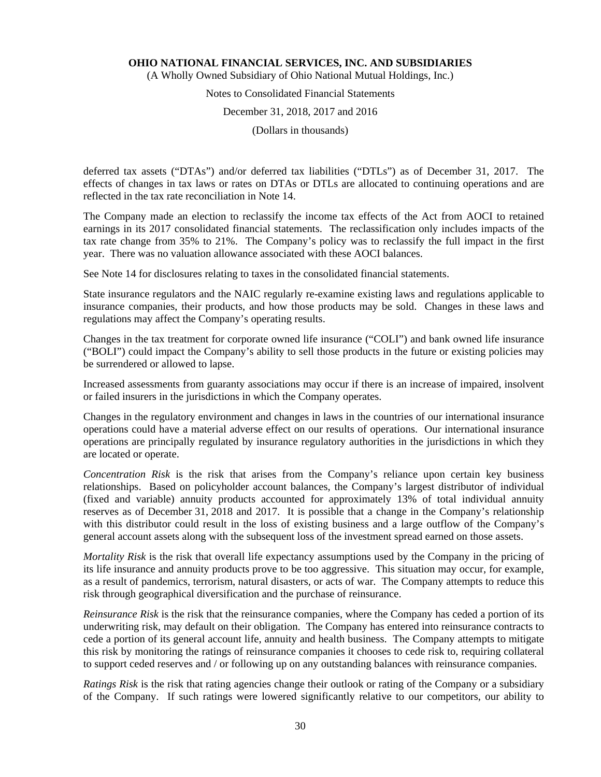(A Wholly Owned Subsidiary of Ohio National Mutual Holdings, Inc.)

## Notes to Consolidated Financial Statements

#### December 31, 2018, 2017 and 2016

(Dollars in thousands)

deferred tax assets ("DTAs") and/or deferred tax liabilities ("DTLs") as of December 31, 2017. The effects of changes in tax laws or rates on DTAs or DTLs are allocated to continuing operations and are reflected in the tax rate reconciliation in Note 14.

The Company made an election to reclassify the income tax effects of the Act from AOCI to retained earnings in its 2017 consolidated financial statements. The reclassification only includes impacts of the tax rate change from 35% to 21%. The Company's policy was to reclassify the full impact in the first year. There was no valuation allowance associated with these AOCI balances.

See Note 14 for disclosures relating to taxes in the consolidated financial statements.

State insurance regulators and the NAIC regularly re-examine existing laws and regulations applicable to insurance companies, their products, and how those products may be sold. Changes in these laws and regulations may affect the Company's operating results.

Changes in the tax treatment for corporate owned life insurance ("COLI") and bank owned life insurance ("BOLI") could impact the Company's ability to sell those products in the future or existing policies may be surrendered or allowed to lapse.

Increased assessments from guaranty associations may occur if there is an increase of impaired, insolvent or failed insurers in the jurisdictions in which the Company operates.

Changes in the regulatory environment and changes in laws in the countries of our international insurance operations could have a material adverse effect on our results of operations. Our international insurance operations are principally regulated by insurance regulatory authorities in the jurisdictions in which they are located or operate.

*Concentration Risk* is the risk that arises from the Company's reliance upon certain key business relationships. Based on policyholder account balances, the Company's largest distributor of individual (fixed and variable) annuity products accounted for approximately 13% of total individual annuity reserves as of December 31, 2018 and 2017. It is possible that a change in the Company's relationship with this distributor could result in the loss of existing business and a large outflow of the Company's general account assets along with the subsequent loss of the investment spread earned on those assets.

*Mortality Risk* is the risk that overall life expectancy assumptions used by the Company in the pricing of its life insurance and annuity products prove to be too aggressive. This situation may occur, for example, as a result of pandemics, terrorism, natural disasters, or acts of war. The Company attempts to reduce this risk through geographical diversification and the purchase of reinsurance.

*Reinsurance Risk* is the risk that the reinsurance companies, where the Company has ceded a portion of its underwriting risk, may default on their obligation. The Company has entered into reinsurance contracts to cede a portion of its general account life, annuity and health business. The Company attempts to mitigate this risk by monitoring the ratings of reinsurance companies it chooses to cede risk to, requiring collateral to support ceded reserves and / or following up on any outstanding balances with reinsurance companies.

*Ratings Risk* is the risk that rating agencies change their outlook or rating of the Company or a subsidiary of the Company. If such ratings were lowered significantly relative to our competitors, our ability to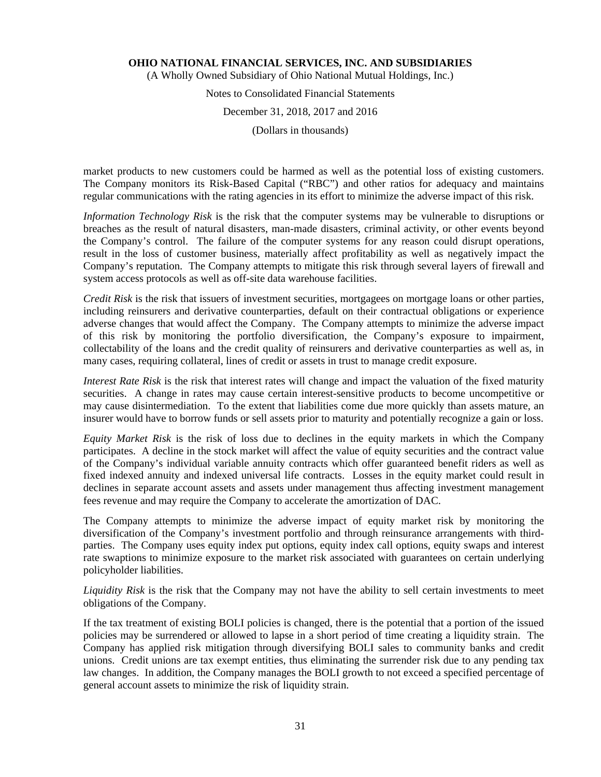(A Wholly Owned Subsidiary of Ohio National Mutual Holdings, Inc.)

## Notes to Consolidated Financial Statements December 31, 2018, 2017 and 2016

(Dollars in thousands)

market products to new customers could be harmed as well as the potential loss of existing customers. The Company monitors its Risk-Based Capital ("RBC") and other ratios for adequacy and maintains regular communications with the rating agencies in its effort to minimize the adverse impact of this risk.

*Information Technology Risk* is the risk that the computer systems may be vulnerable to disruptions or breaches as the result of natural disasters, man-made disasters, criminal activity, or other events beyond the Company's control. The failure of the computer systems for any reason could disrupt operations, result in the loss of customer business, materially affect profitability as well as negatively impact the Company's reputation. The Company attempts to mitigate this risk through several layers of firewall and system access protocols as well as off-site data warehouse facilities.

*Credit Risk* is the risk that issuers of investment securities, mortgagees on mortgage loans or other parties, including reinsurers and derivative counterparties, default on their contractual obligations or experience adverse changes that would affect the Company. The Company attempts to minimize the adverse impact of this risk by monitoring the portfolio diversification, the Company's exposure to impairment, collectability of the loans and the credit quality of reinsurers and derivative counterparties as well as, in many cases, requiring collateral, lines of credit or assets in trust to manage credit exposure.

*Interest Rate Risk* is the risk that interest rates will change and impact the valuation of the fixed maturity securities. A change in rates may cause certain interest-sensitive products to become uncompetitive or may cause disintermediation. To the extent that liabilities come due more quickly than assets mature, an insurer would have to borrow funds or sell assets prior to maturity and potentially recognize a gain or loss.

*Equity Market Risk* is the risk of loss due to declines in the equity markets in which the Company participates. A decline in the stock market will affect the value of equity securities and the contract value of the Company's individual variable annuity contracts which offer guaranteed benefit riders as well as fixed indexed annuity and indexed universal life contracts. Losses in the equity market could result in declines in separate account assets and assets under management thus affecting investment management fees revenue and may require the Company to accelerate the amortization of DAC.

The Company attempts to minimize the adverse impact of equity market risk by monitoring the diversification of the Company's investment portfolio and through reinsurance arrangements with thirdparties. The Company uses equity index put options, equity index call options, equity swaps and interest rate swaptions to minimize exposure to the market risk associated with guarantees on certain underlying policyholder liabilities.

*Liquidity Risk* is the risk that the Company may not have the ability to sell certain investments to meet obligations of the Company.

If the tax treatment of existing BOLI policies is changed, there is the potential that a portion of the issued policies may be surrendered or allowed to lapse in a short period of time creating a liquidity strain. The Company has applied risk mitigation through diversifying BOLI sales to community banks and credit unions. Credit unions are tax exempt entities, thus eliminating the surrender risk due to any pending tax law changes. In addition, the Company manages the BOLI growth to not exceed a specified percentage of general account assets to minimize the risk of liquidity strain.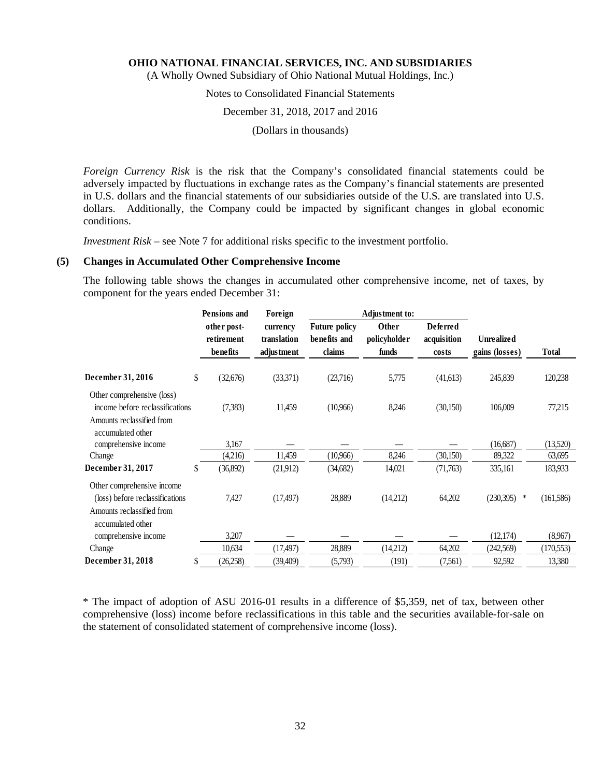(A Wholly Owned Subsidiary of Ohio National Mutual Holdings, Inc.)

## Notes to Consolidated Financial Statements

#### December 31, 2018, 2017 and 2016

(Dollars in thousands)

*Foreign Currency Risk* is the risk that the Company's consolidated financial statements could be adversely impacted by fluctuations in exchange rates as the Company's financial statements are presented in U.S. dollars and the financial statements of our subsidiaries outside of the U.S. are translated into U.S. dollars. Additionally, the Company could be impacted by significant changes in global economic conditions.

*Investment Risk* – see Note 7 for additional risks specific to the investment portfolio.

#### **(5) Changes in Accumulated Other Comprehensive Income**

The following table shows the changes in accumulated other comprehensive income, net of taxes, by component for the years ended December 31:

|                                                                                                                 | <b>Pensions</b> and       | Foreign                 |                                      | Adjustment to:        |                                |                   |              |
|-----------------------------------------------------------------------------------------------------------------|---------------------------|-------------------------|--------------------------------------|-----------------------|--------------------------------|-------------------|--------------|
|                                                                                                                 | other post-<br>retirement | currency<br>translation | <b>Future policy</b><br>benefits and | Other<br>policyholder | <b>Deferred</b><br>acquisition | <b>Unrealized</b> |              |
|                                                                                                                 | benefits                  | adjustment              | claims                               | funds                 | costs                          | gains (losses)    | <b>Total</b> |
| December 31, 2016                                                                                               | \$<br>(32, 676)           | (33,371)                | (23,716)                             | 5,775                 | (41,613)                       | 245,839           | 120,238      |
| Other comprehensive (loss)<br>income before reclassifications<br>Amounts reclassified from<br>accumulated other | (7, 383)                  | 11,459                  | (10,966)                             | 8,246                 | (30, 150)                      | 106,009           | 77,215       |
| comprehensive income                                                                                            | 3,167                     |                         |                                      |                       |                                | (16,687)          | (13,520)     |
| Change                                                                                                          | (4,216)                   | 11,459                  | (10.966)                             | 8,246                 | (30, 150)                      | 89,322            | 63,695       |
| December 31, 2017                                                                                               | \$<br>(36,892)            | (21,912)                | (34,682)                             | 14,021                | (71,763)                       | 335,161           | 183,933      |
| Other comprehensive income<br>(loss) before reclassifications<br>Amounts reclassified from<br>accumulated other | 7,427                     | (17, 497)               | 28,889                               | (14,212)              | 64,202                         | $(230,395)$ *     | (161, 586)   |
| comprehensive income                                                                                            | 3,207                     |                         |                                      |                       |                                | (12, 174)         | (8,967)      |
| Change                                                                                                          | 10,634                    | (17, 497)               | 28,889                               | (14,212)              | 64,202                         | (242, 569)        | (170, 553)   |
| December 31, 2018                                                                                               | (26, 258)                 | (39, 409)               | (5,793)                              | (191)                 | (7,561)                        | 92,592            | 13,380       |

\* The impact of adoption of ASU 2016-01 results in a difference of \$5,359, net of tax, between other comprehensive (loss) income before reclassifications in this table and the securities available-for-sale on the statement of consolidated statement of comprehensive income (loss).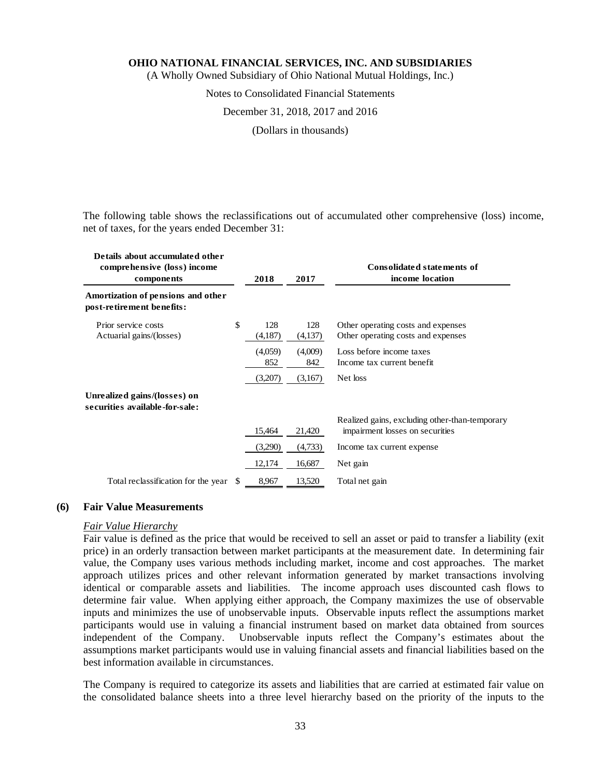(A Wholly Owned Subsidiary of Ohio National Mutual Holdings, Inc.)

#### Notes to Consolidated Financial Statements

#### December 31, 2018, 2017 and 2016

(Dollars in thousands)

The following table shows the reclassifications out of accumulated other comprehensive (loss) income, net of taxes, for the years ended December 31:

| Details about accumulated other<br>comprehensive (loss) income<br>components |    | 2018           | 2017           | <b>Consolidated statements of</b><br>income location                              |
|------------------------------------------------------------------------------|----|----------------|----------------|-----------------------------------------------------------------------------------|
| Amortization of pensions and other<br>post-retirement benefits:              |    |                |                |                                                                                   |
| Prior service costs<br>Actuarial gains/(losses)                              | \$ | 128<br>(4,187) | 128<br>(4,137) | Other operating costs and expenses<br>Other operating costs and expenses          |
|                                                                              |    | (4,059)<br>852 | (4,009)<br>842 | Loss before income taxes<br>Income tax current benefit                            |
| Unrealized gains/(losses) on                                                 |    | (3,207)        | (3,167)        | Net loss                                                                          |
| securities available-for-sale:                                               |    |                |                |                                                                                   |
|                                                                              |    | 15,464         | 21,420         | Realized gains, excluding other-than-temporary<br>impairment losses on securities |
|                                                                              |    | (3,290)        | (4,733)        | Income tax current expense                                                        |
|                                                                              |    | 12,174         | 16,687         | Net gain                                                                          |
| Total reclassification for the year                                          | S. | 8,967          | 13,520         | Total net gain                                                                    |

## **(6) Fair Value Measurements**

## *Fair Value Hierarchy*

Fair value is defined as the price that would be received to sell an asset or paid to transfer a liability (exit price) in an orderly transaction between market participants at the measurement date. In determining fair value, the Company uses various methods including market, income and cost approaches. The market approach utilizes prices and other relevant information generated by market transactions involving identical or comparable assets and liabilities. The income approach uses discounted cash flows to determine fair value. When applying either approach, the Company maximizes the use of observable inputs and minimizes the use of unobservable inputs. Observable inputs reflect the assumptions market participants would use in valuing a financial instrument based on market data obtained from sources independent of the Company. Unobservable inputs reflect the Company's estimates about the assumptions market participants would use in valuing financial assets and financial liabilities based on the best information available in circumstances.

The Company is required to categorize its assets and liabilities that are carried at estimated fair value on the consolidated balance sheets into a three level hierarchy based on the priority of the inputs to the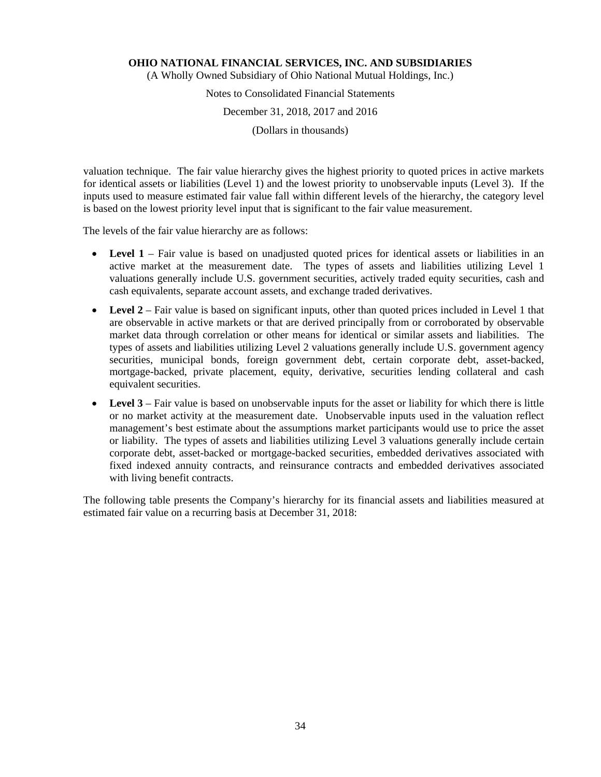(A Wholly Owned Subsidiary of Ohio National Mutual Holdings, Inc.)

# Notes to Consolidated Financial Statements

December 31, 2018, 2017 and 2016

(Dollars in thousands)

valuation technique. The fair value hierarchy gives the highest priority to quoted prices in active markets for identical assets or liabilities (Level 1) and the lowest priority to unobservable inputs (Level 3). If the inputs used to measure estimated fair value fall within different levels of the hierarchy, the category level is based on the lowest priority level input that is significant to the fair value measurement.

The levels of the fair value hierarchy are as follows:

- Level 1 Fair value is based on unadjusted quoted prices for identical assets or liabilities in an active market at the measurement date. The types of assets and liabilities utilizing Level 1 valuations generally include U.S. government securities, actively traded equity securities, cash and cash equivalents, separate account assets, and exchange traded derivatives.
- Level 2 Fair value is based on significant inputs, other than quoted prices included in Level 1 that are observable in active markets or that are derived principally from or corroborated by observable market data through correlation or other means for identical or similar assets and liabilities. The types of assets and liabilities utilizing Level 2 valuations generally include U.S. government agency securities, municipal bonds, foreign government debt, certain corporate debt, asset-backed, mortgage-backed, private placement, equity, derivative, securities lending collateral and cash equivalent securities.
- **Level 3** Fair value is based on unobservable inputs for the asset or liability for which there is little or no market activity at the measurement date. Unobservable inputs used in the valuation reflect management's best estimate about the assumptions market participants would use to price the asset or liability. The types of assets and liabilities utilizing Level 3 valuations generally include certain corporate debt, asset-backed or mortgage-backed securities, embedded derivatives associated with fixed indexed annuity contracts, and reinsurance contracts and embedded derivatives associated with living benefit contracts.

The following table presents the Company's hierarchy for its financial assets and liabilities measured at estimated fair value on a recurring basis at December 31, 2018: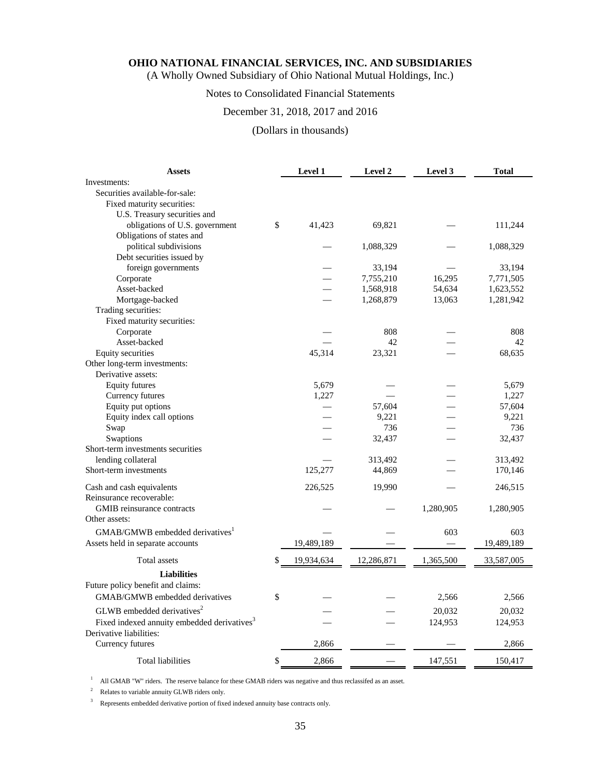(A Wholly Owned Subsidiary of Ohio National Mutual Holdings, Inc.)

## Notes to Consolidated Financial Statements

## December 31, 2018, 2017 and 2016

## (Dollars in thousands)

| <b>Assets</b>                                           | Level 1          | Level 2    | Level 3   | <b>Total</b> |
|---------------------------------------------------------|------------------|------------|-----------|--------------|
| Investments:                                            |                  |            |           |              |
| Securities available-for-sale:                          |                  |            |           |              |
| Fixed maturity securities:                              |                  |            |           |              |
| U.S. Treasury securities and                            |                  |            |           |              |
| obligations of U.S. government                          | \$<br>41,423     | 69,821     |           | 111,244      |
| Obligations of states and                               |                  |            |           |              |
| political subdivisions                                  |                  | 1,088,329  |           | 1,088,329    |
| Debt securities issued by                               |                  |            |           |              |
| foreign governments                                     |                  | 33,194     |           | 33,194       |
| Corporate                                               |                  | 7,755,210  | 16,295    | 7,771,505    |
| Asset-backed                                            |                  | 1,568,918  | 54,634    | 1,623,552    |
| Mortgage-backed<br>Trading securities:                  |                  | 1,268,879  | 13,063    | 1,281,942    |
| Fixed maturity securities:                              |                  |            |           |              |
| Corporate                                               |                  | 808        |           | 808          |
| Asset-backed                                            |                  | 42         |           | 42           |
| Equity securities                                       | 45,314           | 23,321     |           | 68,635       |
| Other long-term investments:                            |                  |            |           |              |
| Derivative assets:                                      |                  |            |           |              |
| <b>Equity futures</b>                                   | 5,679            |            |           | 5,679        |
| Currency futures                                        | 1,227            |            |           | 1,227        |
| Equity put options                                      |                  | 57,604     |           | 57,604       |
| Equity index call options                               |                  | 9,221      |           | 9,221        |
| Swap                                                    |                  | 736        |           | 736          |
| Swaptions                                               |                  | 32,437     |           | 32,437       |
| Short-term investments securities                       |                  |            |           |              |
| lending collateral                                      |                  | 313,492    |           | 313,492      |
| Short-term investments                                  | 125,277          | 44,869     |           | 170,146      |
| Cash and cash equivalents                               | 226,525          | 19,990     |           | 246,515      |
| Reinsurance recoverable:                                |                  |            |           |              |
| <b>GMIB</b> reinsurance contracts                       |                  |            | 1,280,905 | 1,280,905    |
| Other assets:                                           |                  |            |           |              |
| GMAB/GMWB embedded derivatives <sup>1</sup>             |                  |            | 603       | 603          |
| Assets held in separate accounts                        | 19,489,189       |            |           | 19,489,189   |
| <b>Total assets</b>                                     | \$<br>19,934,634 | 12,286,871 | 1,365,500 | 33,587,005   |
| <b>Liabilities</b>                                      |                  |            |           |              |
| Future policy benefit and claims:                       |                  |            |           |              |
| GMAB/GMWB embedded derivatives                          | \$               |            | 2,566     | 2,566        |
| GLWB embedded derivatives <sup>2</sup>                  |                  |            | 20,032    | 20,032       |
| Fixed indexed annuity embedded derivatives <sup>3</sup> |                  |            | 124,953   | 124,953      |
| Derivative liabilities:                                 |                  |            |           |              |
| Currency futures                                        | 2,866            |            |           | 2,866        |
| <b>Total liabilities</b>                                | \$<br>2,866      |            | 147,551   | 150,417      |

<sup>1</sup> All GMAB "W" riders. The reserve balance for these GMAB riders was negative and thus reclassifed as an asset.

<sup>2</sup> Relates to variable annuity GLWB riders only.

<sup>3</sup> Represents embedded derivative portion of fixed indexed annuity base contracts only.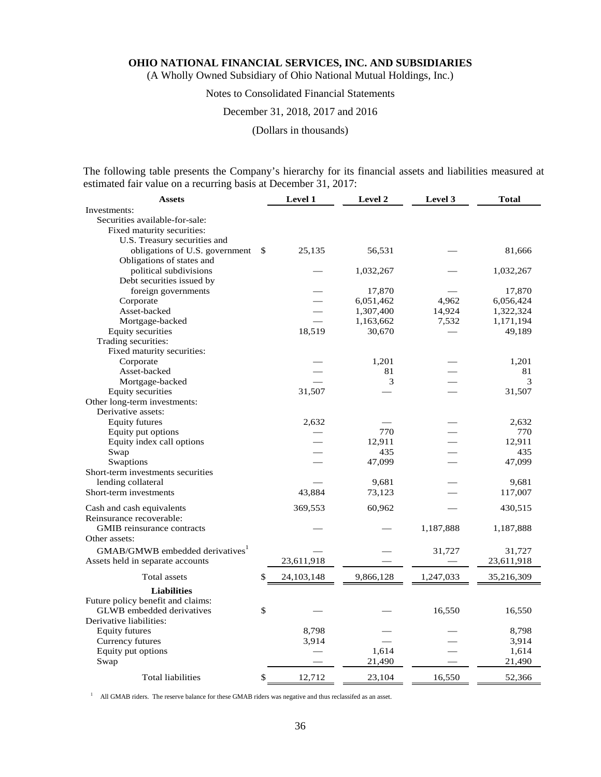(A Wholly Owned Subsidiary of Ohio National Mutual Holdings, Inc.)

# Notes to Consolidated Financial Statements

### December 31, 2018, 2017 and 2016

(Dollars in thousands)

The following table presents the Company's hierarchy for its financial assets and liabilities measured at estimated fair value on a recurring basis at December 31, 2017:

| <b>Assets</b>                               |    | <b>Level 1</b> | Level 2   | Level 3   | <b>Total</b> |  |
|---------------------------------------------|----|----------------|-----------|-----------|--------------|--|
| Investments:                                |    |                |           |           |              |  |
| Securities available-for-sale:              |    |                |           |           |              |  |
| Fixed maturity securities:                  |    |                |           |           |              |  |
| U.S. Treasury securities and                |    |                |           |           |              |  |
| obligations of U.S. government              | \$ | 25,135         | 56,531    |           | 81,666       |  |
| Obligations of states and                   |    |                |           |           |              |  |
| political subdivisions                      |    |                | 1,032,267 |           | 1,032,267    |  |
| Debt securities issued by                   |    |                |           |           |              |  |
| foreign governments                         |    |                | 17,870    |           | 17,870       |  |
| Corporate                                   |    |                | 6,051,462 | 4,962     | 6,056,424    |  |
| Asset-backed                                |    |                | 1,307,400 | 14,924    | 1,322,324    |  |
| Mortgage-backed                             |    |                | 1,163,662 | 7,532     | 1,171,194    |  |
| <b>Equity securities</b>                    |    | 18,519         | 30,670    |           | 49,189       |  |
| Trading securities:                         |    |                |           |           |              |  |
| Fixed maturity securities:                  |    |                |           |           |              |  |
| Corporate                                   |    |                | 1,201     |           | 1,201        |  |
| Asset-backed                                |    |                | 81        |           | 81           |  |
|                                             |    |                |           |           | 3            |  |
| Mortgage-backed                             |    |                | 3         |           |              |  |
| <b>Equity securities</b>                    |    | 31,507         |           |           | 31,507       |  |
| Other long-term investments:                |    |                |           |           |              |  |
| Derivative assets:                          |    |                |           |           |              |  |
| <b>Equity futures</b>                       |    | 2,632          |           |           | 2,632        |  |
| Equity put options                          |    |                | 770       |           | 770          |  |
| Equity index call options                   |    |                | 12,911    |           | 12,911       |  |
| Swap                                        |    |                | 435       |           | 435          |  |
| Swaptions                                   |    |                | 47,099    |           | 47,099       |  |
| Short-term investments securities           |    |                |           |           |              |  |
| lending collateral                          |    |                | 9,681     |           | 9,681        |  |
| Short-term investments                      |    | 43,884         | 73,123    |           | 117,007      |  |
| Cash and cash equivalents                   |    | 369,553        | 60,962    |           | 430,515      |  |
| Reinsurance recoverable:                    |    |                |           |           |              |  |
| GMIB reinsurance contracts                  |    |                |           | 1,187,888 | 1,187,888    |  |
| Other assets:                               |    |                |           |           |              |  |
| GMAB/GMWB embedded derivatives <sup>1</sup> |    |                |           | 31,727    | 31,727       |  |
|                                             |    |                |           |           |              |  |
| Assets held in separate accounts            |    | 23,611,918     |           |           | 23,611,918   |  |
| Total assets                                | \$ | 24,103,148     | 9,866,128 | 1,247,033 | 35,216,309   |  |
| <b>Liabilities</b>                          |    |                |           |           |              |  |
| Future policy benefit and claims:           |    |                |           |           |              |  |
| <b>GLWB</b> embedded derivatives            | \$ |                |           | 16,550    | 16,550       |  |
| Derivative liabilities:                     |    |                |           |           |              |  |
| <b>Equity futures</b>                       |    | 8,798          |           |           | 8,798        |  |
| Currency futures                            |    | 3,914          |           |           | 3,914        |  |
| Equity put options                          |    |                | 1,614     |           | 1,614        |  |
| Swap                                        |    |                | 21,490    |           | 21,490       |  |
|                                             |    |                |           |           |              |  |
| <b>Total liabilities</b>                    | \$ | 12,712         | 23,104    | 16,550    | 52,366       |  |

<sup>1</sup> All GMAB riders. The reserve balance for these GMAB riders was negative and thus reclassifed as an asset.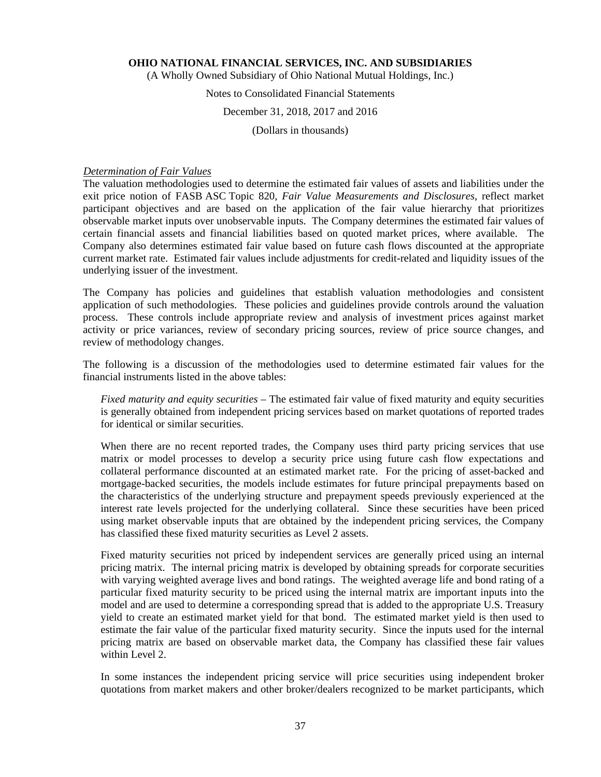(A Wholly Owned Subsidiary of Ohio National Mutual Holdings, Inc.)

# Notes to Consolidated Financial Statements

### December 31, 2018, 2017 and 2016

(Dollars in thousands)

#### *Determination of Fair Values*

The valuation methodologies used to determine the estimated fair values of assets and liabilities under the exit price notion of FASB ASC Topic 820, *Fair Value Measurements and Disclosures*, reflect market participant objectives and are based on the application of the fair value hierarchy that prioritizes observable market inputs over unobservable inputs. The Company determines the estimated fair values of certain financial assets and financial liabilities based on quoted market prices, where available. The Company also determines estimated fair value based on future cash flows discounted at the appropriate current market rate. Estimated fair values include adjustments for credit-related and liquidity issues of the underlying issuer of the investment.

The Company has policies and guidelines that establish valuation methodologies and consistent application of such methodologies. These policies and guidelines provide controls around the valuation process. These controls include appropriate review and analysis of investment prices against market activity or price variances, review of secondary pricing sources, review of price source changes, and review of methodology changes.

The following is a discussion of the methodologies used to determine estimated fair values for the financial instruments listed in the above tables:

*Fixed maturity and equity securities –* The estimated fair value of fixed maturity and equity securities is generally obtained from independent pricing services based on market quotations of reported trades for identical or similar securities.

When there are no recent reported trades, the Company uses third party pricing services that use matrix or model processes to develop a security price using future cash flow expectations and collateral performance discounted at an estimated market rate. For the pricing of asset-backed and mortgage-backed securities, the models include estimates for future principal prepayments based on the characteristics of the underlying structure and prepayment speeds previously experienced at the interest rate levels projected for the underlying collateral. Since these securities have been priced using market observable inputs that are obtained by the independent pricing services, the Company has classified these fixed maturity securities as Level 2 assets.

Fixed maturity securities not priced by independent services are generally priced using an internal pricing matrix. The internal pricing matrix is developed by obtaining spreads for corporate securities with varying weighted average lives and bond ratings. The weighted average life and bond rating of a particular fixed maturity security to be priced using the internal matrix are important inputs into the model and are used to determine a corresponding spread that is added to the appropriate U.S. Treasury yield to create an estimated market yield for that bond. The estimated market yield is then used to estimate the fair value of the particular fixed maturity security. Since the inputs used for the internal pricing matrix are based on observable market data, the Company has classified these fair values within Level 2.

In some instances the independent pricing service will price securities using independent broker quotations from market makers and other broker/dealers recognized to be market participants, which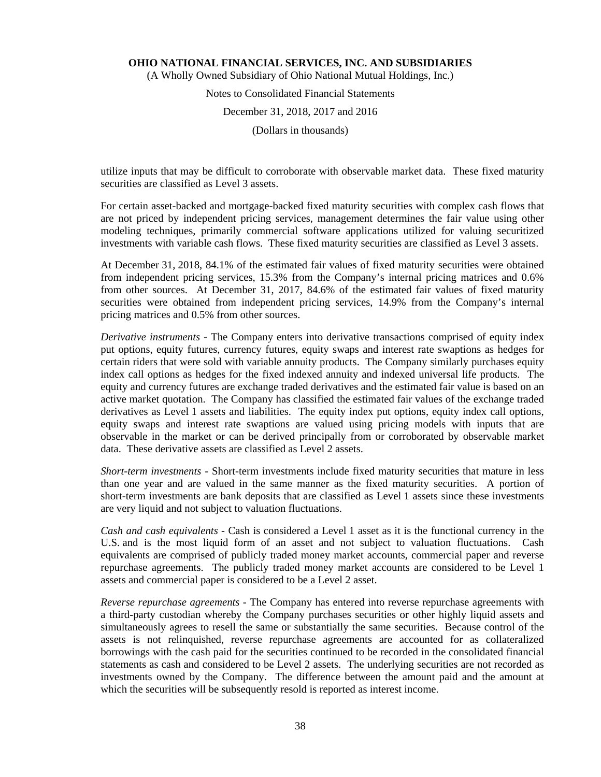(A Wholly Owned Subsidiary of Ohio National Mutual Holdings, Inc.)

# Notes to Consolidated Financial Statements December 31, 2018, 2017 and 2016

(Dollars in thousands)

utilize inputs that may be difficult to corroborate with observable market data. These fixed maturity securities are classified as Level 3 assets.

For certain asset-backed and mortgage-backed fixed maturity securities with complex cash flows that are not priced by independent pricing services, management determines the fair value using other modeling techniques, primarily commercial software applications utilized for valuing securitized investments with variable cash flows. These fixed maturity securities are classified as Level 3 assets.

At December 31, 2018, 84.1% of the estimated fair values of fixed maturity securities were obtained from independent pricing services, 15.3% from the Company's internal pricing matrices and 0.6% from other sources. At December 31, 2017, 84.6% of the estimated fair values of fixed maturity securities were obtained from independent pricing services, 14.9% from the Company's internal pricing matrices and 0.5% from other sources.

*Derivative instruments -* The Company enters into derivative transactions comprised of equity index put options, equity futures, currency futures, equity swaps and interest rate swaptions as hedges for certain riders that were sold with variable annuity products. The Company similarly purchases equity index call options as hedges for the fixed indexed annuity and indexed universal life products. The equity and currency futures are exchange traded derivatives and the estimated fair value is based on an active market quotation. The Company has classified the estimated fair values of the exchange traded derivatives as Level 1 assets and liabilities. The equity index put options, equity index call options, equity swaps and interest rate swaptions are valued using pricing models with inputs that are observable in the market or can be derived principally from or corroborated by observable market data. These derivative assets are classified as Level 2 assets.

*Short-term investments -* Short-term investments include fixed maturity securities that mature in less than one year and are valued in the same manner as the fixed maturity securities. A portion of short-term investments are bank deposits that are classified as Level 1 assets since these investments are very liquid and not subject to valuation fluctuations.

*Cash and cash equivalents* - Cash is considered a Level 1 asset as it is the functional currency in the U.S. and is the most liquid form of an asset and not subject to valuation fluctuations. Cash equivalents are comprised of publicly traded money market accounts, commercial paper and reverse repurchase agreements. The publicly traded money market accounts are considered to be Level 1 assets and commercial paper is considered to be a Level 2 asset.

*Reverse repurchase agreements* - The Company has entered into reverse repurchase agreements with a third-party custodian whereby the Company purchases securities or other highly liquid assets and simultaneously agrees to resell the same or substantially the same securities. Because control of the assets is not relinquished, reverse repurchase agreements are accounted for as collateralized borrowings with the cash paid for the securities continued to be recorded in the consolidated financial statements as cash and considered to be Level 2 assets. The underlying securities are not recorded as investments owned by the Company. The difference between the amount paid and the amount at which the securities will be subsequently resold is reported as interest income.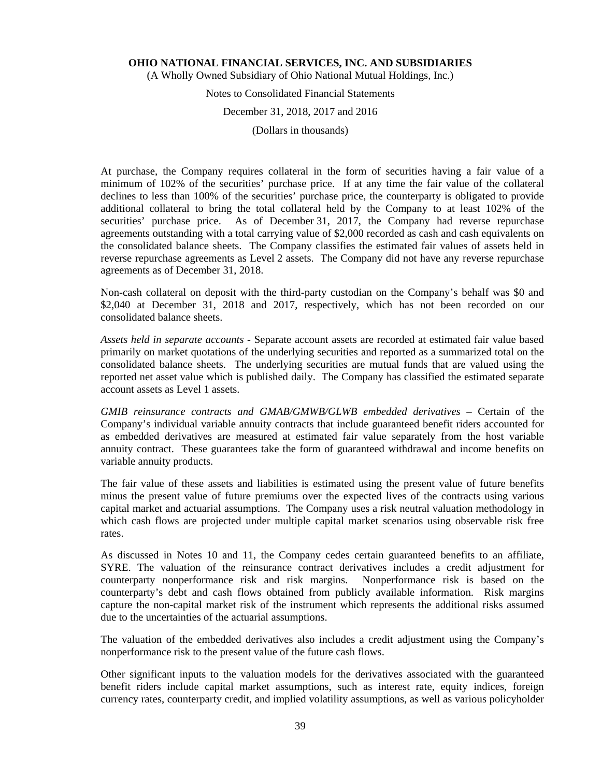(A Wholly Owned Subsidiary of Ohio National Mutual Holdings, Inc.)

# Notes to Consolidated Financial Statements

#### December 31, 2018, 2017 and 2016

(Dollars in thousands)

At purchase, the Company requires collateral in the form of securities having a fair value of a minimum of 102% of the securities' purchase price. If at any time the fair value of the collateral declines to less than 100% of the securities' purchase price, the counterparty is obligated to provide additional collateral to bring the total collateral held by the Company to at least 102% of the securities' purchase price. As of December 31, 2017, the Company had reverse repurchase agreements outstanding with a total carrying value of \$2,000 recorded as cash and cash equivalents on the consolidated balance sheets. The Company classifies the estimated fair values of assets held in reverse repurchase agreements as Level 2 assets. The Company did not have any reverse repurchase agreements as of December 31, 2018.

Non-cash collateral on deposit with the third-party custodian on the Company's behalf was \$0 and \$2,040 at December 31, 2018 and 2017, respectively, which has not been recorded on our consolidated balance sheets.

*Assets held in separate accounts -* Separate account assets are recorded at estimated fair value based primarily on market quotations of the underlying securities and reported as a summarized total on the consolidated balance sheets. The underlying securities are mutual funds that are valued using the reported net asset value which is published daily. The Company has classified the estimated separate account assets as Level 1 assets.

GMIB reinsurance contracts and GMAB/GMWB/GLWB embedded derivatives – Certain of the Company's individual variable annuity contracts that include guaranteed benefit riders accounted for as embedded derivatives are measured at estimated fair value separately from the host variable annuity contract. These guarantees take the form of guaranteed withdrawal and income benefits on variable annuity products.

The fair value of these assets and liabilities is estimated using the present value of future benefits minus the present value of future premiums over the expected lives of the contracts using various capital market and actuarial assumptions. The Company uses a risk neutral valuation methodology in which cash flows are projected under multiple capital market scenarios using observable risk free rates.

As discussed in Notes 10 and 11, the Company cedes certain guaranteed benefits to an affiliate, SYRE. The valuation of the reinsurance contract derivatives includes a credit adjustment for counterparty nonperformance risk and risk margins. Nonperformance risk is based on the counterparty's debt and cash flows obtained from publicly available information. Risk margins capture the non-capital market risk of the instrument which represents the additional risks assumed due to the uncertainties of the actuarial assumptions.

The valuation of the embedded derivatives also includes a credit adjustment using the Company's nonperformance risk to the present value of the future cash flows.

Other significant inputs to the valuation models for the derivatives associated with the guaranteed benefit riders include capital market assumptions, such as interest rate, equity indices, foreign currency rates, counterparty credit, and implied volatility assumptions, as well as various policyholder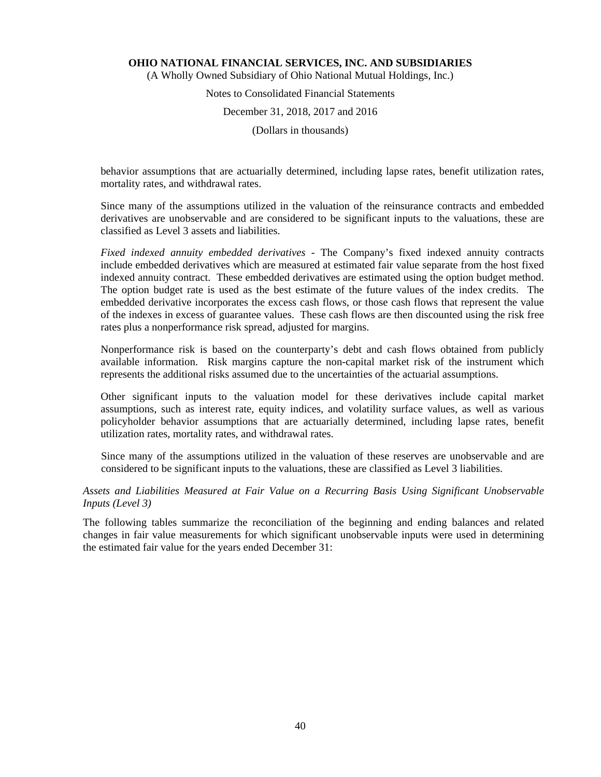(A Wholly Owned Subsidiary of Ohio National Mutual Holdings, Inc.)

# Notes to Consolidated Financial Statements December 31, 2018, 2017 and 2016

(Dollars in thousands)

behavior assumptions that are actuarially determined, including lapse rates, benefit utilization rates, mortality rates, and withdrawal rates.

Since many of the assumptions utilized in the valuation of the reinsurance contracts and embedded derivatives are unobservable and are considered to be significant inputs to the valuations, these are classified as Level 3 assets and liabilities.

*Fixed indexed annuity embedded derivatives* - The Company's fixed indexed annuity contracts include embedded derivatives which are measured at estimated fair value separate from the host fixed indexed annuity contract. These embedded derivatives are estimated using the option budget method. The option budget rate is used as the best estimate of the future values of the index credits. The embedded derivative incorporates the excess cash flows, or those cash flows that represent the value of the indexes in excess of guarantee values. These cash flows are then discounted using the risk free rates plus a nonperformance risk spread, adjusted for margins.

Nonperformance risk is based on the counterparty's debt and cash flows obtained from publicly available information. Risk margins capture the non-capital market risk of the instrument which represents the additional risks assumed due to the uncertainties of the actuarial assumptions.

Other significant inputs to the valuation model for these derivatives include capital market assumptions, such as interest rate, equity indices, and volatility surface values, as well as various policyholder behavior assumptions that are actuarially determined, including lapse rates, benefit utilization rates, mortality rates, and withdrawal rates.

Since many of the assumptions utilized in the valuation of these reserves are unobservable and are considered to be significant inputs to the valuations, these are classified as Level 3 liabilities.

# *Assets and Liabilities Measured at Fair Value on a Recurring Basis Using Significant Unobservable Inputs (Level 3)*

The following tables summarize the reconciliation of the beginning and ending balances and related changes in fair value measurements for which significant unobservable inputs were used in determining the estimated fair value for the years ended December 31: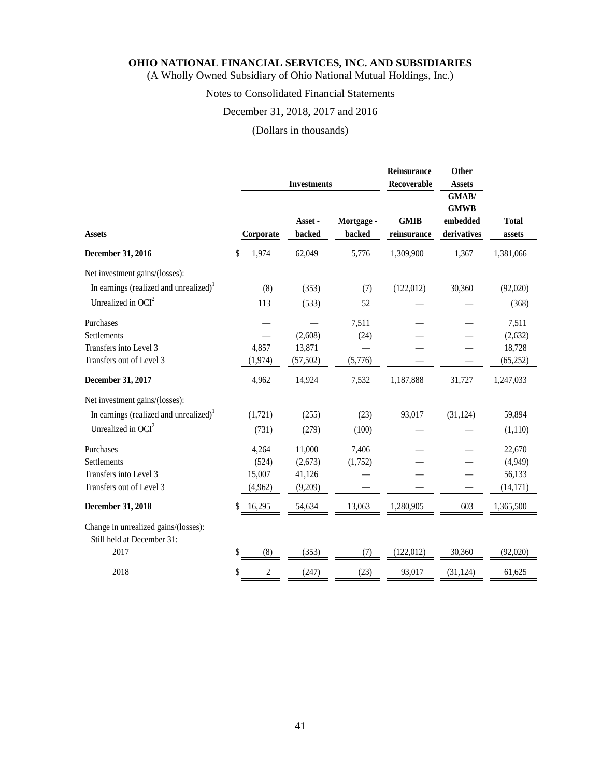(A Wholly Owned Subsidiary of Ohio National Mutual Holdings, Inc.)

# Notes to Consolidated Financial Statements

# December 31, 2018, 2017 and 2016

# (Dollars in thousands)

|                                                                    |                      | <b>Investments</b> |                      | Reinsurance<br>Recoverable | Other<br><b>Assets</b>                          |                        |
|--------------------------------------------------------------------|----------------------|--------------------|----------------------|----------------------------|-------------------------------------------------|------------------------|
| <b>Assets</b>                                                      | Corporate            | Asset -<br>backed  | Mortgage -<br>backed | <b>GMIB</b><br>reinsurance | GMAB/<br><b>GMWB</b><br>embedded<br>derivatives | <b>Total</b><br>assets |
| December 31, 2016                                                  | 1,974<br>\$          | 62,049             | 5,776                | 1,309,900                  | 1,367                                           | 1,381,066              |
| Net investment gains/(losses):                                     |                      |                    |                      |                            |                                                 |                        |
| In earnings (realized and unrealized) <sup>1</sup>                 | (8)                  | (353)              | (7)                  | (122, 012)                 | 30,360                                          | (92,020)               |
| Unrealized in $OCI2$                                               | 113                  | (533)              | 52                   |                            |                                                 | (368)                  |
| Purchases                                                          |                      |                    | 7,511                |                            |                                                 | 7,511                  |
| Settlements                                                        |                      | (2,608)            | (24)                 |                            |                                                 | (2,632)                |
| Transfers into Level 3                                             | 4,857                | 13,871             |                      |                            |                                                 | 18,728                 |
| Transfers out of Level 3                                           | (1, 974)             | (57, 502)          | (5,776)              |                            |                                                 | (65, 252)              |
| December 31, 2017                                                  | 4,962                | 14,924             | 7,532                | 1,187,888                  | 31,727                                          | 1,247,033              |
| Net investment gains/(losses):                                     |                      |                    |                      |                            |                                                 |                        |
| In earnings (realized and unrealized) <sup>1</sup>                 | (1,721)              | (255)              | (23)                 | 93,017                     | (31, 124)                                       | 59,894                 |
| Unrealized in $OCI2$                                               | (731)                | (279)              | (100)                |                            |                                                 | (1,110)                |
| Purchases                                                          | 4,264                | 11,000             | 7,406                |                            |                                                 | 22,670                 |
| Settlements                                                        | (524)                | (2,673)            | (1,752)              |                            |                                                 | (4,949)                |
| Transfers into Level 3                                             | 15,007               | 41,126             |                      |                            |                                                 | 56,133                 |
| Transfers out of Level 3                                           | (4,962)              | (9,209)            |                      |                            |                                                 | (14, 171)              |
| December 31, 2018                                                  | 16,295<br>\$         | 54,634             | 13,063               | 1,280,905                  | 603                                             | 1,365,500              |
| Change in unrealized gains/(losses):<br>Still held at December 31: |                      |                    |                      |                            |                                                 |                        |
| 2017                                                               | \$<br>(8)            | (353)              | (7)                  | (122, 012)                 | 30,360                                          | (92,020)               |
| 2018                                                               | $\overline{c}$<br>\$ | (247)              | (23)                 | 93,017                     | (31, 124)                                       | 61,625                 |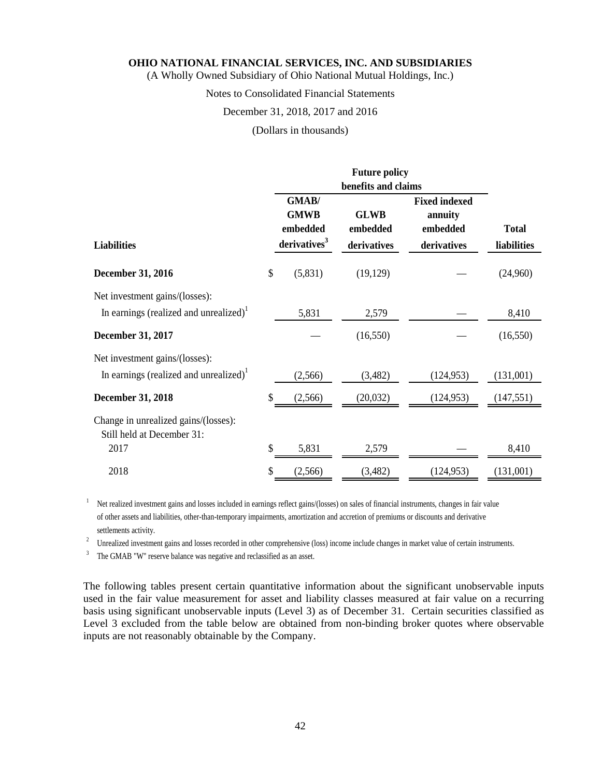(A Wholly Owned Subsidiary of Ohio National Mutual Holdings, Inc.)

Notes to Consolidated Financial Statements

#### December 31, 2018, 2017 and 2016

(Dollars in thousands)

|                                                    |                          | <b>Future policy</b> |                      |              |
|----------------------------------------------------|--------------------------|----------------------|----------------------|--------------|
|                                                    |                          |                      |                      |              |
|                                                    | GMAB/                    |                      | <b>Fixed indexed</b> |              |
|                                                    | <b>GMWB</b>              | <b>GLWB</b>          | annuity              |              |
|                                                    | embedded                 | embedded             | embedded             | <b>Total</b> |
| <b>Liabilities</b>                                 | derivatives <sup>3</sup> | derivatives          | derivatives          | liabilities  |
| <b>December 31, 2016</b>                           | \$<br>(5,831)            | (19, 129)            |                      | (24,960)     |
| Net investment gains/(losses):                     |                          |                      |                      |              |
| In earnings (realized and unrealized) <sup>1</sup> | 5,831                    | 2,579                |                      | 8,410        |
| December 31, 2017                                  |                          | (16, 550)            |                      | (16, 550)    |
| Net investment gains/(losses):                     |                          |                      |                      |              |
| In earnings (realized and unrealized) <sup>1</sup> | (2,566)                  | (3,482)              | (124, 953)           | (131,001)    |
| <b>December 31, 2018</b>                           | \$<br>(2,566)            | (20,032)             | (124, 953)           | (147, 551)   |
| Change in unrealized gains/(losses):               |                          |                      |                      |              |
| Still held at December 31:                         |                          |                      |                      |              |
| 2017                                               | \$<br>5,831              | 2,579                |                      | 8,410        |
| 2018                                               | \$<br>(2,566)            | (3,482)              | (124, 953)           | (131,001)    |

<sup>1</sup> Net realized investment gains and losses included in earnings reflect gains/(losses) on sales of financial instruments, changes in fair value of other assets and liabilities, other-than-temporary impairments, amortization and accretion of premiums or discounts and derivative

settlements activity. 2 Unrealized investment gains and losses recorded in other comprehensive (loss) income include changes in market value of certain instruments.

<sup>3</sup> The GMAB "W" reserve balance was negative and reclassified as an asset.

The following tables present certain quantitative information about the significant unobservable inputs used in the fair value measurement for asset and liability classes measured at fair value on a recurring basis using significant unobservable inputs (Level 3) as of December 31. Certain securities classified as Level 3 excluded from the table below are obtained from non-binding broker quotes where observable inputs are not reasonably obtainable by the Company.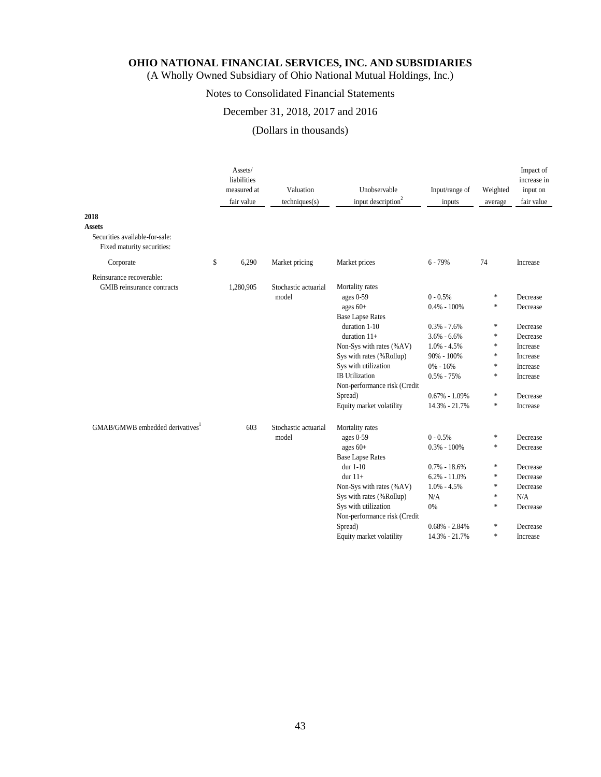(A Wholly Owned Subsidiary of Ohio National Mutual Holdings, Inc.)

# Notes to Consolidated Financial Statements

# December 31, 2018, 2017 and 2016

# (Dollars in thousands)

| 2018<br>Assets                                               | Assets/<br>liabilities<br>measured at<br>fair value | Valuation<br>techniques(s)    | Unobservable<br>input description <sup>2</sup>                                                                                                                                                                                                                                           | Input/range of<br>inputs                                                                                                                                                         | Weighted<br>average                                                                                 | Impact of<br>increase in<br>input on<br>fair value                                                                   |
|--------------------------------------------------------------|-----------------------------------------------------|-------------------------------|------------------------------------------------------------------------------------------------------------------------------------------------------------------------------------------------------------------------------------------------------------------------------------------|----------------------------------------------------------------------------------------------------------------------------------------------------------------------------------|-----------------------------------------------------------------------------------------------------|----------------------------------------------------------------------------------------------------------------------|
| Securities available-for-sale:<br>Fixed maturity securities: |                                                     |                               |                                                                                                                                                                                                                                                                                          |                                                                                                                                                                                  |                                                                                                     |                                                                                                                      |
| Corporate                                                    | \$<br>6,290                                         | Market pricing                | Market prices                                                                                                                                                                                                                                                                            | $6 - 79%$                                                                                                                                                                        | 74                                                                                                  | Increase                                                                                                             |
| Reinsurance recoverable:<br>GMIB reinsurance contracts       | 1,280,905                                           | Stochastic actuarial<br>model | Mortality rates<br>ages $0-59$<br>ages 60+<br><b>Base Lapse Rates</b><br>duration 1-10<br>duration $11+$<br>Non-Sys with rates (%AV)<br>Sys with rates (%Rollup)<br>Sys with utilization<br><b>IB</b> Utilization<br>Non-performance risk (Credit<br>Spread)<br>Equity market volatility | $0 - 0.5%$<br>$0.4\% - 100\%$<br>$0.3\% - 7.6\%$<br>$3.6\% - 6.6\%$<br>$1.0\% - 4.5\%$<br>$90\% - 100\%$<br>$0\% - 16\%$<br>$0.5\% - 75\%$<br>$0.67\% - 1.09\%$<br>14.3% - 21.7% | $\ast$<br>$\ast$<br>$\ast$<br>$\ast$<br>$\ast$<br>$\ast$<br>$\ast$<br>$\ast$<br>$\ast$<br>$\approx$ | Decrease<br>Decrease<br>Decrease<br>Decrease<br>Increase<br>Increase<br>Increase<br>Increase<br>Decrease<br>Increase |
| GMAB/GMWB embedded derivatives                               | 603                                                 | Stochastic actuarial<br>model | Mortality rates<br>ages $0-59$<br>ages $60+$<br><b>Base Lapse Rates</b><br>dur $1-10$<br>dur $11+$<br>Non-Sys with rates (%AV)<br>Sys with rates (%Rollup)<br>Sys with utilization<br>Non-performance risk (Credit<br>Spread)<br>Equity market volatility                                | $0 - 0.5%$<br>$0.3\% - 100\%$<br>$0.7\% - 18.6\%$<br>$6.2\% - 11.0\%$<br>$1.0\% - 4.5\%$<br>N/A<br>0%<br>$0.68\% - 2.84\%$<br>14.3% - 21.7%                                      | $\ast$<br>$\ast$<br>$\ast$<br>$\ast$<br>$\ast$<br>$\ast$<br>$\ast$<br>$\ast$<br>$\frac{1}{2^k}$     | Decrease<br>Decrease<br>Decrease<br>Decrease<br>Decrease<br>N/A<br>Decrease<br>Decrease<br>Increase                  |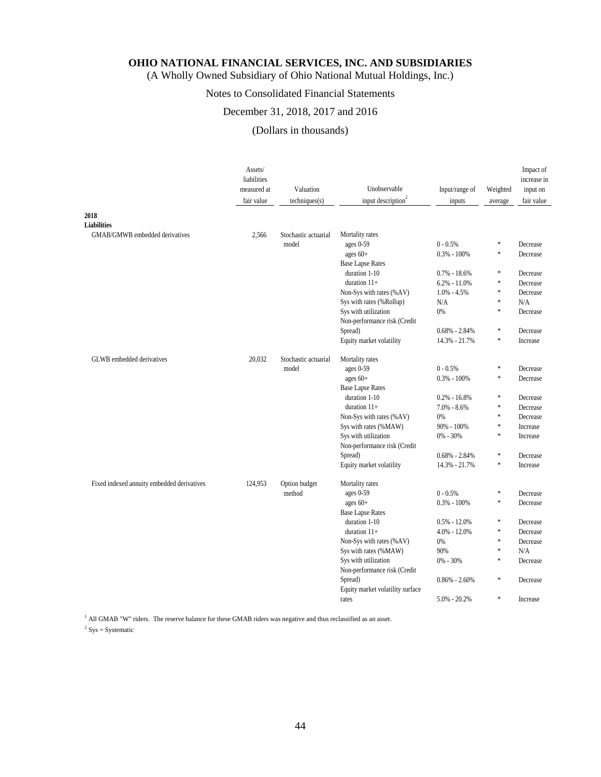(A Wholly Owned Subsidiary of Ohio National Mutual Holdings, Inc.)

# Notes to Consolidated Financial Statements

# December 31, 2018, 2017 and 2016

# (Dollars in thousands)

|                                            | Assets/<br>liabilities<br>measured at<br>fair value | Valuation<br>techniques(s) | Unobservable<br>input description <sup>2</sup> | Input/range of<br>inputs | Weighted<br>average | Impact of<br>increase in<br>input on<br>fair value |
|--------------------------------------------|-----------------------------------------------------|----------------------------|------------------------------------------------|--------------------------|---------------------|----------------------------------------------------|
| 2018                                       |                                                     |                            |                                                |                          |                     |                                                    |
| <b>Liabilities</b>                         |                                                     |                            |                                                |                          |                     |                                                    |
| GMAB/GMWB embedded derivatives             | 2.566                                               | Stochastic actuarial       | Mortality rates                                |                          |                     |                                                    |
|                                            |                                                     | model                      | ages 0-59                                      | $0 - 0.5%$               | $\ast$              | Decrease                                           |
|                                            |                                                     |                            | ages $60+$                                     | $0.3\% - 100\%$          | $\ast$              | Decrease                                           |
|                                            |                                                     |                            | <b>Base Lapse Rates</b>                        |                          |                     |                                                    |
|                                            |                                                     |                            | duration 1-10                                  | $0.7\% - 18.6\%$         | $\ast$              | Decrease                                           |
|                                            |                                                     |                            | duration 11+                                   | $6.2\% - 11.0\%$         | $\ast$              | Decrease                                           |
|                                            |                                                     |                            | Non-Sys with rates (%AV)                       | $1.0\% - 4.5\%$          | *                   | Decrease                                           |
|                                            |                                                     |                            | Sys with rates (%Rollup)                       | N/A                      | $\ast$              | N/A                                                |
|                                            |                                                     |                            | Sys with utilization                           | 0%                       | $\ast$              | Decrease                                           |
|                                            |                                                     |                            | Non-performance risk (Credit                   |                          |                     |                                                    |
|                                            |                                                     |                            | Spread)                                        | $0.68\% - 2.84\%$        | *                   | Decrease                                           |
|                                            |                                                     |                            | Equity market volatility                       | 14.3% - 21.7%            | $\ast$              | Increase                                           |
| GLWB embedded derivatives                  | 20,032                                              | Stochastic actuarial       | Mortality rates                                |                          |                     |                                                    |
|                                            |                                                     | model                      | ages 0-59                                      | $0 - 0.5%$               | $\ast$              | Decrease                                           |
|                                            |                                                     |                            | ages 60+                                       | $0.3\% - 100\%$          | *                   | Decrease                                           |
|                                            |                                                     |                            | <b>Base Lapse Rates</b>                        |                          |                     |                                                    |
|                                            |                                                     |                            | duration 1-10                                  | $0.2\% - 16.8\%$         | $\ast$              | Decrease                                           |
|                                            |                                                     |                            | duration 11+                                   | $7.0\% - 8.6\%$          | $\ast$              | Decrease                                           |
|                                            |                                                     |                            | Non-Sys with rates (%AV)                       | 0%                       | *                   | Decrease                                           |
|                                            |                                                     |                            | Sys with rates (%MAW)                          | 90% - 100%               | *                   | Increase                                           |
|                                            |                                                     |                            | Sys with utilization                           | 0% - 30%                 | $\ast$              | Increase                                           |
|                                            |                                                     |                            | Non-performance risk (Credit                   |                          |                     |                                                    |
|                                            |                                                     |                            | Spread)                                        | $0.68\% - 2.84\%$        | $\ast$              | Decrease                                           |
|                                            |                                                     |                            | Equity market volatility                       | 14.3% - 21.7%            | $\ast$              | Increase                                           |
| Fixed indexed annuity embedded derivatives | 124,953                                             | Option budget              | Mortality rates                                |                          |                     |                                                    |
|                                            |                                                     | method                     | ages 0-59                                      | $0 - 0.5%$               | $\ast$              | Decrease                                           |
|                                            |                                                     |                            | ages $60+$                                     | $0.3\% - 100\%$          | $\ast$              | Decrease                                           |
|                                            |                                                     |                            | <b>Base Lapse Rates</b>                        |                          |                     |                                                    |
|                                            |                                                     |                            | duration 1-10                                  | $0.5\% - 12.0\%$         | $\ast$              | Decrease                                           |
|                                            |                                                     |                            | duration $11+$                                 | $4.0\% - 12.0\%$         | $\ast$              | Decrease                                           |
|                                            |                                                     |                            | Non-Sys with rates (%AV)                       | 0%                       | *                   | Decrease                                           |
|                                            |                                                     |                            | Sys with rates (%MAW)                          | 90%                      | $\ast$              | N/A                                                |
|                                            |                                                     |                            | Sys with utilization                           | 0% - 30%                 | $\ast$              | Decrease                                           |
|                                            |                                                     |                            | Non-performance risk (Credit                   |                          |                     |                                                    |
|                                            |                                                     |                            | Spread)                                        | $0.86\% - 2.60\%$        | $\ast$              | Decrease                                           |
|                                            |                                                     |                            | Equity market volatility surface               |                          |                     |                                                    |
|                                            |                                                     |                            | rates                                          | $5.0\% - 20.2\%$         | $\ast$              | Increase                                           |

<sup>1</sup> All GMAB "W" riders. The reserve balance for these GMAB riders was negative and thus reclassified as an asset.

 $2$  Sys = Systematic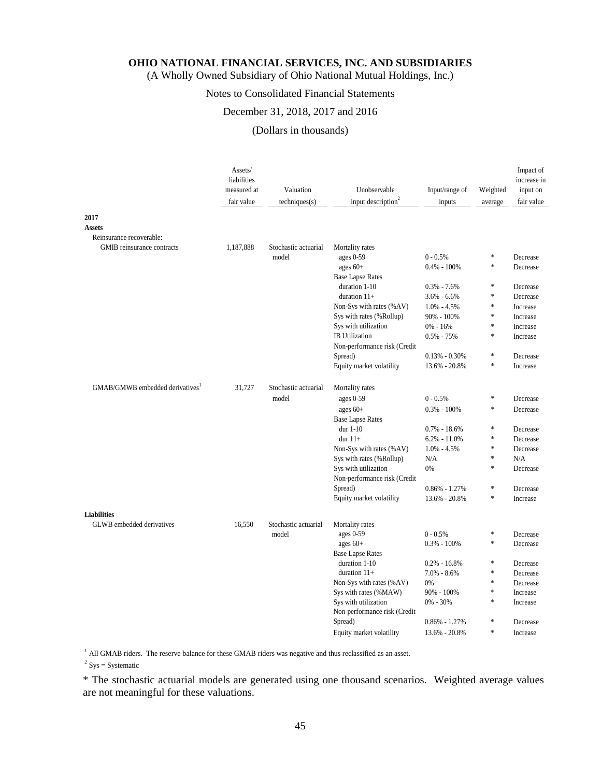(A Wholly Owned Subsidiary of Ohio National Mutual Holdings, Inc.)

# Notes to Consolidated Financial Statements

#### December 31, 2018, 2017 and 2016

# (Dollars in thousands)

|                                | Assets/<br>liabilities<br>measured at<br>fair value | Valuation<br>techniques(s) | Unobservable<br>input description <sup>2</sup>   | Input/range of<br>inputs             | Weighted<br>average | Impact of<br>increase in<br>input on<br>fair value |
|--------------------------------|-----------------------------------------------------|----------------------------|--------------------------------------------------|--------------------------------------|---------------------|----------------------------------------------------|
| 2017                           |                                                     |                            |                                                  |                                      |                     |                                                    |
| <b>Assets</b>                  |                                                     |                            |                                                  |                                      |                     |                                                    |
| Reinsurance recoverable:       |                                                     |                            |                                                  |                                      |                     |                                                    |
| GMIB reinsurance contracts     | 1,187,888                                           | Stochastic actuarial       | Mortality rates                                  |                                      |                     |                                                    |
|                                |                                                     | model                      | ages $0-59$                                      | $0 - 0.5%$                           | $\ast$              | Decrease                                           |
|                                |                                                     |                            | ages $60+$                                       | $0.4\% - 100\%$                      | $\ast$              | Decrease                                           |
|                                |                                                     |                            | <b>Base Lapse Rates</b>                          |                                      |                     |                                                    |
|                                |                                                     |                            | duration 1-10                                    | $0.3\% - 7.6\%$                      | $\ast$              | Decrease                                           |
|                                |                                                     |                            | duration $11+$                                   | $3.6\% - 6.6\%$                      | $\ast$              | Decrease                                           |
|                                |                                                     |                            | Non-Sys with rates (%AV)                         | $1.0\% - 4.5\%$                      | $\ast$              | Increase                                           |
|                                |                                                     |                            | Sys with rates (%Rollup)                         | 90% - 100%                           | $\ast$              | Increase                                           |
|                                |                                                     |                            | Sys with utilization                             | $0\% - 16\%$                         | $\ast$              | Increase                                           |
|                                |                                                     |                            | <b>IB</b> Utilization                            | $0.5\% - 75\%$                       | $\ast$              | Increase                                           |
|                                |                                                     |                            | Non-performance risk (Credit                     |                                      |                     |                                                    |
|                                |                                                     |                            | Spread)                                          | $0.13\% - 0.30\%$                    | $\ast$              | Decrease                                           |
|                                |                                                     |                            | Equity market volatility                         | 13.6% - 20.8%                        | *                   | Increase                                           |
| GMAB/GMWB embedded derivatives | 31,727                                              | Stochastic actuarial       | Mortality rates                                  |                                      |                     |                                                    |
|                                |                                                     | model                      | ages 0-59                                        | $0 - 0.5%$                           | $\ast$              | Decrease                                           |
|                                |                                                     |                            | ages $60+$                                       | $0.3\% - 100\%$                      | $\ast$              | Decrease                                           |
|                                |                                                     |                            |                                                  |                                      |                     |                                                    |
|                                |                                                     |                            | <b>Base Lapse Rates</b><br>dur 1-10              |                                      | $\ast$              |                                                    |
|                                |                                                     |                            | dur $11+$                                        | $0.7\% - 18.6\%$<br>$6.2\% - 11.0\%$ | $\ast$              | Decrease<br>Decrease                               |
|                                |                                                     |                            | Non-Sys with rates (%AV)                         | $1.0\% - 4.5\%$                      | $\ast$              | Decrease                                           |
|                                |                                                     |                            |                                                  | N/A                                  | $\ast$              | N/A                                                |
|                                |                                                     |                            | Sys with rates (%Rollup)<br>Sys with utilization | 0%                                   | $\ast$              | Decrease                                           |
|                                |                                                     |                            | Non-performance risk (Credit                     |                                      |                     |                                                    |
|                                |                                                     |                            | Spread)                                          | $0.86\% - 1.27\%$                    | $\ast$              | Decrease                                           |
|                                |                                                     |                            | Equity market volatility                         | 13.6% - 20.8%                        | $\ast$              | Increase                                           |
|                                |                                                     |                            |                                                  |                                      |                     |                                                    |
| <b>Liabilities</b>             |                                                     |                            |                                                  |                                      |                     |                                                    |
| GLWB embedded derivatives      | 16,550                                              | Stochastic actuarial       | Mortality rates                                  |                                      |                     |                                                    |
|                                |                                                     | model                      | ages 0-59                                        | $0 - 0.5%$                           | *                   | Decrease                                           |
|                                |                                                     |                            | ages $60+$                                       | $0.3\% - 100\%$                      | *                   | Decrease                                           |
|                                |                                                     |                            | <b>Base Lapse Rates</b>                          |                                      |                     |                                                    |
|                                |                                                     |                            | duration 1-10                                    | $0.2\% - 16.8\%$                     | *                   | Decrease                                           |
|                                |                                                     |                            | duration $11+$                                   | $7.0\% - 8.6\%$                      | *                   | Decrease                                           |
|                                |                                                     |                            | Non-Sys with rates (%AV)                         | 0%                                   | *                   | Decrease                                           |
|                                |                                                     |                            | Sys with rates (%MAW)                            | $90\% - 100\%$                       | *                   | Increase                                           |
|                                |                                                     |                            | Sys with utilization                             | 0% - 30%                             | *                   | Increase                                           |
|                                |                                                     |                            | Non-performance risk (Credit                     |                                      |                     |                                                    |
|                                |                                                     |                            | Spread)                                          | $0.86\% - 1.27\%$                    | ∗                   | Decrease                                           |
|                                |                                                     |                            | Equity market volatility                         | 13.6% - 20.8%                        | *                   | Increase                                           |

<sup>1</sup> All GMAB riders. The reserve balance for these GMAB riders was negative and thus reclassified as an asset.

 $2$  Sys = Systematic

\* The stochastic actuarial models are generated using one thousand scenarios. Weighted average values are not meaningful for these valuations.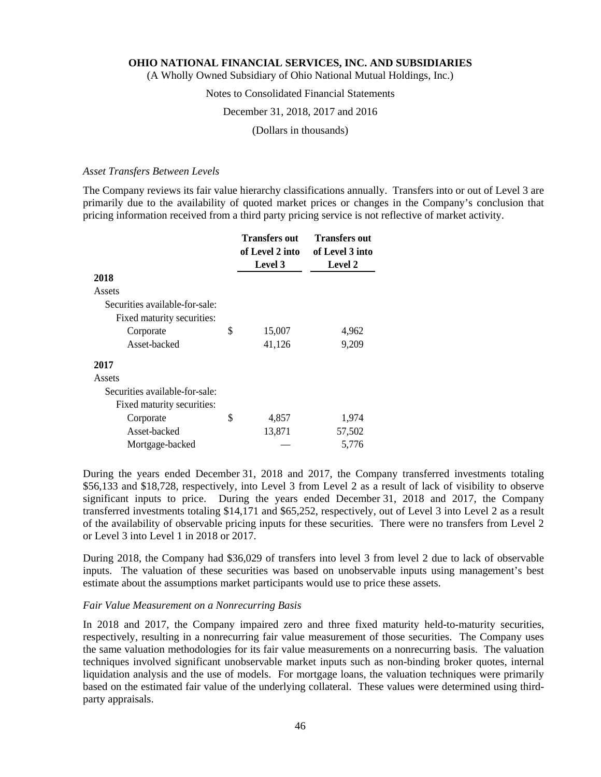(A Wholly Owned Subsidiary of Ohio National Mutual Holdings, Inc.)

# Notes to Consolidated Financial Statements

#### December 31, 2018, 2017 and 2016

(Dollars in thousands)

#### *Asset Transfers Between Levels*

The Company reviews its fair value hierarchy classifications annually. Transfers into or out of Level 3 are primarily due to the availability of quoted market prices or changes in the Company's conclusion that pricing information received from a third party pricing service is not reflective of market activity.

|                                | <b>Transfers out</b><br>of Level 2 into<br>Level 3 | <b>Transfers out</b><br>of Level 3 into<br><b>Level 2</b> |
|--------------------------------|----------------------------------------------------|-----------------------------------------------------------|
| 2018                           |                                                    |                                                           |
| Assets                         |                                                    |                                                           |
| Securities available-for-sale: |                                                    |                                                           |
| Fixed maturity securities:     |                                                    |                                                           |
| Corporate                      | \$<br>15,007                                       | 4,962                                                     |
| Asset-backed                   | 41,126                                             | 9,209                                                     |
| 2017                           |                                                    |                                                           |
| Assets                         |                                                    |                                                           |
| Securities available-for-sale: |                                                    |                                                           |
| Fixed maturity securities:     |                                                    |                                                           |
| Corporate                      | \$<br>4,857                                        | 1,974                                                     |
| Asset-backed                   | 13,871                                             | 57,502                                                    |
| Mortgage-backed                |                                                    | 5.776                                                     |

During the years ended December 31, 2018 and 2017, the Company transferred investments totaling \$56,133 and \$18,728, respectively, into Level 3 from Level 2 as a result of lack of visibility to observe significant inputs to price. During the years ended December 31, 2018 and 2017, the Company transferred investments totaling \$14,171 and \$65,252, respectively, out of Level 3 into Level 2 as a result of the availability of observable pricing inputs for these securities. There were no transfers from Level 2 or Level 3 into Level 1 in 2018 or 2017.

During 2018, the Company had \$36,029 of transfers into level 3 from level 2 due to lack of observable inputs. The valuation of these securities was based on unobservable inputs using management's best estimate about the assumptions market participants would use to price these assets.

#### *Fair Value Measurement on a Nonrecurring Basis*

In 2018 and 2017, the Company impaired zero and three fixed maturity held-to-maturity securities, respectively, resulting in a nonrecurring fair value measurement of those securities. The Company uses the same valuation methodologies for its fair value measurements on a nonrecurring basis. The valuation techniques involved significant unobservable market inputs such as non-binding broker quotes, internal liquidation analysis and the use of models. For mortgage loans, the valuation techniques were primarily based on the estimated fair value of the underlying collateral. These values were determined using thirdparty appraisals.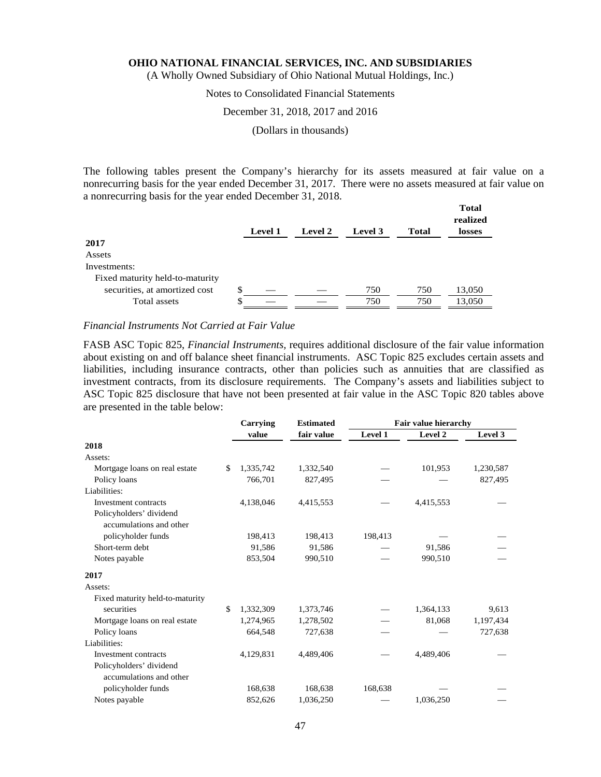(A Wholly Owned Subsidiary of Ohio National Mutual Holdings, Inc.)

# Notes to Consolidated Financial Statements

#### December 31, 2018, 2017 and 2016

(Dollars in thousands)

The following tables present the Company's hierarchy for its assets measured at fair value on a nonrecurring basis for the year ended December 31, 2017. There were no assets measured at fair value on a nonrecurring basis for the year ended December 31, 2018.

|                                 | <b>Level 1</b> | <b>Level 2</b> | Level 3 | <b>Total</b> | <b>Total</b><br>realized<br>losses |
|---------------------------------|----------------|----------------|---------|--------------|------------------------------------|
| 2017                            |                |                |         |              |                                    |
| Assets                          |                |                |         |              |                                    |
| Investments:                    |                |                |         |              |                                    |
| Fixed maturity held-to-maturity |                |                |         |              |                                    |
| securities, at amortized cost   | \$             |                | 750     | 750          | 13,050                             |
| Total assets                    | \$             |                | 750     | 750          | 13,050                             |

*Financial Instruments Not Carried at Fair Value* 

FASB ASC Topic 825, *Financial Instruments,* requires additional disclosure of the fair value information about existing on and off balance sheet financial instruments. ASC Topic 825 excludes certain assets and liabilities, including insurance contracts, other than policies such as annuities that are classified as investment contracts, from its disclosure requirements. The Company's assets and liabilities subject to ASC Topic 825 disclosure that have not been presented at fair value in the ASC Topic 820 tables above are presented in the table below:

|                                                    | Carrying        | <b>Estimated</b><br>Fair value hierarchy |         |           |           |
|----------------------------------------------------|-----------------|------------------------------------------|---------|-----------|-----------|
|                                                    | value           | fair value                               | Level 1 | Level 2   | Level 3   |
| 2018                                               |                 |                                          |         |           |           |
| Assets:                                            |                 |                                          |         |           |           |
| Mortgage loans on real estate                      | \$<br>1,335,742 | 1,332,540                                |         | 101,953   | 1,230,587 |
| Policy loans                                       | 766,701         | 827,495                                  |         |           | 827,495   |
| Liabilities:                                       |                 |                                          |         |           |           |
| Investment contracts                               | 4,138,046       | 4,415,553                                |         | 4,415,553 |           |
| Policyholders' dividend<br>accumulations and other |                 |                                          |         |           |           |
| policyholder funds                                 | 198,413         | 198,413                                  | 198,413 |           |           |
| Short-term debt                                    | 91,586          | 91,586                                   |         | 91,586    |           |
| Notes payable                                      | 853,504         | 990,510                                  |         | 990,510   |           |
| 2017                                               |                 |                                          |         |           |           |
| Assets:                                            |                 |                                          |         |           |           |
| Fixed maturity held-to-maturity                    |                 |                                          |         |           |           |
| securities                                         | \$<br>1,332,309 | 1,373,746                                |         | 1,364,133 | 9,613     |
| Mortgage loans on real estate                      | 1,274,965       | 1,278,502                                |         | 81,068    | 1,197,434 |
| Policy loans                                       | 664,548         | 727,638                                  |         |           | 727,638   |
| Liabilities:                                       |                 |                                          |         |           |           |
| Investment contracts                               | 4,129,831       | 4,489,406                                |         | 4,489,406 |           |
| Policyholders' dividend<br>accumulations and other |                 |                                          |         |           |           |
| policyholder funds                                 | 168,638         | 168,638                                  | 168,638 |           |           |
| Notes payable                                      | 852,626         | 1,036,250                                |         | 1,036,250 |           |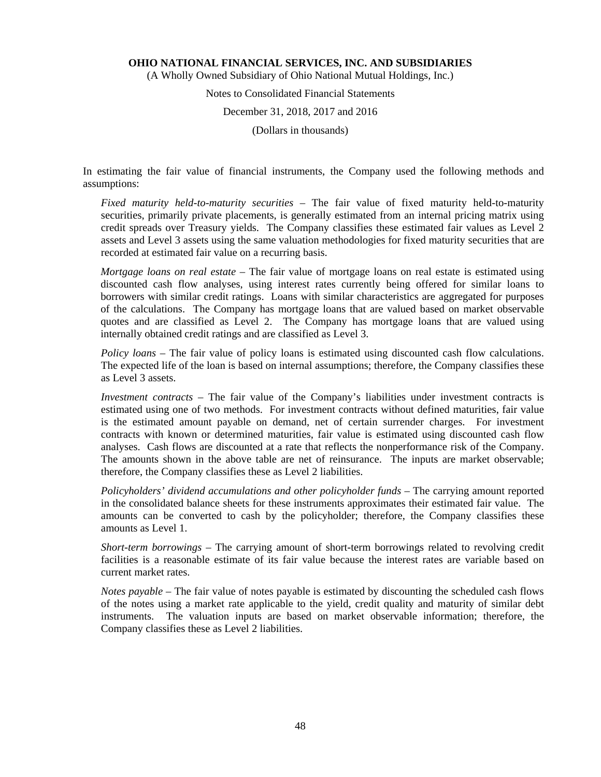(A Wholly Owned Subsidiary of Ohio National Mutual Holdings, Inc.)

# Notes to Consolidated Financial Statements

# December 31, 2018, 2017 and 2016

(Dollars in thousands)

In estimating the fair value of financial instruments, the Company used the following methods and assumptions:

*Fixed maturity held-to-maturity securities* – The fair value of fixed maturity held-to-maturity securities, primarily private placements, is generally estimated from an internal pricing matrix using credit spreads over Treasury yields. The Company classifies these estimated fair values as Level 2 assets and Level 3 assets using the same valuation methodologies for fixed maturity securities that are recorded at estimated fair value on a recurring basis.

*Mortgage loans on real estate* – The fair value of mortgage loans on real estate is estimated using discounted cash flow analyses, using interest rates currently being offered for similar loans to borrowers with similar credit ratings. Loans with similar characteristics are aggregated for purposes of the calculations. The Company has mortgage loans that are valued based on market observable quotes and are classified as Level 2. The Company has mortgage loans that are valued using internally obtained credit ratings and are classified as Level 3.

*Policy loans* – The fair value of policy loans is estimated using discounted cash flow calculations. The expected life of the loan is based on internal assumptions; therefore, the Company classifies these as Level 3 assets.

*Investment contracts* – The fair value of the Company's liabilities under investment contracts is estimated using one of two methods. For investment contracts without defined maturities, fair value is the estimated amount payable on demand, net of certain surrender charges. For investment contracts with known or determined maturities, fair value is estimated using discounted cash flow analyses. Cash flows are discounted at a rate that reflects the nonperformance risk of the Company. The amounts shown in the above table are net of reinsurance. The inputs are market observable; therefore, the Company classifies these as Level 2 liabilities.

*Policyholders' dividend accumulations and other policyholder funds - The carrying amount reported* in the consolidated balance sheets for these instruments approximates their estimated fair value. The amounts can be converted to cash by the policyholder; therefore, the Company classifies these amounts as Level 1.

*Short-term borrowings* – The carrying amount of short-term borrowings related to revolving credit facilities is a reasonable estimate of its fair value because the interest rates are variable based on current market rates.

*Notes payable* – The fair value of notes payable is estimated by discounting the scheduled cash flows of the notes using a market rate applicable to the yield, credit quality and maturity of similar debt instruments. The valuation inputs are based on market observable information; therefore, the Company classifies these as Level 2 liabilities.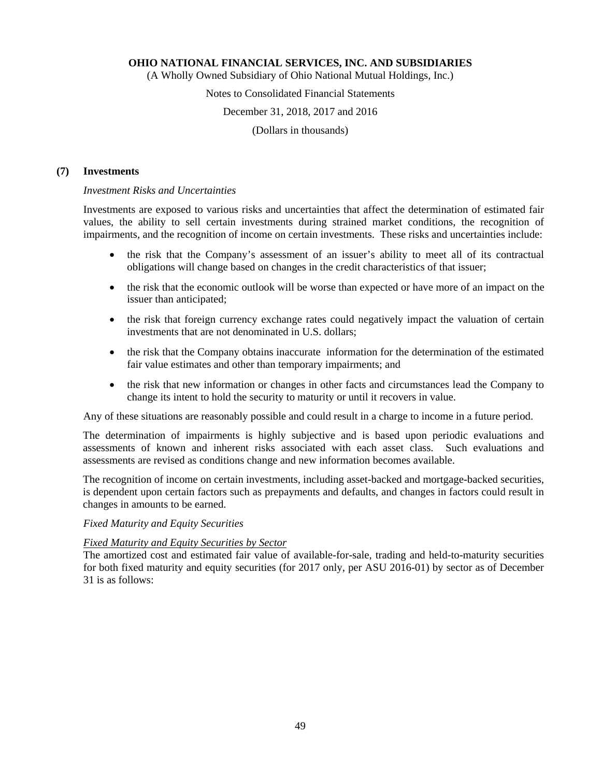(A Wholly Owned Subsidiary of Ohio National Mutual Holdings, Inc.)

# Notes to Consolidated Financial Statements

#### December 31, 2018, 2017 and 2016

(Dollars in thousands)

#### **(7) Investments**

#### *Investment Risks and Uncertainties*

Investments are exposed to various risks and uncertainties that affect the determination of estimated fair values, the ability to sell certain investments during strained market conditions, the recognition of impairments, and the recognition of income on certain investments. These risks and uncertainties include:

- the risk that the Company's assessment of an issuer's ability to meet all of its contractual obligations will change based on changes in the credit characteristics of that issuer;
- the risk that the economic outlook will be worse than expected or have more of an impact on the issuer than anticipated;
- the risk that foreign currency exchange rates could negatively impact the valuation of certain investments that are not denominated in U.S. dollars;
- the risk that the Company obtains inaccurate information for the determination of the estimated fair value estimates and other than temporary impairments; and
- the risk that new information or changes in other facts and circumstances lead the Company to change its intent to hold the security to maturity or until it recovers in value.

Any of these situations are reasonably possible and could result in a charge to income in a future period.

The determination of impairments is highly subjective and is based upon periodic evaluations and assessments of known and inherent risks associated with each asset class. Such evaluations and assessments are revised as conditions change and new information becomes available.

The recognition of income on certain investments, including asset-backed and mortgage-backed securities, is dependent upon certain factors such as prepayments and defaults, and changes in factors could result in changes in amounts to be earned.

### *Fixed Maturity and Equity Securities*

#### *Fixed Maturity and Equity Securities by Sector*

The amortized cost and estimated fair value of available-for-sale, trading and held-to-maturity securities for both fixed maturity and equity securities (for 2017 only, per ASU 2016-01) by sector as of December 31 is as follows: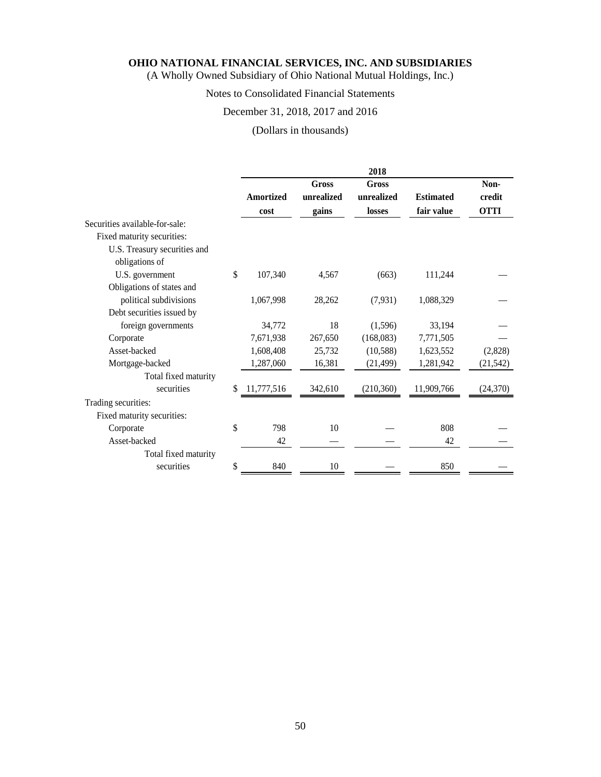(A Wholly Owned Subsidiary of Ohio National Mutual Holdings, Inc.)

# Notes to Consolidated Financial Statements

# December 31, 2018, 2017 and 2016

(Dollars in thousands)

| Gross<br>Gross<br>unrealized<br>unrealized<br>Amortized<br><b>Estimated</b> | Non-<br>credit |
|-----------------------------------------------------------------------------|----------------|
| fair value<br>gains<br>losses<br>cost                                       | <b>OTTI</b>    |
| Securities available-for-sale:                                              |                |
| Fixed maturity securities:                                                  |                |
| U.S. Treasury securities and<br>obligations of                              |                |
| \$<br>107,340<br>U.S. government<br>4,567<br>(663)<br>111,244               |                |
| Obligations of states and                                                   |                |
| political subdivisions<br>28,262<br>1,067,998<br>(7, 931)<br>1,088,329      |                |
| Debt securities issued by                                                   |                |
| 18<br>33,194<br>foreign governments<br>34,772<br>(1,596)                    |                |
| (168,083)<br>7,771,505<br>Corporate<br>7,671,938<br>267,650                 |                |
| Asset-backed<br>1,608,408<br>25,732<br>(10,588)<br>1,623,552                | (2,828)        |
| Mortgage-backed<br>1,287,060<br>16,381<br>1,281,942<br>(21, 499)            | (21, 542)      |
| Total fixed maturity                                                        |                |
| securities<br>\$<br>11,777,516<br>342,610<br>(210, 360)<br>11,909,766       | (24, 370)      |
| Trading securities:                                                         |                |
| Fixed maturity securities:                                                  |                |
| \$<br>10<br>798<br>Corporate                                                | 808            |
| Asset-backed<br>42                                                          | 42             |
| Total fixed maturity                                                        |                |
| \$<br>840<br>10<br>securities                                               | 850            |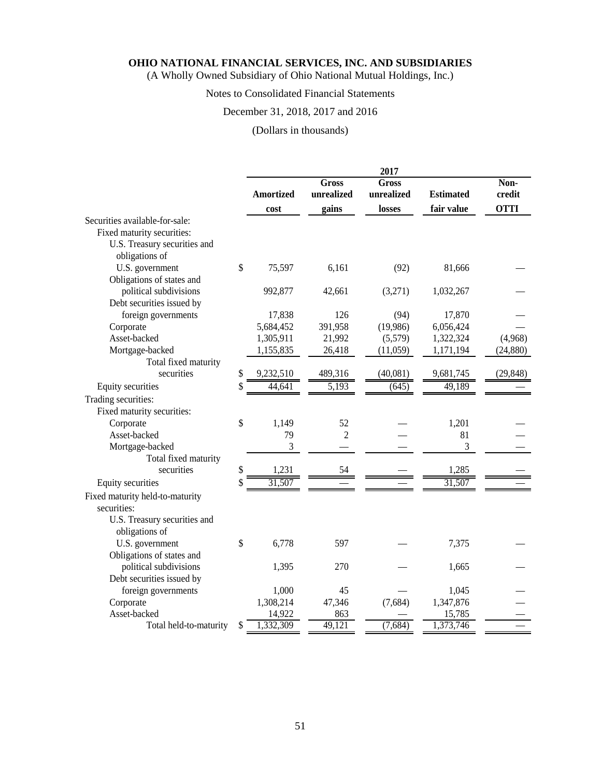(A Wholly Owned Subsidiary of Ohio National Mutual Holdings, Inc.)

# Notes to Consolidated Financial Statements

# December 31, 2018, 2017 and 2016

# (Dollars in thousands)

|                                 | 2017             |                            |                     |                  |                |  |  |  |
|---------------------------------|------------------|----------------------------|---------------------|------------------|----------------|--|--|--|
|                                 | <b>Amortized</b> | <b>Gross</b><br>unrealized | Gross<br>unrealized | <b>Estimated</b> | Non-<br>credit |  |  |  |
|                                 | cost             | gains                      | losses              | fair value       | <b>OTTI</b>    |  |  |  |
| Securities available-for-sale:  |                  |                            |                     |                  |                |  |  |  |
| Fixed maturity securities:      |                  |                            |                     |                  |                |  |  |  |
| U.S. Treasury securities and    |                  |                            |                     |                  |                |  |  |  |
| obligations of                  |                  |                            |                     |                  |                |  |  |  |
| U.S. government                 | \$<br>75,597     | 6,161                      | (92)                | 81,666           |                |  |  |  |
| Obligations of states and       |                  |                            |                     |                  |                |  |  |  |
| political subdivisions          | 992,877          | 42,661                     | (3,271)             | 1,032,267        |                |  |  |  |
| Debt securities issued by       |                  |                            |                     |                  |                |  |  |  |
| foreign governments             | 17,838           | 126                        | (94)                | 17,870           |                |  |  |  |
| Corporate                       | 5,684,452        | 391,958                    | (19,986)            | 6,056,424        |                |  |  |  |
| Asset-backed                    | 1,305,911        | 21,992                     | (5,579)             | 1,322,324        | (4,968)        |  |  |  |
| Mortgage-backed                 | 1,155,835        | 26,418                     | (11,059)            | 1,171,194        | (24, 880)      |  |  |  |
| Total fixed maturity            |                  |                            |                     |                  |                |  |  |  |
| securities                      | \$<br>9,232,510  | 489,316                    | (40,081)            | 9,681,745        | (29, 848)      |  |  |  |
| Equity securities               | \$<br>44,641     | 5,193                      | (645)               | 49,189           |                |  |  |  |
| Trading securities:             |                  |                            |                     |                  |                |  |  |  |
| Fixed maturity securities:      |                  |                            |                     |                  |                |  |  |  |
| Corporate                       | \$<br>1,149      | 52                         |                     | 1,201            |                |  |  |  |
| Asset-backed                    | 79               | $\overline{2}$             |                     | 81               |                |  |  |  |
| Mortgage-backed                 | 3                |                            |                     | 3                |                |  |  |  |
| Total fixed maturity            |                  |                            |                     |                  |                |  |  |  |
| securities                      | \$<br>1,231      | 54                         |                     | 1,285            |                |  |  |  |
| Equity securities               | \$<br>31,507     |                            |                     | 31,507           |                |  |  |  |
| Fixed maturity held-to-maturity |                  |                            |                     |                  |                |  |  |  |
| securities:                     |                  |                            |                     |                  |                |  |  |  |
| U.S. Treasury securities and    |                  |                            |                     |                  |                |  |  |  |
| obligations of                  |                  |                            |                     |                  |                |  |  |  |
| U.S. government                 | \$<br>6,778      | 597                        |                     | 7,375            |                |  |  |  |
| Obligations of states and       |                  |                            |                     |                  |                |  |  |  |
| political subdivisions          | 1,395            | 270                        |                     | 1,665            |                |  |  |  |
| Debt securities issued by       |                  |                            |                     |                  |                |  |  |  |
| foreign governments             | 1,000            | 45                         |                     | 1,045            |                |  |  |  |
| Corporate                       | 1,308,214        | 47,346                     | (7,684)             | 1,347,876        |                |  |  |  |
| Asset-backed                    | 14,922           | 863                        |                     | 15,785           |                |  |  |  |
| Total held-to-maturity          | \$<br>1,332,309  | 49,121                     | (7,684)             | 1,373,746        |                |  |  |  |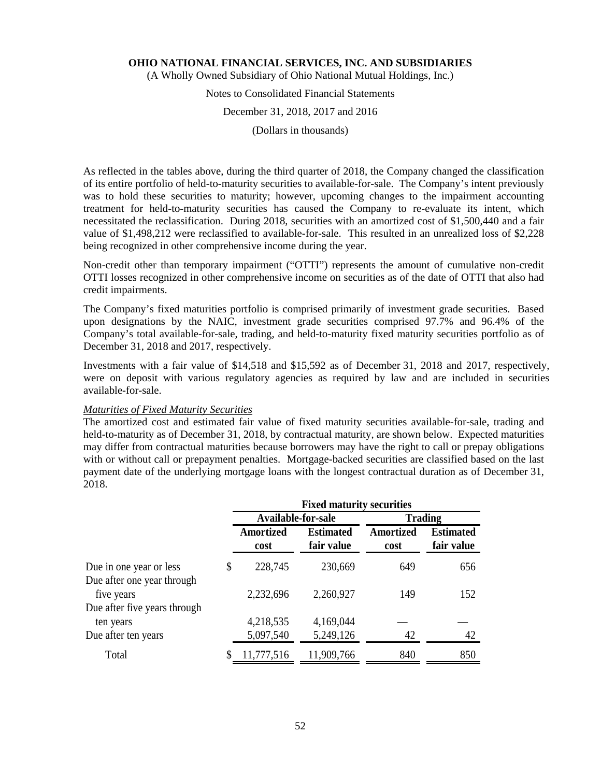(A Wholly Owned Subsidiary of Ohio National Mutual Holdings, Inc.)

# Notes to Consolidated Financial Statements

#### December 31, 2018, 2017 and 2016

(Dollars in thousands)

As reflected in the tables above, during the third quarter of 2018, the Company changed the classification of its entire portfolio of held-to-maturity securities to available-for-sale. The Company's intent previously was to hold these securities to maturity; however, upcoming changes to the impairment accounting treatment for held-to-maturity securities has caused the Company to re-evaluate its intent, which necessitated the reclassification. During 2018, securities with an amortized cost of \$1,500,440 and a fair value of \$1,498,212 were reclassified to available-for-sale. This resulted in an unrealized loss of \$2,228 being recognized in other comprehensive income during the year.

Non-credit other than temporary impairment ("OTTI") represents the amount of cumulative non-credit OTTI losses recognized in other comprehensive income on securities as of the date of OTTI that also had credit impairments.

The Company's fixed maturities portfolio is comprised primarily of investment grade securities. Based upon designations by the NAIC, investment grade securities comprised 97.7% and 96.4% of the Company's total available-for-sale, trading, and held-to-maturity fixed maturity securities portfolio as of December 31, 2018 and 2017, respectively.

Investments with a fair value of \$14,518 and \$15,592 as of December 31, 2018 and 2017, respectively, were on deposit with various regulatory agencies as required by law and are included in securities available-for-sale.

#### *Maturities of Fixed Maturity Securities*

The amortized cost and estimated fair value of fixed maturity securities available-for-sale, trading and held-to-maturity as of December 31, 2018, by contractual maturity, are shown below. Expected maturities may differ from contractual maturities because borrowers may have the right to call or prepay obligations with or without call or prepayment penalties. Mortgage-backed securities are classified based on the last payment date of the underlying mortgage loans with the longest contractual duration as of December 31, 2018.

|                                                       | <b>Fixed maturity securities</b> |                                |                          |                                |  |  |  |  |
|-------------------------------------------------------|----------------------------------|--------------------------------|--------------------------|--------------------------------|--|--|--|--|
|                                                       |                                  | Available-for-sale             |                          | <b>Trading</b>                 |  |  |  |  |
|                                                       | <b>Amortized</b><br>cost         | <b>Estimated</b><br>fair value | <b>Amortized</b><br>cost | <b>Estimated</b><br>fair value |  |  |  |  |
| Due in one year or less<br>Due after one year through | \$<br>228,745                    | 230,669                        | 649                      | 656                            |  |  |  |  |
| five years<br>Due after five years through            | 2,232,696                        | 2,260,927                      | 149                      | 152                            |  |  |  |  |
| ten years                                             | 4,218,535                        | 4,169,044                      |                          |                                |  |  |  |  |
| Due after ten years                                   | 5,097,540                        | 5,249,126                      | 42                       | 42                             |  |  |  |  |
| Total                                                 | 11,777,516                       | 11,909,766                     | 840                      | 850                            |  |  |  |  |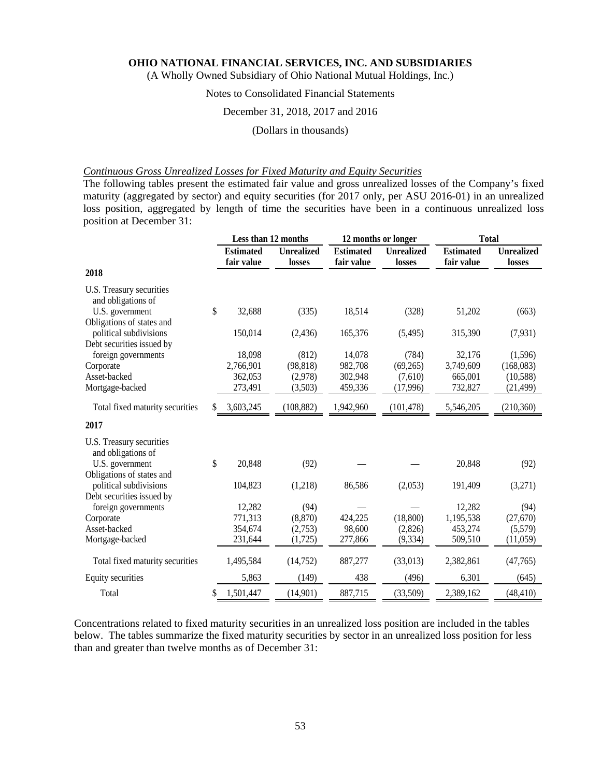(A Wholly Owned Subsidiary of Ohio National Mutual Holdings, Inc.)

# Notes to Consolidated Financial Statements

#### December 31, 2018, 2017 and 2016

#### (Dollars in thousands)

### *Continuous Gross Unrealized Losses for Fixed Maturity and Equity Securities*

The following tables present the estimated fair value and gross unrealized losses of the Company's fixed maturity (aggregated by sector) and equity securities (for 2017 only, per ASU 2016-01) in an unrealized loss position, aggregated by length of time the securities have been in a continuous unrealized loss position at December 31:

|                                                     | Less than 12 months            |                             |                                | 12 months or longer         | <b>Total</b>                   |                             |
|-----------------------------------------------------|--------------------------------|-----------------------------|--------------------------------|-----------------------------|--------------------------------|-----------------------------|
|                                                     | <b>Estimated</b><br>fair value | <b>Unrealized</b><br>losses | <b>Estimated</b><br>fair value | <b>Unrealized</b><br>losses | <b>Estimated</b><br>fair value | <b>Unrealized</b><br>losses |
| 2018                                                |                                |                             |                                |                             |                                |                             |
| U.S. Treasury securities<br>and obligations of      |                                |                             |                                |                             |                                |                             |
| U.S. government<br>Obligations of states and        | \$<br>32,688                   | (335)                       | 18,514                         | (328)                       | 51,202                         | (663)                       |
| political subdivisions                              | 150,014                        | (2, 436)                    | 165,376                        | (5,495)                     | 315,390                        | (7, 931)                    |
| Debt securities issued by<br>foreign governments    | 18,098                         | (812)                       | 14,078                         | (784)                       | 32,176                         | (1,596)                     |
| Corporate                                           | 2,766,901                      | (98, 818)                   | 982,708                        | (69,265)                    | 3,749,609                      | (168, 083)                  |
| Asset-backed                                        | 362,053                        | (2,978)                     | 302,948                        | (7,610)                     | 665,001                        | (10,588)                    |
| Mortgage-backed                                     | 273,491                        | (3,503)                     | 459,336                        | (17,996)                    | 732,827                        | (21, 499)                   |
| Total fixed maturity securities                     | 3,603,245                      | (108, 882)                  | 1,942,960                      | (101, 478)                  | 5,546,205                      | (210, 360)                  |
| 2017                                                |                                |                             |                                |                             |                                |                             |
| U.S. Treasury securities<br>and obligations of      |                                |                             |                                |                             |                                |                             |
| U.S. government                                     | \$<br>20,848                   | (92)                        |                                |                             | 20,848                         | (92)                        |
| Obligations of states and                           |                                |                             |                                |                             |                                |                             |
| political subdivisions<br>Debt securities issued by | 104,823                        | (1,218)                     | 86,586                         | (2,053)                     | 191,409                        | (3,271)                     |
| foreign governments                                 | 12,282                         | (94)                        |                                |                             | 12,282                         | (94)                        |
| Corporate                                           | 771,313                        | (8, 870)                    | 424,225                        | (18, 800)                   | 1,195,538                      | (27,670)                    |
| Asset-backed                                        | 354,674                        | (2,753)                     | 98,600                         | (2,826)                     | 453,274                        | (5,579)                     |
| Mortgage-backed                                     | 231,644                        | (1,725)                     | 277,866                        | (9, 334)                    | 509,510                        | (11,059)                    |
| Total fixed maturity securities                     | 1,495,584                      | (14, 752)                   | 887,277                        | (33,013)                    | 2,382,861                      | (47,765)                    |
| Equity securities                                   | 5,863                          | (149)                       | 438                            | (496)                       | 6,301                          | (645)                       |
| Total                                               | \$<br>1,501,447                | (14,901)                    | 887,715                        | (33,509)                    | 2,389,162                      | (48, 410)                   |

Concentrations related to fixed maturity securities in an unrealized loss position are included in the tables below. The tables summarize the fixed maturity securities by sector in an unrealized loss position for less than and greater than twelve months as of December 31: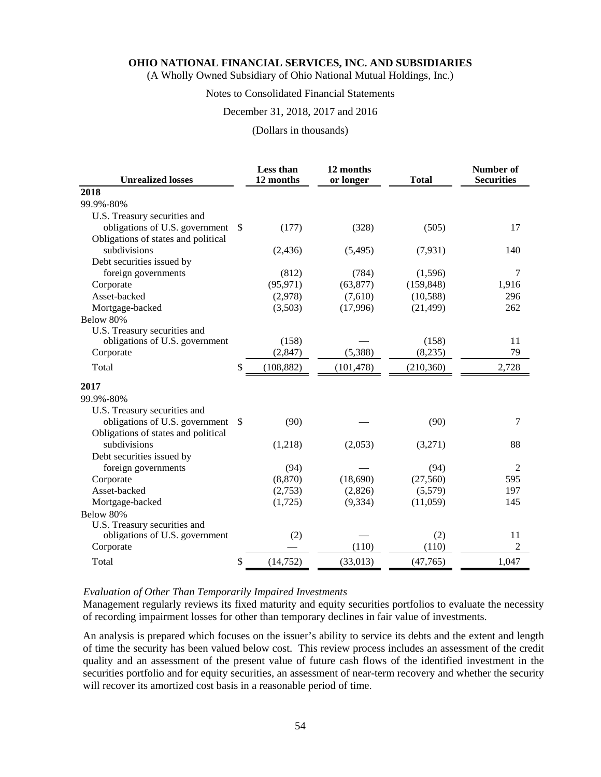(A Wholly Owned Subsidiary of Ohio National Mutual Holdings, Inc.)

# Notes to Consolidated Financial Statements

#### December 31, 2018, 2017 and 2016

#### (Dollars in thousands)

| <b>Unrealized losses</b>            |               | Less than<br>12 months | 12 months<br>or longer | <b>Total</b> | Number of<br><b>Securities</b> |
|-------------------------------------|---------------|------------------------|------------------------|--------------|--------------------------------|
| 2018                                |               |                        |                        |              |                                |
| 99.9%-80%                           |               |                        |                        |              |                                |
| U.S. Treasury securities and        |               |                        |                        |              |                                |
| obligations of U.S. government      | <sup>\$</sup> | (177)                  | (328)                  | (505)        | 17                             |
| Obligations of states and political |               |                        |                        |              |                                |
| subdivisions                        |               | (2, 436)               | (5, 495)               | (7, 931)     | 140                            |
| Debt securities issued by           |               |                        |                        |              |                                |
| foreign governments                 |               | (812)                  | (784)                  | (1,596)      | 7                              |
| Corporate                           |               | (95, 971)              | (63, 877)              | (159, 848)   | 1,916                          |
| Asset-backed                        |               | (2,978)                | (7,610)                | (10, 588)    | 296                            |
| Mortgage-backed                     |               | (3,503)                | (17,996)               | (21, 499)    | 262                            |
| Below 80%                           |               |                        |                        |              |                                |
| U.S. Treasury securities and        |               |                        |                        |              |                                |
| obligations of U.S. government      |               | (158)                  |                        | (158)        | 11                             |
| Corporate                           |               | (2, 847)               | (5,388)                | (8,235)      | 79                             |
| Total                               | \$            | (108, 882)             | (101, 478)             | (210, 360)   | 2,728                          |
| 2017                                |               |                        |                        |              |                                |
| 99.9%-80%                           |               |                        |                        |              |                                |
| U.S. Treasury securities and        |               |                        |                        |              |                                |
| obligations of U.S. government      | <sup>\$</sup> | (90)                   |                        | (90)         | 7                              |
| Obligations of states and political |               |                        |                        |              |                                |
| subdivisions                        |               | (1,218)                | (2,053)                | (3,271)      | 88                             |
| Debt securities issued by           |               |                        |                        |              |                                |
| foreign governments                 |               | (94)                   |                        | (94)         | $\overline{2}$                 |
| Corporate                           |               | (8, 870)               | (18,690)               | (27, 560)    | 595                            |
| Asset-backed                        |               | (2,753)                | (2,826)                | (5,579)      | 197                            |
| Mortgage-backed                     |               | (1,725)                | (9, 334)               | (11,059)     | 145                            |
| Below 80%                           |               |                        |                        |              |                                |
| U.S. Treasury securities and        |               |                        |                        |              |                                |
| obligations of U.S. government      |               | (2)                    |                        | (2)          | 11                             |
| Corporate                           |               |                        | (110)                  | (110)        | 2                              |
| Total                               | \$            | (14, 752)              | (33,013)               | (47,765)     | 1,047                          |

# *Evaluation of Other Than Temporarily Impaired Investments*

Management regularly reviews its fixed maturity and equity securities portfolios to evaluate the necessity of recording impairment losses for other than temporary declines in fair value of investments.

An analysis is prepared which focuses on the issuer's ability to service its debts and the extent and length of time the security has been valued below cost. This review process includes an assessment of the credit quality and an assessment of the present value of future cash flows of the identified investment in the securities portfolio and for equity securities, an assessment of near-term recovery and whether the security will recover its amortized cost basis in a reasonable period of time.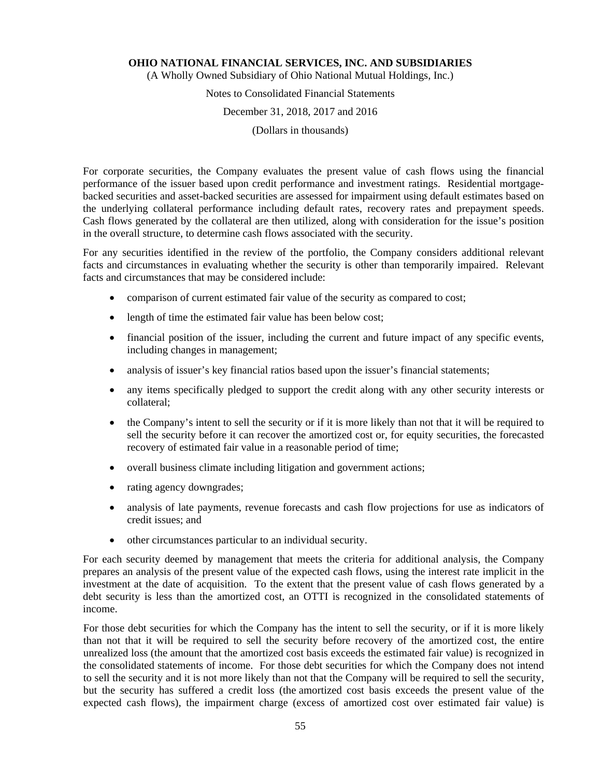(A Wholly Owned Subsidiary of Ohio National Mutual Holdings, Inc.)

# Notes to Consolidated Financial Statements

#### December 31, 2018, 2017 and 2016

(Dollars in thousands)

For corporate securities, the Company evaluates the present value of cash flows using the financial performance of the issuer based upon credit performance and investment ratings. Residential mortgagebacked securities and asset-backed securities are assessed for impairment using default estimates based on the underlying collateral performance including default rates, recovery rates and prepayment speeds. Cash flows generated by the collateral are then utilized, along with consideration for the issue's position in the overall structure, to determine cash flows associated with the security.

For any securities identified in the review of the portfolio, the Company considers additional relevant facts and circumstances in evaluating whether the security is other than temporarily impaired. Relevant facts and circumstances that may be considered include:

- comparison of current estimated fair value of the security as compared to cost;
- length of time the estimated fair value has been below cost;
- financial position of the issuer, including the current and future impact of any specific events, including changes in management;
- analysis of issuer's key financial ratios based upon the issuer's financial statements;
- any items specifically pledged to support the credit along with any other security interests or collateral;
- the Company's intent to sell the security or if it is more likely than not that it will be required to sell the security before it can recover the amortized cost or, for equity securities, the forecasted recovery of estimated fair value in a reasonable period of time;
- overall business climate including litigation and government actions;
- rating agency downgrades;
- analysis of late payments, revenue forecasts and cash flow projections for use as indicators of credit issues; and
- other circumstances particular to an individual security.

For each security deemed by management that meets the criteria for additional analysis, the Company prepares an analysis of the present value of the expected cash flows, using the interest rate implicit in the investment at the date of acquisition. To the extent that the present value of cash flows generated by a debt security is less than the amortized cost, an OTTI is recognized in the consolidated statements of income.

For those debt securities for which the Company has the intent to sell the security, or if it is more likely than not that it will be required to sell the security before recovery of the amortized cost, the entire unrealized loss (the amount that the amortized cost basis exceeds the estimated fair value) is recognized in the consolidated statements of income. For those debt securities for which the Company does not intend to sell the security and it is not more likely than not that the Company will be required to sell the security, but the security has suffered a credit loss (the amortized cost basis exceeds the present value of the expected cash flows), the impairment charge (excess of amortized cost over estimated fair value) is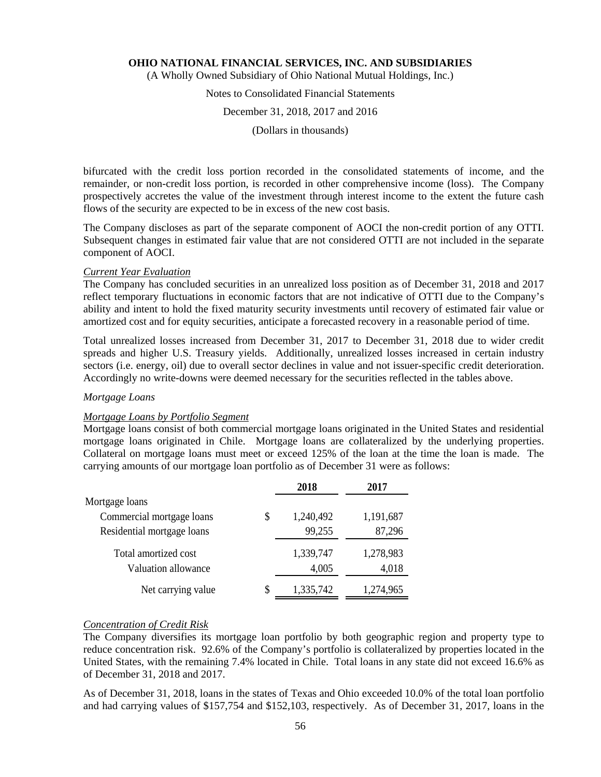(A Wholly Owned Subsidiary of Ohio National Mutual Holdings, Inc.)

# Notes to Consolidated Financial Statements

#### December 31, 2018, 2017 and 2016

(Dollars in thousands)

bifurcated with the credit loss portion recorded in the consolidated statements of income, and the remainder, or non-credit loss portion, is recorded in other comprehensive income (loss). The Company prospectively accretes the value of the investment through interest income to the extent the future cash flows of the security are expected to be in excess of the new cost basis.

The Company discloses as part of the separate component of AOCI the non-credit portion of any OTTI. Subsequent changes in estimated fair value that are not considered OTTI are not included in the separate component of AOCI.

#### *Current Year Evaluation*

The Company has concluded securities in an unrealized loss position as of December 31, 2018 and 2017 reflect temporary fluctuations in economic factors that are not indicative of OTTI due to the Company's ability and intent to hold the fixed maturity security investments until recovery of estimated fair value or amortized cost and for equity securities, anticipate a forecasted recovery in a reasonable period of time.

Total unrealized losses increased from December 31, 2017 to December 31, 2018 due to wider credit spreads and higher U.S. Treasury yields. Additionally, unrealized losses increased in certain industry sectors (i.e. energy, oil) due to overall sector declines in value and not issuer-specific credit deterioration. Accordingly no write-downs were deemed necessary for the securities reflected in the tables above.

#### *Mortgage Loans*

#### *Mortgage Loans by Portfolio Segment*

Mortgage loans consist of both commercial mortgage loans originated in the United States and residential mortgage loans originated in Chile. Mortgage loans are collateralized by the underlying properties. Collateral on mortgage loans must meet or exceed 125% of the loan at the time the loan is made. The carrying amounts of our mortgage loan portfolio as of December 31 were as follows:

|                            |    | 2018      | 2017      |
|----------------------------|----|-----------|-----------|
| Mortgage loans             |    |           |           |
| Commercial mortgage loans  | \$ | 1,240,492 | 1,191,687 |
| Residential mortgage loans |    | 99,255    | 87,296    |
| Total amortized cost       |    | 1,339,747 | 1,278,983 |
| Valuation allowance        |    | 4,005     | 4,018     |
| Net carrying value         | S  | 1,335,742 | 1,274,965 |

#### *Concentration of Credit Risk*

The Company diversifies its mortgage loan portfolio by both geographic region and property type to reduce concentration risk. 92.6% of the Company's portfolio is collateralized by properties located in the United States, with the remaining 7.4% located in Chile. Total loans in any state did not exceed 16.6% as of December 31, 2018 and 2017.

As of December 31, 2018, loans in the states of Texas and Ohio exceeded 10.0% of the total loan portfolio and had carrying values of \$157,754 and \$152,103, respectively. As of December 31, 2017, loans in the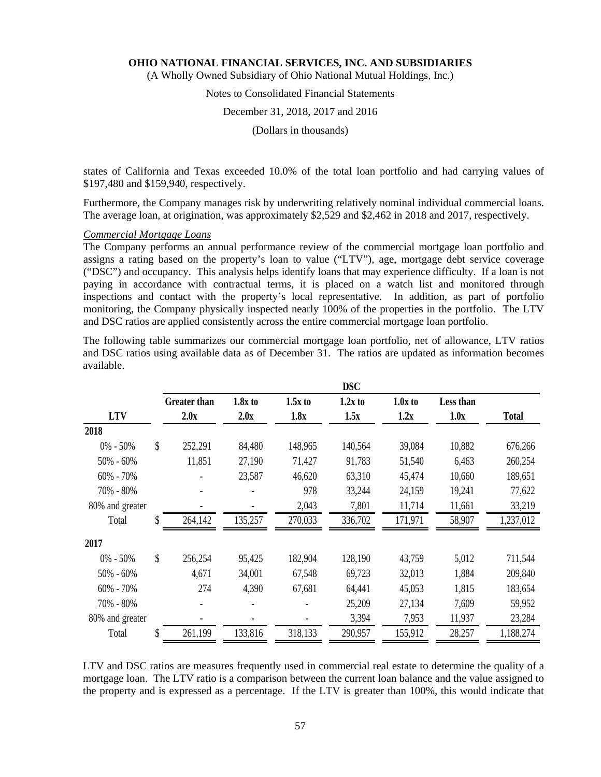(A Wholly Owned Subsidiary of Ohio National Mutual Holdings, Inc.)

# Notes to Consolidated Financial Statements

#### December 31, 2018, 2017 and 2016

(Dollars in thousands)

states of California and Texas exceeded 10.0% of the total loan portfolio and had carrying values of \$197,480 and \$159,940, respectively.

Furthermore, the Company manages risk by underwriting relatively nominal individual commercial loans. The average loan, at origination, was approximately \$2,529 and \$2,462 in 2018 and 2017, respectively.

#### *Commercial Mortgage Loans*

The Company performs an annual performance review of the commercial mortgage loan portfolio and assigns a rating based on the property's loan to value ("LTV"), age, mortgage debt service coverage ("DSC") and occupancy. This analysis helps identify loans that may experience difficulty. If a loan is not paying in accordance with contractual terms, it is placed on a watch list and monitored through inspections and contact with the property's local representative. In addition, as part of portfolio monitoring, the Company physically inspected nearly 100% of the properties in the portfolio. The LTV and DSC ratios are applied consistently across the entire commercial mortgage loan portfolio.

The following table summarizes our commercial mortgage loan portfolio, net of allowance, LTV ratios and DSC ratios using available data as of December 31. The ratios are updated as information becomes available.

|                 |                     |           |           | <b>DSC</b> |           |           |              |
|-----------------|---------------------|-----------|-----------|------------|-----------|-----------|--------------|
|                 | <b>Greater than</b> | $1.8x$ to | $1.5x$ to | $1.2x$ to  | $1.0x$ to | Less than |              |
| <b>LTV</b>      | 2.0x                | 2.0x      | 1.8x      | 1.5x       | 1.2x      | 1.0x      | <b>Total</b> |
| 2018            |                     |           |           |            |           |           |              |
| $0\% - 50\%$    | \$<br>252,291       | 84,480    | 148,965   | 140,564    | 39,084    | 10,882    | 676,266      |
| $50\% - 60\%$   | 11,851              | 27,190    | 71,427    | 91,783     | 51,540    | 6,463     | 260,254      |
| $60\% - 70\%$   |                     | 23,587    | 46,620    | 63,310     | 45,474    | 10,660    | 189,651      |
| 70% - 80%       |                     |           | 978       | 33,244     | 24,159    | 19,241    | 77,622       |
| 80% and greater |                     |           | 2,043     | 7,801      | 11,714    | 11,661    | 33,219       |
| Total           | \$<br>264,142       | 135,257   | 270,033   | 336,702    | 171,971   | 58,907    | 1,237,012    |
| 2017            |                     |           |           |            |           |           |              |
| $0\% - 50\%$    | \$<br>256,254       | 95,425    | 182,904   | 128,190    | 43,759    | 5,012     | 711,544      |
| $50\% - 60\%$   | 4,671               | 34,001    | 67,548    | 69,723     | 32,013    | 1,884     | 209,840      |
| $60\% - 70\%$   | 274                 | 4,390     | 67,681    | 64,441     | 45,053    | 1,815     | 183,654      |
| 70% - 80%       |                     |           |           | 25,209     | 27,134    | 7,609     | 59,952       |
| 80% and greater |                     |           |           | 3,394      | 7,953     | 11,937    | 23,284       |
| Total           | \$<br>261,199       | 133,816   | 318,133   | 290,957    | 155,912   | 28,257    | 1,188,274    |

LTV and DSC ratios are measures frequently used in commercial real estate to determine the quality of a mortgage loan. The LTV ratio is a comparison between the current loan balance and the value assigned to the property and is expressed as a percentage. If the LTV is greater than 100%, this would indicate that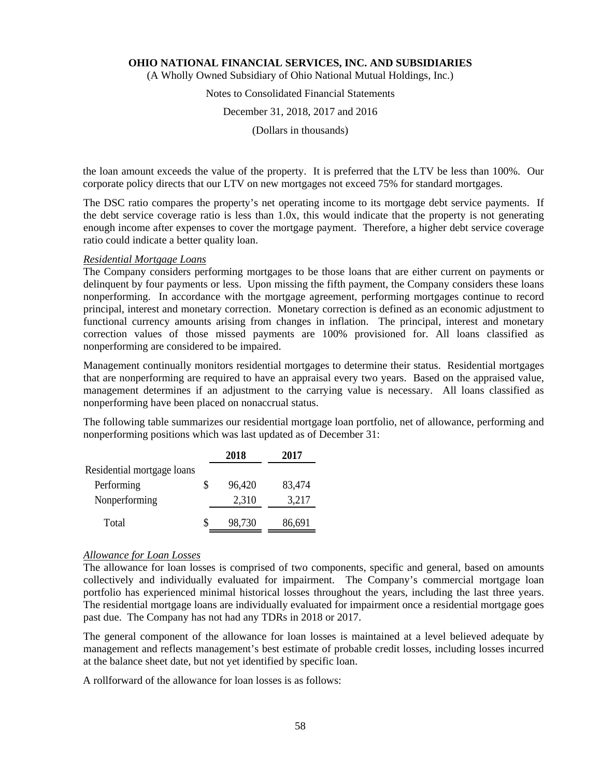(A Wholly Owned Subsidiary of Ohio National Mutual Holdings, Inc.)

# Notes to Consolidated Financial Statements

#### December 31, 2018, 2017 and 2016

(Dollars in thousands)

the loan amount exceeds the value of the property. It is preferred that the LTV be less than 100%. Our corporate policy directs that our LTV on new mortgages not exceed 75% for standard mortgages.

The DSC ratio compares the property's net operating income to its mortgage debt service payments. If the debt service coverage ratio is less than 1.0x, this would indicate that the property is not generating enough income after expenses to cover the mortgage payment. Therefore, a higher debt service coverage ratio could indicate a better quality loan.

### *Residential Mortgage Loans*

The Company considers performing mortgages to be those loans that are either current on payments or delinquent by four payments or less. Upon missing the fifth payment, the Company considers these loans nonperforming. In accordance with the mortgage agreement, performing mortgages continue to record principal, interest and monetary correction. Monetary correction is defined as an economic adjustment to functional currency amounts arising from changes in inflation. The principal, interest and monetary correction values of those missed payments are 100% provisioned for. All loans classified as nonperforming are considered to be impaired.

Management continually monitors residential mortgages to determine their status. Residential mortgages that are nonperforming are required to have an appraisal every two years. Based on the appraised value, management determines if an adjustment to the carrying value is necessary. All loans classified as nonperforming have been placed on nonaccrual status.

The following table summarizes our residential mortgage loan portfolio, net of allowance, performing and nonperforming positions which was last updated as of December 31:

|                            |   | 2018   | 2017   |
|----------------------------|---|--------|--------|
| Residential mortgage loans |   |        |        |
| Performing                 | S | 96,420 | 83,474 |
| Nonperforming              |   | 2,310  | 3,217  |
| Total                      |   | 98,730 | 86,691 |

#### *Allowance for Loan Losses*

The allowance for loan losses is comprised of two components, specific and general, based on amounts collectively and individually evaluated for impairment. The Company's commercial mortgage loan portfolio has experienced minimal historical losses throughout the years, including the last three years. The residential mortgage loans are individually evaluated for impairment once a residential mortgage goes past due. The Company has not had any TDRs in 2018 or 2017.

The general component of the allowance for loan losses is maintained at a level believed adequate by management and reflects management's best estimate of probable credit losses, including losses incurred at the balance sheet date, but not yet identified by specific loan.

A rollforward of the allowance for loan losses is as follows: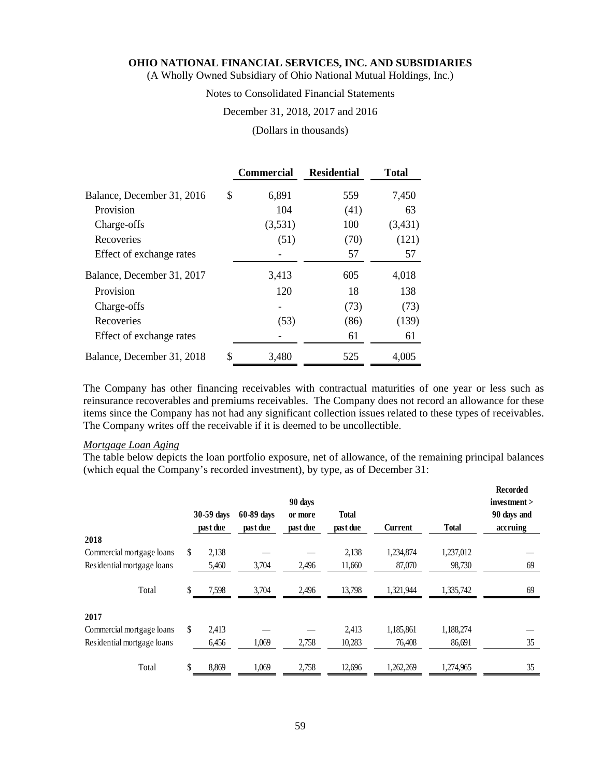(A Wholly Owned Subsidiary of Ohio National Mutual Holdings, Inc.)

# Notes to Consolidated Financial Statements

### December 31, 2018, 2017 and 2016

#### (Dollars in thousands)

|                            | <b>Commercial</b> | <b>Residential</b> | <b>Total</b> |
|----------------------------|-------------------|--------------------|--------------|
| Balance, December 31, 2016 | \$<br>6,891       | 559                | 7,450        |
| Provision                  | 104               | (41)               | 63           |
| Charge-offs                | (3,531)           | 100                | (3,431)      |
| Recoveries                 | (51)              | (70)               | (121)        |
| Effect of exchange rates   |                   | 57                 | 57           |
| Balance, December 31, 2017 | 3,413             | 605                | 4,018        |
| Provision                  | 120               | 18                 | 138          |
| Charge-offs                |                   | (73)               | (73)         |
| Recoveries                 | (53)              | (86)               | (139)        |
| Effect of exchange rates   |                   | 61                 | 61           |
| Balance, December 31, 2018 | \$<br>3,480       | 525                | 4,005        |

The Company has other financing receivables with contractual maturities of one year or less such as reinsurance recoverables and premiums receivables. The Company does not record an allowance for these items since the Company has not had any significant collection issues related to these types of receivables. The Company writes off the receivable if it is deemed to be uncollectible.

#### *Mortgage Loan Aging*

The table below depicts the loan portfolio exposure, net of allowance, of the remaining principal balances (which equal the Company's recorded investment), by type, as of December 31:

|                            | 30-59 days<br>past due | 60-89 days<br>past due | 90 days<br>or more<br>past due | <b>Total</b><br>past due | Current   | <b>Total</b> | Recorded<br>investment ><br>90 days and<br>accruing |
|----------------------------|------------------------|------------------------|--------------------------------|--------------------------|-----------|--------------|-----------------------------------------------------|
| 2018                       |                        |                        |                                |                          |           |              |                                                     |
| Commercial mortgage loans  | \$<br>2,138            |                        |                                | 2,138                    | 1.234.874 | 1,237,012    |                                                     |
| Residential mortgage loans | 5,460                  | 3,704                  | 2,496                          | 11,660                   | 87,070    | 98,730       | 69                                                  |
| Total                      | 7,598                  | 3,704                  | 2,496                          | 13,798                   | 1,321,944 | 1,335,742    | 69                                                  |
| 2017                       |                        |                        |                                |                          |           |              |                                                     |
| Commercial mortgage loans  | \$<br>2,413            |                        |                                | 2.413                    | 1,185,861 | 1,188,274    |                                                     |
| Residential mortgage loans | 6,456                  | 1,069                  | 2,758                          | 10,283                   | 76,408    | 86,691       | 35                                                  |
| Total                      | \$<br>8,869            | 1,069                  | 2,758                          | 12,696                   | 1,262,269 | 1,274,965    | 35                                                  |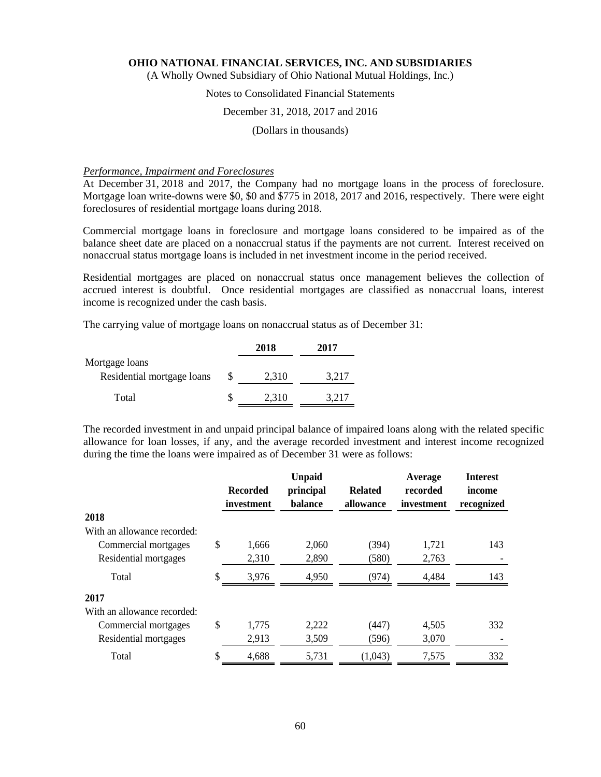(A Wholly Owned Subsidiary of Ohio National Mutual Holdings, Inc.)

# Notes to Consolidated Financial Statements

### December 31, 2018, 2017 and 2016

(Dollars in thousands)

#### *Performance, Impairment and Foreclosures*

At December 31, 2018 and 2017, the Company had no mortgage loans in the process of foreclosure. Mortgage loan write-downs were \$0, \$0 and \$775 in 2018, 2017 and 2016, respectively. There were eight foreclosures of residential mortgage loans during 2018.

Commercial mortgage loans in foreclosure and mortgage loans considered to be impaired as of the balance sheet date are placed on a nonaccrual status if the payments are not current. Interest received on nonaccrual status mortgage loans is included in net investment income in the period received.

Residential mortgages are placed on nonaccrual status once management believes the collection of accrued interest is doubtful. Once residential mortgages are classified as nonaccrual loans, interest income is recognized under the cash basis.

The carrying value of mortgage loans on nonaccrual status as of December 31:

|                            |   | 2018  | 2017  |
|----------------------------|---|-------|-------|
| Mortgage loans             |   |       |       |
| Residential mortgage loans | P | 2,310 | 3,217 |
| Total                      |   | 2,310 | 3.217 |

The recorded investment in and unpaid principal balance of impaired loans along with the related specific allowance for loan losses, if any, and the average recorded investment and interest income recognized during the time the loans were impaired as of December 31 were as follows:

|                                     | <b>Recorded</b><br>investment | <b>Unpaid</b><br>principal<br>balance | <b>Related</b><br>allowance | Average<br>recorded<br>investment | <b>Interest</b><br>income |
|-------------------------------------|-------------------------------|---------------------------------------|-----------------------------|-----------------------------------|---------------------------|
|                                     |                               |                                       |                             |                                   | recognized                |
| 2018<br>With an allowance recorded: |                               |                                       |                             |                                   |                           |
| Commercial mortgages                | \$<br>1,666                   | 2,060                                 | (394)                       | 1,721                             | 143                       |
| Residential mortgages               | 2,310                         | 2,890                                 | (580)                       | 2,763                             |                           |
| Total                               | \$<br>3,976                   | 4,950                                 | (974)                       | 4,484                             | 143                       |
| 2017                                |                               |                                       |                             |                                   |                           |
| With an allowance recorded:         |                               |                                       |                             |                                   |                           |
| Commercial mortgages                | \$<br>1,775                   | 2,222                                 | (447)                       | 4,505                             | 332                       |
| Residential mortgages               | 2,913                         | 3,509                                 | (596)                       | 3,070                             |                           |
| Total                               | \$<br>4,688                   | 5,731                                 | (1,043)                     | 7,575                             | 332                       |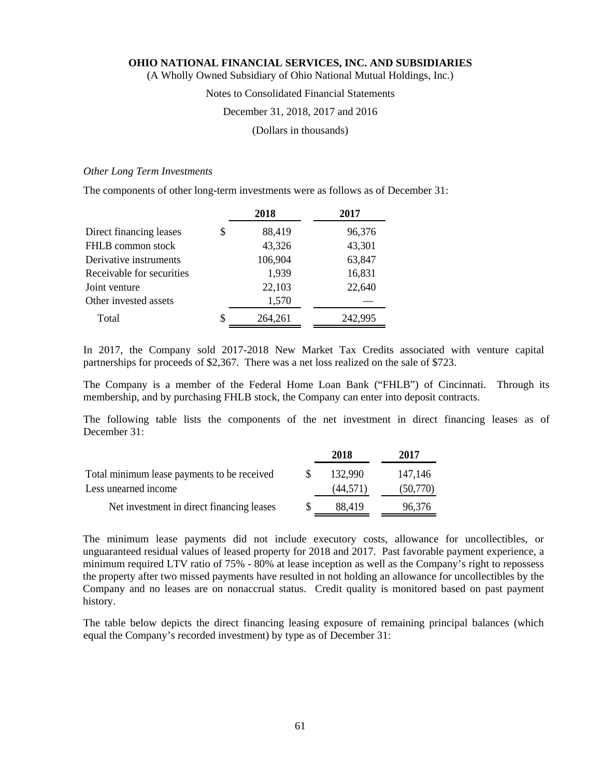(A Wholly Owned Subsidiary of Ohio National Mutual Holdings, Inc.)

#### Notes to Consolidated Financial Statements

#### December 31, 2018, 2017 and 2016

(Dollars in thousands)

#### *Other Long Term Investments*

The components of other long-term investments were as follows as of December 31:

|                           | 2018          | 2017    |
|---------------------------|---------------|---------|
| Direct financing leases   | \$<br>88,419  | 96,376  |
| FHLB common stock         | 43,326        | 43,301  |
| Derivative instruments    | 106,904       | 63,847  |
| Receivable for securities | 1,939         | 16,831  |
| Joint venture             | 22,103        | 22,640  |
| Other invested assets     | 1,570         |         |
| Total                     | \$<br>264,261 | 242,995 |

In 2017, the Company sold 2017-2018 New Market Tax Credits associated with venture capital partnerships for proceeds of \$2,367. There was a net loss realized on the sale of \$723.

The Company is a member of the Federal Home Loan Bank ("FHLB") of Cincinnati. Through its membership, and by purchasing FHLB stock, the Company can enter into deposit contracts.

The following table lists the components of the net investment in direct financing leases as of December 31:

|                                             | 2018      | 2017     |
|---------------------------------------------|-----------|----------|
| Total minimum lease payments to be received | 132.990   | 147,146  |
| Less unearned income                        | (44, 571) | (50,770) |
| Net investment in direct financing leases   | 88.419    | 96,376   |

The minimum lease payments did not include executory costs, allowance for uncollectibles, or unguaranteed residual values of leased property for 2018 and 2017. Past favorable payment experience, a minimum required LTV ratio of 75% - 80% at lease inception as well as the Company's right to repossess the property after two missed payments have resulted in not holding an allowance for uncollectibles by the Company and no leases are on nonaccrual status. Credit quality is monitored based on past payment history.

The table below depicts the direct financing leasing exposure of remaining principal balances (which equal the Company's recorded investment) by type as of December 31: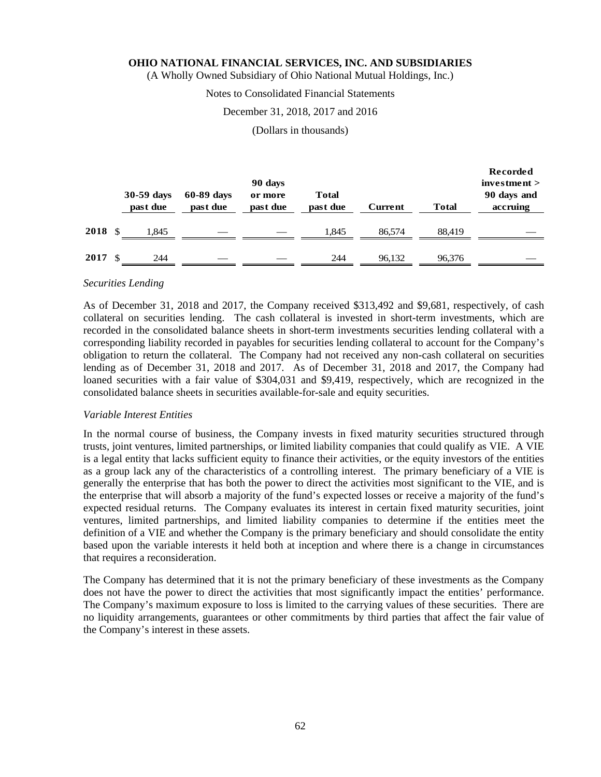(A Wholly Owned Subsidiary of Ohio National Mutual Holdings, Inc.)

#### Notes to Consolidated Financial Statements

#### December 31, 2018, 2017 and 2016

(Dollars in thousands)

|      |     | 30-59 days<br>past due | 60-89 days<br>past due | 90 days<br>or more<br>past due | <b>Total</b><br>past due | Current | <b>Total</b> | <b>Recorded</b><br>investment<br>90 days and<br>accruing |
|------|-----|------------------------|------------------------|--------------------------------|--------------------------|---------|--------------|----------------------------------------------------------|
| 2018 | -\$ | l.845                  |                        |                                | 1.845                    | 86.574  | 88.419       |                                                          |
| 2017 | -\$ | 244                    |                        |                                | 244                      | 96,132  | 96,376       |                                                          |

#### *Securities Lending*

As of December 31, 2018 and 2017, the Company received \$313,492 and \$9,681, respectively, of cash collateral on securities lending. The cash collateral is invested in short-term investments, which are recorded in the consolidated balance sheets in short-term investments securities lending collateral with a corresponding liability recorded in payables for securities lending collateral to account for the Company's obligation to return the collateral. The Company had not received any non-cash collateral on securities lending as of December 31, 2018 and 2017. As of December 31, 2018 and 2017, the Company had loaned securities with a fair value of \$304,031 and \$9,419, respectively, which are recognized in the consolidated balance sheets in securities available-for-sale and equity securities.

#### *Variable Interest Entities*

In the normal course of business, the Company invests in fixed maturity securities structured through trusts, joint ventures, limited partnerships, or limited liability companies that could qualify as VIE. A VIE is a legal entity that lacks sufficient equity to finance their activities, or the equity investors of the entities as a group lack any of the characteristics of a controlling interest. The primary beneficiary of a VIE is generally the enterprise that has both the power to direct the activities most significant to the VIE, and is the enterprise that will absorb a majority of the fund's expected losses or receive a majority of the fund's expected residual returns. The Company evaluates its interest in certain fixed maturity securities, joint ventures, limited partnerships, and limited liability companies to determine if the entities meet the definition of a VIE and whether the Company is the primary beneficiary and should consolidate the entity based upon the variable interests it held both at inception and where there is a change in circumstances that requires a reconsideration.

The Company has determined that it is not the primary beneficiary of these investments as the Company does not have the power to direct the activities that most significantly impact the entities' performance. The Company's maximum exposure to loss is limited to the carrying values of these securities. There are no liquidity arrangements, guarantees or other commitments by third parties that affect the fair value of the Company's interest in these assets.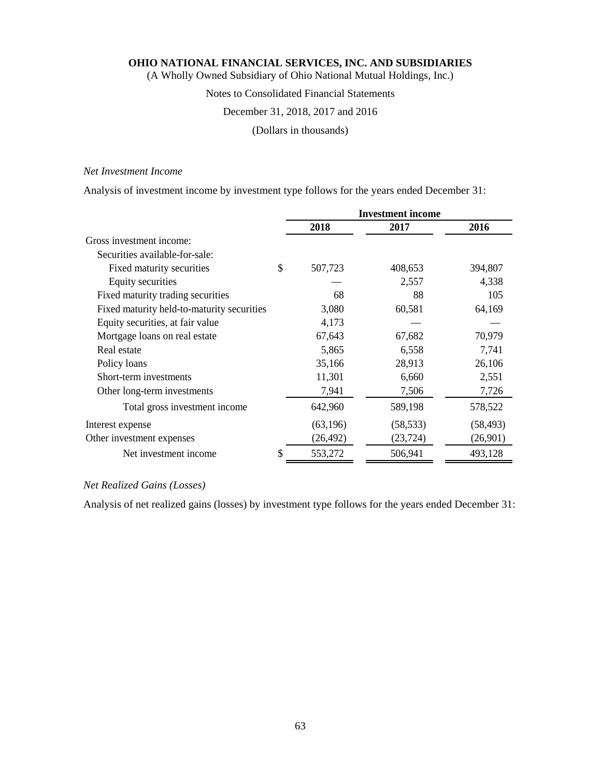(A Wholly Owned Subsidiary of Ohio National Mutual Holdings, Inc.)

# Notes to Consolidated Financial Statements

# December 31, 2018, 2017 and 2016

(Dollars in thousands)

# *Net Investment Income*

Analysis of investment income by investment type follows for the years ended December 31:

|                                            |    | <b>Investment</b> income |           |           |  |  |
|--------------------------------------------|----|--------------------------|-----------|-----------|--|--|
|                                            |    | 2018                     | 2017      | 2016      |  |  |
| Gross investment income:                   |    |                          |           |           |  |  |
| Securities available-for-sale:             |    |                          |           |           |  |  |
| Fixed maturity securities                  | \$ | 507,723                  | 408,653   | 394,807   |  |  |
| Equity securities                          |    |                          | 2,557     | 4,338     |  |  |
| Fixed maturity trading securities          |    | 68                       | 88        | 105       |  |  |
| Fixed maturity held-to-maturity securities |    | 3,080                    | 60,581    | 64,169    |  |  |
| Equity securities, at fair value           |    | 4,173                    |           |           |  |  |
| Mortgage loans on real estate              |    | 67,643                   | 67,682    | 70,979    |  |  |
| Real estate                                |    | 5,865                    | 6,558     | 7,741     |  |  |
| Policy loans                               |    | 35,166                   | 28,913    | 26,106    |  |  |
| Short-term investments                     |    | 11,301                   | 6,660     | 2,551     |  |  |
| Other long-term investments                |    | 7,941                    | 7,506     | 7,726     |  |  |
| Total gross investment income              |    | 642,960                  | 589,198   | 578,522   |  |  |
| Interest expense                           |    | (63, 196)                | (58, 533) | (58, 493) |  |  |
| Other investment expenses                  |    | (26, 492)                | (23, 724) | (26,901)  |  |  |
| Net investment income                      | \$ | 553,272                  | 506,941   | 493,128   |  |  |

# *Net Realized Gains (Losses)*

Analysis of net realized gains (losses) by investment type follows for the years ended December 31: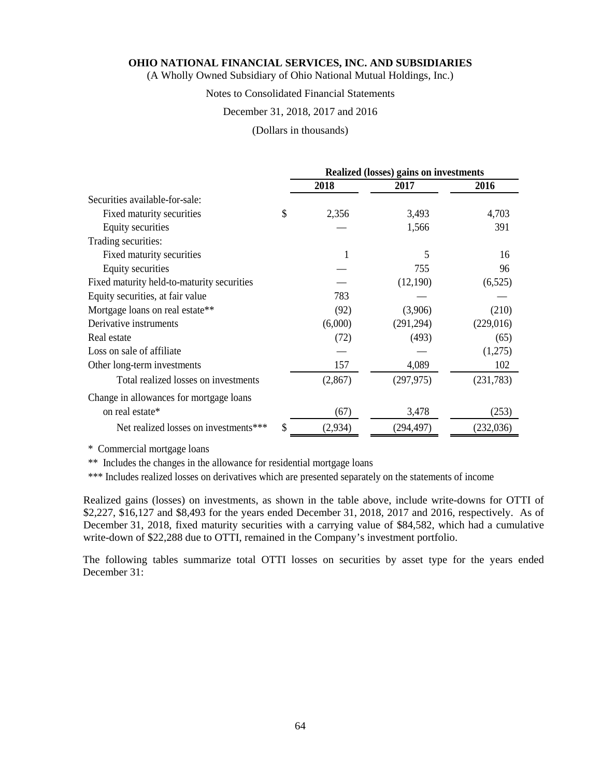(A Wholly Owned Subsidiary of Ohio National Mutual Holdings, Inc.)

# Notes to Consolidated Financial Statements

#### December 31, 2018, 2017 and 2016

#### (Dollars in thousands)

|                                            |      | <b>Realized (losses) gains on investments</b> |            |            |  |  |
|--------------------------------------------|------|-----------------------------------------------|------------|------------|--|--|
|                                            | 2018 |                                               | 2017       | 2016       |  |  |
| Securities available-for-sale:             |      |                                               |            |            |  |  |
| Fixed maturity securities                  | S    | 2,356                                         | 3,493      | 4,703      |  |  |
| Equity securities                          |      |                                               | 1,566      | 391        |  |  |
| Trading securities:                        |      |                                               |            |            |  |  |
| Fixed maturity securities                  |      | 1                                             | 5          | 16         |  |  |
| Equity securities                          |      |                                               | 755        | 96         |  |  |
| Fixed maturity held-to-maturity securities |      |                                               | (12,190)   | (6,525)    |  |  |
| Equity securities, at fair value           |      | 783                                           |            |            |  |  |
| Mortgage loans on real estate**            |      | (92)                                          | (3,906)    | (210)      |  |  |
| Derivative instruments                     |      | (6,000)                                       | (291, 294) | (229,016)  |  |  |
| Real estate                                |      | (72)                                          | (493)      | (65)       |  |  |
| Loss on sale of affiliate.                 |      |                                               |            | (1,275)    |  |  |
| Other long-term investments                |      | 157                                           | 4,089      | 102        |  |  |
| Total realized losses on investments       |      | (2,867)                                       | (297, 975) | (231, 783) |  |  |
| Change in allowances for mortgage loans    |      |                                               |            |            |  |  |
| on real estate*                            |      | (67)                                          | 3,478      | (253)      |  |  |
| Net realized losses on investments***      | \$   | (2,934)                                       | (294, 497) | (232, 036) |  |  |

\* Commercial mortgage loans

\*\* Includes the changes in the allowance for residential mortgage loans

\*\*\* Includes realized losses on derivatives which are presented separately on the statements of income

Realized gains (losses) on investments, as shown in the table above, include write-downs for OTTI of \$2,227, \$16,127 and \$8,493 for the years ended December 31, 2018, 2017 and 2016, respectively. As of December 31, 2018, fixed maturity securities with a carrying value of \$84,582, which had a cumulative write-down of \$22,288 due to OTTI, remained in the Company's investment portfolio.

The following tables summarize total OTTI losses on securities by asset type for the years ended December 31: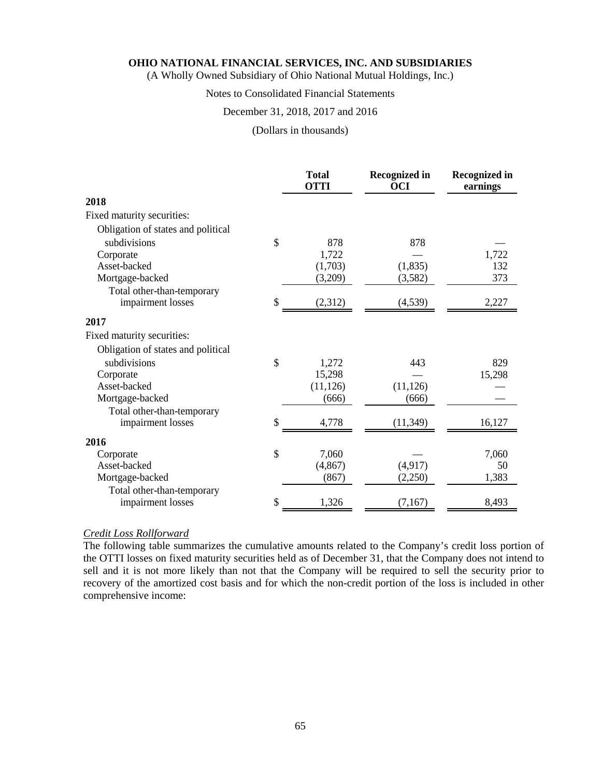(A Wholly Owned Subsidiary of Ohio National Mutual Holdings, Inc.)

# Notes to Consolidated Financial Statements

#### December 31, 2018, 2017 and 2016

#### (Dollars in thousands)

|                                    | <b>Total</b><br><b>OTTI</b> | <b>Recognized in</b><br><b>OCI</b> | <b>Recognized in</b><br>earnings |
|------------------------------------|-----------------------------|------------------------------------|----------------------------------|
| 2018                               |                             |                                    |                                  |
| Fixed maturity securities:         |                             |                                    |                                  |
| Obligation of states and political |                             |                                    |                                  |
| subdivisions                       | \$<br>878                   | 878                                |                                  |
| Corporate                          | 1,722                       |                                    | 1,722                            |
| Asset-backed                       | (1,703)                     | (1, 835)                           | 132                              |
| Mortgage-backed                    | (3,209)                     | (3,582)                            | 373                              |
| Total other-than-temporary         |                             |                                    |                                  |
| impairment losses                  | \$<br>(2,312)               | (4, 539)                           | 2,227                            |
| 2017                               |                             |                                    |                                  |
| Fixed maturity securities:         |                             |                                    |                                  |
| Obligation of states and political |                             |                                    |                                  |
| subdivisions                       | \$<br>1,272                 | 443                                | 829                              |
| Corporate                          | 15,298                      |                                    | 15,298                           |
| Asset-backed                       | (11, 126)                   | (11, 126)                          |                                  |
| Mortgage-backed                    | (666)                       | (666)                              |                                  |
| Total other-than-temporary         |                             |                                    |                                  |
| impairment losses                  | \$<br>4,778                 | (11, 349)                          | 16,127                           |
| 2016                               |                             |                                    |                                  |
| Corporate                          | \$<br>7,060                 |                                    | 7,060                            |
| Asset-backed                       | (4, 867)                    | (4,917)                            | 50                               |
| Mortgage-backed                    | (867)                       | (2,250)                            | 1,383                            |
| Total other-than-temporary         | \$<br>1,326                 |                                    |                                  |
| impairment losses                  |                             | (7,167)                            | 8,493                            |

# *Credit Loss Rollforward*

The following table summarizes the cumulative amounts related to the Company's credit loss portion of the OTTI losses on fixed maturity securities held as of December 31, that the Company does not intend to sell and it is not more likely than not that the Company will be required to sell the security prior to recovery of the amortized cost basis and for which the non-credit portion of the loss is included in other comprehensive income: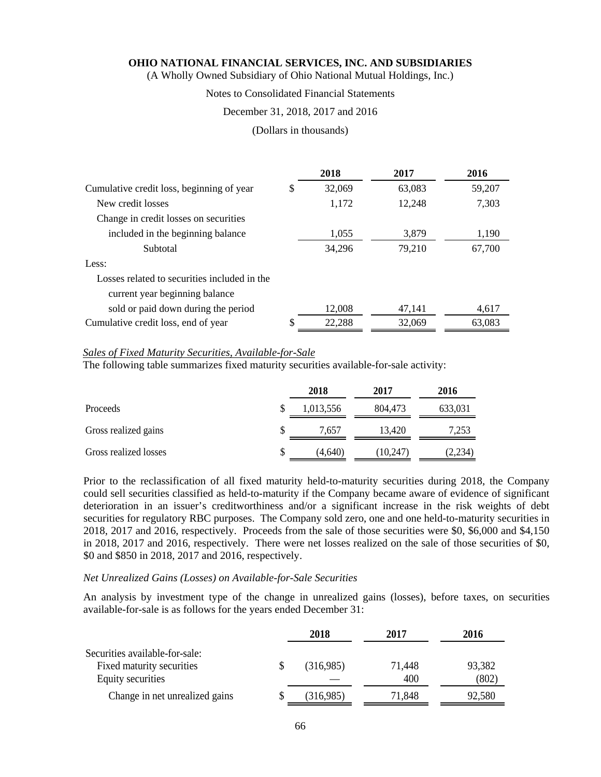(A Wholly Owned Subsidiary of Ohio National Mutual Holdings, Inc.)

### Notes to Consolidated Financial Statements

#### December 31, 2018, 2017 and 2016

#### (Dollars in thousands)

|                                              | 2018         | 2017   | 2016   |
|----------------------------------------------|--------------|--------|--------|
| Cumulative credit loss, beginning of year    | \$<br>32,069 | 63,083 | 59,207 |
| New credit losses                            | 1,172        | 12,248 | 7,303  |
| Change in credit losses on securities        |              |        |        |
| included in the beginning balance            | 1,055        | 3,879  | 1,190  |
| Subtotal                                     | 34,296       | 79,210 | 67,700 |
| Less:                                        |              |        |        |
| Losses related to securities included in the |              |        |        |
| current year beginning balance               |              |        |        |
| sold or paid down during the period          | 12,008       | 47,141 | 4,617  |
| Cumulative credit loss, end of year          | \$<br>22,288 | 32,069 | 63,083 |

#### *Sales of Fixed Maturity Securities, Available-for-Sale*

The following table summarizes fixed maturity securities available-for-sale activity:

|                       |   | 2018      | 2017      | 2016    |
|-----------------------|---|-----------|-----------|---------|
| Proceeds              |   | 1,013,556 | 804,473   | 633,031 |
| Gross realized gains  | S | 7.657     | 13.420    | 7,253   |
| Gross realized losses | S | (4,640)   | (10, 247) | (2,234) |

Prior to the reclassification of all fixed maturity held-to-maturity securities during 2018, the Company could sell securities classified as held-to-maturity if the Company became aware of evidence of significant deterioration in an issuer's creditworthiness and/or a significant increase in the risk weights of debt securities for regulatory RBC purposes. The Company sold zero, one and one held-to-maturity securities in 2018, 2017 and 2016, respectively. Proceeds from the sale of those securities were \$0, \$6,000 and \$4,150 in 2018, 2017 and 2016, respectively. There were net losses realized on the sale of those securities of \$0, \$0 and \$850 in 2018, 2017 and 2016, respectively.

#### *Net Unrealized Gains (Losses) on Available-for-Sale Securities*

An analysis by investment type of the change in unrealized gains (losses), before taxes, on securities available-for-sale is as follows for the years ended December 31:

|                                                                                  | 2018      | 2017          | 2016            |
|----------------------------------------------------------------------------------|-----------|---------------|-----------------|
| Securities available-for-sale:<br>Fixed maturity securities<br>Equity securities | (316,985) | 71,448<br>400 | 93,382<br>(802) |
| Change in net unrealized gains                                                   | (316,985) | 71,848        | 92,580          |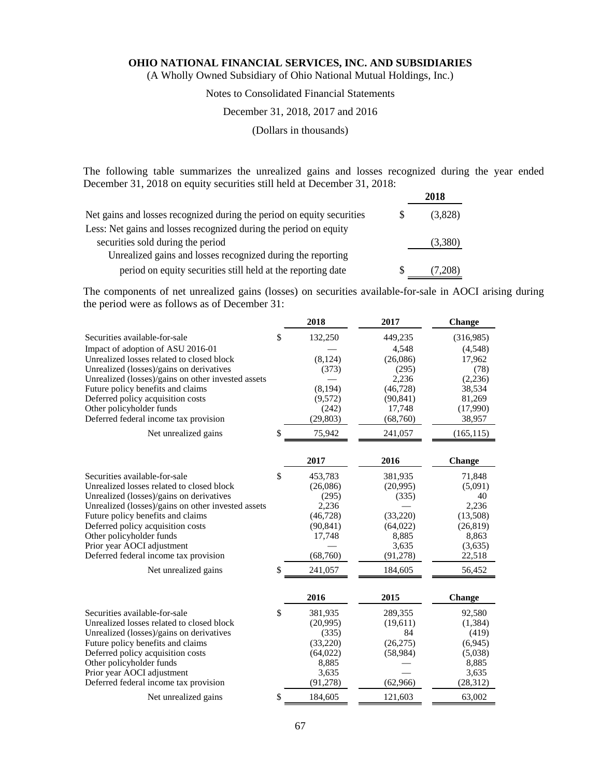(A Wholly Owned Subsidiary of Ohio National Mutual Holdings, Inc.)

# Notes to Consolidated Financial Statements

# December 31, 2018, 2017 and 2016

(Dollars in thousands)

The following table summarizes the unrealized gains and losses recognized during the year ended December 31, 2018 on equity securities still held at December 31, 2018:

|                                                                        | 2018    |
|------------------------------------------------------------------------|---------|
| Net gains and losses recognized during the period on equity securities | (3,828) |
| Less: Net gains and losses recognized during the period on equity      |         |
| securities sold during the period                                      | (3,380) |
| Unrealized gains and losses recognized during the reporting            |         |
| period on equity securities still held at the reporting date           | (7,208) |

The components of net unrealized gains (losses) on securities available-for-sale in AOCI arising during the period were as follows as of December 31:

|                                                    | 2018          | 2017      | <b>Change</b> |
|----------------------------------------------------|---------------|-----------|---------------|
| Securities available-for-sale                      | \$<br>132,250 | 449,235   | (316,985)     |
| Impact of adoption of ASU 2016-01                  |               | 4,548     | (4,548)       |
| Unrealized losses related to closed block          | (8, 124)      | (26,086)  | 17,962        |
| Unrealized (losses)/gains on derivatives           | (373)         | (295)     | (78)          |
| Unrealized (losses)/gains on other invested assets |               | 2,236     | (2,236)       |
| Future policy benefits and claims                  | (8, 194)      | (46, 728) | 38,534        |
| Deferred policy acquisition costs                  | (9,572)       | (90, 841) | 81,269        |
| Other policyholder funds                           | (242)         | 17,748    | (17,990)      |
| Deferred federal income tax provision              | (29, 803)     | (68,760)  | 38,957        |
| Net unrealized gains                               | \$<br>75,942  | 241,057   | (165, 115)    |
|                                                    | 2017          | 2016      | Change        |
| Securities available-for-sale                      | \$<br>453,783 | 381,935   | 71,848        |
| Unrealized losses related to closed block          | (26,086)      | (20,995)  | (5,091)       |
| Unrealized (losses)/gains on derivatives           | (295)         | (335)     | 40            |
| Unrealized (losses)/gains on other invested assets | 2,236         |           | 2.236         |
| Future policy benefits and claims                  | (46, 728)     | (33,220)  | (13,508)      |
| Deferred policy acquisition costs                  | (90, 841)     | (64, 022) | (26, 819)     |
| Other policyholder funds                           | 17,748        | 8,885     | 8,863         |
| Prior year AOCI adjustment                         |               | 3,635     | (3,635)       |
| Deferred federal income tax provision              | (68,760)      | (91, 278) | 22,518        |
| Net unrealized gains                               | \$<br>241,057 | 184,605   | 56,452        |
|                                                    | 2016          | 2015      | <b>Change</b> |
| Securities available-for-sale                      | \$<br>381,935 | 289,355   | 92,580        |
| Unrealized losses related to closed block          | (20,995)      | (19,611)  | (1,384)       |
| Unrealized (losses)/gains on derivatives           | (335)         | 84        | (419)         |
| Future policy benefits and claims                  | (33,220)      | (26, 275) | (6,945)       |
| Deferred policy acquisition costs                  | (64, 022)     | (58,984)  | (5,038)       |
| Other policyholder funds                           | 8,885         |           | 8,885         |
| Prior year AOCI adjustment                         | 3,635         |           | 3,635         |
| Deferred federal income tax provision              | (91, 278)     | (62,966)  | (28, 312)     |
| Net unrealized gains                               | \$<br>184,605 | 121,603   | 63,002        |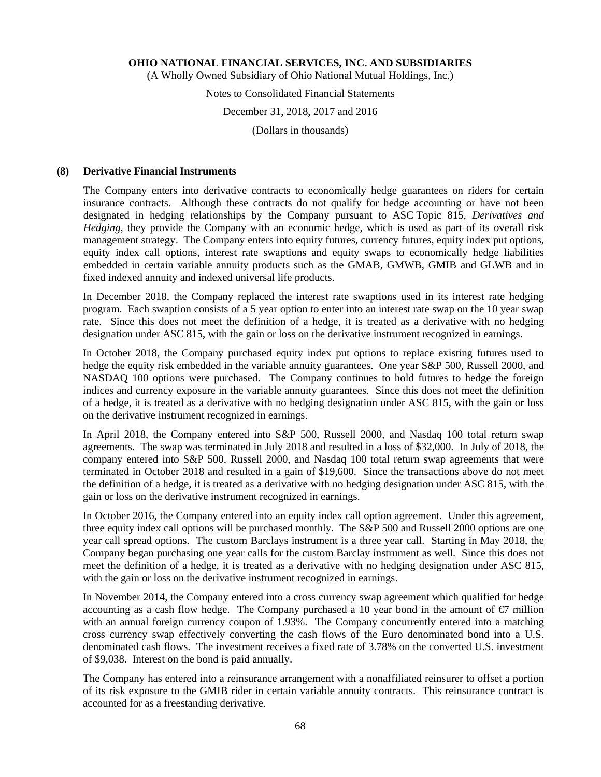(A Wholly Owned Subsidiary of Ohio National Mutual Holdings, Inc.)

# Notes to Consolidated Financial Statements

#### December 31, 2018, 2017 and 2016

(Dollars in thousands)

# **(8) Derivative Financial Instruments**

The Company enters into derivative contracts to economically hedge guarantees on riders for certain insurance contracts. Although these contracts do not qualify for hedge accounting or have not been designated in hedging relationships by the Company pursuant to ASC Topic 815, *Derivatives and Hedging*, they provide the Company with an economic hedge, which is used as part of its overall risk management strategy. The Company enters into equity futures, currency futures, equity index put options, equity index call options, interest rate swaptions and equity swaps to economically hedge liabilities embedded in certain variable annuity products such as the GMAB, GMWB, GMIB and GLWB and in fixed indexed annuity and indexed universal life products.

In December 2018, the Company replaced the interest rate swaptions used in its interest rate hedging program. Each swaption consists of a 5 year option to enter into an interest rate swap on the 10 year swap rate. Since this does not meet the definition of a hedge, it is treated as a derivative with no hedging designation under ASC 815, with the gain or loss on the derivative instrument recognized in earnings.

In October 2018, the Company purchased equity index put options to replace existing futures used to hedge the equity risk embedded in the variable annuity guarantees. One year S&P 500, Russell 2000, and NASDAQ 100 options were purchased. The Company continues to hold futures to hedge the foreign indices and currency exposure in the variable annuity guarantees. Since this does not meet the definition of a hedge, it is treated as a derivative with no hedging designation under ASC 815, with the gain or loss on the derivative instrument recognized in earnings.

In April 2018, the Company entered into S&P 500, Russell 2000, and Nasdaq 100 total return swap agreements. The swap was terminated in July 2018 and resulted in a loss of \$32,000. In July of 2018, the company entered into S&P 500, Russell 2000, and Nasdaq 100 total return swap agreements that were terminated in October 2018 and resulted in a gain of \$19,600. Since the transactions above do not meet the definition of a hedge, it is treated as a derivative with no hedging designation under ASC 815, with the gain or loss on the derivative instrument recognized in earnings.

In October 2016, the Company entered into an equity index call option agreement. Under this agreement, three equity index call options will be purchased monthly. The S&P 500 and Russell 2000 options are one year call spread options. The custom Barclays instrument is a three year call. Starting in May 2018, the Company began purchasing one year calls for the custom Barclay instrument as well. Since this does not meet the definition of a hedge, it is treated as a derivative with no hedging designation under ASC 815, with the gain or loss on the derivative instrument recognized in earnings.

In November 2014, the Company entered into a cross currency swap agreement which qualified for hedge accounting as a cash flow hedge. The Company purchased a 10 year bond in the amount of  $\epsilon$  million with an annual foreign currency coupon of 1.93%. The Company concurrently entered into a matching cross currency swap effectively converting the cash flows of the Euro denominated bond into a U.S. denominated cash flows. The investment receives a fixed rate of 3.78% on the converted U.S. investment of \$9,038. Interest on the bond is paid annually.

The Company has entered into a reinsurance arrangement with a nonaffiliated reinsurer to offset a portion of its risk exposure to the GMIB rider in certain variable annuity contracts. This reinsurance contract is accounted for as a freestanding derivative.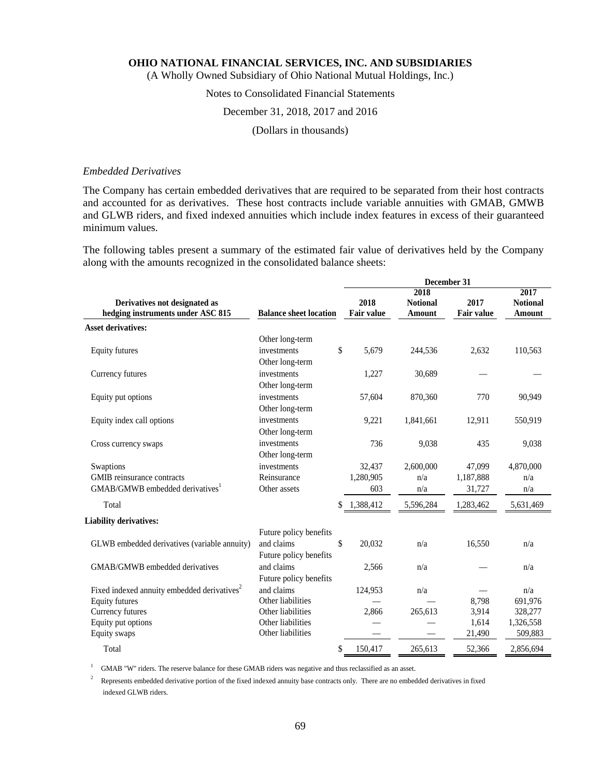(A Wholly Owned Subsidiary of Ohio National Mutual Holdings, Inc.)

# Notes to Consolidated Financial Statements

#### December 31, 2018, 2017 and 2016

(Dollars in thousands)

#### *Embedded Derivatives*

The Company has certain embedded derivatives that are required to be separated from their host contracts and accounted for as derivatives. These host contracts include variable annuities with GMAB, GMWB and GLWB riders, and fixed indexed annuities which include index features in excess of their guaranteed minimum values.

The following tables present a summary of the estimated fair value of derivatives held by the Company along with the amounts recognized in the consolidated balance sheets:

|                                                                                                     |                        |    | December 31               |                                   |                           |                                   |  |  |  |  |
|-----------------------------------------------------------------------------------------------------|------------------------|----|---------------------------|-----------------------------------|---------------------------|-----------------------------------|--|--|--|--|
| Derivatives not designated as<br>hedging instruments under ASC 815<br><b>Balance sheet location</b> |                        |    | 2018<br><b>Fair value</b> | 2018<br><b>Notional</b><br>Amount | 2017<br><b>Fair value</b> | 2017<br><b>Notional</b><br>Amount |  |  |  |  |
| <b>Asset derivatives:</b>                                                                           |                        |    |                           |                                   |                           |                                   |  |  |  |  |
|                                                                                                     | Other long-term        |    |                           |                                   |                           |                                   |  |  |  |  |
| <b>Equity futures</b>                                                                               | investments            | \$ | 5,679                     | 244,536                           | 2,632                     | 110,563                           |  |  |  |  |
|                                                                                                     | Other long-term        |    |                           |                                   |                           |                                   |  |  |  |  |
| Currency futures                                                                                    | investments            |    | 1,227                     | 30,689                            |                           |                                   |  |  |  |  |
|                                                                                                     | Other long-term        |    |                           |                                   |                           |                                   |  |  |  |  |
| Equity put options                                                                                  | investments            |    | 57,604                    | 870,360                           | 770                       | 90,949                            |  |  |  |  |
|                                                                                                     | Other long-term        |    |                           |                                   |                           |                                   |  |  |  |  |
| Equity index call options                                                                           | investments            |    | 9,221                     | 1,841,661                         | 12,911                    | 550,919                           |  |  |  |  |
|                                                                                                     | Other long-term        |    |                           |                                   |                           |                                   |  |  |  |  |
| Cross currency swaps                                                                                | investments            |    | 736                       | 9,038                             | 435                       | 9,038                             |  |  |  |  |
|                                                                                                     | Other long-term        |    |                           |                                   |                           |                                   |  |  |  |  |
| Swaptions                                                                                           | investments            |    | 32,437                    | 2,600,000                         | 47,099                    | 4,870,000                         |  |  |  |  |
| <b>GMIB</b> reinsurance contracts                                                                   | Reinsurance            |    | 1,280,905                 | n/a                               | 1,187,888                 | n/a                               |  |  |  |  |
| GMAB/GMWB embedded derivatives                                                                      | Other assets           |    | 603                       | n/a                               | 31,727                    | n/a                               |  |  |  |  |
| Total                                                                                               |                        |    | 1,388,412                 | 5,596,284                         | 1,283,462                 | 5,631,469                         |  |  |  |  |
| <b>Liability derivatives:</b>                                                                       |                        |    |                           |                                   |                           |                                   |  |  |  |  |
|                                                                                                     | Future policy benefits |    |                           |                                   |                           |                                   |  |  |  |  |
| GLWB embedded derivatives (variable annuity)                                                        | and claims             | \$ | 20.032                    | n/a                               | 16,550                    | n/a                               |  |  |  |  |
|                                                                                                     | Future policy benefits |    |                           |                                   |                           |                                   |  |  |  |  |
| GMAB/GMWB embedded derivatives                                                                      | and claims             |    | 2,566                     | n/a                               |                           | n/a                               |  |  |  |  |
|                                                                                                     | Future policy benefits |    |                           |                                   |                           |                                   |  |  |  |  |
| Fixed indexed annuity embedded derivatives <sup>2</sup>                                             | and claims             |    | 124,953                   | n/a                               |                           | n/a                               |  |  |  |  |
| <b>Equity futures</b>                                                                               | Other liabilities      |    |                           |                                   | 8,798                     | 691,976                           |  |  |  |  |
| Currency futures                                                                                    | Other liabilities      |    | 2,866                     | 265,613                           | 3,914                     | 328,277                           |  |  |  |  |
| Equity put options                                                                                  | Other liabilities      |    |                           |                                   | 1,614                     | 1,326,558                         |  |  |  |  |
| Equity swaps                                                                                        | Other liabilities      |    |                           |                                   | 21,490                    | 509,883                           |  |  |  |  |
| Total                                                                                               |                        | \$ | 150,417                   | 265,613                           | 52,366                    | 2,856,694                         |  |  |  |  |

<sup>1</sup> GMAB "W" riders. The reserve balance for these GMAB riders was negative and thus reclassified as an asset.

<sup>2</sup> Represents embedded derivative portion of the fixed indexed annuity base contracts only. There are no embedded derivatives in fixed indexed GLWB riders.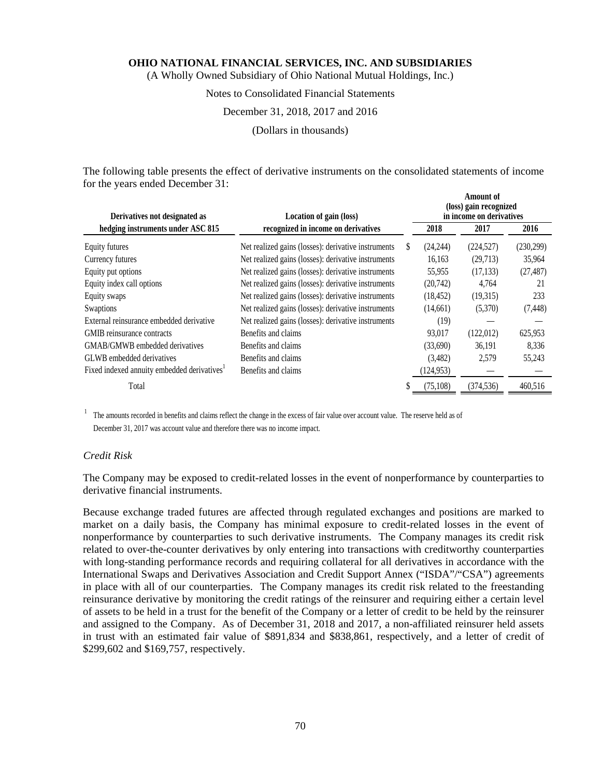(A Wholly Owned Subsidiary of Ohio National Mutual Holdings, Inc.)

#### Notes to Consolidated Financial Statements

#### December 31, 2018, 2017 and 2016

(Dollars in thousands)

The following table presents the effect of derivative instruments on the consolidated statements of income for the years ended December 31:

| Derivatives not designated as                           | Location of gain (loss)                             |    |            | <b>Amount of</b><br>(loss) gain recognized<br>in income on derivatives |            |
|---------------------------------------------------------|-----------------------------------------------------|----|------------|------------------------------------------------------------------------|------------|
| hedging instruments under ASC 815                       | recognized in income on derivatives                 |    | 2018       | 2017                                                                   | 2016       |
| Equity futures                                          | Net realized gains (losses): derivative instruments | S. | (24,244)   | (224, 527)                                                             | (230, 299) |
| Currency futures                                        | Net realized gains (losses): derivative instruments |    | 16,163     | (29,713)                                                               | 35,964     |
| Equity put options                                      | Net realized gains (losses): derivative instruments |    | 55,955     | (17, 133)                                                              | (27, 487)  |
| Equity index call options                               | Net realized gains (losses): derivative instruments |    | (20,742)   | 4.764                                                                  | 21         |
| Equity swaps                                            | Net realized gains (losses): derivative instruments |    | (18, 452)  | (19,315)                                                               | 233        |
| Swaptions                                               | Net realized gains (losses): derivative instruments |    | (14,661)   | (5,370)                                                                | (7, 448)   |
| External reinsurance embedded derivative                | Net realized gains (losses): derivative instruments |    | (19)       |                                                                        |            |
| GMIB reinsurance contracts                              | Benefits and claims                                 |    | 93,017     | (122,012)                                                              | 625,953    |
| GMAB/GMWB embedded derivatives                          | Benefits and claims                                 |    | (33,690)   | 36,191                                                                 | 8,336      |
| GLWB embedded derivatives                               | Benefits and claims                                 |    | (3,482)    | 2,579                                                                  | 55,243     |
| Fixed indexed annuity embedded derivatives <sup>1</sup> | Benefits and claims                                 |    | (124, 953) |                                                                        |            |
| Total                                                   |                                                     |    | (75, 108)  | (374, 536)                                                             | 460,516    |

<sup>1</sup> The amounts recorded in benefits and claims reflect the change in the excess of fair value over account value. The reserve held as of December 31, 2017 was account value and therefore there was no income impact.

#### *Credit Risk*

The Company may be exposed to credit-related losses in the event of nonperformance by counterparties to derivative financial instruments.

Because exchange traded futures are affected through regulated exchanges and positions are marked to market on a daily basis, the Company has minimal exposure to credit-related losses in the event of nonperformance by counterparties to such derivative instruments. The Company manages its credit risk related to over-the-counter derivatives by only entering into transactions with creditworthy counterparties with long-standing performance records and requiring collateral for all derivatives in accordance with the International Swaps and Derivatives Association and Credit Support Annex ("ISDA"/"CSA") agreements in place with all of our counterparties. The Company manages its credit risk related to the freestanding reinsurance derivative by monitoring the credit ratings of the reinsurer and requiring either a certain level of assets to be held in a trust for the benefit of the Company or a letter of credit to be held by the reinsurer and assigned to the Company. As of December 31, 2018 and 2017, a non-affiliated reinsurer held assets in trust with an estimated fair value of \$891,834 and \$838,861, respectively, and a letter of credit of \$299,602 and \$169,757, respectively.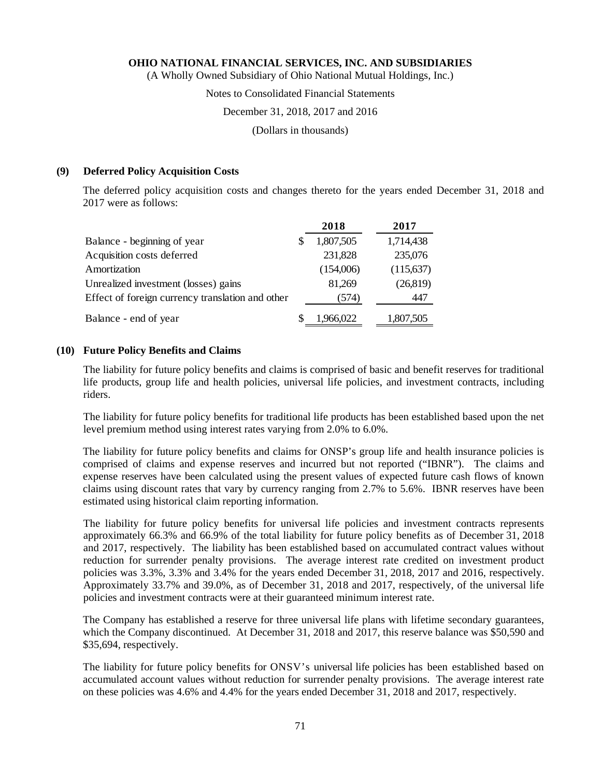(A Wholly Owned Subsidiary of Ohio National Mutual Holdings, Inc.)

#### Notes to Consolidated Financial Statements

#### December 31, 2018, 2017 and 2016

(Dollars in thousands)

#### **(9) Deferred Policy Acquisition Costs**

The deferred policy acquisition costs and changes thereto for the years ended December 31, 2018 and 2017 were as follows:

|                                                  |   | 2018      | 2017       |
|--------------------------------------------------|---|-----------|------------|
| Balance - beginning of year                      | S | 1,807,505 | 1,714,438  |
| Acquisition costs deferred                       |   | 231,828   | 235,076    |
| Amortization                                     |   | (154,006) | (115, 637) |
| Unrealized investment (losses) gains             |   | 81,269    | (26,819)   |
| Effect of foreign currency translation and other |   | (574)     | 447        |
| Balance - end of year                            |   | 1,966,022 | 1,807,505  |

# **(10) Future Policy Benefits and Claims**

The liability for future policy benefits and claims is comprised of basic and benefit reserves for traditional life products, group life and health policies, universal life policies, and investment contracts, including riders.

The liability for future policy benefits for traditional life products has been established based upon the net level premium method using interest rates varying from 2.0% to 6.0%.

The liability for future policy benefits and claims for ONSP's group life and health insurance policies is comprised of claims and expense reserves and incurred but not reported ("IBNR"). The claims and expense reserves have been calculated using the present values of expected future cash flows of known claims using discount rates that vary by currency ranging from 2.7% to 5.6%. IBNR reserves have been estimated using historical claim reporting information.

The liability for future policy benefits for universal life policies and investment contracts represents approximately 66.3% and 66.9% of the total liability for future policy benefits as of December 31, 2018 and 2017, respectively. The liability has been established based on accumulated contract values without reduction for surrender penalty provisions. The average interest rate credited on investment product policies was 3.3%, 3.3% and 3.4% for the years ended December 31, 2018, 2017 and 2016, respectively. Approximately 33.7% and 39.0%, as of December 31, 2018 and 2017, respectively, of the universal life policies and investment contracts were at their guaranteed minimum interest rate.

The Company has established a reserve for three universal life plans with lifetime secondary guarantees, which the Company discontinued. At December 31, 2018 and 2017, this reserve balance was \$50,590 and \$35,694, respectively.

The liability for future policy benefits for ONSV's universal life policies has been established based on accumulated account values without reduction for surrender penalty provisions. The average interest rate on these policies was 4.6% and 4.4% for the years ended December 31, 2018 and 2017, respectively.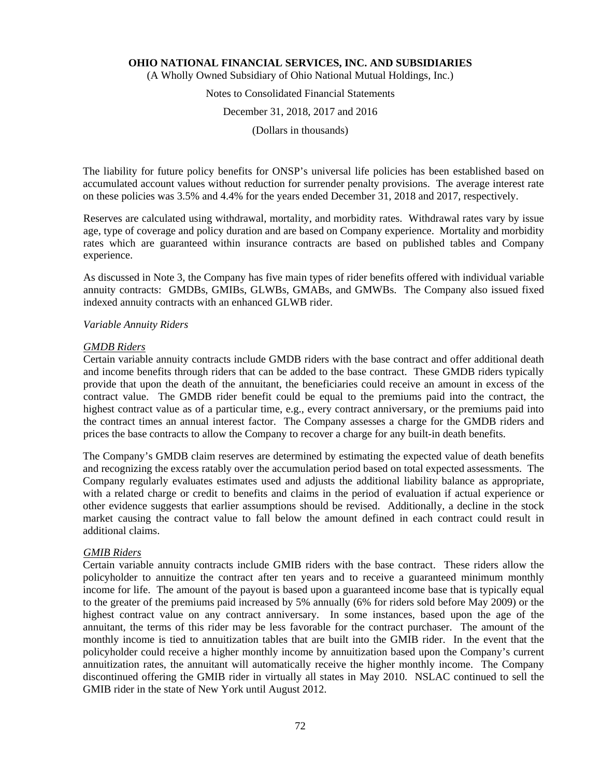(A Wholly Owned Subsidiary of Ohio National Mutual Holdings, Inc.)

# Notes to Consolidated Financial Statements

# December 31, 2018, 2017 and 2016

(Dollars in thousands)

The liability for future policy benefits for ONSP's universal life policies has been established based on accumulated account values without reduction for surrender penalty provisions. The average interest rate on these policies was 3.5% and 4.4% for the years ended December 31, 2018 and 2017, respectively.

Reserves are calculated using withdrawal, mortality, and morbidity rates. Withdrawal rates vary by issue age, type of coverage and policy duration and are based on Company experience. Mortality and morbidity rates which are guaranteed within insurance contracts are based on published tables and Company experience.

As discussed in Note 3, the Company has five main types of rider benefits offered with individual variable annuity contracts: GMDBs, GMIBs, GLWBs, GMABs, and GMWBs. The Company also issued fixed indexed annuity contracts with an enhanced GLWB rider.

#### *Variable Annuity Riders*

#### *GMDB Riders*

Certain variable annuity contracts include GMDB riders with the base contract and offer additional death and income benefits through riders that can be added to the base contract. These GMDB riders typically provide that upon the death of the annuitant, the beneficiaries could receive an amount in excess of the contract value. The GMDB rider benefit could be equal to the premiums paid into the contract, the highest contract value as of a particular time, e.g., every contract anniversary, or the premiums paid into the contract times an annual interest factor. The Company assesses a charge for the GMDB riders and prices the base contracts to allow the Company to recover a charge for any built-in death benefits.

The Company's GMDB claim reserves are determined by estimating the expected value of death benefits and recognizing the excess ratably over the accumulation period based on total expected assessments. The Company regularly evaluates estimates used and adjusts the additional liability balance as appropriate, with a related charge or credit to benefits and claims in the period of evaluation if actual experience or other evidence suggests that earlier assumptions should be revised. Additionally, a decline in the stock market causing the contract value to fall below the amount defined in each contract could result in additional claims.

# *GMIB Riders*

Certain variable annuity contracts include GMIB riders with the base contract. These riders allow the policyholder to annuitize the contract after ten years and to receive a guaranteed minimum monthly income for life. The amount of the payout is based upon a guaranteed income base that is typically equal to the greater of the premiums paid increased by 5% annually (6% for riders sold before May 2009) or the highest contract value on any contract anniversary. In some instances, based upon the age of the annuitant, the terms of this rider may be less favorable for the contract purchaser. The amount of the monthly income is tied to annuitization tables that are built into the GMIB rider. In the event that the policyholder could receive a higher monthly income by annuitization based upon the Company's current annuitization rates, the annuitant will automatically receive the higher monthly income. The Company discontinued offering the GMIB rider in virtually all states in May 2010. NSLAC continued to sell the GMIB rider in the state of New York until August 2012.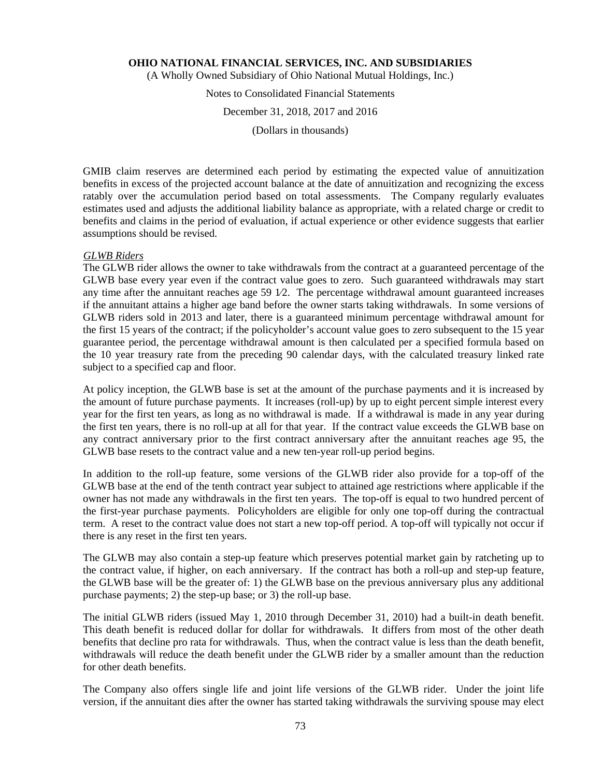(A Wholly Owned Subsidiary of Ohio National Mutual Holdings, Inc.)

# Notes to Consolidated Financial Statements

### December 31, 2018, 2017 and 2016

(Dollars in thousands)

GMIB claim reserves are determined each period by estimating the expected value of annuitization benefits in excess of the projected account balance at the date of annuitization and recognizing the excess ratably over the accumulation period based on total assessments. The Company regularly evaluates estimates used and adjusts the additional liability balance as appropriate, with a related charge or credit to benefits and claims in the period of evaluation, if actual experience or other evidence suggests that earlier assumptions should be revised.

# *GLWB Riders*

The GLWB rider allows the owner to take withdrawals from the contract at a guaranteed percentage of the GLWB base every year even if the contract value goes to zero. Such guaranteed withdrawals may start any time after the annuitant reaches age  $59 \frac{1}{2}$ . The percentage withdrawal amount guaranteed increases if the annuitant attains a higher age band before the owner starts taking withdrawals. In some versions of GLWB riders sold in 2013 and later, there is a guaranteed minimum percentage withdrawal amount for the first 15 years of the contract; if the policyholder's account value goes to zero subsequent to the 15 year guarantee period, the percentage withdrawal amount is then calculated per a specified formula based on the 10 year treasury rate from the preceding 90 calendar days, with the calculated treasury linked rate subject to a specified cap and floor.

At policy inception, the GLWB base is set at the amount of the purchase payments and it is increased by the amount of future purchase payments. It increases (roll-up) by up to eight percent simple interest every year for the first ten years, as long as no withdrawal is made. If a withdrawal is made in any year during the first ten years, there is no roll-up at all for that year. If the contract value exceeds the GLWB base on any contract anniversary prior to the first contract anniversary after the annuitant reaches age 95, the GLWB base resets to the contract value and a new ten-year roll-up period begins.

In addition to the roll-up feature, some versions of the GLWB rider also provide for a top-off of the GLWB base at the end of the tenth contract year subject to attained age restrictions where applicable if the owner has not made any withdrawals in the first ten years. The top-off is equal to two hundred percent of the first-year purchase payments. Policyholders are eligible for only one top-off during the contractual term. A reset to the contract value does not start a new top-off period. A top-off will typically not occur if there is any reset in the first ten years.

The GLWB may also contain a step-up feature which preserves potential market gain by ratcheting up to the contract value, if higher, on each anniversary. If the contract has both a roll-up and step-up feature, the GLWB base will be the greater of: 1) the GLWB base on the previous anniversary plus any additional purchase payments; 2) the step-up base; or 3) the roll-up base.

The initial GLWB riders (issued May 1, 2010 through December 31, 2010) had a built-in death benefit. This death benefit is reduced dollar for dollar for withdrawals. It differs from most of the other death benefits that decline pro rata for withdrawals. Thus, when the contract value is less than the death benefit, withdrawals will reduce the death benefit under the GLWB rider by a smaller amount than the reduction for other death benefits.

The Company also offers single life and joint life versions of the GLWB rider. Under the joint life version, if the annuitant dies after the owner has started taking withdrawals the surviving spouse may elect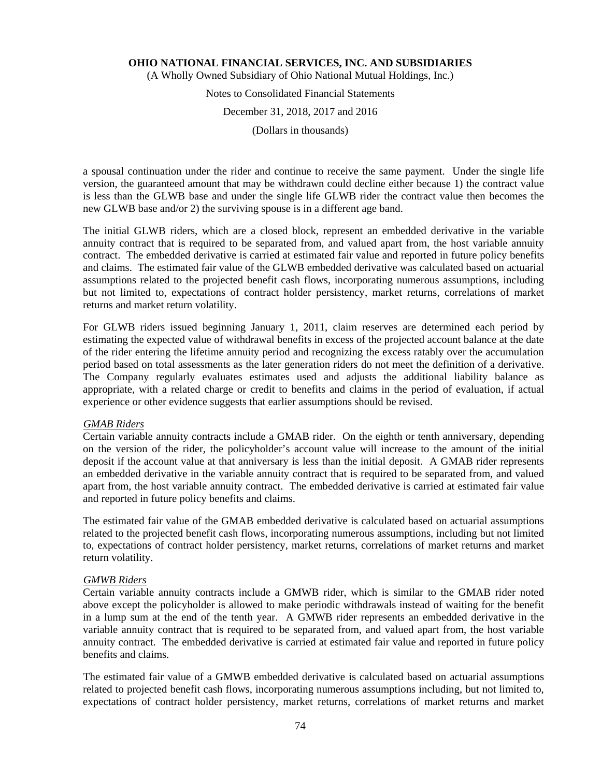(A Wholly Owned Subsidiary of Ohio National Mutual Holdings, Inc.)

# Notes to Consolidated Financial Statements

# December 31, 2018, 2017 and 2016

(Dollars in thousands)

a spousal continuation under the rider and continue to receive the same payment. Under the single life version, the guaranteed amount that may be withdrawn could decline either because 1) the contract value is less than the GLWB base and under the single life GLWB rider the contract value then becomes the new GLWB base and/or 2) the surviving spouse is in a different age band.

The initial GLWB riders, which are a closed block, represent an embedded derivative in the variable annuity contract that is required to be separated from, and valued apart from, the host variable annuity contract. The embedded derivative is carried at estimated fair value and reported in future policy benefits and claims. The estimated fair value of the GLWB embedded derivative was calculated based on actuarial assumptions related to the projected benefit cash flows, incorporating numerous assumptions, including but not limited to, expectations of contract holder persistency, market returns, correlations of market returns and market return volatility.

For GLWB riders issued beginning January 1, 2011, claim reserves are determined each period by estimating the expected value of withdrawal benefits in excess of the projected account balance at the date of the rider entering the lifetime annuity period and recognizing the excess ratably over the accumulation period based on total assessments as the later generation riders do not meet the definition of a derivative. The Company regularly evaluates estimates used and adjusts the additional liability balance as appropriate, with a related charge or credit to benefits and claims in the period of evaluation, if actual experience or other evidence suggests that earlier assumptions should be revised.

# *GMAB Riders*

Certain variable annuity contracts include a GMAB rider. On the eighth or tenth anniversary, depending on the version of the rider, the policyholder's account value will increase to the amount of the initial deposit if the account value at that anniversary is less than the initial deposit. A GMAB rider represents an embedded derivative in the variable annuity contract that is required to be separated from, and valued apart from, the host variable annuity contract. The embedded derivative is carried at estimated fair value and reported in future policy benefits and claims.

The estimated fair value of the GMAB embedded derivative is calculated based on actuarial assumptions related to the projected benefit cash flows, incorporating numerous assumptions, including but not limited to, expectations of contract holder persistency, market returns, correlations of market returns and market return volatility.

# *GMWB Riders*

Certain variable annuity contracts include a GMWB rider, which is similar to the GMAB rider noted above except the policyholder is allowed to make periodic withdrawals instead of waiting for the benefit in a lump sum at the end of the tenth year. A GMWB rider represents an embedded derivative in the variable annuity contract that is required to be separated from, and valued apart from, the host variable annuity contract. The embedded derivative is carried at estimated fair value and reported in future policy benefits and claims.

The estimated fair value of a GMWB embedded derivative is calculated based on actuarial assumptions related to projected benefit cash flows, incorporating numerous assumptions including, but not limited to, expectations of contract holder persistency, market returns, correlations of market returns and market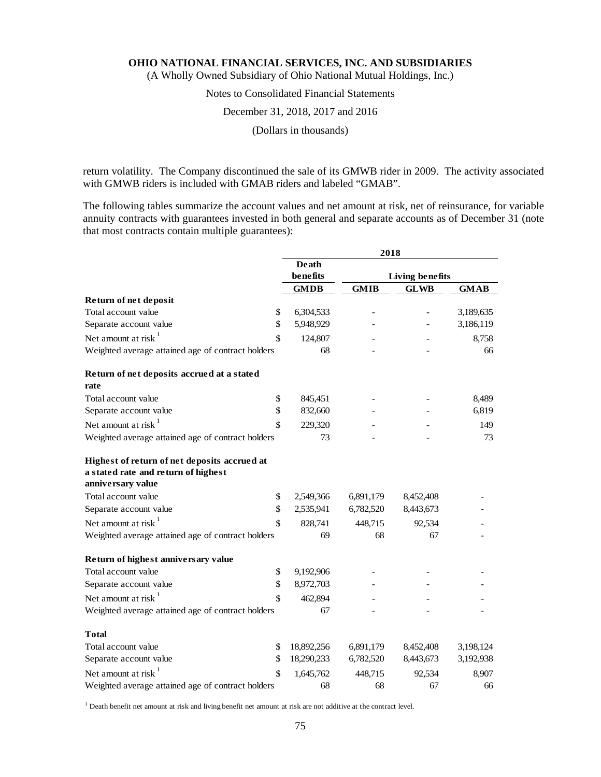(A Wholly Owned Subsidiary of Ohio National Mutual Holdings, Inc.)

# Notes to Consolidated Financial Statements

# December 31, 2018, 2017 and 2016

(Dollars in thousands)

return volatility. The Company discontinued the sale of its GMWB rider in 2009. The activity associated with GMWB riders is included with GMAB riders and labeled "GMAB".

The following tables summarize the account values and net amount at risk, net of reinsurance, for variable annuity contracts with guarantees invested in both general and separate accounts as of December 31 (note that most contracts contain multiple guarantees):

|                                                                                                          |             | 2018        |                 |             |
|----------------------------------------------------------------------------------------------------------|-------------|-------------|-----------------|-------------|
|                                                                                                          | Death       |             |                 |             |
|                                                                                                          | benefits    |             | Living benefits |             |
|                                                                                                          | <b>GMDB</b> | <b>GMIB</b> | <b>GLWB</b>     | <b>GMAB</b> |
| Return of net deposit                                                                                    |             |             |                 |             |
| Total account value<br>\$                                                                                | 6,304,533   |             |                 | 3,189,635   |
| \$<br>Separate account value                                                                             | 5,948,929   |             |                 | 3,186,119   |
| Net amount at risk $1$<br>\$                                                                             | 124,807     |             |                 | 8,758       |
| Weighted average attained age of contract holders                                                        | 68          |             |                 | 66          |
| Return of net deposits accrued at a stated<br>rate                                                       |             |             |                 |             |
| Total account value<br>\$                                                                                | 845,451     |             |                 | 8,489       |
| \$<br>Separate account value                                                                             | 832,660     |             |                 | 6,819       |
| Net amount at risk $1$<br>$\mathbf{\hat{S}}$                                                             | 229,320     |             |                 | 149         |
| Weighted average attained age of contract holders                                                        | 73          |             |                 | 73          |
| Highest of return of net deposits accrued at<br>a stated rate and return of highest<br>anniversary value |             |             |                 |             |
| Total account value<br>\$                                                                                | 2,549,366   | 6,891,179   | 8,452,408       |             |
| \$<br>Separate account value                                                                             | 2,535,941   | 6,782,520   | 8,443,673       |             |
| Net amount at risk $1$<br>\$                                                                             | 828,741     | 448,715     | 92,534          |             |
| Weighted average attained age of contract holders                                                        | 69          | 68          | 67              |             |
| Return of highest anniversary value                                                                      |             |             |                 |             |
| Total account value<br>\$                                                                                | 9,192,906   |             |                 |             |
| \$<br>Separate account value                                                                             | 8,972,703   |             |                 |             |
| Net amount at risk $1$<br>\$                                                                             | 462,894     |             |                 |             |
| Weighted average attained age of contract holders                                                        | 67          |             |                 |             |
| Total                                                                                                    |             |             |                 |             |
| Total account value<br>\$                                                                                | 18,892,256  | 6,891,179   | 8,452,408       | 3,198,124   |
| Separate account value<br>\$                                                                             | 18,290,233  | 6,782,520   | 8,443,673       | 3,192,938   |
| Net amount at risk $1$<br>\$                                                                             | 1,645,762   | 448,715     | 92,534          | 8,907       |
| Weighted average attained age of contract holders                                                        | 68          | 68          | 67              | 66          |

<sup>1</sup> Death benefit net amount at risk and living benefit net amount at risk are not additive at the contract level.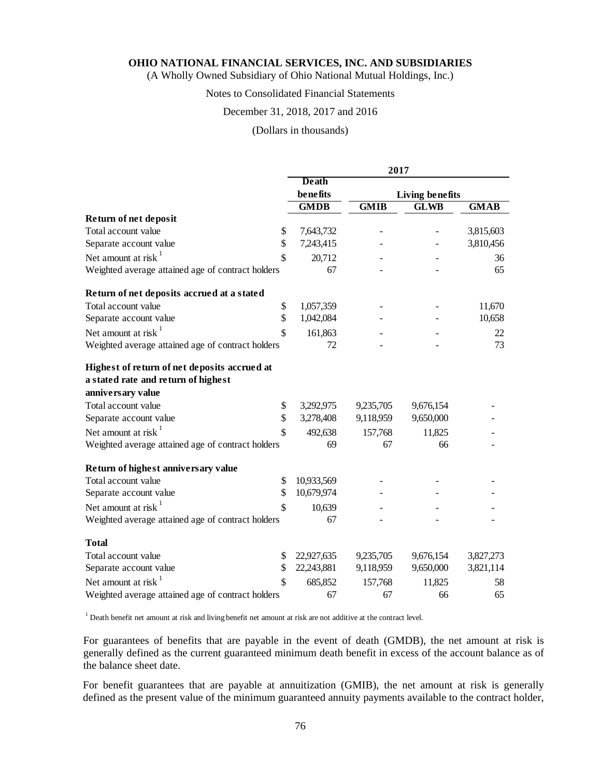(A Wholly Owned Subsidiary of Ohio National Mutual Holdings, Inc.)

# Notes to Consolidated Financial Statements

# December 31, 2018, 2017 and 2016

# (Dollars in thousands)

|                                                   | 2017        |             |                        |             |  |
|---------------------------------------------------|-------------|-------------|------------------------|-------------|--|
|                                                   | Death       |             |                        |             |  |
|                                                   | benefits    |             | <b>Living benefits</b> |             |  |
|                                                   | <b>GMDB</b> | <b>GMIB</b> | <b>GLWB</b>            | <b>GMAB</b> |  |
| Return of net deposit                             |             |             |                        |             |  |
| Total account value<br>\$                         | 7,643,732   |             |                        | 3,815,603   |  |
| \$<br>Separate account value                      | 7,243,415   |             |                        | 3,810,456   |  |
| Net amount at risk $1$<br>\$                      | 20,712      |             |                        | 36          |  |
| Weighted average attained age of contract holders | 67          |             |                        | 65          |  |
| Return of net deposits accrued at a stated        |             |             |                        |             |  |
| Total account value<br>\$                         | 1,057,359   |             |                        | 11,670      |  |
| \$<br>Separate account value                      | 1,042,084   |             |                        | 10,658      |  |
| Net amount at risk $1$<br>\$                      | 161,863     |             |                        | 22          |  |
| Weighted average attained age of contract holders | 72          |             |                        | 73          |  |
| Highest of return of net deposits accrued at      |             |             |                        |             |  |
| a stated rate and return of highest               |             |             |                        |             |  |
| anniversary value                                 |             |             |                        |             |  |
| Total account value<br>\$                         | 3,292,975   | 9,235,705   | 9,676,154              |             |  |
| \$<br>Separate account value                      | 3,278,408   | 9,118,959   | 9,650,000              |             |  |
| Net amount at risk $1$<br>\$                      | 492,638     | 157,768     | 11,825                 |             |  |
| Weighted average attained age of contract holders | 69          | 67          | 66                     |             |  |
| Return of highest anniversary value               |             |             |                        |             |  |
| Total account value<br>\$                         | 10,933,569  |             |                        |             |  |
| \$<br>Separate account value                      | 10,679,974  |             |                        |             |  |
| Net amount at risk<br>\$                          | 10,639      |             |                        |             |  |
| Weighted average attained age of contract holders | 67          |             |                        |             |  |
| <b>Total</b>                                      |             |             |                        |             |  |
| Total account value<br>\$                         | 22,927,635  | 9,235,705   | 9,676,154              | 3,827,273   |  |
| \$<br>Separate account value                      | 22,243,881  | 9,118,959   | 9,650,000              | 3,821,114   |  |
| Net amount at risk $1$<br>\$                      | 685,852     | 157,768     | 11,825                 | 58          |  |
| Weighted average attained age of contract holders | 67          | 67          | 66                     | 65          |  |

<sup>1</sup> Death benefit net amount at risk and living benefit net amount at risk are not additive at the contract level.

For guarantees of benefits that are payable in the event of death (GMDB), the net amount at risk is generally defined as the current guaranteed minimum death benefit in excess of the account balance as of the balance sheet date.

For benefit guarantees that are payable at annuitization (GMIB), the net amount at risk is generally defined as the present value of the minimum guaranteed annuity payments available to the contract holder,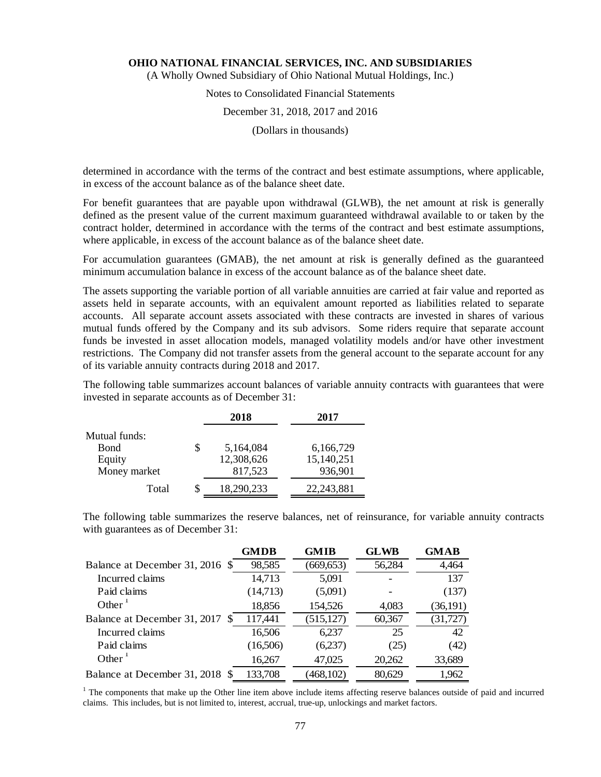(A Wholly Owned Subsidiary of Ohio National Mutual Holdings, Inc.)

# Notes to Consolidated Financial Statements

# December 31, 2018, 2017 and 2016

(Dollars in thousands)

determined in accordance with the terms of the contract and best estimate assumptions, where applicable, in excess of the account balance as of the balance sheet date.

For benefit guarantees that are payable upon withdrawal (GLWB), the net amount at risk is generally defined as the present value of the current maximum guaranteed withdrawal available to or taken by the contract holder, determined in accordance with the terms of the contract and best estimate assumptions, where applicable, in excess of the account balance as of the balance sheet date.

For accumulation guarantees (GMAB), the net amount at risk is generally defined as the guaranteed minimum accumulation balance in excess of the account balance as of the balance sheet date.

The assets supporting the variable portion of all variable annuities are carried at fair value and reported as assets held in separate accounts, with an equivalent amount reported as liabilities related to separate accounts. All separate account assets associated with these contracts are invested in shares of various mutual funds offered by the Company and its sub advisors. Some riders require that separate account funds be invested in asset allocation models, managed volatility models and/or have other investment restrictions. The Company did not transfer assets from the general account to the separate account for any of its variable annuity contracts during 2018 and 2017.

The following table summarizes account balances of variable annuity contracts with guarantees that were invested in separate accounts as of December 31:

|               |    | 2018       | 2017         |
|---------------|----|------------|--------------|
| Mutual funds: |    |            |              |
| <b>Bond</b>   | \$ | 5,164,084  | 6,166,729    |
| Equity        |    | 12,308,626 | 15,140,251   |
| Money market  |    | 817,523    | 936,901      |
| Total         | S  | 18,290,233 | 22, 243, 881 |

The following table summarizes the reserve balances, net of reinsurance, for variable annuity contracts with guarantees as of December 31:

|                                 | <b>GMDB</b> | <b>GMIB</b> | <b>GLWB</b> | <b>GMAB</b> |
|---------------------------------|-------------|-------------|-------------|-------------|
| Balance at December 31, 2016 \$ | 98,585      | (669, 653)  | 56,284      | 4,464       |
| Incurred claims                 | 14,713      | 5,091       |             | 137         |
| Paid claims                     | (14,713)    | (5,091)     |             | (137)       |
| Other $\frac{1}{1}$             | 18,856      | 154,526     | 4,083       | (36,191)    |
| Balance at December 31, 2017 \$ | 117,441     | (515, 127)  | 60,367      | (31, 727)   |
| Incurred claims                 | 16,506      | 6,237       | 25          | 42          |
| Paid claims                     | (16,506)    | (6,237)     | (25)        | (42)        |
| Other                           | 16,267      | 47,025      | 20,262      | 33,689      |
| Balance at December 31, 2018 \$ | 133,708     | (468, 102)  | 80,629      | 1,962       |

<sup>1</sup> The components that make up the Other line item above include items affecting reserve balances outside of paid and incurred claims. This includes, but is not limited to, interest, accrual, true-up, unlockings and market factors.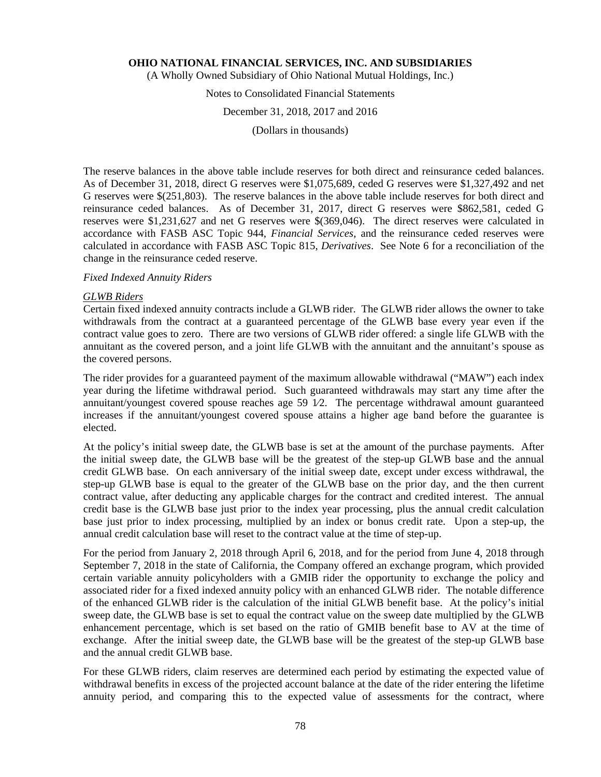(A Wholly Owned Subsidiary of Ohio National Mutual Holdings, Inc.)

# Notes to Consolidated Financial Statements

#### December 31, 2018, 2017 and 2016

(Dollars in thousands)

The reserve balances in the above table include reserves for both direct and reinsurance ceded balances. As of December 31, 2018, direct G reserves were \$1,075,689, ceded G reserves were \$1,327,492 and net G reserves were \$(251,803). The reserve balances in the above table include reserves for both direct and reinsurance ceded balances. As of December 31, 2017, direct G reserves were \$862,581, ceded G reserves were \$1,231,627 and net G reserves were \$(369,046). The direct reserves were calculated in accordance with FASB ASC Topic 944, *Financial Services*, and the reinsurance ceded reserves were calculated in accordance with FASB ASC Topic 815, *Derivatives*. See Note 6 for a reconciliation of the change in the reinsurance ceded reserve.

# *Fixed Indexed Annuity Riders*

# *GLWB Riders*

Certain fixed indexed annuity contracts include a GLWB rider. The GLWB rider allows the owner to take withdrawals from the contract at a guaranteed percentage of the GLWB base every year even if the contract value goes to zero. There are two versions of GLWB rider offered: a single life GLWB with the annuitant as the covered person, and a joint life GLWB with the annuitant and the annuitant's spouse as the covered persons.

The rider provides for a guaranteed payment of the maximum allowable withdrawal ("MAW") each index year during the lifetime withdrawal period. Such guaranteed withdrawals may start any time after the annuitant/youngest covered spouse reaches age 59 1⁄2. The percentage withdrawal amount guaranteed increases if the annuitant/youngest covered spouse attains a higher age band before the guarantee is elected.

At the policy's initial sweep date, the GLWB base is set at the amount of the purchase payments. After the initial sweep date, the GLWB base will be the greatest of the step-up GLWB base and the annual credit GLWB base. On each anniversary of the initial sweep date, except under excess withdrawal, the step-up GLWB base is equal to the greater of the GLWB base on the prior day, and the then current contract value, after deducting any applicable charges for the contract and credited interest. The annual credit base is the GLWB base just prior to the index year processing, plus the annual credit calculation base just prior to index processing, multiplied by an index or bonus credit rate. Upon a step-up, the annual credit calculation base will reset to the contract value at the time of step-up.

For the period from January 2, 2018 through April 6, 2018, and for the period from June 4, 2018 through September 7, 2018 in the state of California, the Company offered an exchange program, which provided certain variable annuity policyholders with a GMIB rider the opportunity to exchange the policy and associated rider for a fixed indexed annuity policy with an enhanced GLWB rider. The notable difference of the enhanced GLWB rider is the calculation of the initial GLWB benefit base. At the policy's initial sweep date, the GLWB base is set to equal the contract value on the sweep date multiplied by the GLWB enhancement percentage, which is set based on the ratio of GMIB benefit base to AV at the time of exchange. After the initial sweep date, the GLWB base will be the greatest of the step-up GLWB base and the annual credit GLWB base.

For these GLWB riders, claim reserves are determined each period by estimating the expected value of withdrawal benefits in excess of the projected account balance at the date of the rider entering the lifetime annuity period, and comparing this to the expected value of assessments for the contract, where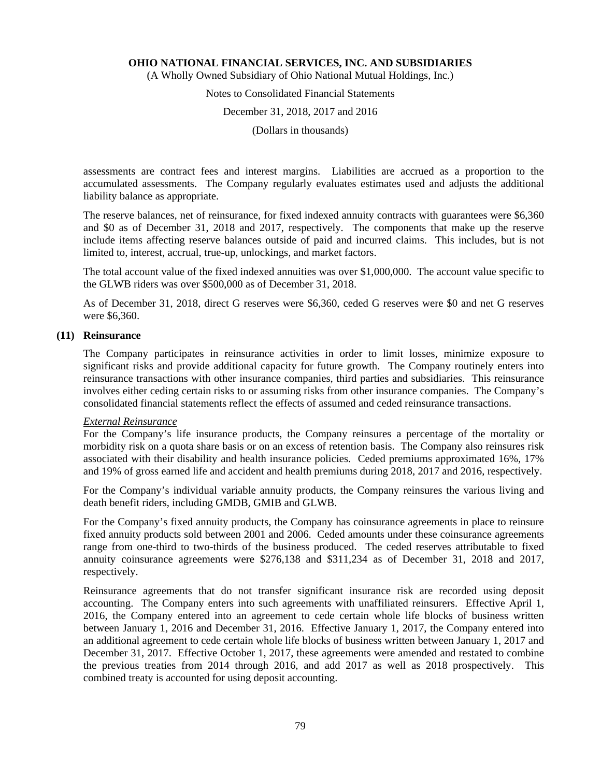(A Wholly Owned Subsidiary of Ohio National Mutual Holdings, Inc.)

# Notes to Consolidated Financial Statements

#### December 31, 2018, 2017 and 2016

(Dollars in thousands)

assessments are contract fees and interest margins. Liabilities are accrued as a proportion to the accumulated assessments. The Company regularly evaluates estimates used and adjusts the additional liability balance as appropriate.

The reserve balances, net of reinsurance, for fixed indexed annuity contracts with guarantees were \$6,360 and \$0 as of December 31, 2018 and 2017, respectively. The components that make up the reserve include items affecting reserve balances outside of paid and incurred claims. This includes, but is not limited to, interest, accrual, true-up, unlockings, and market factors.

The total account value of the fixed indexed annuities was over \$1,000,000. The account value specific to the GLWB riders was over \$500,000 as of December 31, 2018.

As of December 31, 2018, direct G reserves were \$6,360, ceded G reserves were \$0 and net G reserves were \$6,360.

#### **(11) Reinsurance**

The Company participates in reinsurance activities in order to limit losses, minimize exposure to significant risks and provide additional capacity for future growth. The Company routinely enters into reinsurance transactions with other insurance companies, third parties and subsidiaries. This reinsurance involves either ceding certain risks to or assuming risks from other insurance companies. The Company's consolidated financial statements reflect the effects of assumed and ceded reinsurance transactions.

#### *External Reinsurance*

For the Company's life insurance products, the Company reinsures a percentage of the mortality or morbidity risk on a quota share basis or on an excess of retention basis. The Company also reinsures risk associated with their disability and health insurance policies. Ceded premiums approximated 16%, 17% and 19% of gross earned life and accident and health premiums during 2018, 2017 and 2016, respectively.

For the Company's individual variable annuity products, the Company reinsures the various living and death benefit riders, including GMDB, GMIB and GLWB.

For the Company's fixed annuity products, the Company has coinsurance agreements in place to reinsure fixed annuity products sold between 2001 and 2006. Ceded amounts under these coinsurance agreements range from one-third to two-thirds of the business produced. The ceded reserves attributable to fixed annuity coinsurance agreements were \$276,138 and \$311,234 as of December 31, 2018 and 2017, respectively.

Reinsurance agreements that do not transfer significant insurance risk are recorded using deposit accounting. The Company enters into such agreements with unaffiliated reinsurers. Effective April 1, 2016, the Company entered into an agreement to cede certain whole life blocks of business written between January 1, 2016 and December 31, 2016. Effective January 1, 2017, the Company entered into an additional agreement to cede certain whole life blocks of business written between January 1, 2017 and December 31, 2017. Effective October 1, 2017, these agreements were amended and restated to combine the previous treaties from 2014 through 2016, and add 2017 as well as 2018 prospectively. This combined treaty is accounted for using deposit accounting.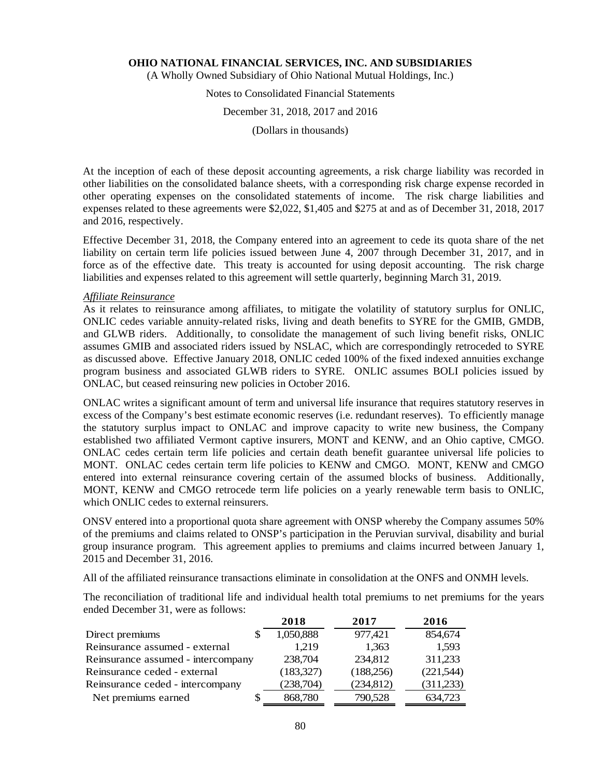(A Wholly Owned Subsidiary of Ohio National Mutual Holdings, Inc.)

# Notes to Consolidated Financial Statements

### December 31, 2018, 2017 and 2016

(Dollars in thousands)

At the inception of each of these deposit accounting agreements, a risk charge liability was recorded in other liabilities on the consolidated balance sheets, with a corresponding risk charge expense recorded in other operating expenses on the consolidated statements of income. The risk charge liabilities and expenses related to these agreements were \$2,022, \$1,405 and \$275 at and as of December 31, 2018, 2017 and 2016, respectively.

Effective December 31, 2018, the Company entered into an agreement to cede its quota share of the net liability on certain term life policies issued between June 4, 2007 through December 31, 2017, and in force as of the effective date. This treaty is accounted for using deposit accounting. The risk charge liabilities and expenses related to this agreement will settle quarterly, beginning March 31, 2019.

#### *Affiliate Reinsurance*

As it relates to reinsurance among affiliates, to mitigate the volatility of statutory surplus for ONLIC, ONLIC cedes variable annuity-related risks, living and death benefits to SYRE for the GMIB, GMDB, and GLWB riders. Additionally, to consolidate the management of such living benefit risks, ONLIC assumes GMIB and associated riders issued by NSLAC, which are correspondingly retroceded to SYRE as discussed above. Effective January 2018, ONLIC ceded 100% of the fixed indexed annuities exchange program business and associated GLWB riders to SYRE. ONLIC assumes BOLI policies issued by ONLAC, but ceased reinsuring new policies in October 2016.

ONLAC writes a significant amount of term and universal life insurance that requires statutory reserves in excess of the Company's best estimate economic reserves (i.e. redundant reserves). To efficiently manage the statutory surplus impact to ONLAC and improve capacity to write new business, the Company established two affiliated Vermont captive insurers, MONT and KENW, and an Ohio captive, CMGO. ONLAC cedes certain term life policies and certain death benefit guarantee universal life policies to MONT. ONLAC cedes certain term life policies to KENW and CMGO. MONT, KENW and CMGO entered into external reinsurance covering certain of the assumed blocks of business. Additionally, MONT, KENW and CMGO retrocede term life policies on a yearly renewable term basis to ONLIC, which ONLIC cedes to external reinsurers.

ONSV entered into a proportional quota share agreement with ONSP whereby the Company assumes 50% of the premiums and claims related to ONSP's participation in the Peruvian survival, disability and burial group insurance program. This agreement applies to premiums and claims incurred between January 1, 2015 and December 31, 2016.

All of the affiliated reinsurance transactions eliminate in consolidation at the ONFS and ONMH levels.

The reconciliation of traditional life and individual health total premiums to net premiums for the years ended December 31, were as follows:

|                                    | 2018       | 2017       | 2016       |
|------------------------------------|------------|------------|------------|
| Direct premiums                    | 1,050,888  | 977,421    | 854,674    |
| Reinsurance assumed - external     | 1.219      | 1,363      | 1,593      |
| Reinsurance assumed - intercompany | 238,704    | 234,812    | 311,233    |
| Reinsurance ceded - external       | (183, 327) | (188, 256) | (221,544)  |
| Reinsurance ceded - intercompany   | (238,704)  | (234, 812) | (311, 233) |
| Net premiums earned                | 868,780    | 790,528    | 634,723    |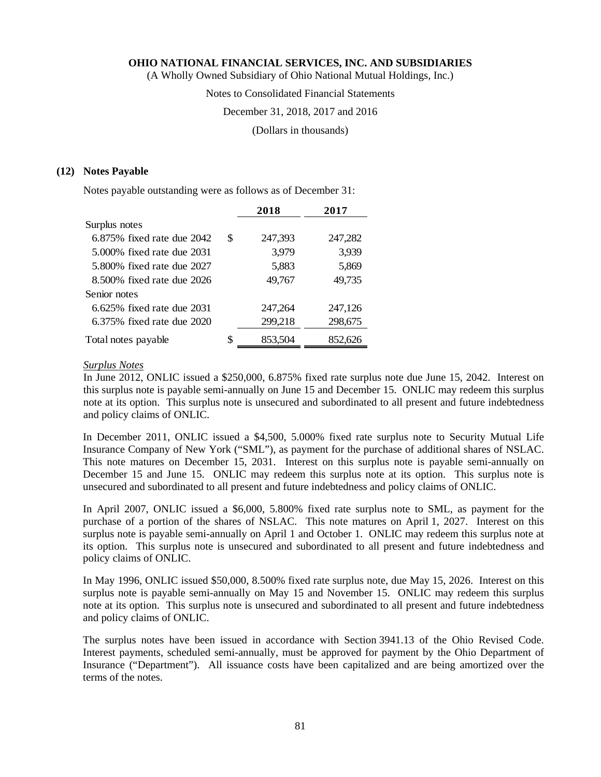(A Wholly Owned Subsidiary of Ohio National Mutual Holdings, Inc.)

Notes to Consolidated Financial Statements

December 31, 2018, 2017 and 2016

(Dollars in thousands)

# **(12) Notes Payable**

Notes payable outstanding were as follows as of December 31:

|                                 |    | 2018    | 2017    |
|---------------------------------|----|---------|---------|
| Surplus notes                   |    |         |         |
| $6.875\%$ fixed rate due $2042$ | S  | 247,393 | 247,282 |
| 5.000\% fixed rate due 2031     |    | 3,979   | 3,939   |
| 5.800% fixed rate due 2027      |    | 5,883   | 5,869   |
| 8.500% fixed rate due 2026      |    | 49,767  | 49,735  |
| Senior notes                    |    |         |         |
| $6.625\%$ fixed rate due $2031$ |    | 247,264 | 247,126 |
| 6.375% fixed rate due 2020      |    | 299,218 | 298,675 |
| Total notes payable             | \$ | 853,504 | 852.626 |

# *Surplus Notes*

In June 2012, ONLIC issued a \$250,000, 6.875% fixed rate surplus note due June 15, 2042. Interest on this surplus note is payable semi-annually on June 15 and December 15. ONLIC may redeem this surplus note at its option. This surplus note is unsecured and subordinated to all present and future indebtedness and policy claims of ONLIC.

In December 2011, ONLIC issued a \$4,500, 5.000% fixed rate surplus note to Security Mutual Life Insurance Company of New York ("SML"), as payment for the purchase of additional shares of NSLAC. This note matures on December 15, 2031. Interest on this surplus note is payable semi-annually on December 15 and June 15. ONLIC may redeem this surplus note at its option. This surplus note is unsecured and subordinated to all present and future indebtedness and policy claims of ONLIC.

In April 2007, ONLIC issued a \$6,000, 5.800% fixed rate surplus note to SML, as payment for the purchase of a portion of the shares of NSLAC. This note matures on April 1, 2027. Interest on this surplus note is payable semi-annually on April 1 and October 1. ONLIC may redeem this surplus note at its option. This surplus note is unsecured and subordinated to all present and future indebtedness and policy claims of ONLIC.

In May 1996, ONLIC issued \$50,000, 8.500% fixed rate surplus note, due May 15, 2026. Interest on this surplus note is payable semi-annually on May 15 and November 15. ONLIC may redeem this surplus note at its option. This surplus note is unsecured and subordinated to all present and future indebtedness and policy claims of ONLIC.

The surplus notes have been issued in accordance with Section 3941.13 of the Ohio Revised Code. Interest payments, scheduled semi-annually, must be approved for payment by the Ohio Department of Insurance ("Department"). All issuance costs have been capitalized and are being amortized over the terms of the notes.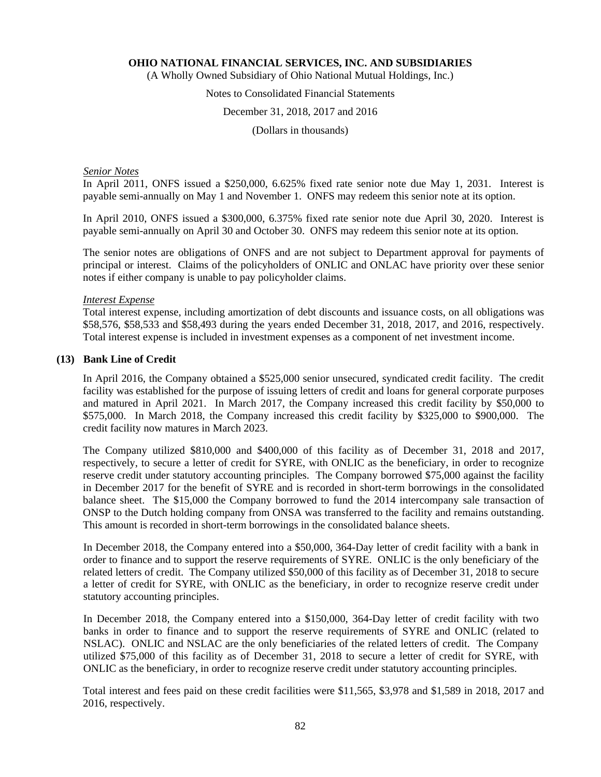(A Wholly Owned Subsidiary of Ohio National Mutual Holdings, Inc.)

# Notes to Consolidated Financial Statements

# December 31, 2018, 2017 and 2016

(Dollars in thousands)

# *Senior Notes*

In April 2011, ONFS issued a \$250,000, 6.625% fixed rate senior note due May 1, 2031. Interest is payable semi-annually on May 1 and November 1. ONFS may redeem this senior note at its option.

In April 2010, ONFS issued a \$300,000, 6.375% fixed rate senior note due April 30, 2020. Interest is payable semi-annually on April 30 and October 30. ONFS may redeem this senior note at its option.

The senior notes are obligations of ONFS and are not subject to Department approval for payments of principal or interest. Claims of the policyholders of ONLIC and ONLAC have priority over these senior notes if either company is unable to pay policyholder claims.

#### *Interest Expense*

Total interest expense, including amortization of debt discounts and issuance costs, on all obligations was \$58,576, \$58,533 and \$58,493 during the years ended December 31, 2018, 2017, and 2016, respectively. Total interest expense is included in investment expenses as a component of net investment income.

# **(13) Bank Line of Credit**

In April 2016, the Company obtained a \$525,000 senior unsecured, syndicated credit facility. The credit facility was established for the purpose of issuing letters of credit and loans for general corporate purposes and matured in April 2021. In March 2017, the Company increased this credit facility by \$50,000 to \$575,000. In March 2018, the Company increased this credit facility by \$325,000 to \$900,000. The credit facility now matures in March 2023.

The Company utilized \$810,000 and \$400,000 of this facility as of December 31, 2018 and 2017, respectively, to secure a letter of credit for SYRE, with ONLIC as the beneficiary, in order to recognize reserve credit under statutory accounting principles. The Company borrowed \$75,000 against the facility in December 2017 for the benefit of SYRE and is recorded in short-term borrowings in the consolidated balance sheet. The \$15,000 the Company borrowed to fund the 2014 intercompany sale transaction of ONSP to the Dutch holding company from ONSA was transferred to the facility and remains outstanding. This amount is recorded in short-term borrowings in the consolidated balance sheets.

In December 2018, the Company entered into a \$50,000, 364-Day letter of credit facility with a bank in order to finance and to support the reserve requirements of SYRE. ONLIC is the only beneficiary of the related letters of credit. The Company utilized \$50,000 of this facility as of December 31, 2018 to secure a letter of credit for SYRE, with ONLIC as the beneficiary, in order to recognize reserve credit under statutory accounting principles.

In December 2018, the Company entered into a \$150,000, 364-Day letter of credit facility with two banks in order to finance and to support the reserve requirements of SYRE and ONLIC (related to NSLAC). ONLIC and NSLAC are the only beneficiaries of the related letters of credit. The Company utilized \$75,000 of this facility as of December 31, 2018 to secure a letter of credit for SYRE, with ONLIC as the beneficiary, in order to recognize reserve credit under statutory accounting principles.

Total interest and fees paid on these credit facilities were \$11,565, \$3,978 and \$1,589 in 2018, 2017 and 2016, respectively.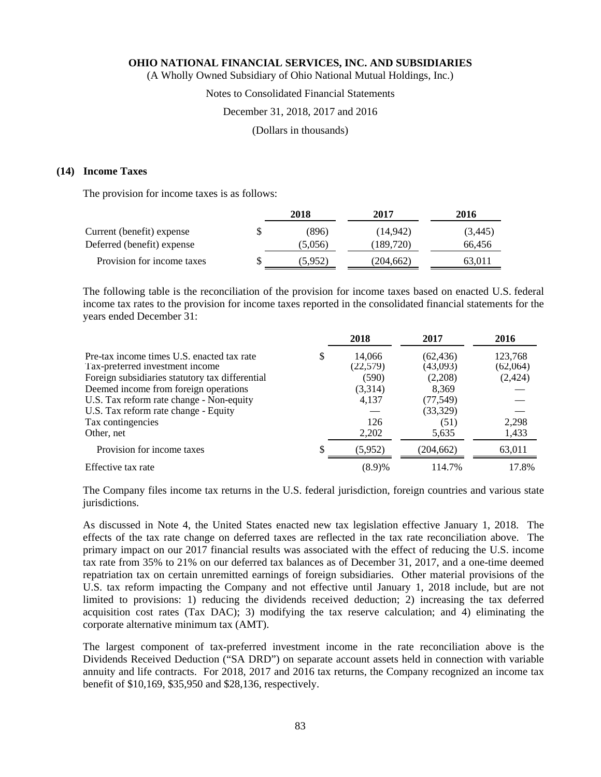(A Wholly Owned Subsidiary of Ohio National Mutual Holdings, Inc.)

# Notes to Consolidated Financial Statements

# December 31, 2018, 2017 and 2016

(Dollars in thousands)

#### **(14) Income Taxes**

The provision for income taxes is as follows:

|                            | 2018    | 2017      | 2016     |
|----------------------------|---------|-----------|----------|
| Current (benefit) expense  | (896)   | (14.942)  | (3, 445) |
| Deferred (benefit) expense | (5,056) | (189.720) | 66.456   |
| Provision for income taxes | (5.952) | (204.662) | 63.011   |

The following table is the reconciliation of the provision for income taxes based on enacted U.S. federal income tax rates to the provision for income taxes reported in the consolidated financial statements for the years ended December 31:

|                                                 |   | 2018     | 2017       | 2016     |
|-------------------------------------------------|---|----------|------------|----------|
| Pre-tax income times U.S. enacted tax rate      | S | 14,066   | (62, 436)  | 123,768  |
| Tax-preferred investment income                 |   | (22,579) | (43,093)   | (62,064) |
| Foreign subsidiaries statutory tax differential |   | (590)    | (2,208)    | (2, 424) |
| Deemed income from foreign operations           |   | (3,314)  | 8,369      |          |
| U.S. Tax reform rate change - Non-equity        |   | 4,137    | (77, 549)  |          |
| U.S. Tax reform rate change - Equity            |   |          | (33,329)   |          |
| Tax contingencies                               |   | 126      | (51)       | 2,298    |
| Other, net                                      |   | 2,202    | 5,635      | 1,433    |
| Provision for income taxes                      |   | (5,952)  | (204, 662) | 63,011   |
| Effective tax rate                              |   | (8.9)%   | 114.7%     | 17.8%    |

The Company files income tax returns in the U.S. federal jurisdiction, foreign countries and various state jurisdictions.

As discussed in Note 4, the United States enacted new tax legislation effective January 1, 2018. The effects of the tax rate change on deferred taxes are reflected in the tax rate reconciliation above. The primary impact on our 2017 financial results was associated with the effect of reducing the U.S. income tax rate from 35% to 21% on our deferred tax balances as of December 31, 2017, and a one-time deemed repatriation tax on certain unremitted earnings of foreign subsidiaries. Other material provisions of the U.S. tax reform impacting the Company and not effective until January 1, 2018 include, but are not limited to provisions: 1) reducing the dividends received deduction; 2) increasing the tax deferred acquisition cost rates (Tax DAC); 3) modifying the tax reserve calculation; and 4) eliminating the corporate alternative minimum tax (AMT).

The largest component of tax-preferred investment income in the rate reconciliation above is the Dividends Received Deduction ("SA DRD") on separate account assets held in connection with variable annuity and life contracts. For 2018, 2017 and 2016 tax returns, the Company recognized an income tax benefit of \$10,169, \$35,950 and \$28,136, respectively.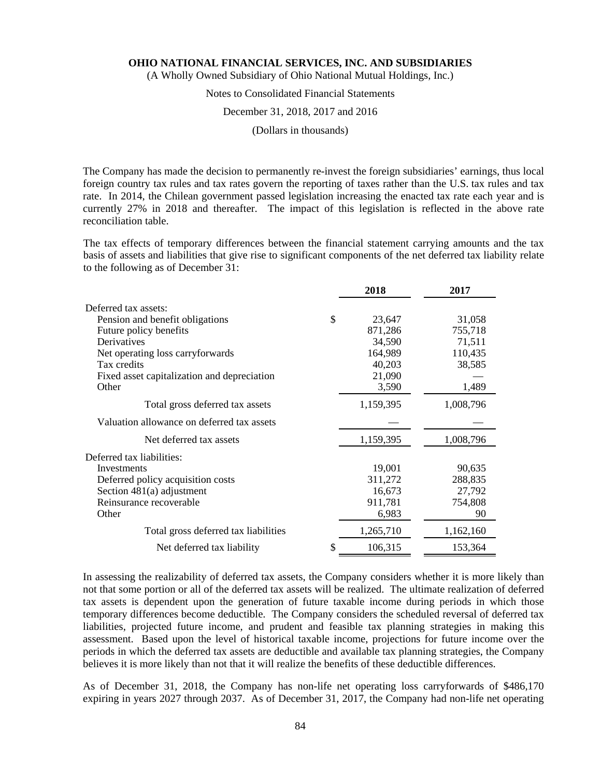(A Wholly Owned Subsidiary of Ohio National Mutual Holdings, Inc.)

# Notes to Consolidated Financial Statements

# December 31, 2018, 2017 and 2016

(Dollars in thousands)

The Company has made the decision to permanently re-invest the foreign subsidiaries' earnings, thus local foreign country tax rules and tax rates govern the reporting of taxes rather than the U.S. tax rules and tax rate. In 2014, the Chilean government passed legislation increasing the enacted tax rate each year and is currently 27% in 2018 and thereafter. The impact of this legislation is reflected in the above rate reconciliation table.

The tax effects of temporary differences between the financial statement carrying amounts and the tax basis of assets and liabilities that give rise to significant components of the net deferred tax liability relate to the following as of December 31:

|    | 2018      | 2017                      |
|----|-----------|---------------------------|
|    |           |                           |
| \$ | 23,647    | 31,058                    |
|    | 871,286   | 755,718                   |
|    | 34,590    | 71,511                    |
|    | 164,989   | 110,435                   |
|    |           | 38,585                    |
|    |           |                           |
|    |           | 1,489                     |
|    | 1,159,395 | 1,008,796                 |
|    |           |                           |
|    | 1,159,395 | 1,008,796                 |
|    |           |                           |
|    | 19,001    | 90,635                    |
|    | 311,272   | 288,835                   |
|    | 16,673    | 27,792                    |
|    | 911,781   | 754,808                   |
|    | 6,983     | 90                        |
|    | 1,265,710 | 1,162,160                 |
| S  | 106,315   | 153,364                   |
|    |           | 40,203<br>21,090<br>3,590 |

In assessing the realizability of deferred tax assets, the Company considers whether it is more likely than not that some portion or all of the deferred tax assets will be realized. The ultimate realization of deferred tax assets is dependent upon the generation of future taxable income during periods in which those temporary differences become deductible. The Company considers the scheduled reversal of deferred tax liabilities, projected future income, and prudent and feasible tax planning strategies in making this assessment. Based upon the level of historical taxable income, projections for future income over the periods in which the deferred tax assets are deductible and available tax planning strategies, the Company believes it is more likely than not that it will realize the benefits of these deductible differences.

As of December 31, 2018, the Company has non-life net operating loss carryforwards of \$486,170 expiring in years 2027 through 2037. As of December 31, 2017, the Company had non-life net operating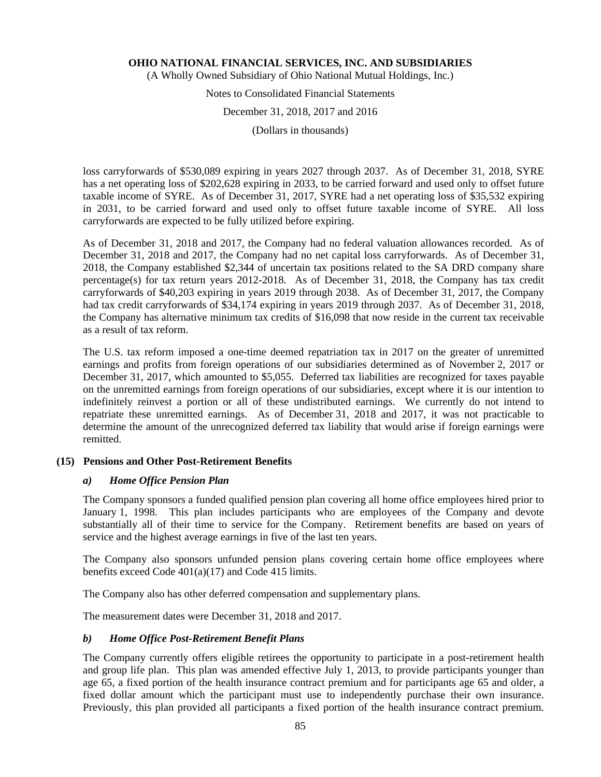(A Wholly Owned Subsidiary of Ohio National Mutual Holdings, Inc.)

# Notes to Consolidated Financial Statements

# December 31, 2018, 2017 and 2016

(Dollars in thousands)

loss carryforwards of \$530,089 expiring in years 2027 through 2037. As of December 31, 2018, SYRE has a net operating loss of \$202,628 expiring in 2033, to be carried forward and used only to offset future taxable income of SYRE. As of December 31, 2017, SYRE had a net operating loss of \$35,532 expiring in 2031, to be carried forward and used only to offset future taxable income of SYRE. All loss carryforwards are expected to be fully utilized before expiring.

As of December 31, 2018 and 2017, the Company had no federal valuation allowances recorded. As of December 31, 2018 and 2017, the Company had no net capital loss carryforwards. As of December 31, 2018, the Company established \$2,344 of uncertain tax positions related to the SA DRD company share percentage(s) for tax return years 2012-2018. As of December 31, 2018, the Company has tax credit carryforwards of \$40,203 expiring in years 2019 through 2038. As of December 31, 2017, the Company had tax credit carryforwards of \$34,174 expiring in years 2019 through 2037. As of December 31, 2018, the Company has alternative minimum tax credits of \$16,098 that now reside in the current tax receivable as a result of tax reform.

The U.S. tax reform imposed a one-time deemed repatriation tax in 2017 on the greater of unremitted earnings and profits from foreign operations of our subsidiaries determined as of November 2, 2017 or December 31, 2017, which amounted to \$5,055. Deferred tax liabilities are recognized for taxes payable on the unremitted earnings from foreign operations of our subsidiaries, except where it is our intention to indefinitely reinvest a portion or all of these undistributed earnings. We currently do not intend to repatriate these unremitted earnings. As of December 31, 2018 and 2017, it was not practicable to determine the amount of the unrecognized deferred tax liability that would arise if foreign earnings were remitted.

# **(15) Pensions and Other Post-Retirement Benefits**

# *a) Home Office Pension Plan*

The Company sponsors a funded qualified pension plan covering all home office employees hired prior to January 1, 1998. This plan includes participants who are employees of the Company and devote substantially all of their time to service for the Company. Retirement benefits are based on years of service and the highest average earnings in five of the last ten years.

The Company also sponsors unfunded pension plans covering certain home office employees where benefits exceed Code 401(a)(17) and Code 415 limits.

The Company also has other deferred compensation and supplementary plans.

The measurement dates were December 31, 2018 and 2017.

# *b) Home Office Post-Retirement Benefit Plans*

The Company currently offers eligible retirees the opportunity to participate in a post-retirement health and group life plan. This plan was amended effective July 1, 2013, to provide participants younger than age 65, a fixed portion of the health insurance contract premium and for participants age 65 and older, a fixed dollar amount which the participant must use to independently purchase their own insurance. Previously, this plan provided all participants a fixed portion of the health insurance contract premium.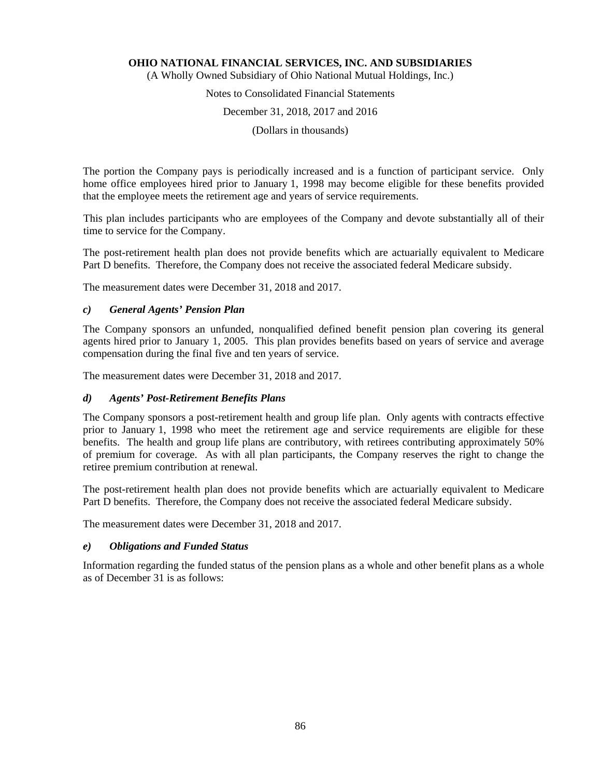(A Wholly Owned Subsidiary of Ohio National Mutual Holdings, Inc.)

# Notes to Consolidated Financial Statements

# December 31, 2018, 2017 and 2016

(Dollars in thousands)

The portion the Company pays is periodically increased and is a function of participant service. Only home office employees hired prior to January 1, 1998 may become eligible for these benefits provided that the employee meets the retirement age and years of service requirements.

This plan includes participants who are employees of the Company and devote substantially all of their time to service for the Company.

The post-retirement health plan does not provide benefits which are actuarially equivalent to Medicare Part D benefits. Therefore, the Company does not receive the associated federal Medicare subsidy.

The measurement dates were December 31, 2018 and 2017.

# *c) General Agents' Pension Plan*

The Company sponsors an unfunded, nonqualified defined benefit pension plan covering its general agents hired prior to January 1, 2005. This plan provides benefits based on years of service and average compensation during the final five and ten years of service.

The measurement dates were December 31, 2018 and 2017.

# *d) Agents' Post-Retirement Benefits Plans*

The Company sponsors a post-retirement health and group life plan. Only agents with contracts effective prior to January 1, 1998 who meet the retirement age and service requirements are eligible for these benefits. The health and group life plans are contributory, with retirees contributing approximately 50% of premium for coverage. As with all plan participants, the Company reserves the right to change the retiree premium contribution at renewal.

The post-retirement health plan does not provide benefits which are actuarially equivalent to Medicare Part D benefits. Therefore, the Company does not receive the associated federal Medicare subsidy.

The measurement dates were December 31, 2018 and 2017.

# *e) Obligations and Funded Status*

Information regarding the funded status of the pension plans as a whole and other benefit plans as a whole as of December 31 is as follows: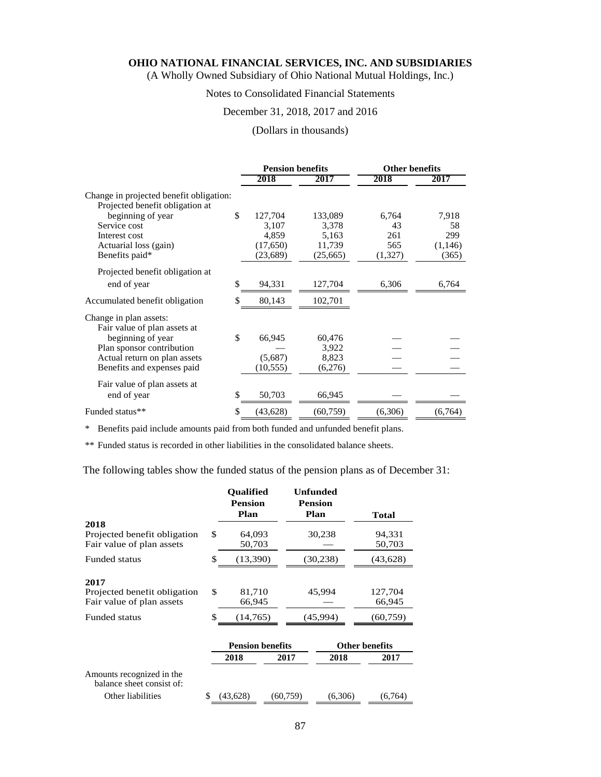(A Wholly Owned Subsidiary of Ohio National Mutual Holdings, Inc.)

# Notes to Consolidated Financial Statements

# December 31, 2018, 2017 and 2016

#### (Dollars in thousands)

|                                                                            | <b>Pension benefits</b> |           | <b>Other benefits</b> |         |
|----------------------------------------------------------------------------|-------------------------|-----------|-----------------------|---------|
|                                                                            | 2018                    | 2017      | 2018                  | 2017    |
| Change in projected benefit obligation:<br>Projected benefit obligation at |                         |           |                       |         |
| beginning of year                                                          | \$<br>127,704           | 133,089   | 6,764                 | 7,918   |
| Service cost                                                               | 3,107                   | 3,378     | 43                    | 58      |
| Interest cost                                                              | 4,859                   | 5,163     | 261                   | 299     |
| Actuarial loss (gain)                                                      | (17,650)                | 11,739    | 565                   | (1,146) |
| Benefits paid*                                                             | (23, 689)               | (25,665)  | (1,327)               | (365)   |
| Projected benefit obligation at                                            |                         |           |                       |         |
| end of year                                                                | \$<br>94,331            | 127,704   | 6,306                 | 6,764   |
| Accumulated benefit obligation                                             | \$<br>80,143            | 102,701   |                       |         |
| Change in plan assets:                                                     |                         |           |                       |         |
| Fair value of plan assets at                                               |                         |           |                       |         |
| beginning of year                                                          | \$<br>66,945            | 60,476    |                       |         |
| Plan sponsor contribution                                                  |                         | 3,922     |                       |         |
| Actual return on plan assets                                               | (5,687)                 | 8,823     |                       |         |
| Benefits and expenses paid                                                 | (10, 555)               | (6,276)   |                       |         |
| Fair value of plan assets at                                               |                         |           |                       |         |
| end of year                                                                | \$<br>50,703            | 66,945    |                       |         |
| Funded status**                                                            | \$<br>(43, 628)         | (60, 759) | (6,306)               | (6,764) |

\* Benefits paid include amounts paid from both funded and unfunded benefit plans.

\*\* Funded status is recorded in other liabilities in the consolidated balance sheets.

The following tables show the funded status of the pension plans as of December 31:

|                                                           | <b>Oualified</b><br><b>Pension</b><br>Plan |                         | <b>Unfunded</b><br><b>Pension</b><br>Plan | <b>Total</b>          |
|-----------------------------------------------------------|--------------------------------------------|-------------------------|-------------------------------------------|-----------------------|
| 2018                                                      |                                            |                         |                                           |                       |
| Projected benefit obligation<br>Fair value of plan assets | \$<br>64,093<br>50,703                     |                         | 30,238                                    | 94,331<br>50,703      |
| <b>Funded status</b>                                      | \$<br>(13,390)<br>(30, 238)                |                         |                                           | (43, 628)             |
| 2017                                                      |                                            |                         |                                           |                       |
| Projected benefit obligation<br>Fair value of plan assets | \$<br>81,710<br>66,945                     |                         | 45,994                                    | 127,704<br>66,945     |
| <b>Funded status</b>                                      | \$<br>(14,765)                             |                         | (45,994)                                  | (60,759)              |
|                                                           |                                            | <b>Pension benefits</b> |                                           | <b>Other benefits</b> |
|                                                           | 2018                                       | 2017                    | 2018                                      | 2017                  |
| Amounts recognized in the<br>balance sheet consist of:    |                                            |                         |                                           |                       |
| Other liabilities                                         | \$<br>(43, 628)                            | (60, 759)               | (6,306)                                   | (6,764)               |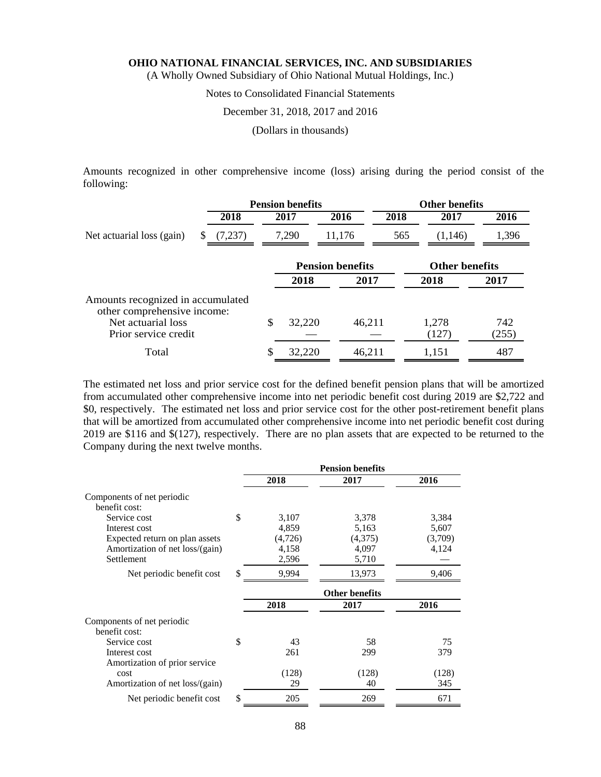(A Wholly Owned Subsidiary of Ohio National Mutual Holdings, Inc.)

# Notes to Consolidated Financial Statements

#### December 31, 2018, 2017 and 2016

(Dollars in thousands)

Amounts recognized in other comprehensive income (loss) arising during the period consist of the following:

|                                                                  |         | <b>Pension benefits</b> |        |                         | <b>Other benefits</b> |                       |              |  |
|------------------------------------------------------------------|---------|-------------------------|--------|-------------------------|-----------------------|-----------------------|--------------|--|
|                                                                  | 2018    |                         | 2017   | 2016                    | 2018                  | 2017                  | 2016         |  |
| Net actuarial loss (gain)                                        | (7,237) |                         | 7,290  | 11,176                  | 565                   | (1,146)               | 1,396        |  |
|                                                                  |         |                         |        | <b>Pension benefits</b> |                       | <b>Other benefits</b> |              |  |
|                                                                  |         |                         | 2018   | 2017                    |                       | 2018                  | 2017         |  |
| Amounts recognized in accumulated<br>other comprehensive income: |         |                         |        |                         |                       |                       |              |  |
| Net actuarial loss<br>Prior service credit                       |         | \$                      | 32,220 | 46,211                  |                       | 1,278<br>(127)        | 742<br>(255) |  |
| Total                                                            |         |                         | 32,220 | 46,211                  |                       | 1,151                 | 487          |  |

The estimated net loss and prior service cost for the defined benefit pension plans that will be amortized from accumulated other comprehensive income into net periodic benefit cost during 2019 are \$2,722 and \$0, respectively. The estimated net loss and prior service cost for the other post-retirement benefit plans that will be amortized from accumulated other comprehensive income into net periodic benefit cost during 2019 are \$116 and \$(127), respectively. There are no plan assets that are expected to be returned to the Company during the next twelve months.

|                                             |             | <b>Pension benefits</b> |         |
|---------------------------------------------|-------------|-------------------------|---------|
|                                             | 2018        | 2017                    | 2016    |
| Components of net periodic<br>benefit cost: |             |                         |         |
| Service cost                                | \$<br>3,107 | 3,378                   | 3,384   |
| Interest cost                               | 4,859       | 5,163                   | 5,607   |
| Expected return on plan assets              | (4,726)     | (4,375)                 | (3,709) |
| Amortization of net loss/(gain)             | 4,158       | 4,097                   | 4,124   |
| Settlement                                  | 2,596       | 5,710                   |         |
| Net periodic benefit cost                   | \$<br>9,994 | 13,973                  | 9,406   |
|                                             |             | <b>Other benefits</b>   |         |
|                                             | 2018        | 2017                    | 2016    |
| Components of net periodic<br>benefit cost: |             |                         |         |
| Service cost                                | \$<br>43    | 58                      | 75      |
| Interest cost                               | 261         | 299                     | 379     |
| Amortization of prior service               |             |                         |         |
| cost                                        | (128)       | (128)                   | (128)   |
| Amortization of net loss/(gain)             | 29          | 40                      | 345     |
| Net periodic benefit cost                   | \$<br>205   | 269                     | 671     |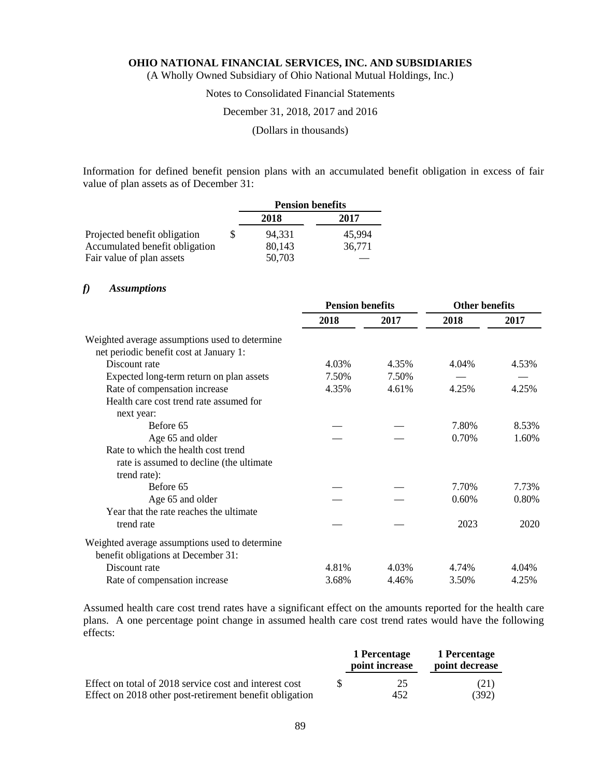(A Wholly Owned Subsidiary of Ohio National Mutual Holdings, Inc.)

# Notes to Consolidated Financial Statements

### December 31, 2018, 2017 and 2016

(Dollars in thousands)

Information for defined benefit pension plans with an accumulated benefit obligation in excess of fair value of plan assets as of December 31:

|                                | <b>Pension benefits</b> |        |  |
|--------------------------------|-------------------------|--------|--|
|                                | 2018                    | 2017   |  |
| Projected benefit obligation   | 94.331                  | 45.994 |  |
| Accumulated benefit obligation | 80,143                  | 36,771 |  |
| Fair value of plan assets      | 50,703                  |        |  |

# *f) Assumptions*

|                                                | <b>Pension benefits</b> |       | <b>Other benefits</b> |       |
|------------------------------------------------|-------------------------|-------|-----------------------|-------|
|                                                | 2018                    | 2017  | 2018                  | 2017  |
| Weighted average assumptions used to determine |                         |       |                       |       |
| net periodic benefit cost at January 1:        |                         |       |                       |       |
| Discount rate                                  | 4.03%                   | 4.35% | 4.04%                 | 4.53% |
| Expected long-term return on plan assets       | 7.50%                   | 7.50% |                       |       |
| Rate of compensation increase                  | 4.35%                   | 4.61% | 4.25%                 | 4.25% |
| Health care cost trend rate assumed for        |                         |       |                       |       |
| next year:                                     |                         |       |                       |       |
| Before 65                                      |                         |       | 7.80%                 | 8.53% |
| Age 65 and older                               |                         |       | 0.70%                 | 1.60% |
| Rate to which the health cost trend            |                         |       |                       |       |
| rate is assumed to decline (the ultimate       |                         |       |                       |       |
| trend rate):                                   |                         |       |                       |       |
| Before 65                                      |                         |       | 7.70%                 | 7.73% |
| Age 65 and older                               |                         |       | 0.60%                 | 0.80% |
| Year that the rate reaches the ultimate        |                         |       |                       |       |
| trend rate                                     |                         |       | 2023                  | 2020  |
| Weighted average assumptions used to determine |                         |       |                       |       |
| benefit obligations at December 31:            |                         |       |                       |       |
| Discount rate                                  | 4.81%                   | 4.03% | 4.74%                 | 4.04% |
| Rate of compensation increase                  | 3.68%                   | 4.46% | 3.50%                 | 4.25% |

Assumed health care cost trend rates have a significant effect on the amounts reported for the health care plans. A one percentage point change in assumed health care cost trend rates would have the following effects:

|                                                         | 1 Percentage<br>point increase | 1 Percentage<br>point decrease |
|---------------------------------------------------------|--------------------------------|--------------------------------|
| Effect on total of 2018 service cost and interest cost  | 25                             | (21)                           |
| Effect on 2018 other post-retirement benefit obligation | 452                            | (392)                          |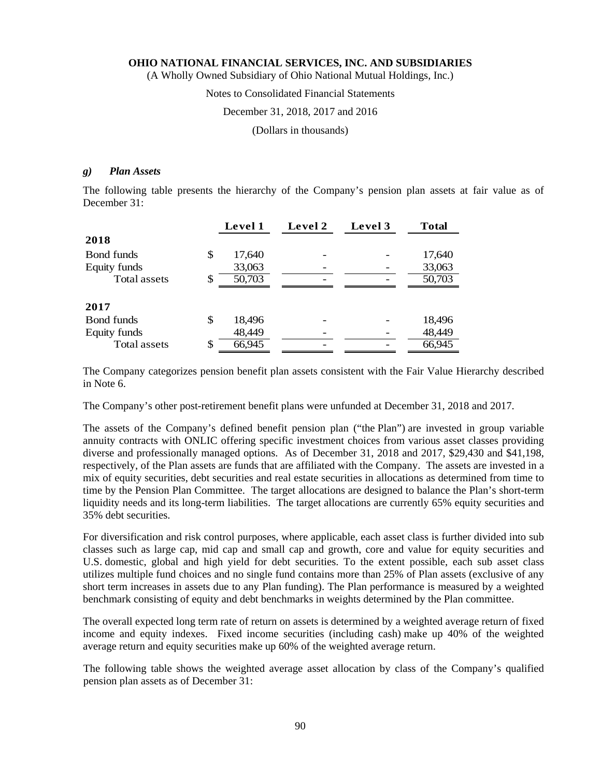(A Wholly Owned Subsidiary of Ohio National Mutual Holdings, Inc.)

# Notes to Consolidated Financial Statements

### December 31, 2018, 2017 and 2016

(Dollars in thousands)

#### *g) Plan Assets*

The following table presents the hierarchy of the Company's pension plan assets at fair value as of December 31:

|                   | Level 1      | Level 2 | Level 3 | <b>Total</b> |
|-------------------|--------------|---------|---------|--------------|
| 2018              |              |         |         |              |
| <b>Bond funds</b> | \$<br>17,640 |         |         | 17,640       |
| Equity funds      | 33,063       |         |         | 33,063       |
| Total assets      | \$<br>50,703 |         |         | 50,703       |
|                   |              |         |         |              |
| 2017              |              |         |         |              |
| <b>Bond funds</b> | \$<br>18,496 |         |         | 18,496       |
| Equity funds      | 48,449       |         |         | 48,449       |
| Total assets      | \$<br>66,945 |         |         | 66,945       |

The Company categorizes pension benefit plan assets consistent with the Fair Value Hierarchy described in Note 6.

The Company's other post-retirement benefit plans were unfunded at December 31, 2018 and 2017.

The assets of the Company's defined benefit pension plan ("the Plan") are invested in group variable annuity contracts with ONLIC offering specific investment choices from various asset classes providing diverse and professionally managed options. As of December 31, 2018 and 2017, \$29,430 and \$41,198, respectively, of the Plan assets are funds that are affiliated with the Company. The assets are invested in a mix of equity securities, debt securities and real estate securities in allocations as determined from time to time by the Pension Plan Committee. The target allocations are designed to balance the Plan's short-term liquidity needs and its long-term liabilities. The target allocations are currently 65% equity securities and 35% debt securities.

For diversification and risk control purposes, where applicable, each asset class is further divided into sub classes such as large cap, mid cap and small cap and growth, core and value for equity securities and U.S. domestic, global and high yield for debt securities. To the extent possible, each sub asset class utilizes multiple fund choices and no single fund contains more than 25% of Plan assets (exclusive of any short term increases in assets due to any Plan funding). The Plan performance is measured by a weighted benchmark consisting of equity and debt benchmarks in weights determined by the Plan committee.

The overall expected long term rate of return on assets is determined by a weighted average return of fixed income and equity indexes. Fixed income securities (including cash) make up 40% of the weighted average return and equity securities make up 60% of the weighted average return.

The following table shows the weighted average asset allocation by class of the Company's qualified pension plan assets as of December 31: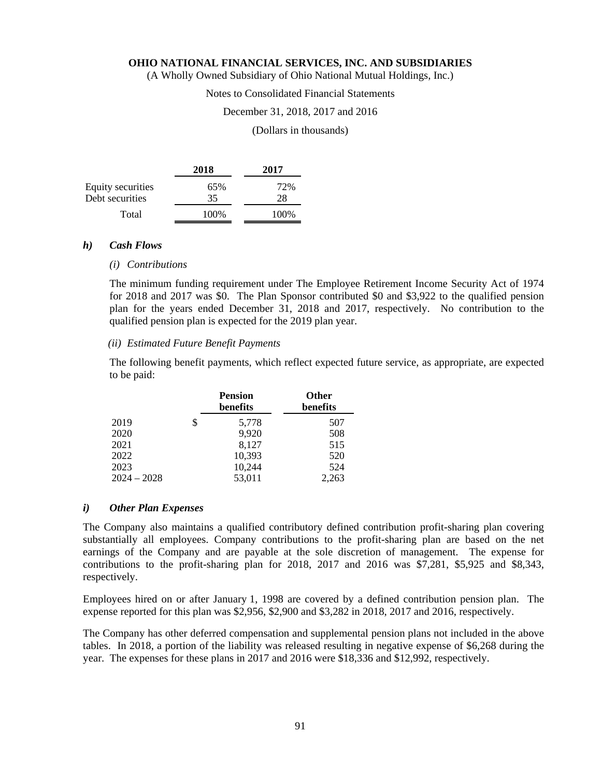(A Wholly Owned Subsidiary of Ohio National Mutual Holdings, Inc.)

# Notes to Consolidated Financial Statements

# December 31, 2018, 2017 and 2016

#### (Dollars in thousands)

|                   | 2018 | 2017      |
|-------------------|------|-----------|
| Equity securities | 65%  | 72%<br>28 |
| Debt securities   | 35   |           |
| Total             | 100% | 100%      |

#### *h) Cash Flows*

### *(i) Contributions*

The minimum funding requirement under The Employee Retirement Income Security Act of 1974 for 2018 and 2017 was \$0. The Plan Sponsor contributed \$0 and \$3,922 to the qualified pension plan for the years ended December 31, 2018 and 2017, respectively. No contribution to the qualified pension plan is expected for the 2019 plan year.

#### *(ii) Estimated Future Benefit Payments*

The following benefit payments, which reflect expected future service, as appropriate, are expected to be paid:

|               |   | <b>Pension</b><br>benefits | <b>Other</b><br>benefits |
|---------------|---|----------------------------|--------------------------|
| 2019          | S | 5,778                      | 507                      |
| 2020          |   | 9,920                      | 508                      |
| 2021          |   | 8,127                      | 515                      |
| 2022          |   | 10,393                     | 520                      |
| 2023          |   | 10,244                     | 524                      |
| $2024 - 2028$ |   | 53,011                     | 2,263                    |

#### *i) Other Plan Expenses*

The Company also maintains a qualified contributory defined contribution profit-sharing plan covering substantially all employees. Company contributions to the profit-sharing plan are based on the net earnings of the Company and are payable at the sole discretion of management. The expense for contributions to the profit-sharing plan for 2018, 2017 and 2016 was \$7,281, \$5,925 and \$8,343, respectively.

Employees hired on or after January 1, 1998 are covered by a defined contribution pension plan. The expense reported for this plan was \$2,956, \$2,900 and \$3,282 in 2018, 2017 and 2016, respectively.

The Company has other deferred compensation and supplemental pension plans not included in the above tables. In 2018, a portion of the liability was released resulting in negative expense of \$6,268 during the year. The expenses for these plans in 2017 and 2016 were \$18,336 and \$12,992, respectively.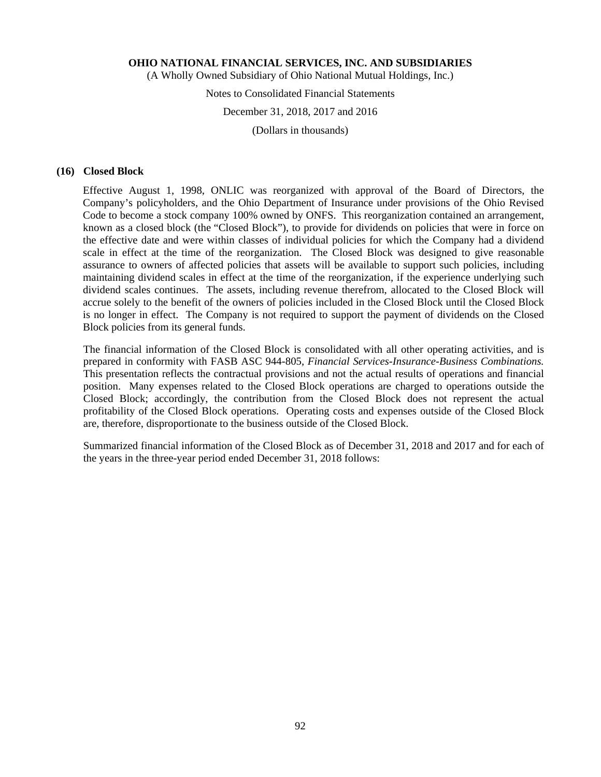(A Wholly Owned Subsidiary of Ohio National Mutual Holdings, Inc.)

# Notes to Consolidated Financial Statements

# December 31, 2018, 2017 and 2016

(Dollars in thousands)

# **(16) Closed Block**

Effective August 1, 1998, ONLIC was reorganized with approval of the Board of Directors, the Company's policyholders, and the Ohio Department of Insurance under provisions of the Ohio Revised Code to become a stock company 100% owned by ONFS. This reorganization contained an arrangement, known as a closed block (the "Closed Block"), to provide for dividends on policies that were in force on the effective date and were within classes of individual policies for which the Company had a dividend scale in effect at the time of the reorganization. The Closed Block was designed to give reasonable assurance to owners of affected policies that assets will be available to support such policies, including maintaining dividend scales in effect at the time of the reorganization, if the experience underlying such dividend scales continues. The assets, including revenue therefrom, allocated to the Closed Block will accrue solely to the benefit of the owners of policies included in the Closed Block until the Closed Block is no longer in effect. The Company is not required to support the payment of dividends on the Closed Block policies from its general funds.

The financial information of the Closed Block is consolidated with all other operating activities, and is prepared in conformity with FASB ASC 944-805, *Financial Services-Insurance-Business Combinations.*  This presentation reflects the contractual provisions and not the actual results of operations and financial position. Many expenses related to the Closed Block operations are charged to operations outside the Closed Block; accordingly, the contribution from the Closed Block does not represent the actual profitability of the Closed Block operations. Operating costs and expenses outside of the Closed Block are, therefore, disproportionate to the business outside of the Closed Block.

Summarized financial information of the Closed Block as of December 31, 2018 and 2017 and for each of the years in the three-year period ended December 31, 2018 follows: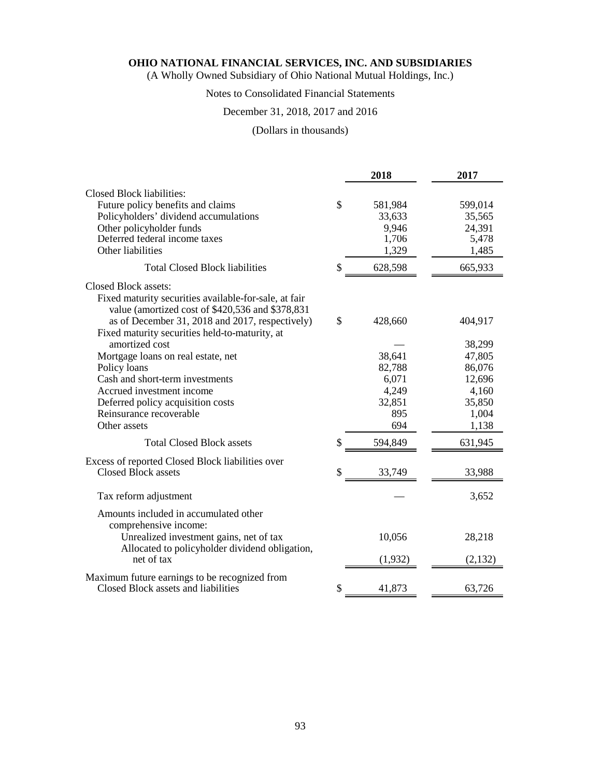(A Wholly Owned Subsidiary of Ohio National Mutual Holdings, Inc.)

# Notes to Consolidated Financial Statements

# December 31, 2018, 2017 and 2016

# (Dollars in thousands)

|                                                                                                           |               | 2018    | 2017    |
|-----------------------------------------------------------------------------------------------------------|---------------|---------|---------|
| Closed Block liabilities:                                                                                 |               |         |         |
| Future policy benefits and claims                                                                         | $\mathsf{\$}$ | 581,984 | 599,014 |
| Policyholders' dividend accumulations                                                                     |               | 33,633  | 35,565  |
| Other policyholder funds                                                                                  |               | 9,946   | 24,391  |
| Deferred federal income taxes                                                                             |               | 1,706   | 5,478   |
| Other liabilities                                                                                         |               | 1,329   | 1,485   |
| <b>Total Closed Block liabilities</b>                                                                     | \$            | 628,598 | 665,933 |
| Closed Block assets:                                                                                      |               |         |         |
| Fixed maturity securities available-for-sale, at fair<br>value (amortized cost of \$420,536 and \$378,831 |               |         |         |
| as of December 31, 2018 and 2017, respectively)<br>Fixed maturity securities held-to-maturity, at         | $\mathbb{S}$  | 428,660 | 404,917 |
| amortized cost                                                                                            |               |         | 38,299  |
| Mortgage loans on real estate, net                                                                        |               | 38,641  | 47,805  |
| Policy loans                                                                                              |               | 82,788  | 86,076  |
| Cash and short-term investments                                                                           |               | 6,071   | 12,696  |
| Accrued investment income                                                                                 |               | 4,249   | 4,160   |
| Deferred policy acquisition costs                                                                         |               | 32,851  | 35,850  |
| Reinsurance recoverable                                                                                   |               | 895     | 1,004   |
| Other assets                                                                                              |               | 694     | 1,138   |
| <b>Total Closed Block assets</b>                                                                          | \$            | 594,849 | 631,945 |
| Excess of reported Closed Block liabilities over                                                          |               |         |         |
| Closed Block assets                                                                                       | \$            | 33,749  | 33,988  |
| Tax reform adjustment                                                                                     |               |         | 3,652   |
| Amounts included in accumulated other<br>comprehensive income:                                            |               |         |         |
| Unrealized investment gains, net of tax                                                                   |               | 10,056  | 28,218  |
| Allocated to policyholder dividend obligation,<br>net of tax                                              |               | (1,932) | (2,132) |
| Maximum future earnings to be recognized from                                                             |               |         |         |
| Closed Block assets and liabilities                                                                       | \$            | 41,873  | 63,726  |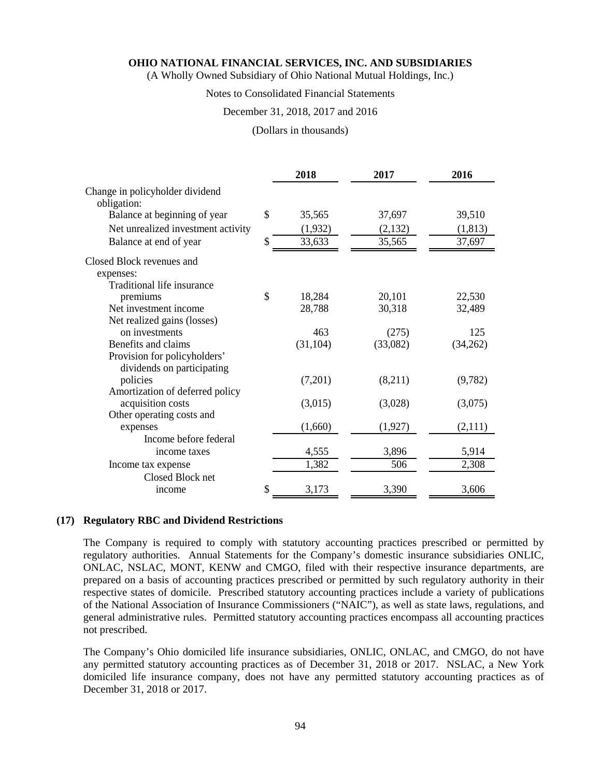(A Wholly Owned Subsidiary of Ohio National Mutual Holdings, Inc.)

# Notes to Consolidated Financial Statements

# December 31, 2018, 2017 and 2016

#### (Dollars in thousands)

|                                    | 2018         | 2017     | 2016     |
|------------------------------------|--------------|----------|----------|
| Change in policyholder dividend    |              |          |          |
| obligation:                        |              |          |          |
| Balance at beginning of year       | \$<br>35,565 | 37,697   | 39,510   |
| Net unrealized investment activity | (1,932)      | (2,132)  | (1, 813) |
| Balance at end of year             | \$<br>33,633 | 35,565   | 37,697   |
| Closed Block revenues and          |              |          |          |
| expenses:                          |              |          |          |
| Traditional life insurance         |              |          |          |
| premiums                           | \$<br>18,284 | 20,101   | 22,530   |
| Net investment income              | 28,788       | 30,318   | 32,489   |
| Net realized gains (losses)        |              |          |          |
| on investments                     | 463          | (275)    | 125      |
| Benefits and claims                | (31, 104)    | (33,082) | (34,262) |
| Provision for policyholders'       |              |          |          |
| dividends on participating         |              |          |          |
| policies                           | (7,201)      | (8,211)  | (9,782)  |
| Amortization of deferred policy    |              |          |          |
| acquisition costs                  | (3,015)      | (3,028)  | (3,075)  |
| Other operating costs and          |              |          |          |
| expenses                           | (1,660)      | (1,927)  | (2,111)  |
| Income before federal              |              |          |          |
| income taxes                       | 4,555        | 3,896    | 5,914    |
| Income tax expense                 | 1,382        | 506      | 2,308    |
| Closed Block net                   |              |          |          |
| income                             | \$<br>3,173  | 3,390    | 3,606    |

#### **(17) Regulatory RBC and Dividend Restrictions**

The Company is required to comply with statutory accounting practices prescribed or permitted by regulatory authorities. Annual Statements for the Company's domestic insurance subsidiaries ONLIC, ONLAC, NSLAC, MONT, KENW and CMGO, filed with their respective insurance departments, are prepared on a basis of accounting practices prescribed or permitted by such regulatory authority in their respective states of domicile. Prescribed statutory accounting practices include a variety of publications of the National Association of Insurance Commissioners ("NAIC"), as well as state laws, regulations, and general administrative rules. Permitted statutory accounting practices encompass all accounting practices not prescribed.

The Company's Ohio domiciled life insurance subsidiaries, ONLIC, ONLAC, and CMGO, do not have any permitted statutory accounting practices as of December 31, 2018 or 2017. NSLAC, a New York domiciled life insurance company, does not have any permitted statutory accounting practices as of December 31, 2018 or 2017.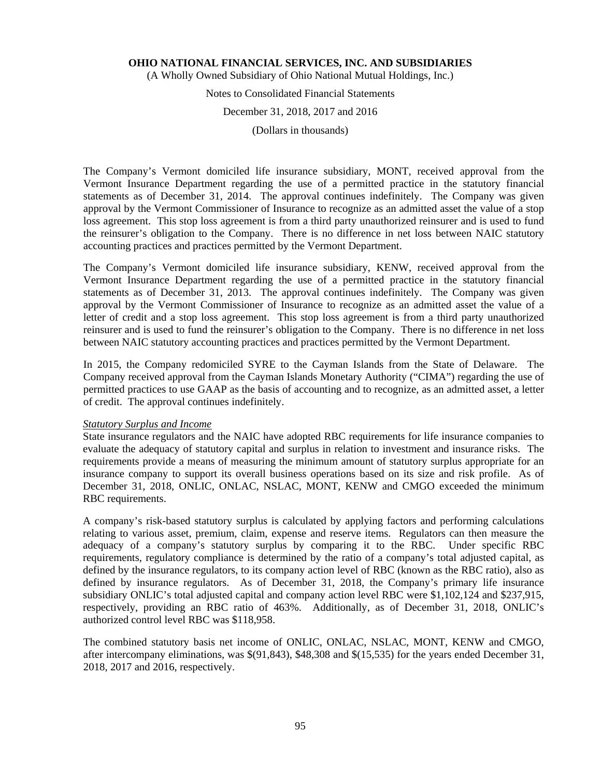(A Wholly Owned Subsidiary of Ohio National Mutual Holdings, Inc.)

# Notes to Consolidated Financial Statements

# December 31, 2018, 2017 and 2016

(Dollars in thousands)

The Company's Vermont domiciled life insurance subsidiary, MONT, received approval from the Vermont Insurance Department regarding the use of a permitted practice in the statutory financial statements as of December 31, 2014. The approval continues indefinitely. The Company was given approval by the Vermont Commissioner of Insurance to recognize as an admitted asset the value of a stop loss agreement. This stop loss agreement is from a third party unauthorized reinsurer and is used to fund the reinsurer's obligation to the Company. There is no difference in net loss between NAIC statutory accounting practices and practices permitted by the Vermont Department.

The Company's Vermont domiciled life insurance subsidiary, KENW, received approval from the Vermont Insurance Department regarding the use of a permitted practice in the statutory financial statements as of December 31, 2013. The approval continues indefinitely. The Company was given approval by the Vermont Commissioner of Insurance to recognize as an admitted asset the value of a letter of credit and a stop loss agreement. This stop loss agreement is from a third party unauthorized reinsurer and is used to fund the reinsurer's obligation to the Company. There is no difference in net loss between NAIC statutory accounting practices and practices permitted by the Vermont Department.

In 2015, the Company redomiciled SYRE to the Cayman Islands from the State of Delaware. The Company received approval from the Cayman Islands Monetary Authority ("CIMA") regarding the use of permitted practices to use GAAP as the basis of accounting and to recognize, as an admitted asset, a letter of credit. The approval continues indefinitely.

# *Statutory Surplus and Income*

State insurance regulators and the NAIC have adopted RBC requirements for life insurance companies to evaluate the adequacy of statutory capital and surplus in relation to investment and insurance risks. The requirements provide a means of measuring the minimum amount of statutory surplus appropriate for an insurance company to support its overall business operations based on its size and risk profile. As of December 31, 2018, ONLIC, ONLAC, NSLAC, MONT, KENW and CMGO exceeded the minimum RBC requirements.

A company's risk-based statutory surplus is calculated by applying factors and performing calculations relating to various asset, premium, claim, expense and reserve items. Regulators can then measure the adequacy of a company's statutory surplus by comparing it to the RBC. Under specific RBC requirements, regulatory compliance is determined by the ratio of a company's total adjusted capital, as defined by the insurance regulators, to its company action level of RBC (known as the RBC ratio), also as defined by insurance regulators. As of December 31, 2018, the Company's primary life insurance subsidiary ONLIC's total adjusted capital and company action level RBC were \$1,102,124 and \$237,915, respectively, providing an RBC ratio of 463%. Additionally, as of December 31, 2018, ONLIC's authorized control level RBC was \$118,958.

The combined statutory basis net income of ONLIC, ONLAC, NSLAC, MONT, KENW and CMGO, after intercompany eliminations, was \$(91,843), \$48,308 and \$(15,535) for the years ended December 31, 2018, 2017 and 2016, respectively.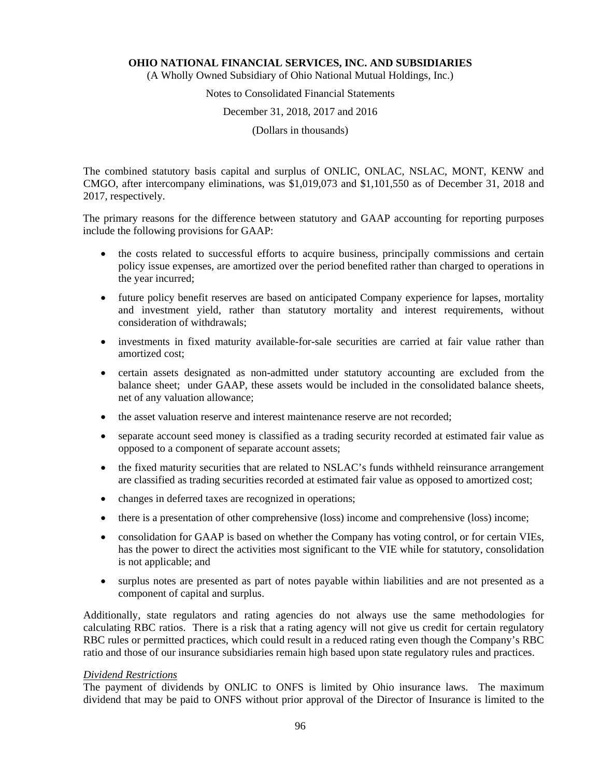(A Wholly Owned Subsidiary of Ohio National Mutual Holdings, Inc.)

# Notes to Consolidated Financial Statements

December 31, 2018, 2017 and 2016

(Dollars in thousands)

The combined statutory basis capital and surplus of ONLIC, ONLAC, NSLAC, MONT, KENW and CMGO, after intercompany eliminations, was \$1,019,073 and \$1,101,550 as of December 31, 2018 and 2017, respectively.

The primary reasons for the difference between statutory and GAAP accounting for reporting purposes include the following provisions for GAAP:

- the costs related to successful efforts to acquire business, principally commissions and certain policy issue expenses, are amortized over the period benefited rather than charged to operations in the year incurred;
- future policy benefit reserves are based on anticipated Company experience for lapses, mortality and investment yield, rather than statutory mortality and interest requirements, without consideration of withdrawals;
- investments in fixed maturity available-for-sale securities are carried at fair value rather than amortized cost;
- certain assets designated as non-admitted under statutory accounting are excluded from the balance sheet; under GAAP, these assets would be included in the consolidated balance sheets, net of any valuation allowance;
- the asset valuation reserve and interest maintenance reserve are not recorded;
- separate account seed money is classified as a trading security recorded at estimated fair value as opposed to a component of separate account assets;
- the fixed maturity securities that are related to NSLAC's funds withheld reinsurance arrangement are classified as trading securities recorded at estimated fair value as opposed to amortized cost;
- changes in deferred taxes are recognized in operations;
- there is a presentation of other comprehensive (loss) income and comprehensive (loss) income;
- consolidation for GAAP is based on whether the Company has voting control, or for certain VIEs, has the power to direct the activities most significant to the VIE while for statutory, consolidation is not applicable; and
- surplus notes are presented as part of notes payable within liabilities and are not presented as a component of capital and surplus.

Additionally, state regulators and rating agencies do not always use the same methodologies for calculating RBC ratios. There is a risk that a rating agency will not give us credit for certain regulatory RBC rules or permitted practices, which could result in a reduced rating even though the Company's RBC ratio and those of our insurance subsidiaries remain high based upon state regulatory rules and practices.

#### *Dividend Restrictions*

The payment of dividends by ONLIC to ONFS is limited by Ohio insurance laws. The maximum dividend that may be paid to ONFS without prior approval of the Director of Insurance is limited to the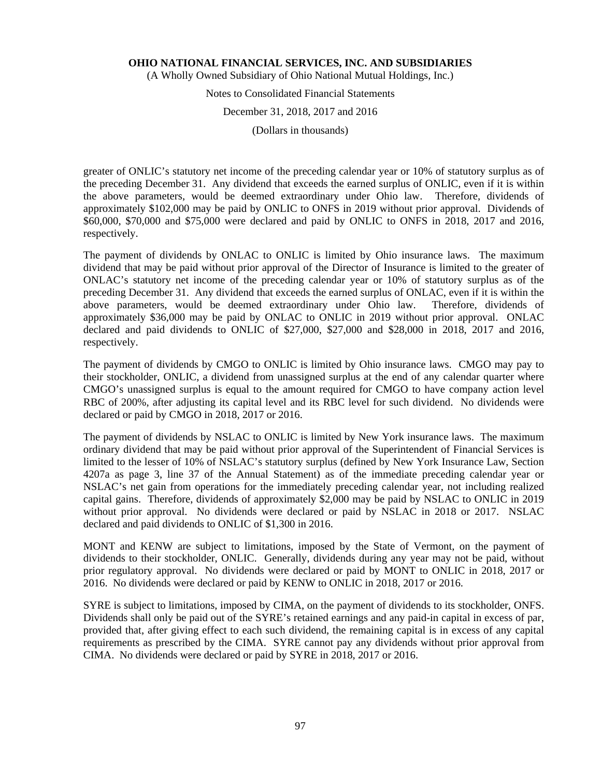(A Wholly Owned Subsidiary of Ohio National Mutual Holdings, Inc.)

# Notes to Consolidated Financial Statements

# December 31, 2018, 2017 and 2016

(Dollars in thousands)

greater of ONLIC's statutory net income of the preceding calendar year or 10% of statutory surplus as of the preceding December 31. Any dividend that exceeds the earned surplus of ONLIC, even if it is within the above parameters, would be deemed extraordinary under Ohio law. Therefore, dividends of approximately \$102,000 may be paid by ONLIC to ONFS in 2019 without prior approval. Dividends of \$60,000, \$70,000 and \$75,000 were declared and paid by ONLIC to ONFS in 2018, 2017 and 2016, respectively.

The payment of dividends by ONLAC to ONLIC is limited by Ohio insurance laws. The maximum dividend that may be paid without prior approval of the Director of Insurance is limited to the greater of ONLAC's statutory net income of the preceding calendar year or 10% of statutory surplus as of the preceding December 31. Any dividend that exceeds the earned surplus of ONLAC, even if it is within the above parameters, would be deemed extraordinary under Ohio law. Therefore, dividends of approximately \$36,000 may be paid by ONLAC to ONLIC in 2019 without prior approval. ONLAC declared and paid dividends to ONLIC of \$27,000, \$27,000 and \$28,000 in 2018, 2017 and 2016, respectively.

The payment of dividends by CMGO to ONLIC is limited by Ohio insurance laws. CMGO may pay to their stockholder, ONLIC, a dividend from unassigned surplus at the end of any calendar quarter where CMGO's unassigned surplus is equal to the amount required for CMGO to have company action level RBC of 200%, after adjusting its capital level and its RBC level for such dividend. No dividends were declared or paid by CMGO in 2018, 2017 or 2016.

The payment of dividends by NSLAC to ONLIC is limited by New York insurance laws. The maximum ordinary dividend that may be paid without prior approval of the Superintendent of Financial Services is limited to the lesser of 10% of NSLAC's statutory surplus (defined by New York Insurance Law, Section 4207a as page 3, line 37 of the Annual Statement) as of the immediate preceding calendar year or NSLAC's net gain from operations for the immediately preceding calendar year, not including realized capital gains. Therefore, dividends of approximately \$2,000 may be paid by NSLAC to ONLIC in 2019 without prior approval. No dividends were declared or paid by NSLAC in 2018 or 2017. NSLAC declared and paid dividends to ONLIC of \$1,300 in 2016.

MONT and KENW are subject to limitations, imposed by the State of Vermont, on the payment of dividends to their stockholder, ONLIC. Generally, dividends during any year may not be paid, without prior regulatory approval. No dividends were declared or paid by MONT to ONLIC in 2018, 2017 or 2016. No dividends were declared or paid by KENW to ONLIC in 2018, 2017 or 2016.

SYRE is subject to limitations, imposed by CIMA, on the payment of dividends to its stockholder, ONFS. Dividends shall only be paid out of the SYRE's retained earnings and any paid-in capital in excess of par, provided that, after giving effect to each such dividend, the remaining capital is in excess of any capital requirements as prescribed by the CIMA. SYRE cannot pay any dividends without prior approval from CIMA. No dividends were declared or paid by SYRE in 2018, 2017 or 2016.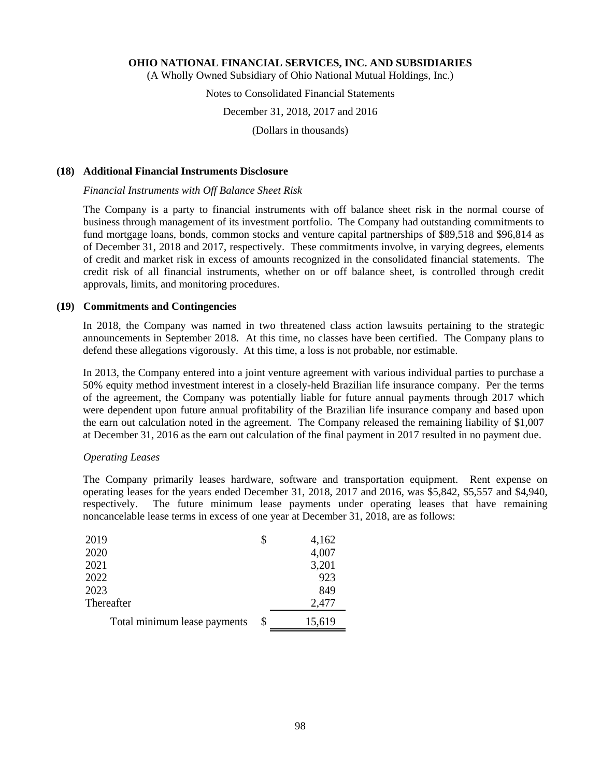(A Wholly Owned Subsidiary of Ohio National Mutual Holdings, Inc.)

# Notes to Consolidated Financial Statements

# December 31, 2018, 2017 and 2016

(Dollars in thousands)

# **(18) Additional Financial Instruments Disclosure**

#### *Financial Instruments with Off Balance Sheet Risk*

The Company is a party to financial instruments with off balance sheet risk in the normal course of business through management of its investment portfolio. The Company had outstanding commitments to fund mortgage loans, bonds, common stocks and venture capital partnerships of \$89,518 and \$96,814 as of December 31, 2018 and 2017, respectively. These commitments involve, in varying degrees, elements of credit and market risk in excess of amounts recognized in the consolidated financial statements. The credit risk of all financial instruments, whether on or off balance sheet, is controlled through credit approvals, limits, and monitoring procedures.

#### **(19) Commitments and Contingencies**

In 2018, the Company was named in two threatened class action lawsuits pertaining to the strategic announcements in September 2018. At this time, no classes have been certified. The Company plans to defend these allegations vigorously. At this time, a loss is not probable, nor estimable.

In 2013, the Company entered into a joint venture agreement with various individual parties to purchase a 50% equity method investment interest in a closely-held Brazilian life insurance company. Per the terms of the agreement, the Company was potentially liable for future annual payments through 2017 which were dependent upon future annual profitability of the Brazilian life insurance company and based upon the earn out calculation noted in the agreement. The Company released the remaining liability of \$1,007 at December 31, 2016 as the earn out calculation of the final payment in 2017 resulted in no payment due.

# *Operating Leases*

The Company primarily leases hardware, software and transportation equipment. Rent expense on operating leases for the years ended December 31, 2018, 2017 and 2016, was \$5,842, \$5,557 and \$4,940, respectively. The future minimum lease payments under operating leases that have remaining noncancelable lease terms in excess of one year at December 31, 2018, are as follows:

| 2019                         | \$<br>4,162  |
|------------------------------|--------------|
| 2020                         | 4,007        |
| 2021                         | 3,201        |
| 2022                         | 923          |
| 2023                         | 849          |
| Thereafter                   | 2,477        |
| Total minimum lease payments | \$<br>15,619 |